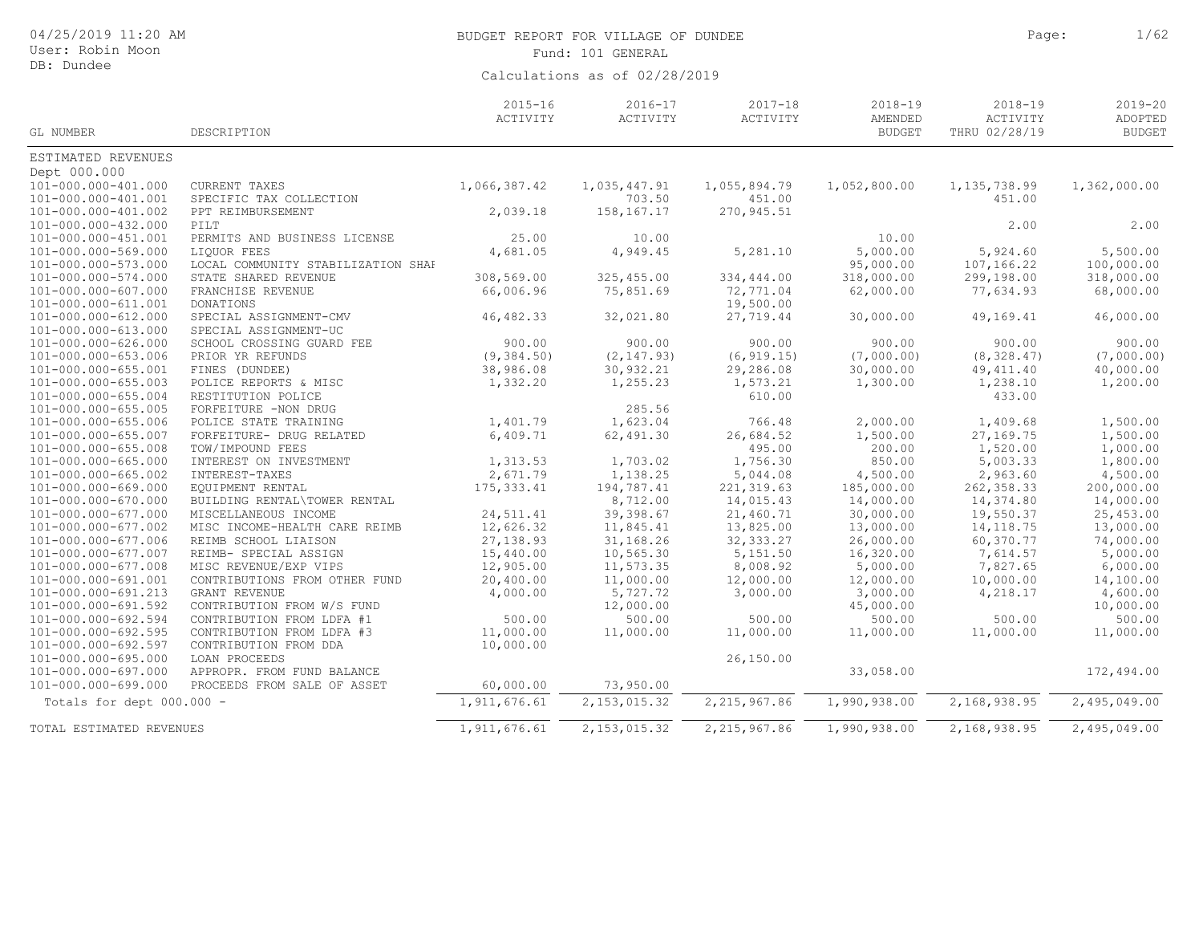| 04/25/2019 11:20 AM<br>User: Robin Moon |                                    |                               | BUDGET REPORT FOR VILLAGE OF DUNDEE<br>Fund: 101 GENERAL | Page:                   | 1/62                                    |                                          |                                         |
|-----------------------------------------|------------------------------------|-------------------------------|----------------------------------------------------------|-------------------------|-----------------------------------------|------------------------------------------|-----------------------------------------|
| DB: Dundee                              |                                    | Calculations as of 02/28/2019 |                                                          |                         |                                         |                                          |                                         |
| GL NUMBER                               | DESCRIPTION                        | $2015 - 16$<br>ACTIVITY       | $2016 - 17$<br>ACTIVITY                                  | $2017 - 18$<br>ACTIVITY | $2018 - 19$<br>AMENDED<br><b>BUDGET</b> | $2018 - 19$<br>ACTIVITY<br>THRU 02/28/19 | $2019 - 20$<br>ADOPTED<br><b>BUDGET</b> |
| ESTIMATED REVENUES                      |                                    |                               |                                                          |                         |                                         |                                          |                                         |
| Dept 000.000                            |                                    |                               |                                                          |                         |                                         |                                          |                                         |
| 101-000.000-401.000                     | <b>CURRENT TAXES</b>               | 1,066,387.42                  | 1,035,447.91                                             | 1,055,894.79            | 1,052,800.00                            | 1, 135, 738.99                           | 1,362,000.00                            |
| 101-000.000-401.001                     | SPECIFIC TAX COLLECTION            |                               | 703.50                                                   | 451.00                  |                                         | 451.00                                   |                                         |
| 101-000.000-401.002                     | PPT REIMBURSEMENT                  | 2,039.18                      | 158,167.17                                               | 270, 945.51             |                                         |                                          |                                         |
| 101-000.000-432.000                     | PILT                               |                               |                                                          |                         |                                         | 2.00                                     | 2.00                                    |
| 101-000.000-451.001                     | PERMITS AND BUSINESS LICENSE       | 25.00                         | 10.00                                                    |                         | 10.00                                   |                                          |                                         |
| 101-000.000-569.000                     | LIQUOR FEES                        | 4,681.05                      | 4,949.45                                                 | 5,281.10                | 5,000.00                                | 5,924.60                                 | 5,500.00                                |
| 101-000.000-573.000                     | LOCAL COMMUNITY STABILIZATION SHAF |                               |                                                          |                         | 95,000.00                               | 107,166.22                               | 100,000.00                              |
| 101-000.000-574.000                     | STATE SHARED REVENUE               | 308,569.00                    | 325,455.00                                               | 334,444.00              | 318,000.00                              | 299,198.00                               | 318,000.00                              |
| 101-000.000-607.000                     | FRANCHISE REVENUE                  | 66,006.96                     | 75,851.69                                                | 72,771.04               | 62,000.00                               | 77,634.93                                | 68,000.00                               |
| 101-000.000-611.001                     | <b>DONATIONS</b>                   |                               |                                                          | 19,500.00               |                                         |                                          |                                         |
| 101-000.000-612.000                     | SPECIAL ASSIGNMENT-CMV             | 46, 482.33                    | 32,021.80                                                | 27,719.44               | 30,000.00                               | 49,169.41                                | 46,000.00                               |
| 101-000.000-613.000                     | SPECIAL ASSIGNMENT-UC              |                               |                                                          |                         |                                         |                                          |                                         |
| 101-000.000-626.000                     | SCHOOL CROSSING GUARD FEE          | 900.00                        | 900.00                                                   | 900.00                  | 900.00                                  | 900.00                                   | 900.00                                  |
| 101-000.000-653.006                     | PRIOR YR REFUNDS                   | (9, 384.50)                   | (2, 147.93)                                              | (6, 919.15)             | (7,000.00)                              | (8, 328.47)                              | (7,000.00)                              |
| 101-000.000-655.001                     | FINES (DUNDEE)                     | 38,986.08                     | 30,932.21                                                | 29,286.08               | 30,000.00                               | 49, 411.40                               | 40,000.00                               |
| 101-000.000-655.003                     | POLICE REPORTS & MISC              | 1,332.20                      | 1,255.23                                                 | 1,573.21                | 1,300.00                                | 1,238.10                                 | 1,200.00                                |
| 101-000.000-655.004                     | RESTITUTION POLICE                 |                               |                                                          | 610.00                  |                                         | 433.00                                   |                                         |
| 101-000.000-655.005                     | FORFEITURE -NON DRUG               |                               | 285.56                                                   |                         |                                         |                                          |                                         |
| 101-000.000-655.006                     | POLICE STATE TRAINING              | 1,401.79                      | 1,623.04                                                 | 766.48                  | 2,000.00                                | 1,409.68                                 | 1,500.00                                |
| 101-000.000-655.007                     | FORFEITURE- DRUG RELATED           | 6,409.71                      | 62,491.30                                                | 26,684.52               | 1,500.00                                | 27,169.75                                | 1,500.00                                |
| 101-000.000-655.008                     | TOW/IMPOUND FEES                   |                               |                                                          | 495.00                  | 200.00                                  | 1,520.00                                 | 1,000.00                                |
| 101-000.000-665.000                     | INTEREST ON INVESTMENT             | 1,313.53                      | 1,703.02                                                 | 1,756.30                | 850.00                                  | 5,003.33                                 | 1,800.00                                |
| 101-000.000-665.002                     | INTEREST-TAXES                     | 2,671.79                      | 1,138.25                                                 | 5,044.08                | 4,500.00                                | 2,963.60                                 | 4,500.00                                |
| 101-000.000-669.000                     | EQUIPMENT RENTAL                   | 175, 333.41                   | 194,787.41                                               | 221, 319.63             | 185,000.00                              | 262, 358.33                              | 200,000.00                              |
| 101-000.000-670.000                     | BUILDING RENTAL\TOWER RENTAL       |                               | 8,712.00                                                 | 14,015.43               | 14,000.00                               | 14,374.80                                | 14,000.00                               |
| 101-000.000-677.000                     | MISCELLANEOUS INCOME               | 24,511.41                     | 39,398.67                                                | 21,460.71               | 30,000.00                               | 19,550.37                                | 25,453.00                               |
| 101-000.000-677.002                     | MISC INCOME-HEALTH CARE REIMB      | 12,626.32                     | 11,845.41                                                | 13,825.00               | 13,000.00                               | 14, 118.75                               | 13,000.00                               |
| 101-000.000-677.006                     | REIMB SCHOOL LIAISON               | 27,138.93                     | 31,168.26                                                | 32, 333.27              | 26,000.00                               | 60,370.77                                | 74,000.00                               |
| 101-000.000-677.007                     | REIMB- SPECIAL ASSIGN              | 15,440.00                     | 10,565.30                                                | 5,151.50                | 16,320.00                               | 7,614.57                                 | 5,000.00                                |
| 101-000.000-677.008                     | MISC REVENUE/EXP VIPS              | 12,905.00                     | 11,573.35                                                | 8,008.92                | 5,000.00                                | 7,827.65                                 | 6,000.00                                |
| 101-000.000-691.001                     | CONTRIBUTIONS FROM OTHER FUND      | 20,400.00                     | 11,000.00                                                | 12,000.00               | 12,000.00                               | 10,000.00                                | 14,100.00                               |
| 101-000.000-691.213                     | GRANT REVENUE                      | 4,000.00                      | 5,727.72                                                 | 3,000.00                | 3,000.00                                | 4,218.17                                 | 4,600.00                                |
| 101-000.000-691.592                     | CONTRIBUTION FROM W/S FUND         |                               | 12,000.00                                                |                         | 45,000.00                               |                                          | 10,000.00                               |
| 101-000.000-692.594                     | CONTRIBUTION FROM LDFA #1          | 500.00                        | 500.00                                                   | 500.00                  | 500.00                                  | 500.00                                   | 500.00                                  |
| 101-000.000-692.595                     | CONTRIBUTION FROM LDFA #3          | 11,000.00                     | 11,000.00                                                | 11,000.00               | 11,000.00                               | 11,000.00                                | 11,000.00                               |
| 101-000.000-692.597                     | CONTRIBUTION FROM DDA              | 10,000.00                     |                                                          |                         |                                         |                                          |                                         |
| 101-000.000-695.000                     | LOAN PROCEEDS                      |                               |                                                          | 26,150.00               |                                         |                                          |                                         |
| 101-000.000-697.000                     | APPROPR. FROM FUND BALANCE         |                               |                                                          |                         | 33,058.00                               |                                          | 172,494.00                              |
| 101-000.000-699.000                     | PROCEEDS FROM SALE OF ASSET        | 60,000.00                     | 73,950.00                                                |                         |                                         |                                          |                                         |
| Totals for dept 000.000 -               |                                    | 1, 911, 676.61                | 2, 153, 015.32                                           | 2,215,967.86            | 1,990,938.00                            | 2,168,938.95                             | 2,495,049.00                            |
| TOTAL ESTIMATED REVENUES                |                                    | 1,911,676.61                  | 2, 153, 015.32                                           | 2,215,967.86            | 1,990,938.00                            | 2,168,938.95                             | 2,495,049.00                            |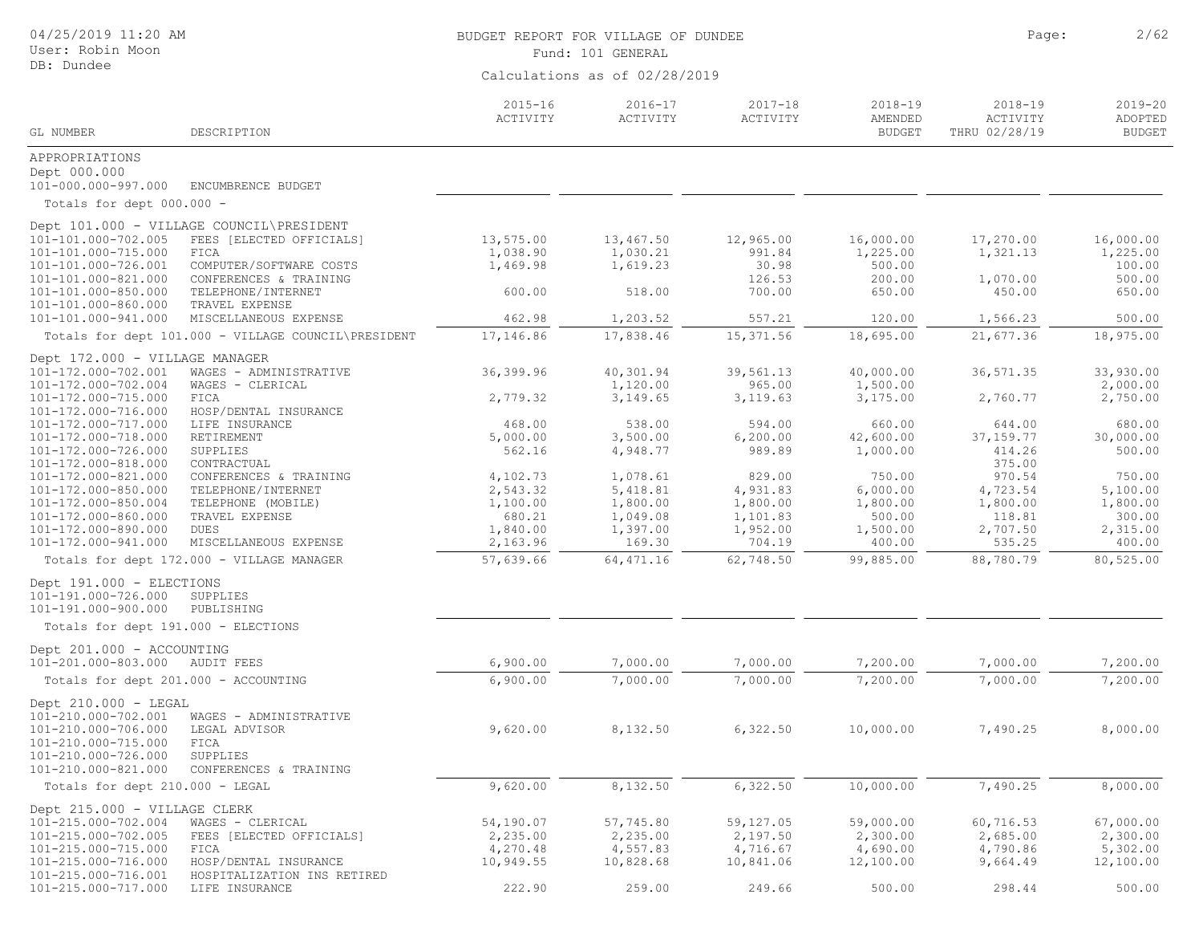| 04/25/2019 11:20 AM<br>User: Robin Moon     |                                                     | BUDGET REPORT FOR VILLAGE OF DUNDEE<br>Fund: 101 GENERAL | Page:                         | 2/62                    |                                         |                                          |                                         |
|---------------------------------------------|-----------------------------------------------------|----------------------------------------------------------|-------------------------------|-------------------------|-----------------------------------------|------------------------------------------|-----------------------------------------|
| DB: Dundee                                  |                                                     |                                                          | Calculations as of 02/28/2019 |                         |                                         |                                          |                                         |
| GL NUMBER                                   | DESCRIPTION                                         | $2015 - 16$<br>ACTIVITY                                  | $2016 - 17$<br>ACTIVITY       | $2017 - 18$<br>ACTIVITY | $2018 - 19$<br>AMENDED<br><b>BUDGET</b> | $2018 - 19$<br>ACTIVITY<br>THRU 02/28/19 | $2019 - 20$<br>ADOPTED<br><b>BUDGET</b> |
| APPROPRIATIONS                              |                                                     |                                                          |                               |                         |                                         |                                          |                                         |
| Dept 000.000                                |                                                     |                                                          |                               |                         |                                         |                                          |                                         |
| 101-000.000-997.000                         | ENCUMBRENCE BUDGET                                  |                                                          |                               |                         |                                         |                                          |                                         |
| Totals for dept 000.000 -                   |                                                     |                                                          |                               |                         |                                         |                                          |                                         |
|                                             | Dept 101.000 - VILLAGE COUNCIL\PRESIDENT            |                                                          |                               |                         |                                         |                                          |                                         |
| 101-101.000-702.005                         | FEES [ELECTED OFFICIALS]                            | 13,575.00                                                | 13,467.50                     | 12,965.00               | 16,000.00                               | 17,270.00                                | 16,000.00                               |
| 101-101.000-715.000                         | FICA<br>COMPUTER/SOFTWARE COSTS                     | 1,038.90<br>1,469.98                                     | 1,030.21<br>1,619.23          | 991.84<br>30.98         | 1,225.00<br>500.00                      | 1,321.13                                 | 1,225.00                                |
| 101-101.000-726.001<br>101-101.000-821.000  | CONFERENCES & TRAINING                              |                                                          |                               | 126.53                  | 200.00                                  | 1,070.00                                 | 100.00<br>500.00                        |
| 101-101.000-850.000                         | TELEPHONE/INTERNET                                  | 600.00                                                   | 518.00                        | 700.00                  | 650.00                                  | 450.00                                   | 650.00                                  |
| 101-101.000-860.000                         | TRAVEL EXPENSE                                      |                                                          |                               |                         |                                         |                                          |                                         |
| 101-101.000-941.000                         | MISCELLANEOUS EXPENSE                               | 462.98                                                   | 1,203.52                      | 557.21                  | 120.00                                  | 1,566.23                                 | 500.00                                  |
|                                             | Totals for dept 101.000 - VILLAGE COUNCIL\PRESIDENT | 17,146.86                                                | 17,838.46                     | 15, 371.56              | 18,695.00                               | 21,677.36                                | 18,975.00                               |
| Dept 172.000 - VILLAGE MANAGER              |                                                     |                                                          |                               |                         |                                         |                                          |                                         |
| 101-172.000-702.001                         | WAGES - ADMINISTRATIVE                              | 36, 399.96                                               | 40,301.94                     | 39,561.13               | 40,000.00                               | 36, 571.35                               | 33,930.00                               |
| 101-172.000-702.004                         | WAGES - CLERICAL                                    |                                                          | 1,120.00                      | 965.00                  | 1,500.00                                |                                          | 2,000.00                                |
| 101-172.000-715.000                         | FICA                                                | 2,779.32                                                 | 3,149.65                      | 3,119.63                | 3,175.00                                | 2,760.77                                 | 2,750.00                                |
| 101-172.000-716.000                         | HOSP/DENTAL INSURANCE                               |                                                          |                               |                         |                                         |                                          |                                         |
| 101-172.000-717.000                         | LIFE INSURANCE                                      | 468.00                                                   | 538.00                        | 594.00                  | 660.00                                  | 644.00                                   | 680.00                                  |
| 101-172.000-718.000<br>101-172.000-726.000  | RETIREMENT<br>SUPPLIES                              | 5,000.00<br>562.16                                       | 3,500.00<br>4,948.77          | 6, 200.00<br>989.89     | 42,600.00<br>1,000.00                   | 37, 159.77<br>414.26                     | 30,000.00<br>500.00                     |
| 101-172.000-818.000                         | CONTRACTUAL                                         |                                                          |                               |                         |                                         | 375.00                                   |                                         |
| 101-172.000-821.000                         | CONFERENCES & TRAINING                              | 4,102.73                                                 | 1,078.61                      | 829.00                  | 750.00                                  | 970.54                                   | 750.00                                  |
| 101-172.000-850.000                         | TELEPHONE/INTERNET                                  | 2,543.32                                                 | 5,418.81                      | 4,931.83                | 6,000.00                                | 4,723.54                                 | 5,100.00                                |
| 101-172.000-850.004                         | TELEPHONE (MOBILE)                                  | 1,100.00                                                 | 1,800.00                      | 1,800.00                | 1,800.00                                | 1,800.00                                 | 1,800.00                                |
| 101-172.000-860.000                         | TRAVEL EXPENSE                                      | 680.21                                                   | 1,049.08                      | 1,101.83                | 500.00                                  | 118.81                                   | 300.00                                  |
| 101-172.000-890.000                         | DUES                                                | 1,840.00                                                 | 1,397.00                      | 1,952.00                | 1,500.00                                | 2,707.50                                 | 2,315.00                                |
| 101-172.000-941.000                         | MISCELLANEOUS EXPENSE                               | 2,163.96                                                 | 169.30                        | 704.19                  | 400.00                                  | 535.25                                   | 400.00                                  |
|                                             | Totals for dept 172.000 - VILLAGE MANAGER           | 57,639.66                                                | 64, 471.16                    | 62,748.50               | 99,885.00                               | 88,780.79                                | 80,525.00                               |
| Dept 191.000 - ELECTIONS                    |                                                     |                                                          |                               |                         |                                         |                                          |                                         |
| 101-191.000-726.000                         | SUPPLIES                                            |                                                          |                               |                         |                                         |                                          |                                         |
| 101-191.000-900.000                         | PUBLISHING                                          |                                                          |                               |                         |                                         |                                          |                                         |
| Totals for dept 191.000 - ELECTIONS         |                                                     |                                                          |                               |                         |                                         |                                          |                                         |
| Dept 201.000 - ACCOUNTING                   |                                                     |                                                          |                               |                         |                                         |                                          |                                         |
| 101-201.000-803.000                         | AUDIT FEES                                          | 6,900.00                                                 | 7,000.00                      | 7,000.00                | 7,200.00                                | 7,000.00                                 | 7,200.00                                |
| Totals for dept 201.000 - ACCOUNTING        |                                                     | 6,900.00                                                 | 7,000.00                      | 7,000.00                | 7,200.00                                | 7,000.00                                 | 7,200.00                                |
|                                             |                                                     |                                                          |                               |                         |                                         |                                          |                                         |
| Dept 210.000 - LEGAL<br>101-210.000-702.001 | WAGES - ADMINISTRATIVE                              |                                                          |                               |                         |                                         |                                          |                                         |
| 101-210.000-706.000                         | LEGAL ADVISOR                                       | 9,620.00                                                 | 8,132.50                      | 6,322.50                | 10,000.00                               | 7,490.25                                 | 8,000.00                                |
| 101-210.000-715.000                         | FICA                                                |                                                          |                               |                         |                                         |                                          |                                         |
| 101-210.000-726.000                         | SUPPLIES                                            |                                                          |                               |                         |                                         |                                          |                                         |
| 101-210.000-821.000                         | CONFERENCES & TRAINING                              |                                                          |                               |                         |                                         |                                          |                                         |
| Totals for dept 210.000 - LEGAL             |                                                     | 9,620.00                                                 | 8,132.50                      | 6,322.50                | 10,000.00                               | 7,490.25                                 | 8,000.00                                |
| Dept 215.000 - VILLAGE CLERK                |                                                     |                                                          |                               |                         |                                         |                                          |                                         |
| 101-215.000-702.004                         | WAGES - CLERICAL                                    | 54,190.07                                                | 57,745.80                     | 59,127.05               | 59,000.00                               | 60,716.53                                | 67,000.00                               |
| 101-215.000-702.005                         | FEES [ELECTED OFFICIALS]                            | 2,235.00                                                 | 2,235.00                      | 2,197.50                | 2,300.00                                | 2,685.00                                 | 2,300.00                                |
| 101-215.000-715.000                         | FICA                                                | 4,270.48                                                 | 4,557.83                      | 4,716.67                | 4,690.00                                | 4,790.86                                 | 5,302.00                                |
| 101-215.000-716.000                         | HOSP/DENTAL INSURANCE                               | 10,949.55                                                | 10,828.68                     | 10,841.06               | 12,100.00                               | 9,664.49                                 | 12,100.00                               |
| 101-215.000-716.001                         | HOSPITALIZATION INS RETIRED                         |                                                          |                               |                         |                                         |                                          |                                         |
| 101-215.000-717.000                         | LIFE INSURANCE                                      | 222.90                                                   | 259.00                        | 249.66                  | 500.00                                  | 298.44                                   | 500.00                                  |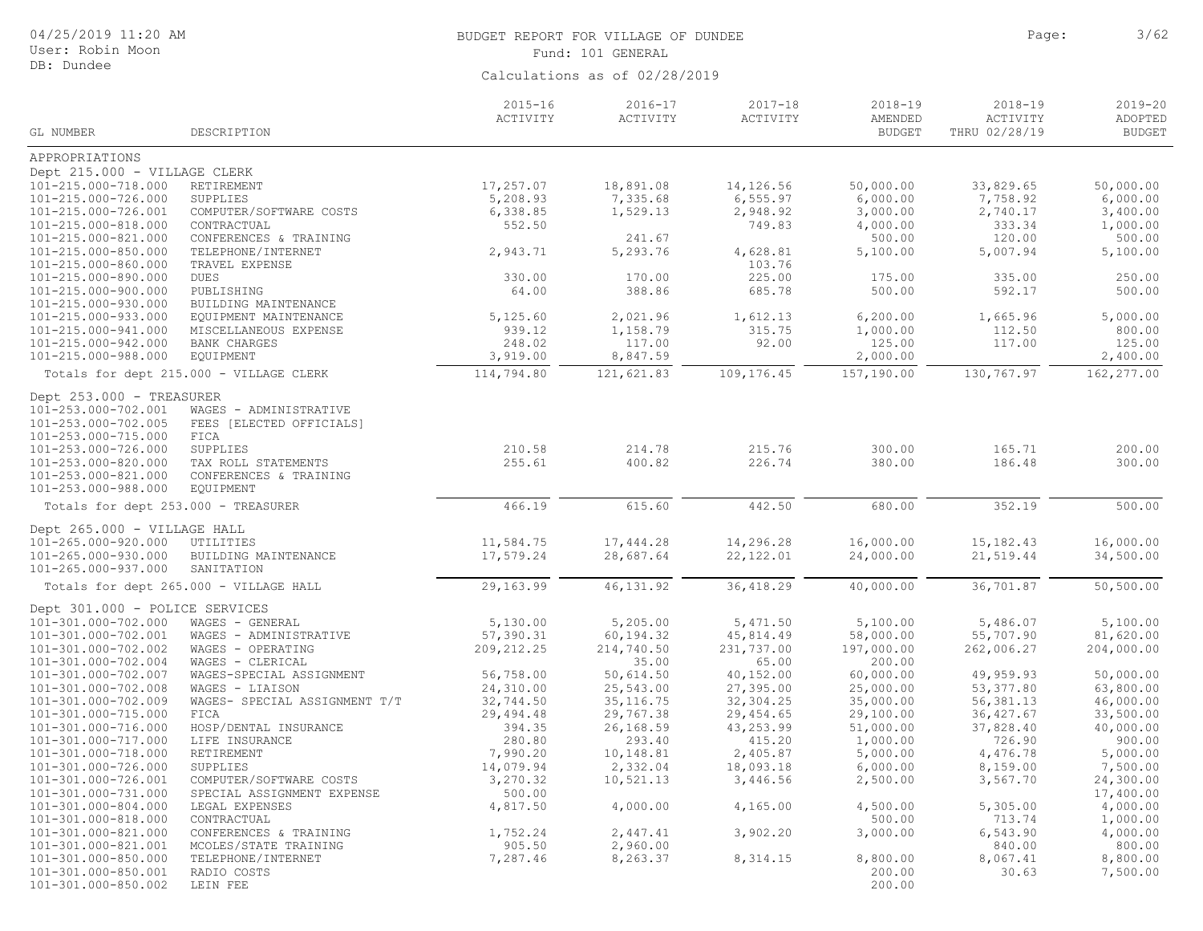| 04/25/2019 11:20 AM<br>User: Robin Moon                                |                                                    | BUDGET REPORT FOR VILLAGE OF DUNDEE<br>Fund: 101 GENERAL |                               |                         |                                         |                                          | 3/62                                    |
|------------------------------------------------------------------------|----------------------------------------------------|----------------------------------------------------------|-------------------------------|-------------------------|-----------------------------------------|------------------------------------------|-----------------------------------------|
| DB: Dundee                                                             |                                                    |                                                          | Calculations as of 02/28/2019 |                         |                                         |                                          |                                         |
| GL NUMBER                                                              | DESCRIPTION                                        | $2015 - 16$<br>ACTIVITY                                  | $2016 - 17$<br>ACTIVITY       | $2017 - 18$<br>ACTIVITY | $2018 - 19$<br>AMENDED<br><b>BUDGET</b> | $2018 - 19$<br>ACTIVITY<br>THRU 02/28/19 | $2019 - 20$<br>ADOPTED<br><b>BUDGET</b> |
| APPROPRIATIONS                                                         |                                                    |                                                          |                               |                         |                                         |                                          |                                         |
| Dept 215.000 - VILLAGE CLERK                                           |                                                    |                                                          |                               |                         |                                         |                                          |                                         |
| 101-215.000-718.000                                                    | RETIREMENT                                         | 17,257.07                                                | 18,891.08                     | 14,126.56               | 50,000.00                               | 33,829.65                                | 50,000.00                               |
| 101-215.000-726.000                                                    | SUPPLIES                                           | 5,208.93                                                 | 7,335.68                      | 6, 555.97               | 6,000.00                                | 7,758.92                                 | 6,000.00                                |
| 101-215.000-726.001                                                    | COMPUTER/SOFTWARE COSTS                            | 6,338.85                                                 | 1,529.13                      | 2,948.92                | 3,000.00                                | 2,740.17                                 | 3,400.00                                |
| 101-215.000-818.000                                                    | CONTRACTUAL                                        | 552.50                                                   |                               | 749.83                  | 4,000.00                                | 333.34                                   | 1,000.00                                |
| 101-215.000-821.000                                                    | CONFERENCES & TRAINING                             |                                                          | 241.67                        |                         | 500.00                                  | 120.00                                   | 500.00                                  |
| 101-215.000-850.000                                                    | TELEPHONE/INTERNET                                 | 2,943.71                                                 | 5,293.76                      | 4,628.81                | 5,100.00                                | 5,007.94                                 | 5,100.00                                |
| 101-215.000-860.000                                                    | TRAVEL EXPENSE                                     |                                                          |                               | 103.76                  |                                         |                                          |                                         |
| 101-215.000-890.000                                                    | DUES                                               | 330.00                                                   | 170.00                        | 225.00                  | 175.00                                  | 335.00                                   | 250.00                                  |
| 101-215.000-900.000                                                    | PUBLISHING                                         | 64.00                                                    | 388.86                        | 685.78                  | 500.00                                  | 592.17                                   | 500.00                                  |
| 101-215.000-930.000                                                    | BUILDING MAINTENANCE                               |                                                          |                               |                         |                                         |                                          |                                         |
| 101-215.000-933.000<br>101-215.000-941.000                             | EQUIPMENT MAINTENANCE                              | 5,125.60<br>939.12                                       | 2,021.96<br>1,158.79          | 1,612.13<br>315.75      | 6, 200.00<br>1,000.00                   | 1,665.96<br>112.50                       | 5,000.00<br>800.00                      |
| 101-215.000-942.000                                                    | MISCELLANEOUS EXPENSE<br><b>BANK CHARGES</b>       | 248.02                                                   | 117.00                        | 92.00                   | 125.00                                  | 117.00                                   | 125.00                                  |
| 101-215.000-988.000                                                    | <b>EQUIPMENT</b>                                   | 3,919.00                                                 | 8,847.59                      |                         | 2,000.00                                |                                          | 2,400.00                                |
|                                                                        | Totals for dept 215.000 - VILLAGE CLERK            | 114,794.80                                               | 121,621.83                    | 109,176.45              | 157,190.00                              | 130,767.97                               | 162, 277.00                             |
|                                                                        |                                                    |                                                          |                               |                         |                                         |                                          |                                         |
| Dept 253.000 - TREASURER<br>101-253.000-702.001<br>101-253.000-702.005 | WAGES - ADMINISTRATIVE<br>FEES [ELECTED OFFICIALS] |                                                          |                               |                         |                                         |                                          |                                         |
| 101-253.000-715.000                                                    | FICA                                               |                                                          |                               |                         |                                         |                                          |                                         |
| 101-253.000-726.000                                                    | SUPPLIES                                           | 210.58                                                   | 214.78                        | 215.76                  | 300.00                                  | 165.71                                   | 200.00                                  |
| 101-253.000-820.000<br>101-253.000-821.000                             | TAX ROLL STATEMENTS<br>CONFERENCES & TRAINING      | 255.61                                                   | 400.82                        | 226.74                  | 380.00                                  | 186.48                                   | 300.00                                  |
| 101-253.000-988.000                                                    | <b>EQUIPMENT</b>                                   |                                                          |                               |                         |                                         |                                          |                                         |
| Totals for dept 253.000 - TREASURER                                    |                                                    | 466.19                                                   | 615.60                        | 442.50                  | 680.00                                  | 352.19                                   | 500.00                                  |
| Dept 265.000 - VILLAGE HALL                                            |                                                    |                                                          |                               |                         |                                         |                                          |                                         |
| 101-265.000-920.000                                                    | UTILITIES                                          | 11,584.75                                                | 17,444.28                     | 14,296.28               | 16,000.00                               | 15, 182.43                               | 16,000.00                               |
| 101-265.000-930.000<br>101-265.000-937.000                             | BUILDING MAINTENANCE<br>SANITATION                 | 17,579.24                                                | 28,687.64                     | 22,122.01               | 24,000.00                               | 21,519.44                                | 34,500.00                               |
|                                                                        | Totals for dept 265.000 - VILLAGE HALL             | 29,163.99                                                | 46, 131.92                    | 36, 418.29              | 40,000.00                               | 36,701.87                                | 50,500.00                               |
| Dept 301.000 - POLICE SERVICES                                         |                                                    |                                                          |                               |                         |                                         |                                          |                                         |
| 101-301.000-702.000                                                    | WAGES - GENERAL                                    | 5,130.00                                                 | 5,205.00                      | 5,471.50                | 5,100.00                                | 5,486.07                                 | 5,100.00                                |
| 101-301.000-702.001                                                    | WAGES - ADMINISTRATIVE                             | 57,390.31                                                | 60,194.32                     | 45,814.49               | 58,000.00                               | 55,707.90                                | 81,620.00                               |
| 101-301.000-702.002                                                    | WAGES - OPERATING                                  | 209, 212.25                                              | 214,740.50                    | 231,737.00              | 197,000.00                              | 262,006.27                               | 204,000.00                              |
| 101-301.000-702.004                                                    | WAGES - CLERICAL                                   |                                                          | 35.00                         | 65.00                   | 200.00                                  |                                          |                                         |
| 101-301.000-702.007                                                    | WAGES-SPECIAL ASSIGNMENT                           | 56,758.00                                                | 50,614.50                     | 40,152.00               | 60,000.00                               | 49,959.93                                | 50,000.00                               |
| 101-301.000-702.008                                                    | WAGES - LIAISON                                    | 24,310.00                                                | 25,543.00                     | 27,395.00               | 25,000.00                               | 53, 377.80                               | 63,800.00                               |
| 101-301.000-702.009                                                    | WAGES- SPECIAL ASSIGNMENT T/T                      | 32,744.50                                                | 35, 116.75                    | 32,304.25               | 35,000.00                               | 56,381.13                                | 46,000.00                               |
| 101-301.000-715.000                                                    | FICA                                               | 29,494.48                                                | 29,767.38                     | 29, 454.65              | 29,100.00                               | 36, 427.67                               | 33,500.00                               |
| 101-301.000-716.000                                                    | HOSP/DENTAL INSURANCE                              | 394.35                                                   | 26,168.59                     | 43,253.99               | 51,000.00                               | 37,828.40                                | 40,000.00                               |
| 101-301.000-717.000                                                    | LIFE INSURANCE                                     | 280.80                                                   | 293.40                        | 415.20                  | 1,000.00                                | 726.90                                   | 900.00                                  |
| 101-301.000-718.000                                                    | RETIREMENT                                         | 7,990.20                                                 | 10,148.81                     | 2,405.87                | 5,000.00                                | 4,476.78                                 | 5,000.00                                |
| 101-301.000-726.000                                                    | SUPPLIES                                           | 14,079.94                                                | 2,332.04                      | 18,093.18               | 6,000.00                                | 8,159.00                                 | 7,500.00                                |
| 101-301.000-726.001<br>101-301.000-731.000                             | COMPUTER/SOFTWARE COSTS                            | 3,270.32<br>500.00                                       | 10,521.13                     | 3,446.56                | 2,500.00                                | 3,567.70                                 | 24,300.00<br>17,400.00                  |
| 101-301.000-804.000                                                    | SPECIAL ASSIGNMENT EXPENSE<br>LEGAL EXPENSES       | 4,817.50                                                 | 4,000.00                      | 4,165.00                | 4,500.00                                | 5,305.00                                 | 4,000.00                                |
| 101-301.000-818.000                                                    | CONTRACTUAL                                        |                                                          |                               |                         | 500.00                                  | 713.74                                   | 1,000.00                                |
| 101-301.000-821.000                                                    | CONFERENCES & TRAINING                             | 1,752.24                                                 | 2,447.41                      | 3,902.20                | 3,000.00                                | 6, 543.90                                | 4,000.00                                |
| 101-301.000-821.001                                                    | MCOLES/STATE TRAINING                              | 905.50                                                   | 2,960.00                      |                         |                                         | 840.00                                   | 800.00                                  |
| 101-301.000-850.000                                                    | TELEPHONE/INTERNET                                 | 7,287.46                                                 | 8,263.37                      | 8,314.15                | 8,800.00                                | 8,067.41                                 | 8,800.00                                |
| 101-301.000-850.001                                                    | RADIO COSTS                                        |                                                          |                               |                         | 200.00                                  | 30.63                                    | 7,500.00                                |
| 101-301.000-850.002                                                    | LEIN FEE                                           |                                                          |                               |                         | 200.00                                  |                                          |                                         |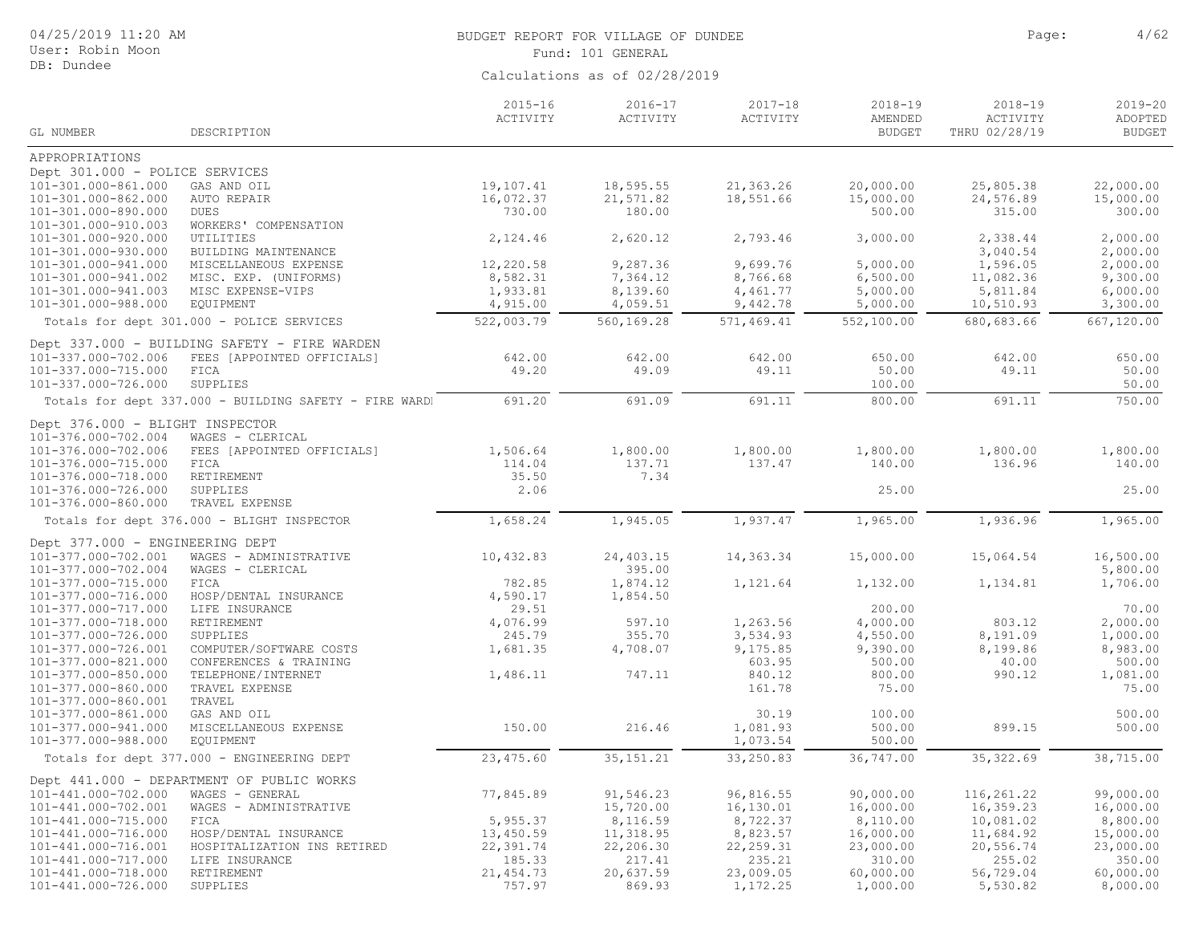| Calculations as of 02/28/2019<br>$2015 - 16$<br>$2016 - 17$<br>$2017 - 18$<br>$2018 - 19$<br>$2018 - 19$<br>$2019 - 20$<br>ACTIVITY<br>ACTIVITY<br>ACTIVITY<br>ACTIVITY<br>AMENDED<br>ADOPTED<br>GL NUMBER<br>DESCRIPTION<br><b>BUDGET</b><br>THRU 02/28/19<br><b>BUDGET</b><br>APPROPRIATIONS<br>Dept 301.000 - POLICE SERVICES<br>101-301.000-861.000<br>19,107.41<br>18,595.55<br>21,363.26<br>20,000.00<br>25,805.38<br>22,000.00<br>GAS AND OIL<br>101-301.000-862.000<br>16,072.37<br>21,571.82<br>18,551.66<br>15,000.00<br>24,576.89<br>15,000.00<br>AUTO REPAIR<br>730.00<br>180.00<br>500.00<br>315.00<br>300.00<br>101-301.000-890.000<br><b>DUES</b><br>101-301.000-910.003<br>WORKERS' COMPENSATION<br>2,620.12<br>2,793.46<br>3,000.00<br>2,338.44<br>2,000.00<br>101-301.000-920.000<br>UTILITIES<br>2,124.46<br>3,040.54<br>2,000.00<br>101-301.000-930.000<br>BUILDING MAINTENANCE<br>12,220.58<br>9,287.36<br>9,699.76<br>5,000.00<br>1,596.05<br>2,000.00<br>101-301.000-941.000<br>MISCELLANEOUS EXPENSE<br>9,300.00<br>101-301.000-941.002<br>MISC. EXP. (UNIFORMS)<br>8,582.31<br>7,364.12<br>8,766.68<br>6,500.00<br>11,082.36<br>101-301.000-941.003<br>1,933.81<br>8,139.60<br>4,461.77<br>5,000.00<br>6,000.00<br>MISC EXPENSE-VIPS<br>5,811.84<br>101-301.000-988.000<br>4,915.00<br>4,059.51<br>9,442.78<br>5,000.00<br>10,510.93<br>3,300.00<br>EQUIPMENT<br>522,003.79<br>Totals for dept 301.000 - POLICE SERVICES<br>560,169.28<br>571,469.41<br>552,100.00<br>680,683.66<br>667,120.00<br>Dept 337.000 - BUILDING SAFETY - FIRE WARDEN<br>101-337.000-702.006<br>FEES [APPOINTED OFFICIALS]<br>642.00<br>642.00<br>642.00<br>650.00<br>642.00<br>650.00<br>49.20<br>49.09<br>49.11<br>50.00<br>49.11<br>50.00<br>101-337.000-715.000<br>FICA<br>101-337.000-726.000<br>SUPPLIES<br>100.00<br>50.00<br>800.00<br>691.20<br>691.09<br>691.11<br>691.11<br>750.00<br>Totals for dept 337.000 - BUILDING SAFETY - FIRE WARD!<br>Dept 376.000 - BLIGHT INSPECTOR<br>101-376.000-702.004<br>WAGES - CLERICAL<br>1,800.00<br>1,800.00<br>101-376.000-702.006<br>1,506.64<br>1,800.00<br>1,800.00<br>1,800.00<br>FEES [APPOINTED OFFICIALS]<br>137.71<br>137.47<br>140.00<br>136.96<br>140.00<br>101-376.000-715.000<br>114.04<br>FICA<br>35.50<br>7.34<br>101-376.000-718.000<br>RETIREMENT<br>101-376.000-726.000<br>SUPPLIES<br>2.06<br>25.00<br>25.00<br>101-376.000-860.000<br>TRAVEL EXPENSE<br>1,658.24<br>1,945.05<br>1,937.47<br>1,965.00<br>1,936.96<br>1,965.00<br>Totals for dept 376.000 - BLIGHT INSPECTOR<br>Dept 377.000 - ENGINEERING DEPT<br>101-377.000-702.001<br>10,432.83<br>24,403.15<br>14,363.34<br>15,000.00<br>15,064.54<br>16,500.00<br>WAGES - ADMINISTRATIVE<br>395.00<br>101-377.000-702.004<br>WAGES - CLERICAL<br>5,800.00<br>1,874.12<br>101-377.000-715.000<br>FICA<br>782.85<br>1,121.64<br>1,132.00<br>1,134.81<br>1,706.00<br>101-377.000-716.000<br>4,590.17<br>1,854.50<br>HOSP/DENTAL INSURANCE<br>101-377.000-717.000<br>29.51<br>200.00<br>70.00<br>LIFE INSURANCE<br>4,076.99<br>1,263.56<br>4,000.00<br>2,000.00<br>101-377.000-718.000<br>RETIREMENT<br>597.10<br>803.12<br>355.70<br>3,534.93<br>4,550.00<br>8,191.09<br>1,000.00<br>101-377.000-726.000<br>SUPPLIES<br>245.79<br>1,681.35<br>9,175.85<br>8,199.86<br>8,983.00<br>101-377.000-726.001<br>COMPUTER/SOFTWARE COSTS<br>4,708.07<br>9,390.00<br>603.95<br>500.00<br>101-377.000-821.000<br>CONFERENCES & TRAINING<br>500.00<br>40.00<br>1,486.11<br>1,081.00<br>101-377.000-850.000<br>TELEPHONE/INTERNET<br>747.11<br>840.12<br>800.00<br>990.12<br>101-377.000-860.000<br>161.78<br>75.00<br>75.00<br>TRAVEL EXPENSE<br>101-377.000-860.001<br>TRAVEL<br>101-377.000-861.000<br>GAS AND OIL<br>30.19<br>100.00<br>500.00<br>150.00<br>216.46<br>1,081.93<br>500.00<br>899.15<br>500.00<br>101-377.000-941.000<br>MISCELLANEOUS EXPENSE<br>101-377.000-988.000<br>EOUIPMENT<br>1,073.54<br>500.00<br>23, 475.60<br>33,250.83<br>36,747.00<br>38,715.00<br>35, 151.21<br>35, 322.69<br>Totals for dept 377.000 - ENGINEERING DEPT<br>Dept 441.000 - DEPARTMENT OF PUBLIC WORKS<br>77,845.89<br>91,546.23<br>96,816.55<br>90,000.00<br>116,261.22<br>101-441.000-702.000<br>99,000.00<br>WAGES - GENERAL<br>15,720.00<br>16,000.00<br>16,359.23<br>16,000.00<br>101-441.000-702.001<br>WAGES - ADMINISTRATIVE<br>16,130.01<br>5,955.37<br>101-441.000-715.000<br>8,116.59<br>8,722.37<br>8,110.00<br>10,081.02<br>8,800.00<br>FICA<br>HOSP/DENTAL INSURANCE<br>13,450.59<br>11,318.95<br>8,823.57<br>16,000.00<br>11,684.92<br>15,000.00<br>101-441.000-716.000<br>22, 259.31<br>101-441.000-716.001<br>22,391.74<br>22,206.30<br>23,000.00<br>20,556.74<br>23,000.00<br>HOSPITALIZATION INS RETIRED<br>101-441.000-717.000<br>185.33<br>217.41<br>235.21<br>310.00<br>255.02<br>350.00<br>LIFE INSURANCE | User: Robin Moon | Fund: 101 GENERAL |  |  |  |  |  |  |
|----------------------------------------------------------------------------------------------------------------------------------------------------------------------------------------------------------------------------------------------------------------------------------------------------------------------------------------------------------------------------------------------------------------------------------------------------------------------------------------------------------------------------------------------------------------------------------------------------------------------------------------------------------------------------------------------------------------------------------------------------------------------------------------------------------------------------------------------------------------------------------------------------------------------------------------------------------------------------------------------------------------------------------------------------------------------------------------------------------------------------------------------------------------------------------------------------------------------------------------------------------------------------------------------------------------------------------------------------------------------------------------------------------------------------------------------------------------------------------------------------------------------------------------------------------------------------------------------------------------------------------------------------------------------------------------------------------------------------------------------------------------------------------------------------------------------------------------------------------------------------------------------------------------------------------------------------------------------------------------------------------------------------------------------------------------------------------------------------------------------------------------------------------------------------------------------------------------------------------------------------------------------------------------------------------------------------------------------------------------------------------------------------------------------------------------------------------------------------------------------------------------------------------------------------------------------------------------------------------------------------------------------------------------------------------------------------------------------------------------------------------------------------------------------------------------------------------------------------------------------------------------------------------------------------------------------------------------------------------------------------------------------------------------------------------------------------------------------------------------------------------------------------------------------------------------------------------------------------------------------------------------------------------------------------------------------------------------------------------------------------------------------------------------------------------------------------------------------------------------------------------------------------------------------------------------------------------------------------------------------------------------------------------------------------------------------------------------------------------------------------------------------------------------------------------------------------------------------------------------------------------------------------------------------------------------------------------------------------------------------------------------------------------------------------------------------------------------------------------------------------------------------------------------------------------------------------------------------------------------------------------------------------------------------------------------------------------------------------------------------------------------------------------------------------------------------------------------------------------------------------------------------------------------------------------------------------------------------------------------------------------------------------------------------------------------------------------------------------------------------------------------------------------------------------------------------------------------------|------------------|-------------------|--|--|--|--|--|--|
|                                                                                                                                                                                                                                                                                                                                                                                                                                                                                                                                                                                                                                                                                                                                                                                                                                                                                                                                                                                                                                                                                                                                                                                                                                                                                                                                                                                                                                                                                                                                                                                                                                                                                                                                                                                                                                                                                                                                                                                                                                                                                                                                                                                                                                                                                                                                                                                                                                                                                                                                                                                                                                                                                                                                                                                                                                                                                                                                                                                                                                                                                                                                                                                                                                                                                                                                                                                                                                                                                                                                                                                                                                                                                                                                                                                                                                                                                                                                                                                                                                                                                                                                                                                                                                                                                                                                                                                                                                                                                                                                                                                                                                                                                                                                                                                                                                              | DB: Dundee       |                   |  |  |  |  |  |  |
|                                                                                                                                                                                                                                                                                                                                                                                                                                                                                                                                                                                                                                                                                                                                                                                                                                                                                                                                                                                                                                                                                                                                                                                                                                                                                                                                                                                                                                                                                                                                                                                                                                                                                                                                                                                                                                                                                                                                                                                                                                                                                                                                                                                                                                                                                                                                                                                                                                                                                                                                                                                                                                                                                                                                                                                                                                                                                                                                                                                                                                                                                                                                                                                                                                                                                                                                                                                                                                                                                                                                                                                                                                                                                                                                                                                                                                                                                                                                                                                                                                                                                                                                                                                                                                                                                                                                                                                                                                                                                                                                                                                                                                                                                                                                                                                                                                              |                  |                   |  |  |  |  |  |  |
|                                                                                                                                                                                                                                                                                                                                                                                                                                                                                                                                                                                                                                                                                                                                                                                                                                                                                                                                                                                                                                                                                                                                                                                                                                                                                                                                                                                                                                                                                                                                                                                                                                                                                                                                                                                                                                                                                                                                                                                                                                                                                                                                                                                                                                                                                                                                                                                                                                                                                                                                                                                                                                                                                                                                                                                                                                                                                                                                                                                                                                                                                                                                                                                                                                                                                                                                                                                                                                                                                                                                                                                                                                                                                                                                                                                                                                                                                                                                                                                                                                                                                                                                                                                                                                                                                                                                                                                                                                                                                                                                                                                                                                                                                                                                                                                                                                              |                  |                   |  |  |  |  |  |  |
|                                                                                                                                                                                                                                                                                                                                                                                                                                                                                                                                                                                                                                                                                                                                                                                                                                                                                                                                                                                                                                                                                                                                                                                                                                                                                                                                                                                                                                                                                                                                                                                                                                                                                                                                                                                                                                                                                                                                                                                                                                                                                                                                                                                                                                                                                                                                                                                                                                                                                                                                                                                                                                                                                                                                                                                                                                                                                                                                                                                                                                                                                                                                                                                                                                                                                                                                                                                                                                                                                                                                                                                                                                                                                                                                                                                                                                                                                                                                                                                                                                                                                                                                                                                                                                                                                                                                                                                                                                                                                                                                                                                                                                                                                                                                                                                                                                              |                  |                   |  |  |  |  |  |  |
|                                                                                                                                                                                                                                                                                                                                                                                                                                                                                                                                                                                                                                                                                                                                                                                                                                                                                                                                                                                                                                                                                                                                                                                                                                                                                                                                                                                                                                                                                                                                                                                                                                                                                                                                                                                                                                                                                                                                                                                                                                                                                                                                                                                                                                                                                                                                                                                                                                                                                                                                                                                                                                                                                                                                                                                                                                                                                                                                                                                                                                                                                                                                                                                                                                                                                                                                                                                                                                                                                                                                                                                                                                                                                                                                                                                                                                                                                                                                                                                                                                                                                                                                                                                                                                                                                                                                                                                                                                                                                                                                                                                                                                                                                                                                                                                                                                              |                  |                   |  |  |  |  |  |  |
|                                                                                                                                                                                                                                                                                                                                                                                                                                                                                                                                                                                                                                                                                                                                                                                                                                                                                                                                                                                                                                                                                                                                                                                                                                                                                                                                                                                                                                                                                                                                                                                                                                                                                                                                                                                                                                                                                                                                                                                                                                                                                                                                                                                                                                                                                                                                                                                                                                                                                                                                                                                                                                                                                                                                                                                                                                                                                                                                                                                                                                                                                                                                                                                                                                                                                                                                                                                                                                                                                                                                                                                                                                                                                                                                                                                                                                                                                                                                                                                                                                                                                                                                                                                                                                                                                                                                                                                                                                                                                                                                                                                                                                                                                                                                                                                                                                              |                  |                   |  |  |  |  |  |  |
|                                                                                                                                                                                                                                                                                                                                                                                                                                                                                                                                                                                                                                                                                                                                                                                                                                                                                                                                                                                                                                                                                                                                                                                                                                                                                                                                                                                                                                                                                                                                                                                                                                                                                                                                                                                                                                                                                                                                                                                                                                                                                                                                                                                                                                                                                                                                                                                                                                                                                                                                                                                                                                                                                                                                                                                                                                                                                                                                                                                                                                                                                                                                                                                                                                                                                                                                                                                                                                                                                                                                                                                                                                                                                                                                                                                                                                                                                                                                                                                                                                                                                                                                                                                                                                                                                                                                                                                                                                                                                                                                                                                                                                                                                                                                                                                                                                              |                  |                   |  |  |  |  |  |  |
|                                                                                                                                                                                                                                                                                                                                                                                                                                                                                                                                                                                                                                                                                                                                                                                                                                                                                                                                                                                                                                                                                                                                                                                                                                                                                                                                                                                                                                                                                                                                                                                                                                                                                                                                                                                                                                                                                                                                                                                                                                                                                                                                                                                                                                                                                                                                                                                                                                                                                                                                                                                                                                                                                                                                                                                                                                                                                                                                                                                                                                                                                                                                                                                                                                                                                                                                                                                                                                                                                                                                                                                                                                                                                                                                                                                                                                                                                                                                                                                                                                                                                                                                                                                                                                                                                                                                                                                                                                                                                                                                                                                                                                                                                                                                                                                                                                              |                  |                   |  |  |  |  |  |  |
|                                                                                                                                                                                                                                                                                                                                                                                                                                                                                                                                                                                                                                                                                                                                                                                                                                                                                                                                                                                                                                                                                                                                                                                                                                                                                                                                                                                                                                                                                                                                                                                                                                                                                                                                                                                                                                                                                                                                                                                                                                                                                                                                                                                                                                                                                                                                                                                                                                                                                                                                                                                                                                                                                                                                                                                                                                                                                                                                                                                                                                                                                                                                                                                                                                                                                                                                                                                                                                                                                                                                                                                                                                                                                                                                                                                                                                                                                                                                                                                                                                                                                                                                                                                                                                                                                                                                                                                                                                                                                                                                                                                                                                                                                                                                                                                                                                              |                  |                   |  |  |  |  |  |  |
|                                                                                                                                                                                                                                                                                                                                                                                                                                                                                                                                                                                                                                                                                                                                                                                                                                                                                                                                                                                                                                                                                                                                                                                                                                                                                                                                                                                                                                                                                                                                                                                                                                                                                                                                                                                                                                                                                                                                                                                                                                                                                                                                                                                                                                                                                                                                                                                                                                                                                                                                                                                                                                                                                                                                                                                                                                                                                                                                                                                                                                                                                                                                                                                                                                                                                                                                                                                                                                                                                                                                                                                                                                                                                                                                                                                                                                                                                                                                                                                                                                                                                                                                                                                                                                                                                                                                                                                                                                                                                                                                                                                                                                                                                                                                                                                                                                              |                  |                   |  |  |  |  |  |  |
|                                                                                                                                                                                                                                                                                                                                                                                                                                                                                                                                                                                                                                                                                                                                                                                                                                                                                                                                                                                                                                                                                                                                                                                                                                                                                                                                                                                                                                                                                                                                                                                                                                                                                                                                                                                                                                                                                                                                                                                                                                                                                                                                                                                                                                                                                                                                                                                                                                                                                                                                                                                                                                                                                                                                                                                                                                                                                                                                                                                                                                                                                                                                                                                                                                                                                                                                                                                                                                                                                                                                                                                                                                                                                                                                                                                                                                                                                                                                                                                                                                                                                                                                                                                                                                                                                                                                                                                                                                                                                                                                                                                                                                                                                                                                                                                                                                              |                  |                   |  |  |  |  |  |  |
|                                                                                                                                                                                                                                                                                                                                                                                                                                                                                                                                                                                                                                                                                                                                                                                                                                                                                                                                                                                                                                                                                                                                                                                                                                                                                                                                                                                                                                                                                                                                                                                                                                                                                                                                                                                                                                                                                                                                                                                                                                                                                                                                                                                                                                                                                                                                                                                                                                                                                                                                                                                                                                                                                                                                                                                                                                                                                                                                                                                                                                                                                                                                                                                                                                                                                                                                                                                                                                                                                                                                                                                                                                                                                                                                                                                                                                                                                                                                                                                                                                                                                                                                                                                                                                                                                                                                                                                                                                                                                                                                                                                                                                                                                                                                                                                                                                              |                  |                   |  |  |  |  |  |  |
|                                                                                                                                                                                                                                                                                                                                                                                                                                                                                                                                                                                                                                                                                                                                                                                                                                                                                                                                                                                                                                                                                                                                                                                                                                                                                                                                                                                                                                                                                                                                                                                                                                                                                                                                                                                                                                                                                                                                                                                                                                                                                                                                                                                                                                                                                                                                                                                                                                                                                                                                                                                                                                                                                                                                                                                                                                                                                                                                                                                                                                                                                                                                                                                                                                                                                                                                                                                                                                                                                                                                                                                                                                                                                                                                                                                                                                                                                                                                                                                                                                                                                                                                                                                                                                                                                                                                                                                                                                                                                                                                                                                                                                                                                                                                                                                                                                              |                  |                   |  |  |  |  |  |  |
|                                                                                                                                                                                                                                                                                                                                                                                                                                                                                                                                                                                                                                                                                                                                                                                                                                                                                                                                                                                                                                                                                                                                                                                                                                                                                                                                                                                                                                                                                                                                                                                                                                                                                                                                                                                                                                                                                                                                                                                                                                                                                                                                                                                                                                                                                                                                                                                                                                                                                                                                                                                                                                                                                                                                                                                                                                                                                                                                                                                                                                                                                                                                                                                                                                                                                                                                                                                                                                                                                                                                                                                                                                                                                                                                                                                                                                                                                                                                                                                                                                                                                                                                                                                                                                                                                                                                                                                                                                                                                                                                                                                                                                                                                                                                                                                                                                              |                  |                   |  |  |  |  |  |  |
|                                                                                                                                                                                                                                                                                                                                                                                                                                                                                                                                                                                                                                                                                                                                                                                                                                                                                                                                                                                                                                                                                                                                                                                                                                                                                                                                                                                                                                                                                                                                                                                                                                                                                                                                                                                                                                                                                                                                                                                                                                                                                                                                                                                                                                                                                                                                                                                                                                                                                                                                                                                                                                                                                                                                                                                                                                                                                                                                                                                                                                                                                                                                                                                                                                                                                                                                                                                                                                                                                                                                                                                                                                                                                                                                                                                                                                                                                                                                                                                                                                                                                                                                                                                                                                                                                                                                                                                                                                                                                                                                                                                                                                                                                                                                                                                                                                              |                  |                   |  |  |  |  |  |  |
|                                                                                                                                                                                                                                                                                                                                                                                                                                                                                                                                                                                                                                                                                                                                                                                                                                                                                                                                                                                                                                                                                                                                                                                                                                                                                                                                                                                                                                                                                                                                                                                                                                                                                                                                                                                                                                                                                                                                                                                                                                                                                                                                                                                                                                                                                                                                                                                                                                                                                                                                                                                                                                                                                                                                                                                                                                                                                                                                                                                                                                                                                                                                                                                                                                                                                                                                                                                                                                                                                                                                                                                                                                                                                                                                                                                                                                                                                                                                                                                                                                                                                                                                                                                                                                                                                                                                                                                                                                                                                                                                                                                                                                                                                                                                                                                                                                              |                  |                   |  |  |  |  |  |  |
|                                                                                                                                                                                                                                                                                                                                                                                                                                                                                                                                                                                                                                                                                                                                                                                                                                                                                                                                                                                                                                                                                                                                                                                                                                                                                                                                                                                                                                                                                                                                                                                                                                                                                                                                                                                                                                                                                                                                                                                                                                                                                                                                                                                                                                                                                                                                                                                                                                                                                                                                                                                                                                                                                                                                                                                                                                                                                                                                                                                                                                                                                                                                                                                                                                                                                                                                                                                                                                                                                                                                                                                                                                                                                                                                                                                                                                                                                                                                                                                                                                                                                                                                                                                                                                                                                                                                                                                                                                                                                                                                                                                                                                                                                                                                                                                                                                              |                  |                   |  |  |  |  |  |  |
|                                                                                                                                                                                                                                                                                                                                                                                                                                                                                                                                                                                                                                                                                                                                                                                                                                                                                                                                                                                                                                                                                                                                                                                                                                                                                                                                                                                                                                                                                                                                                                                                                                                                                                                                                                                                                                                                                                                                                                                                                                                                                                                                                                                                                                                                                                                                                                                                                                                                                                                                                                                                                                                                                                                                                                                                                                                                                                                                                                                                                                                                                                                                                                                                                                                                                                                                                                                                                                                                                                                                                                                                                                                                                                                                                                                                                                                                                                                                                                                                                                                                                                                                                                                                                                                                                                                                                                                                                                                                                                                                                                                                                                                                                                                                                                                                                                              |                  |                   |  |  |  |  |  |  |
|                                                                                                                                                                                                                                                                                                                                                                                                                                                                                                                                                                                                                                                                                                                                                                                                                                                                                                                                                                                                                                                                                                                                                                                                                                                                                                                                                                                                                                                                                                                                                                                                                                                                                                                                                                                                                                                                                                                                                                                                                                                                                                                                                                                                                                                                                                                                                                                                                                                                                                                                                                                                                                                                                                                                                                                                                                                                                                                                                                                                                                                                                                                                                                                                                                                                                                                                                                                                                                                                                                                                                                                                                                                                                                                                                                                                                                                                                                                                                                                                                                                                                                                                                                                                                                                                                                                                                                                                                                                                                                                                                                                                                                                                                                                                                                                                                                              |                  |                   |  |  |  |  |  |  |
|                                                                                                                                                                                                                                                                                                                                                                                                                                                                                                                                                                                                                                                                                                                                                                                                                                                                                                                                                                                                                                                                                                                                                                                                                                                                                                                                                                                                                                                                                                                                                                                                                                                                                                                                                                                                                                                                                                                                                                                                                                                                                                                                                                                                                                                                                                                                                                                                                                                                                                                                                                                                                                                                                                                                                                                                                                                                                                                                                                                                                                                                                                                                                                                                                                                                                                                                                                                                                                                                                                                                                                                                                                                                                                                                                                                                                                                                                                                                                                                                                                                                                                                                                                                                                                                                                                                                                                                                                                                                                                                                                                                                                                                                                                                                                                                                                                              |                  |                   |  |  |  |  |  |  |
|                                                                                                                                                                                                                                                                                                                                                                                                                                                                                                                                                                                                                                                                                                                                                                                                                                                                                                                                                                                                                                                                                                                                                                                                                                                                                                                                                                                                                                                                                                                                                                                                                                                                                                                                                                                                                                                                                                                                                                                                                                                                                                                                                                                                                                                                                                                                                                                                                                                                                                                                                                                                                                                                                                                                                                                                                                                                                                                                                                                                                                                                                                                                                                                                                                                                                                                                                                                                                                                                                                                                                                                                                                                                                                                                                                                                                                                                                                                                                                                                                                                                                                                                                                                                                                                                                                                                                                                                                                                                                                                                                                                                                                                                                                                                                                                                                                              |                  |                   |  |  |  |  |  |  |
|                                                                                                                                                                                                                                                                                                                                                                                                                                                                                                                                                                                                                                                                                                                                                                                                                                                                                                                                                                                                                                                                                                                                                                                                                                                                                                                                                                                                                                                                                                                                                                                                                                                                                                                                                                                                                                                                                                                                                                                                                                                                                                                                                                                                                                                                                                                                                                                                                                                                                                                                                                                                                                                                                                                                                                                                                                                                                                                                                                                                                                                                                                                                                                                                                                                                                                                                                                                                                                                                                                                                                                                                                                                                                                                                                                                                                                                                                                                                                                                                                                                                                                                                                                                                                                                                                                                                                                                                                                                                                                                                                                                                                                                                                                                                                                                                                                              |                  |                   |  |  |  |  |  |  |
|                                                                                                                                                                                                                                                                                                                                                                                                                                                                                                                                                                                                                                                                                                                                                                                                                                                                                                                                                                                                                                                                                                                                                                                                                                                                                                                                                                                                                                                                                                                                                                                                                                                                                                                                                                                                                                                                                                                                                                                                                                                                                                                                                                                                                                                                                                                                                                                                                                                                                                                                                                                                                                                                                                                                                                                                                                                                                                                                                                                                                                                                                                                                                                                                                                                                                                                                                                                                                                                                                                                                                                                                                                                                                                                                                                                                                                                                                                                                                                                                                                                                                                                                                                                                                                                                                                                                                                                                                                                                                                                                                                                                                                                                                                                                                                                                                                              |                  |                   |  |  |  |  |  |  |
|                                                                                                                                                                                                                                                                                                                                                                                                                                                                                                                                                                                                                                                                                                                                                                                                                                                                                                                                                                                                                                                                                                                                                                                                                                                                                                                                                                                                                                                                                                                                                                                                                                                                                                                                                                                                                                                                                                                                                                                                                                                                                                                                                                                                                                                                                                                                                                                                                                                                                                                                                                                                                                                                                                                                                                                                                                                                                                                                                                                                                                                                                                                                                                                                                                                                                                                                                                                                                                                                                                                                                                                                                                                                                                                                                                                                                                                                                                                                                                                                                                                                                                                                                                                                                                                                                                                                                                                                                                                                                                                                                                                                                                                                                                                                                                                                                                              |                  |                   |  |  |  |  |  |  |
|                                                                                                                                                                                                                                                                                                                                                                                                                                                                                                                                                                                                                                                                                                                                                                                                                                                                                                                                                                                                                                                                                                                                                                                                                                                                                                                                                                                                                                                                                                                                                                                                                                                                                                                                                                                                                                                                                                                                                                                                                                                                                                                                                                                                                                                                                                                                                                                                                                                                                                                                                                                                                                                                                                                                                                                                                                                                                                                                                                                                                                                                                                                                                                                                                                                                                                                                                                                                                                                                                                                                                                                                                                                                                                                                                                                                                                                                                                                                                                                                                                                                                                                                                                                                                                                                                                                                                                                                                                                                                                                                                                                                                                                                                                                                                                                                                                              |                  |                   |  |  |  |  |  |  |
|                                                                                                                                                                                                                                                                                                                                                                                                                                                                                                                                                                                                                                                                                                                                                                                                                                                                                                                                                                                                                                                                                                                                                                                                                                                                                                                                                                                                                                                                                                                                                                                                                                                                                                                                                                                                                                                                                                                                                                                                                                                                                                                                                                                                                                                                                                                                                                                                                                                                                                                                                                                                                                                                                                                                                                                                                                                                                                                                                                                                                                                                                                                                                                                                                                                                                                                                                                                                                                                                                                                                                                                                                                                                                                                                                                                                                                                                                                                                                                                                                                                                                                                                                                                                                                                                                                                                                                                                                                                                                                                                                                                                                                                                                                                                                                                                                                              |                  |                   |  |  |  |  |  |  |
|                                                                                                                                                                                                                                                                                                                                                                                                                                                                                                                                                                                                                                                                                                                                                                                                                                                                                                                                                                                                                                                                                                                                                                                                                                                                                                                                                                                                                                                                                                                                                                                                                                                                                                                                                                                                                                                                                                                                                                                                                                                                                                                                                                                                                                                                                                                                                                                                                                                                                                                                                                                                                                                                                                                                                                                                                                                                                                                                                                                                                                                                                                                                                                                                                                                                                                                                                                                                                                                                                                                                                                                                                                                                                                                                                                                                                                                                                                                                                                                                                                                                                                                                                                                                                                                                                                                                                                                                                                                                                                                                                                                                                                                                                                                                                                                                                                              |                  |                   |  |  |  |  |  |  |
|                                                                                                                                                                                                                                                                                                                                                                                                                                                                                                                                                                                                                                                                                                                                                                                                                                                                                                                                                                                                                                                                                                                                                                                                                                                                                                                                                                                                                                                                                                                                                                                                                                                                                                                                                                                                                                                                                                                                                                                                                                                                                                                                                                                                                                                                                                                                                                                                                                                                                                                                                                                                                                                                                                                                                                                                                                                                                                                                                                                                                                                                                                                                                                                                                                                                                                                                                                                                                                                                                                                                                                                                                                                                                                                                                                                                                                                                                                                                                                                                                                                                                                                                                                                                                                                                                                                                                                                                                                                                                                                                                                                                                                                                                                                                                                                                                                              |                  |                   |  |  |  |  |  |  |
|                                                                                                                                                                                                                                                                                                                                                                                                                                                                                                                                                                                                                                                                                                                                                                                                                                                                                                                                                                                                                                                                                                                                                                                                                                                                                                                                                                                                                                                                                                                                                                                                                                                                                                                                                                                                                                                                                                                                                                                                                                                                                                                                                                                                                                                                                                                                                                                                                                                                                                                                                                                                                                                                                                                                                                                                                                                                                                                                                                                                                                                                                                                                                                                                                                                                                                                                                                                                                                                                                                                                                                                                                                                                                                                                                                                                                                                                                                                                                                                                                                                                                                                                                                                                                                                                                                                                                                                                                                                                                                                                                                                                                                                                                                                                                                                                                                              |                  |                   |  |  |  |  |  |  |
|                                                                                                                                                                                                                                                                                                                                                                                                                                                                                                                                                                                                                                                                                                                                                                                                                                                                                                                                                                                                                                                                                                                                                                                                                                                                                                                                                                                                                                                                                                                                                                                                                                                                                                                                                                                                                                                                                                                                                                                                                                                                                                                                                                                                                                                                                                                                                                                                                                                                                                                                                                                                                                                                                                                                                                                                                                                                                                                                                                                                                                                                                                                                                                                                                                                                                                                                                                                                                                                                                                                                                                                                                                                                                                                                                                                                                                                                                                                                                                                                                                                                                                                                                                                                                                                                                                                                                                                                                                                                                                                                                                                                                                                                                                                                                                                                                                              |                  |                   |  |  |  |  |  |  |
|                                                                                                                                                                                                                                                                                                                                                                                                                                                                                                                                                                                                                                                                                                                                                                                                                                                                                                                                                                                                                                                                                                                                                                                                                                                                                                                                                                                                                                                                                                                                                                                                                                                                                                                                                                                                                                                                                                                                                                                                                                                                                                                                                                                                                                                                                                                                                                                                                                                                                                                                                                                                                                                                                                                                                                                                                                                                                                                                                                                                                                                                                                                                                                                                                                                                                                                                                                                                                                                                                                                                                                                                                                                                                                                                                                                                                                                                                                                                                                                                                                                                                                                                                                                                                                                                                                                                                                                                                                                                                                                                                                                                                                                                                                                                                                                                                                              |                  |                   |  |  |  |  |  |  |
|                                                                                                                                                                                                                                                                                                                                                                                                                                                                                                                                                                                                                                                                                                                                                                                                                                                                                                                                                                                                                                                                                                                                                                                                                                                                                                                                                                                                                                                                                                                                                                                                                                                                                                                                                                                                                                                                                                                                                                                                                                                                                                                                                                                                                                                                                                                                                                                                                                                                                                                                                                                                                                                                                                                                                                                                                                                                                                                                                                                                                                                                                                                                                                                                                                                                                                                                                                                                                                                                                                                                                                                                                                                                                                                                                                                                                                                                                                                                                                                                                                                                                                                                                                                                                                                                                                                                                                                                                                                                                                                                                                                                                                                                                                                                                                                                                                              |                  |                   |  |  |  |  |  |  |
|                                                                                                                                                                                                                                                                                                                                                                                                                                                                                                                                                                                                                                                                                                                                                                                                                                                                                                                                                                                                                                                                                                                                                                                                                                                                                                                                                                                                                                                                                                                                                                                                                                                                                                                                                                                                                                                                                                                                                                                                                                                                                                                                                                                                                                                                                                                                                                                                                                                                                                                                                                                                                                                                                                                                                                                                                                                                                                                                                                                                                                                                                                                                                                                                                                                                                                                                                                                                                                                                                                                                                                                                                                                                                                                                                                                                                                                                                                                                                                                                                                                                                                                                                                                                                                                                                                                                                                                                                                                                                                                                                                                                                                                                                                                                                                                                                                              |                  |                   |  |  |  |  |  |  |
|                                                                                                                                                                                                                                                                                                                                                                                                                                                                                                                                                                                                                                                                                                                                                                                                                                                                                                                                                                                                                                                                                                                                                                                                                                                                                                                                                                                                                                                                                                                                                                                                                                                                                                                                                                                                                                                                                                                                                                                                                                                                                                                                                                                                                                                                                                                                                                                                                                                                                                                                                                                                                                                                                                                                                                                                                                                                                                                                                                                                                                                                                                                                                                                                                                                                                                                                                                                                                                                                                                                                                                                                                                                                                                                                                                                                                                                                                                                                                                                                                                                                                                                                                                                                                                                                                                                                                                                                                                                                                                                                                                                                                                                                                                                                                                                                                                              |                  |                   |  |  |  |  |  |  |
|                                                                                                                                                                                                                                                                                                                                                                                                                                                                                                                                                                                                                                                                                                                                                                                                                                                                                                                                                                                                                                                                                                                                                                                                                                                                                                                                                                                                                                                                                                                                                                                                                                                                                                                                                                                                                                                                                                                                                                                                                                                                                                                                                                                                                                                                                                                                                                                                                                                                                                                                                                                                                                                                                                                                                                                                                                                                                                                                                                                                                                                                                                                                                                                                                                                                                                                                                                                                                                                                                                                                                                                                                                                                                                                                                                                                                                                                                                                                                                                                                                                                                                                                                                                                                                                                                                                                                                                                                                                                                                                                                                                                                                                                                                                                                                                                                                              |                  |                   |  |  |  |  |  |  |
|                                                                                                                                                                                                                                                                                                                                                                                                                                                                                                                                                                                                                                                                                                                                                                                                                                                                                                                                                                                                                                                                                                                                                                                                                                                                                                                                                                                                                                                                                                                                                                                                                                                                                                                                                                                                                                                                                                                                                                                                                                                                                                                                                                                                                                                                                                                                                                                                                                                                                                                                                                                                                                                                                                                                                                                                                                                                                                                                                                                                                                                                                                                                                                                                                                                                                                                                                                                                                                                                                                                                                                                                                                                                                                                                                                                                                                                                                                                                                                                                                                                                                                                                                                                                                                                                                                                                                                                                                                                                                                                                                                                                                                                                                                                                                                                                                                              |                  |                   |  |  |  |  |  |  |
|                                                                                                                                                                                                                                                                                                                                                                                                                                                                                                                                                                                                                                                                                                                                                                                                                                                                                                                                                                                                                                                                                                                                                                                                                                                                                                                                                                                                                                                                                                                                                                                                                                                                                                                                                                                                                                                                                                                                                                                                                                                                                                                                                                                                                                                                                                                                                                                                                                                                                                                                                                                                                                                                                                                                                                                                                                                                                                                                                                                                                                                                                                                                                                                                                                                                                                                                                                                                                                                                                                                                                                                                                                                                                                                                                                                                                                                                                                                                                                                                                                                                                                                                                                                                                                                                                                                                                                                                                                                                                                                                                                                                                                                                                                                                                                                                                                              |                  |                   |  |  |  |  |  |  |
|                                                                                                                                                                                                                                                                                                                                                                                                                                                                                                                                                                                                                                                                                                                                                                                                                                                                                                                                                                                                                                                                                                                                                                                                                                                                                                                                                                                                                                                                                                                                                                                                                                                                                                                                                                                                                                                                                                                                                                                                                                                                                                                                                                                                                                                                                                                                                                                                                                                                                                                                                                                                                                                                                                                                                                                                                                                                                                                                                                                                                                                                                                                                                                                                                                                                                                                                                                                                                                                                                                                                                                                                                                                                                                                                                                                                                                                                                                                                                                                                                                                                                                                                                                                                                                                                                                                                                                                                                                                                                                                                                                                                                                                                                                                                                                                                                                              |                  |                   |  |  |  |  |  |  |
|                                                                                                                                                                                                                                                                                                                                                                                                                                                                                                                                                                                                                                                                                                                                                                                                                                                                                                                                                                                                                                                                                                                                                                                                                                                                                                                                                                                                                                                                                                                                                                                                                                                                                                                                                                                                                                                                                                                                                                                                                                                                                                                                                                                                                                                                                                                                                                                                                                                                                                                                                                                                                                                                                                                                                                                                                                                                                                                                                                                                                                                                                                                                                                                                                                                                                                                                                                                                                                                                                                                                                                                                                                                                                                                                                                                                                                                                                                                                                                                                                                                                                                                                                                                                                                                                                                                                                                                                                                                                                                                                                                                                                                                                                                                                                                                                                                              |                  |                   |  |  |  |  |  |  |
|                                                                                                                                                                                                                                                                                                                                                                                                                                                                                                                                                                                                                                                                                                                                                                                                                                                                                                                                                                                                                                                                                                                                                                                                                                                                                                                                                                                                                                                                                                                                                                                                                                                                                                                                                                                                                                                                                                                                                                                                                                                                                                                                                                                                                                                                                                                                                                                                                                                                                                                                                                                                                                                                                                                                                                                                                                                                                                                                                                                                                                                                                                                                                                                                                                                                                                                                                                                                                                                                                                                                                                                                                                                                                                                                                                                                                                                                                                                                                                                                                                                                                                                                                                                                                                                                                                                                                                                                                                                                                                                                                                                                                                                                                                                                                                                                                                              |                  |                   |  |  |  |  |  |  |
|                                                                                                                                                                                                                                                                                                                                                                                                                                                                                                                                                                                                                                                                                                                                                                                                                                                                                                                                                                                                                                                                                                                                                                                                                                                                                                                                                                                                                                                                                                                                                                                                                                                                                                                                                                                                                                                                                                                                                                                                                                                                                                                                                                                                                                                                                                                                                                                                                                                                                                                                                                                                                                                                                                                                                                                                                                                                                                                                                                                                                                                                                                                                                                                                                                                                                                                                                                                                                                                                                                                                                                                                                                                                                                                                                                                                                                                                                                                                                                                                                                                                                                                                                                                                                                                                                                                                                                                                                                                                                                                                                                                                                                                                                                                                                                                                                                              |                  |                   |  |  |  |  |  |  |
|                                                                                                                                                                                                                                                                                                                                                                                                                                                                                                                                                                                                                                                                                                                                                                                                                                                                                                                                                                                                                                                                                                                                                                                                                                                                                                                                                                                                                                                                                                                                                                                                                                                                                                                                                                                                                                                                                                                                                                                                                                                                                                                                                                                                                                                                                                                                                                                                                                                                                                                                                                                                                                                                                                                                                                                                                                                                                                                                                                                                                                                                                                                                                                                                                                                                                                                                                                                                                                                                                                                                                                                                                                                                                                                                                                                                                                                                                                                                                                                                                                                                                                                                                                                                                                                                                                                                                                                                                                                                                                                                                                                                                                                                                                                                                                                                                                              |                  |                   |  |  |  |  |  |  |
|                                                                                                                                                                                                                                                                                                                                                                                                                                                                                                                                                                                                                                                                                                                                                                                                                                                                                                                                                                                                                                                                                                                                                                                                                                                                                                                                                                                                                                                                                                                                                                                                                                                                                                                                                                                                                                                                                                                                                                                                                                                                                                                                                                                                                                                                                                                                                                                                                                                                                                                                                                                                                                                                                                                                                                                                                                                                                                                                                                                                                                                                                                                                                                                                                                                                                                                                                                                                                                                                                                                                                                                                                                                                                                                                                                                                                                                                                                                                                                                                                                                                                                                                                                                                                                                                                                                                                                                                                                                                                                                                                                                                                                                                                                                                                                                                                                              |                  |                   |  |  |  |  |  |  |
|                                                                                                                                                                                                                                                                                                                                                                                                                                                                                                                                                                                                                                                                                                                                                                                                                                                                                                                                                                                                                                                                                                                                                                                                                                                                                                                                                                                                                                                                                                                                                                                                                                                                                                                                                                                                                                                                                                                                                                                                                                                                                                                                                                                                                                                                                                                                                                                                                                                                                                                                                                                                                                                                                                                                                                                                                                                                                                                                                                                                                                                                                                                                                                                                                                                                                                                                                                                                                                                                                                                                                                                                                                                                                                                                                                                                                                                                                                                                                                                                                                                                                                                                                                                                                                                                                                                                                                                                                                                                                                                                                                                                                                                                                                                                                                                                                                              |                  |                   |  |  |  |  |  |  |
|                                                                                                                                                                                                                                                                                                                                                                                                                                                                                                                                                                                                                                                                                                                                                                                                                                                                                                                                                                                                                                                                                                                                                                                                                                                                                                                                                                                                                                                                                                                                                                                                                                                                                                                                                                                                                                                                                                                                                                                                                                                                                                                                                                                                                                                                                                                                                                                                                                                                                                                                                                                                                                                                                                                                                                                                                                                                                                                                                                                                                                                                                                                                                                                                                                                                                                                                                                                                                                                                                                                                                                                                                                                                                                                                                                                                                                                                                                                                                                                                                                                                                                                                                                                                                                                                                                                                                                                                                                                                                                                                                                                                                                                                                                                                                                                                                                              |                  |                   |  |  |  |  |  |  |
|                                                                                                                                                                                                                                                                                                                                                                                                                                                                                                                                                                                                                                                                                                                                                                                                                                                                                                                                                                                                                                                                                                                                                                                                                                                                                                                                                                                                                                                                                                                                                                                                                                                                                                                                                                                                                                                                                                                                                                                                                                                                                                                                                                                                                                                                                                                                                                                                                                                                                                                                                                                                                                                                                                                                                                                                                                                                                                                                                                                                                                                                                                                                                                                                                                                                                                                                                                                                                                                                                                                                                                                                                                                                                                                                                                                                                                                                                                                                                                                                                                                                                                                                                                                                                                                                                                                                                                                                                                                                                                                                                                                                                                                                                                                                                                                                                                              |                  |                   |  |  |  |  |  |  |
|                                                                                                                                                                                                                                                                                                                                                                                                                                                                                                                                                                                                                                                                                                                                                                                                                                                                                                                                                                                                                                                                                                                                                                                                                                                                                                                                                                                                                                                                                                                                                                                                                                                                                                                                                                                                                                                                                                                                                                                                                                                                                                                                                                                                                                                                                                                                                                                                                                                                                                                                                                                                                                                                                                                                                                                                                                                                                                                                                                                                                                                                                                                                                                                                                                                                                                                                                                                                                                                                                                                                                                                                                                                                                                                                                                                                                                                                                                                                                                                                                                                                                                                                                                                                                                                                                                                                                                                                                                                                                                                                                                                                                                                                                                                                                                                                                                              |                  |                   |  |  |  |  |  |  |
|                                                                                                                                                                                                                                                                                                                                                                                                                                                                                                                                                                                                                                                                                                                                                                                                                                                                                                                                                                                                                                                                                                                                                                                                                                                                                                                                                                                                                                                                                                                                                                                                                                                                                                                                                                                                                                                                                                                                                                                                                                                                                                                                                                                                                                                                                                                                                                                                                                                                                                                                                                                                                                                                                                                                                                                                                                                                                                                                                                                                                                                                                                                                                                                                                                                                                                                                                                                                                                                                                                                                                                                                                                                                                                                                                                                                                                                                                                                                                                                                                                                                                                                                                                                                                                                                                                                                                                                                                                                                                                                                                                                                                                                                                                                                                                                                                                              |                  |                   |  |  |  |  |  |  |
|                                                                                                                                                                                                                                                                                                                                                                                                                                                                                                                                                                                                                                                                                                                                                                                                                                                                                                                                                                                                                                                                                                                                                                                                                                                                                                                                                                                                                                                                                                                                                                                                                                                                                                                                                                                                                                                                                                                                                                                                                                                                                                                                                                                                                                                                                                                                                                                                                                                                                                                                                                                                                                                                                                                                                                                                                                                                                                                                                                                                                                                                                                                                                                                                                                                                                                                                                                                                                                                                                                                                                                                                                                                                                                                                                                                                                                                                                                                                                                                                                                                                                                                                                                                                                                                                                                                                                                                                                                                                                                                                                                                                                                                                                                                                                                                                                                              |                  |                   |  |  |  |  |  |  |
|                                                                                                                                                                                                                                                                                                                                                                                                                                                                                                                                                                                                                                                                                                                                                                                                                                                                                                                                                                                                                                                                                                                                                                                                                                                                                                                                                                                                                                                                                                                                                                                                                                                                                                                                                                                                                                                                                                                                                                                                                                                                                                                                                                                                                                                                                                                                                                                                                                                                                                                                                                                                                                                                                                                                                                                                                                                                                                                                                                                                                                                                                                                                                                                                                                                                                                                                                                                                                                                                                                                                                                                                                                                                                                                                                                                                                                                                                                                                                                                                                                                                                                                                                                                                                                                                                                                                                                                                                                                                                                                                                                                                                                                                                                                                                                                                                                              |                  |                   |  |  |  |  |  |  |
|                                                                                                                                                                                                                                                                                                                                                                                                                                                                                                                                                                                                                                                                                                                                                                                                                                                                                                                                                                                                                                                                                                                                                                                                                                                                                                                                                                                                                                                                                                                                                                                                                                                                                                                                                                                                                                                                                                                                                                                                                                                                                                                                                                                                                                                                                                                                                                                                                                                                                                                                                                                                                                                                                                                                                                                                                                                                                                                                                                                                                                                                                                                                                                                                                                                                                                                                                                                                                                                                                                                                                                                                                                                                                                                                                                                                                                                                                                                                                                                                                                                                                                                                                                                                                                                                                                                                                                                                                                                                                                                                                                                                                                                                                                                                                                                                                                              |                  |                   |  |  |  |  |  |  |
|                                                                                                                                                                                                                                                                                                                                                                                                                                                                                                                                                                                                                                                                                                                                                                                                                                                                                                                                                                                                                                                                                                                                                                                                                                                                                                                                                                                                                                                                                                                                                                                                                                                                                                                                                                                                                                                                                                                                                                                                                                                                                                                                                                                                                                                                                                                                                                                                                                                                                                                                                                                                                                                                                                                                                                                                                                                                                                                                                                                                                                                                                                                                                                                                                                                                                                                                                                                                                                                                                                                                                                                                                                                                                                                                                                                                                                                                                                                                                                                                                                                                                                                                                                                                                                                                                                                                                                                                                                                                                                                                                                                                                                                                                                                                                                                                                                              |                  |                   |  |  |  |  |  |  |

101-441.000-718.000 RETIREMENT 21,454.73 20,637.59 23,009.05 60,000.00 56,729.04 60,000.00

BUDGET REPORT FOR VILLAGE OF DUNDEE **Page:** Page: 4/62

04/25/2019 11:20 AM

101-441.000-726.000 SUPPLIES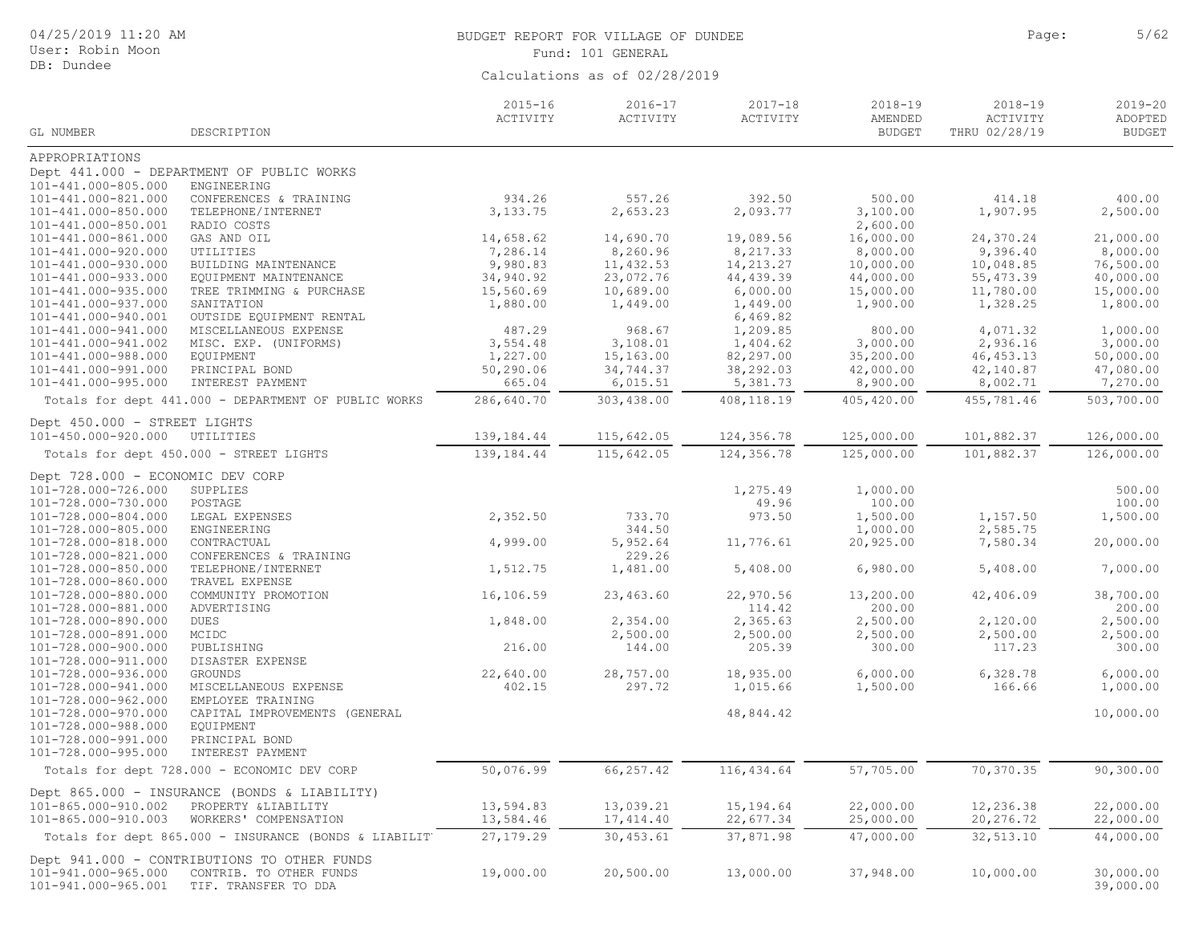| 04/25/2019 11:20 AM<br>User: Robin Moon    |                                                        |                         | BUDGET REPORT FOR VILLAGE OF DUNDEE<br>Fund: 101 GENERAL | Page:                   | 5/62                                    |                                          |                                         |
|--------------------------------------------|--------------------------------------------------------|-------------------------|----------------------------------------------------------|-------------------------|-----------------------------------------|------------------------------------------|-----------------------------------------|
| DB: Dundee                                 |                                                        |                         | Calculations as of 02/28/2019                            |                         |                                         |                                          |                                         |
| GL NUMBER                                  | DESCRIPTION                                            | $2015 - 16$<br>ACTIVITY | 2016-17<br>ACTIVITY                                      | $2017 - 18$<br>ACTIVITY | $2018 - 19$<br>AMENDED<br><b>BUDGET</b> | $2018 - 19$<br>ACTIVITY<br>THRU 02/28/19 | $2019 - 20$<br>ADOPTED<br><b>BUDGET</b> |
| APPROPRIATIONS                             |                                                        |                         |                                                          |                         |                                         |                                          |                                         |
|                                            | Dept 441.000 - DEPARTMENT OF PUBLIC WORKS              |                         |                                                          |                         |                                         |                                          |                                         |
| 101-441.000-805.000                        | ENGINEERING                                            |                         |                                                          |                         |                                         |                                          |                                         |
| 101-441.000-821.000                        | CONFERENCES & TRAINING                                 | 934.26                  | 557.26                                                   | 392.50                  | 500.00                                  | 414.18                                   | 400.00                                  |
| 101-441.000-850.000                        | TELEPHONE/INTERNET                                     | 3,133.75                | 2,653.23                                                 | 2,093.77                | 3,100.00                                | 1,907.95                                 | 2,500.00                                |
| 101-441.000-850.001                        | RADIO COSTS                                            |                         |                                                          |                         | 2,600.00                                |                                          |                                         |
| 101-441.000-861.000                        | GAS AND OIL                                            | 14,658.62               | 14,690.70                                                | 19,089.56               | 16,000.00                               | 24,370.24                                | 21,000.00                               |
| 101-441.000-920.000                        | UTILITIES                                              | 7,286.14                | 8,260.96                                                 | 8,217.33                | 8,000.00                                | 9,396.40                                 | 8,000.00                                |
| 101-441.000-930.000                        | BUILDING MAINTENANCE                                   | 9,980.83                | 11,432.53                                                | 14, 213. 27             | 10,000.00                               | 10,048.85                                | 76,500.00                               |
| 101-441.000-933.000                        | EQUIPMENT MAINTENANCE                                  | 34,940.92               | 23,072.76                                                | 44,439.39               | 44,000.00                               | 55, 473.39                               | 40,000.00                               |
| 101-441.000-935.000<br>101-441.000-937.000 | TREE TRIMMING & PURCHASE<br>SANITATION                 | 15,560.69<br>1,880.00   | 10,689.00<br>1,449.00                                    | 6,000.00<br>1,449.00    | 15,000.00<br>1,900.00                   | 11,780.00<br>1,328.25                    | 15,000.00<br>1,800.00                   |
| 101-441.000-940.001                        | OUTSIDE EQUIPMENT RENTAL                               |                         |                                                          | 6,469.82                |                                         |                                          |                                         |
| 101-441.000-941.000                        | MISCELLANEOUS EXPENSE                                  | 487.29                  | 968.67                                                   | 1,209.85                | 800.00                                  | 4,071.32                                 | 1,000.00                                |
| 101-441.000-941.002                        | MISC. EXP. (UNIFORMS)                                  | 3,554.48                | 3,108.01                                                 | 1,404.62                | 3,000.00                                | 2,936.16                                 | 3,000.00                                |
| 101-441.000-988.000                        | EQUIPMENT                                              | 1,227.00                | 15,163.00                                                | 82,297.00               | 35,200.00                               | 46, 453.13                               | 50,000.00                               |
| 101-441.000-991.000                        | PRINCIPAL BOND                                         | 50,290.06               | 34,744.37                                                | 38,292.03               | 42,000.00                               | 42,140.87                                | 47,080.00                               |
| 101-441.000-995.000                        | INTEREST PAYMENT                                       | 665.04                  | 6,015.51                                                 | 5,381.73                | 8,900.00                                | 8,002.71                                 | 7,270.00                                |
|                                            | Totals for dept 441.000 - DEPARTMENT OF PUBLIC WORKS   | 286,640.70              | 303,438.00                                               | 408,118.19              | 405,420.00                              | 455,781.46                               | 503,700.00                              |
| Dept 450.000 - STREET LIGHTS               |                                                        |                         |                                                          |                         |                                         |                                          |                                         |
| 101-450.000-920.000                        | UTILITIES                                              | 139,184.44              | 115,642.05                                               | 124,356.78              | 125,000.00                              | 101,882.37                               | 126,000.00                              |
|                                            | Totals for dept 450.000 - STREET LIGHTS                | 139, 184. 44            | 115,642.05                                               | 124,356.78              | 125,000.00                              | 101,882.37                               | 126,000.00                              |
| Dept 728.000 - ECONOMIC DEV CORP           |                                                        |                         |                                                          |                         |                                         |                                          |                                         |
| 101-728.000-726.000                        | SUPPLIES                                               |                         |                                                          | 1,275.49                | 1,000.00                                |                                          | 500.00                                  |
| 101-728.000-730.000                        | POSTAGE                                                |                         |                                                          | 49.96                   | 100.00                                  |                                          | 100.00                                  |
| 101-728.000-804.000                        | LEGAL EXPENSES                                         | 2,352.50                | 733.70                                                   | 973.50                  | 1,500.00                                | 1,157.50                                 | 1,500.00                                |
| 101-728.000-805.000                        | ENGINEERING                                            |                         | 344.50                                                   |                         | 1,000.00                                | 2,585.75                                 |                                         |
| 101-728.000-818.000                        | CONTRACTUAL                                            | 4,999.00                | 5,952.64                                                 | 11,776.61               | 20,925.00                               | 7,580.34                                 | 20,000.00                               |
| 101-728.000-821.000                        | CONFERENCES & TRAINING                                 |                         | 229.26                                                   |                         |                                         |                                          |                                         |
| 101-728.000-850.000                        | TELEPHONE/INTERNET                                     | 1,512.75                | 1,481.00                                                 | 5,408.00                | 6,980.00                                | 5,408.00                                 | 7,000.00                                |
| 101-728.000-860.000                        | TRAVEL EXPENSE                                         |                         |                                                          |                         |                                         |                                          |                                         |
| 101-728.000-880.000                        | COMMUNITY PROMOTION                                    | 16,106.59               | 23,463.60                                                | 22,970.56               | 13,200.00                               | 42,406.09                                | 38,700.00                               |
| 101-728.000-881.000                        | ADVERTISING                                            |                         |                                                          | 114.42                  | 200.00                                  |                                          | 200.00                                  |
| 101-728.000-890.000<br>101-728.000-891.000 | DUES<br>MCIDC                                          | 1,848.00                | 2,354.00<br>2,500.00                                     | 2,365.63<br>2,500.00    | 2,500.00<br>2,500.00                    | 2,120.00<br>2,500.00                     | 2,500.00<br>2,500.00                    |
| 101-728.000-900.000                        | PUBLISHING                                             | 216.00                  | 144.00                                                   | 205.39                  | 300.00                                  | 117.23                                   | 300.00                                  |
| 101-728.000-911.000                        | DISASTER EXPENSE                                       |                         |                                                          |                         |                                         |                                          |                                         |
| 101-728.000-936.000                        | GROUNDS                                                | 22,640.00               | 28,757.00                                                | 18,935.00               | 6,000.00                                | 6,328.78                                 | 6,000.00                                |
| 101-728.000-941.000                        | MISCELLANEOUS EXPENSE                                  | 402.15                  | 297.72                                                   | 1,015.66                | 1,500.00                                | 166.66                                   | 1,000.00                                |
| 101-728.000-962.000                        | EMPLOYEE TRAINING                                      |                         |                                                          |                         |                                         |                                          |                                         |
| 101-728.000-970.000                        | CAPITAL IMPROVEMENTS (GENERAL                          |                         |                                                          | 48,844.42               |                                         |                                          | 10,000.00                               |
| 101-728.000-988.000                        | EQUIPMENT                                              |                         |                                                          |                         |                                         |                                          |                                         |
| 101-728.000-991.000                        | PRINCIPAL BOND                                         |                         |                                                          |                         |                                         |                                          |                                         |
| 101-728.000-995.000                        | INTEREST PAYMENT                                       |                         |                                                          |                         |                                         |                                          |                                         |
|                                            | Totals for dept 728.000 - ECONOMIC DEV CORP            | 50,076.99               | 66, 257.42                                               | 116,434.64              | 57,705.00                               | 70,370.35                                | 90, 300.00                              |
|                                            | Dept 865.000 - INSURANCE (BONDS & LIABILITY)           |                         |                                                          |                         |                                         |                                          |                                         |
| 101-865.000-910.002                        | PROPERTY & LIABILITY                                   | 13,594.83               | 13,039.21                                                | 15,194.64               | 22,000.00                               | 12,236.38                                | 22,000.00                               |
| 101-865.000-910.003                        | WORKERS' COMPENSATION                                  | 13,584.46               | 17, 414.40                                               | 22,677.34               | 25,000.00                               | 20,276.72                                | 22,000.00                               |
|                                            | Totals for dept 865.000 - INSURANCE (BONDS & LIABILIT) | 27, 179.29              | 30,453.61                                                | 37,871.98               | 47,000.00                               | 32, 513.10                               | 44,000.00                               |
|                                            | Dept 941.000 - CONTRIBUTIONS TO OTHER FUNDS            |                         |                                                          |                         |                                         |                                          |                                         |
| 101-941.000-965.000<br>101-941.000-965.001 | CONTRIB. TO OTHER FUNDS<br>TIF. TRANSFER TO DDA        | 19,000.00               | 20,500.00                                                | 13,000.00               | 37,948.00                               | 10,000.00                                | 30,000.00<br>39,000.00                  |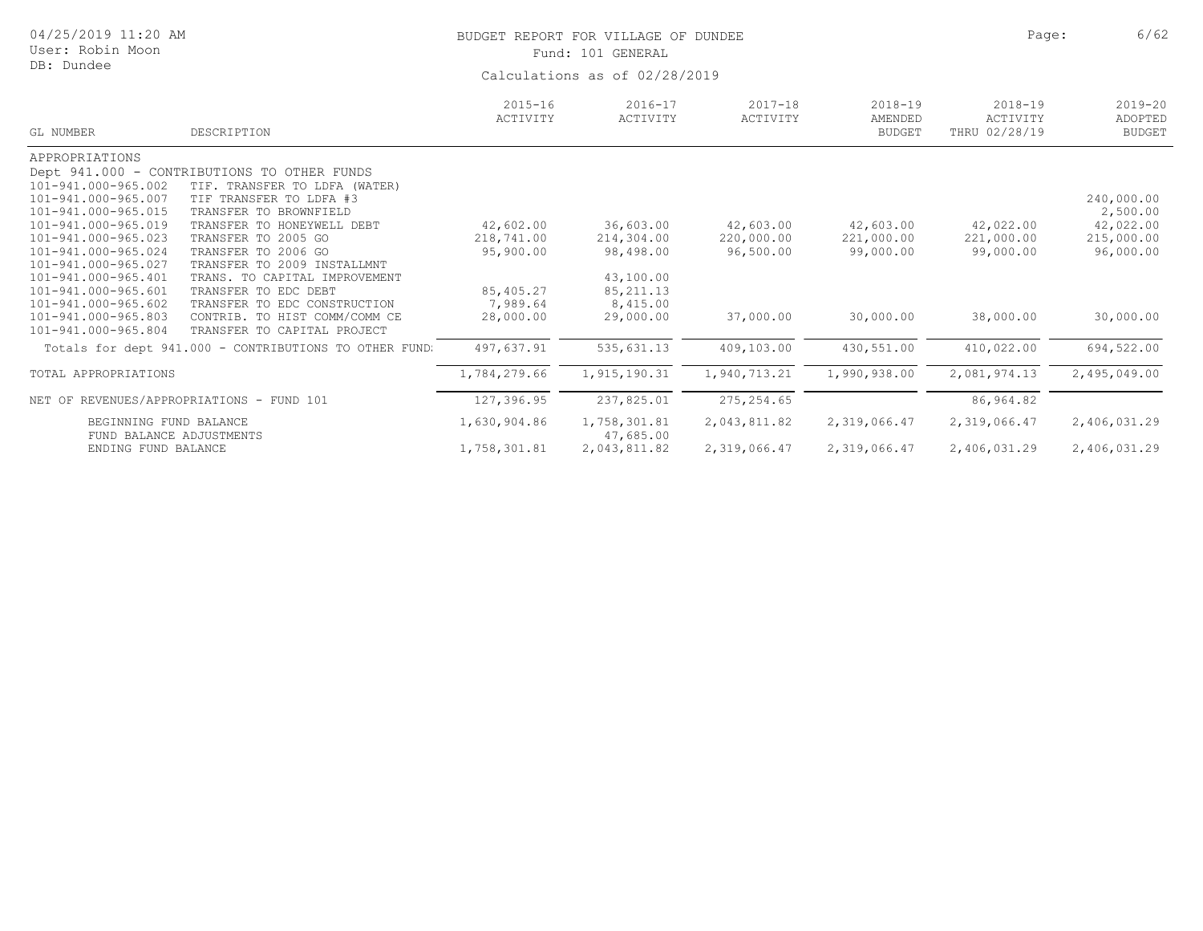| 04/25/2019 11:20 AM<br>User: Robin Moon<br>DB: Dundee                                                                                                                                                                                                                                       |                                                                                                                                                                                                                                                                                                                                                           |                                                                            | BUDGET REPORT FOR VILLAGE OF DUNDEE<br>Fund: 101 GENERAL<br>Calculations as of 02/28/2019 | 6/62<br>Page:                                     |                                                   |                                                   |                                                                             |
|---------------------------------------------------------------------------------------------------------------------------------------------------------------------------------------------------------------------------------------------------------------------------------------------|-----------------------------------------------------------------------------------------------------------------------------------------------------------------------------------------------------------------------------------------------------------------------------------------------------------------------------------------------------------|----------------------------------------------------------------------------|-------------------------------------------------------------------------------------------|---------------------------------------------------|---------------------------------------------------|---------------------------------------------------|-----------------------------------------------------------------------------|
| GL NUMBER                                                                                                                                                                                                                                                                                   | DESCRIPTION                                                                                                                                                                                                                                                                                                                                               | $2015 - 16$<br>ACTIVITY                                                    | $2016 - 17$<br>ACTIVITY                                                                   | $2017 - 18$<br>ACTIVITY                           | $2018 - 19$<br>AMENDED<br><b>BUDGET</b>           | $2018 - 19$<br>ACTIVITY<br>THRU 02/28/19          | $2019 - 20$<br>ADOPTED<br><b>BUDGET</b>                                     |
| APPROPRIATIONS<br>Dept 941.000<br>101-941.000-965.002<br>101-941.000-965.007<br>101-941.000-965.015<br>101-941.000-965.019<br>101-941.000-965.023<br>101-941.000-965.024<br>101-941.000-965.027<br>101-941.000-965.401<br>101-941.000-965.601<br>101-941.000-965.602<br>101-941.000-965.803 | - CONTRIBUTIONS TO OTHER FUNDS<br>TIF. TRANSFER TO LDFA (WATER)<br>TIF TRANSFER TO LDFA #3<br>TRANSFER TO BROWNFIELD<br>TRANSFER TO HONEYWELL DEBT<br>TRANSFER TO 2005 GO<br>TRANSFER TO 2006 GO<br>TRANSFER TO 2009 INSTALLMNT<br>TRANS. TO CAPITAL IMPROVEMENT<br>TRANSFER TO EDC DEBT<br>TRANSFER TO EDC CONSTRUCTION<br>CONTRIB. TO HIST COMM/COMM CE | 42,602.00<br>218,741.00<br>95,900.00<br>85,405.27<br>7,989.64<br>28,000.00 | 36,603.00<br>214,304.00<br>98,498.00<br>43,100.00<br>85, 211.13<br>8,415.00<br>29,000.00  | 42,603.00<br>220,000.00<br>96,500.00<br>37,000.00 | 42,603.00<br>221,000.00<br>99,000.00<br>30,000.00 | 42,022.00<br>221,000.00<br>99,000.00<br>38,000.00 | 240,000.00<br>2,500.00<br>42,022.00<br>215,000.00<br>96,000.00<br>30,000.00 |
| 101-941.000-965.804                                                                                                                                                                                                                                                                         | TRANSFER TO CAPITAL PROJECT<br>Totals for dept 941.000 - CONTRIBUTIONS TO OTHER FUND:                                                                                                                                                                                                                                                                     | 497,637.91                                                                 | 535,631.13                                                                                | 409,103.00                                        | 430,551.00                                        | 410,022.00                                        | 694,522.00                                                                  |
| TOTAL APPROPRIATIONS                                                                                                                                                                                                                                                                        |                                                                                                                                                                                                                                                                                                                                                           | 1,784,279.66                                                               | 1,915,190.31                                                                              | 1,940,713.21                                      | 1,990,938.00                                      | 2,081,974.13                                      | 2,495,049.00                                                                |
| NET OF REVENUES/APPROPRIATIONS                                                                                                                                                                                                                                                              | - FUND 101                                                                                                                                                                                                                                                                                                                                                | 127,396.95                                                                 | 237,825.01                                                                                | 275, 254.65                                       |                                                   | 86,964.82                                         |                                                                             |
| BEGINNING FUND BALANCE<br>FUND BALANCE ADJUSTMENTS<br>ENDING FUND BALANCE                                                                                                                                                                                                                   |                                                                                                                                                                                                                                                                                                                                                           | 1,630,904.86<br>1,758,301.81                                               | 1,758,301.81<br>47,685.00<br>2,043,811.82                                                 | 2,043,811.82<br>2,319,066.47                      | 2,319,066.47<br>2,319,066.47                      | 2,319,066.47<br>2,406,031.29                      | 2,406,031.29<br>2,406,031.29                                                |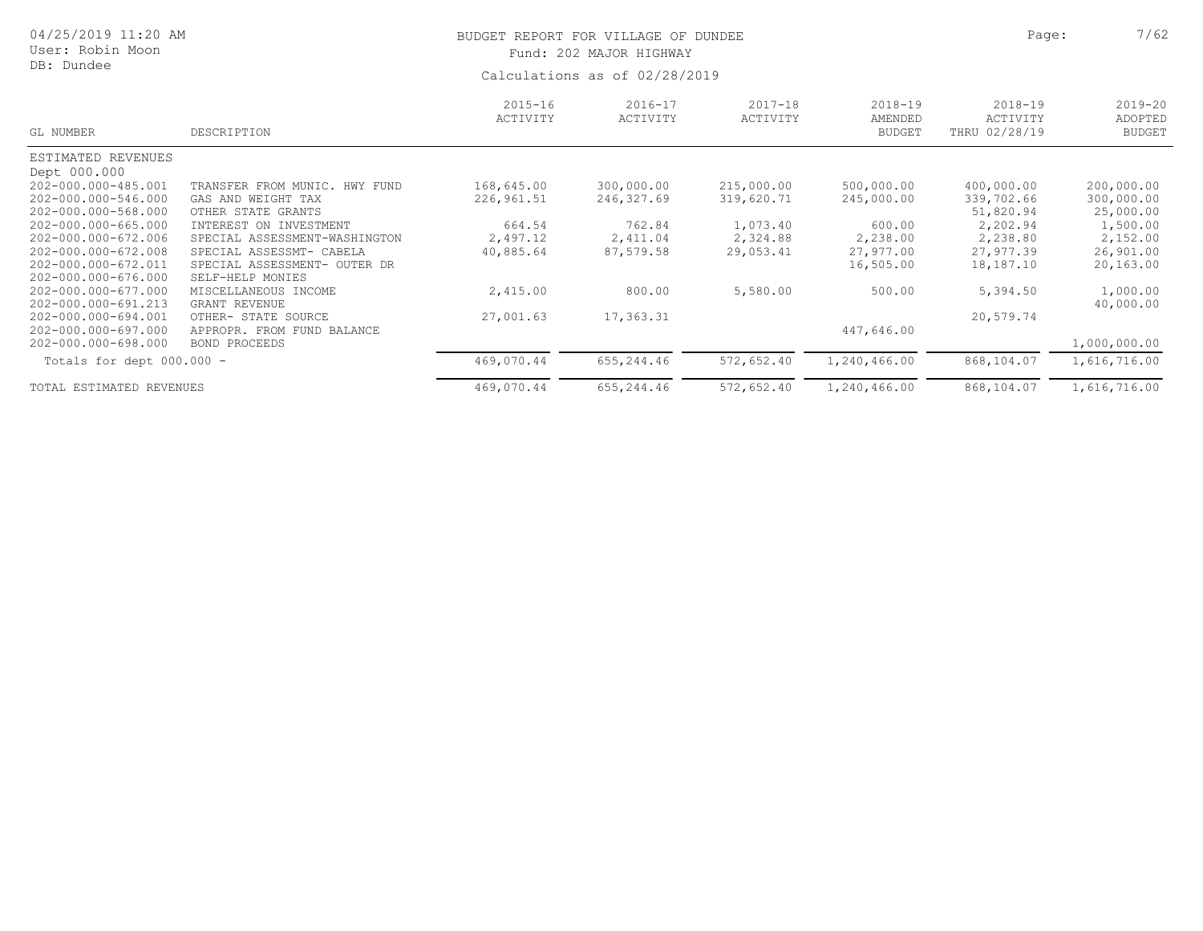| 04/25/2019 11:20 AM<br>User: Robin Moon<br>DB: Dundee                                                                                                                                                |                                                                                                                                                                                                                         |                                                             | BUDGET REPORT FOR VILLAGE OF DUNDEE<br>Fund: 202 MAJOR HIGHWAY<br>Calculations as of 02/28/2019 | Page:                                                         | 7/62                                                                     |                                                                                         |                                                                                         |
|------------------------------------------------------------------------------------------------------------------------------------------------------------------------------------------------------|-------------------------------------------------------------------------------------------------------------------------------------------------------------------------------------------------------------------------|-------------------------------------------------------------|-------------------------------------------------------------------------------------------------|---------------------------------------------------------------|--------------------------------------------------------------------------|-----------------------------------------------------------------------------------------|-----------------------------------------------------------------------------------------|
| GL NUMBER                                                                                                                                                                                            | DESCRIPTION                                                                                                                                                                                                             | $2015 - 16$<br>ACTIVITY                                     | $2016 - 17$<br>ACTIVITY                                                                         | $2017 - 18$<br>ACTIVITY                                       | $2018 - 19$<br>AMENDED<br><b>BUDGET</b>                                  | $2018 - 19$<br>ACTIVITY<br>THRU 02/28/19                                                | $2019 - 20$<br>ADOPTED<br><b>BUDGET</b>                                                 |
| ESTIMATED REVENUES                                                                                                                                                                                   |                                                                                                                                                                                                                         |                                                             |                                                                                                 |                                                               |                                                                          |                                                                                         |                                                                                         |
| Dept 000.000<br>202-000.000-485.001<br>202-000.000-546.000<br>202-000.000-568.000<br>202-000.000-665.000<br>202-000.000-672.006<br>202-000.000-672.008<br>202-000.000-672.011<br>202-000.000-676.000 | TRANSFER FROM MUNIC.<br>HWY FUND<br>GAS AND WEIGHT TAX<br>OTHER STATE GRANTS<br>INTEREST ON INVESTMENT<br>SPECIAL ASSESSMENT-WASHINGTON<br>SPECIAL ASSESSMT- CABELA<br>SPECIAL ASSESSMENT- OUTER DR<br>SELF-HELP MONIES | 168,645.00<br>226,961.51<br>664.54<br>2,497.12<br>40,885.64 | 300,000.00<br>246,327.69<br>762.84<br>2,411.04<br>87,579.58                                     | 215,000.00<br>319,620.71<br>1,073.40<br>2,324.88<br>29,053.41 | 500,000.00<br>245,000.00<br>600.00<br>2,238.00<br>27,977.00<br>16,505.00 | 400,000.00<br>339,702.66<br>51,820.94<br>2,202.94<br>2,238.80<br>27,977.39<br>18,187.10 | 200,000.00<br>300,000.00<br>25,000.00<br>1,500.00<br>2,152.00<br>26,901.00<br>20,163.00 |
| 202-000.000-677.000<br>202-000.000-691.213                                                                                                                                                           | MISCELLANEOUS INCOME<br><b>GRANT REVENUE</b>                                                                                                                                                                            | 2,415.00                                                    | 800.00                                                                                          | 5,580.00                                                      | 500.00                                                                   | 5,394.50                                                                                | 1,000.00<br>40,000.00                                                                   |
| 202-000.000-694.001<br>202-000.000-697.000<br>202-000.000-698.000                                                                                                                                    | OTHER- STATE SOURCE<br>APPROPR. FROM FUND BALANCE<br><b>BOND PROCEEDS</b>                                                                                                                                               | 27,001.63                                                   | 17,363.31                                                                                       |                                                               | 447,646.00                                                               | 20,579.74                                                                               | 1,000,000.00                                                                            |
| Totals for dept $000.000 -$                                                                                                                                                                          |                                                                                                                                                                                                                         | 469,070.44                                                  | 655,244.46                                                                                      | 572,652.40                                                    | 1,240,466.00                                                             | 868,104.07                                                                              | 1,616,716.00                                                                            |
| TOTAL ESTIMATED REVENUES                                                                                                                                                                             |                                                                                                                                                                                                                         | 469,070.44                                                  | 655,244.46                                                                                      | 572,652.40                                                    | 1,240,466.00                                                             | 868,104.07                                                                              | 1,616,716.00                                                                            |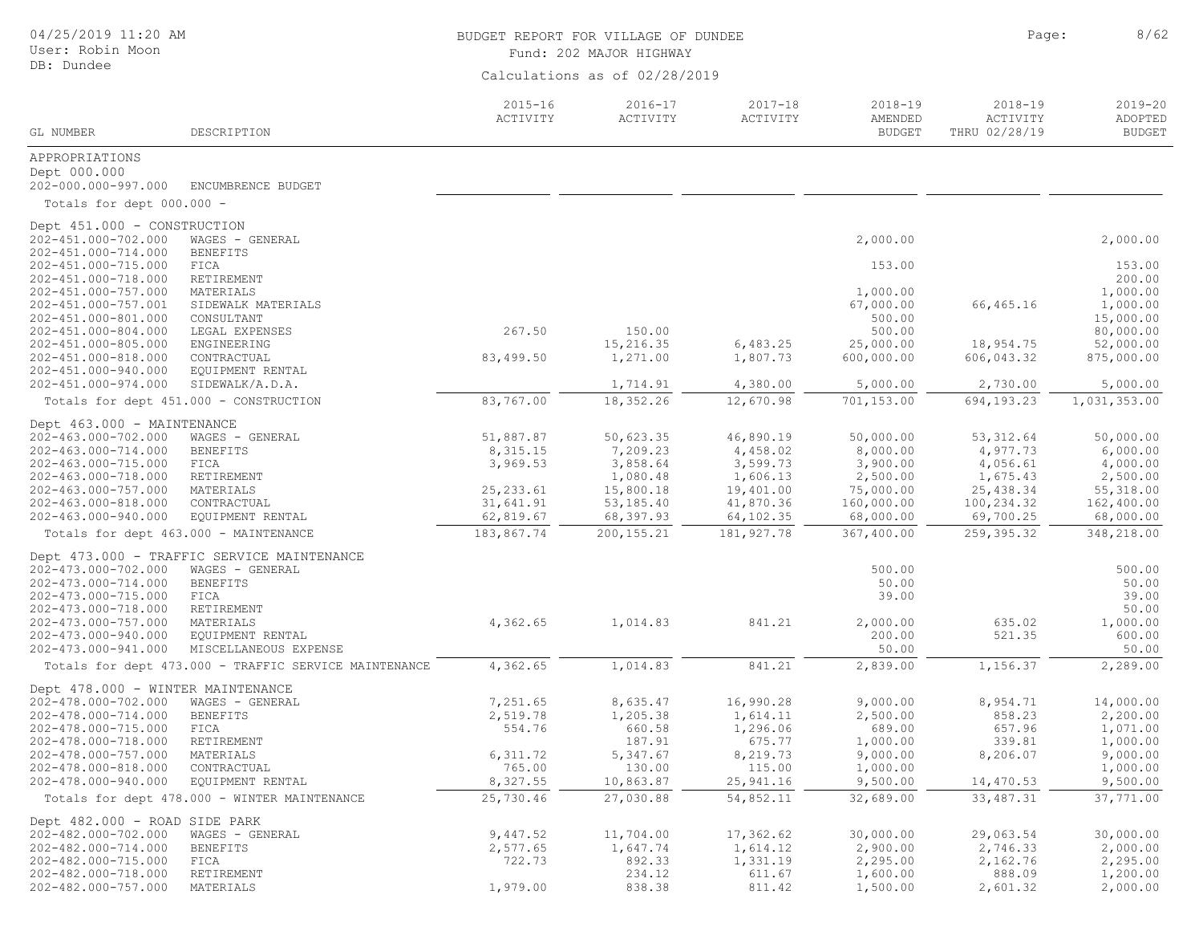| 04/25/2019 11:20 AM<br>User: Robin Moon |                                                                                | BUDGET REPORT FOR VILLAGE OF DUNDEE<br>Fund: 202 MAJOR HIGHWAY | Page:                         | 8/62                    |                                         |                                          |                                         |
|-----------------------------------------|--------------------------------------------------------------------------------|----------------------------------------------------------------|-------------------------------|-------------------------|-----------------------------------------|------------------------------------------|-----------------------------------------|
| DB: Dundee                              |                                                                                |                                                                | Calculations as of 02/28/2019 |                         |                                         |                                          |                                         |
| GL NUMBER                               | DESCRIPTION                                                                    | $2015 - 16$<br>ACTIVITY                                        | 2016-17<br>ACTIVITY           | $2017 - 18$<br>ACTIVITY | $2018 - 19$<br>AMENDED<br><b>BUDGET</b> | $2018 - 19$<br>ACTIVITY<br>THRU 02/28/19 | $2019 - 20$<br>ADOPTED<br><b>BUDGET</b> |
| APPROPRIATIONS                          |                                                                                |                                                                |                               |                         |                                         |                                          |                                         |
| Dept 000.000                            |                                                                                |                                                                |                               |                         |                                         |                                          |                                         |
| 202-000.000-997.000                     | ENCUMBRENCE BUDGET                                                             |                                                                |                               |                         |                                         |                                          |                                         |
| Totals for dept 000.000 -               |                                                                                |                                                                |                               |                         |                                         |                                          |                                         |
| Dept 451.000 - CONSTRUCTION             |                                                                                |                                                                |                               |                         |                                         |                                          |                                         |
| 202-451.000-702.000                     | WAGES - GENERAL                                                                |                                                                |                               |                         | 2,000.00                                |                                          | 2,000.00                                |
| 202-451.000-714.000                     | <b>BENEFITS</b>                                                                |                                                                |                               |                         |                                         |                                          |                                         |
| 202-451.000-715.000                     | FICA                                                                           |                                                                |                               |                         | 153.00                                  |                                          | 153.00                                  |
| 202-451.000-718.000                     | RETIREMENT                                                                     |                                                                |                               |                         |                                         |                                          | 200.00                                  |
| 202-451.000-757.000                     | MATERIALS                                                                      |                                                                |                               |                         | 1,000.00                                |                                          | 1,000.00                                |
| 202-451.000-757.001                     | SIDEWALK MATERIALS                                                             |                                                                |                               |                         | 67,000.00                               | 66,465.16                                | 1,000.00                                |
| 202-451.000-801.000                     | CONSULTANT                                                                     |                                                                |                               |                         | 500.00                                  |                                          | 15,000.00                               |
| 202-451.000-804.000                     | LEGAL EXPENSES                                                                 | 267.50                                                         | 150.00                        |                         | 500.00                                  |                                          | 80,000.00                               |
| 202-451.000-805.000                     | ENGINEERING                                                                    |                                                                | 15,216.35                     | 6,483.25                | 25,000.00                               | 18,954.75                                | 52,000.00                               |
| 202-451.000-818.000                     | CONTRACTUAL                                                                    | 83,499.50                                                      | 1,271.00                      | 1,807.73                | 600,000.00                              | 606,043.32                               | 875,000.00                              |
| 202-451.000-940.000                     | EQUIPMENT RENTAL                                                               |                                                                |                               |                         |                                         |                                          |                                         |
| 202-451.000-974.000                     | SIDEWALK/A.D.A.                                                                |                                                                | 1,714.91                      | 4,380.00                | 5,000.00                                | 2,730.00                                 | 5,000.00                                |
|                                         | Totals for dept 451.000 - CONSTRUCTION                                         | 83,767.00                                                      | 18,352.26                     | 12,670.98               | 701,153.00                              | 694,193.23                               | 1,031,353.00                            |
| Dept 463.000 - MAINTENANCE              |                                                                                |                                                                |                               |                         |                                         |                                          |                                         |
| 202-463.000-702.000                     | WAGES - GENERAL                                                                | 51,887.87                                                      | 50,623.35                     | 46,890.19               | 50,000.00                               | 53, 312.64                               | 50,000.00                               |
| 202-463.000-714.000                     | <b>BENEFITS</b>                                                                | 8,315.15                                                       | 7,209.23                      | 4,458.02                | 8,000.00                                | 4,977.73                                 | 6,000.00                                |
| 202-463.000-715.000                     | FICA                                                                           | 3,969.53                                                       | 3,858.64                      | 3,599.73                | 3,900.00                                | 4,056.61                                 | 4,000.00                                |
| 202-463.000-718.000                     | RETIREMENT                                                                     |                                                                | 1,080.48                      | 1,606.13                | 2,500.00                                | 1,675.43                                 | 2,500.00                                |
| 202-463.000-757.000                     | MATERIALS                                                                      | 25, 233.61                                                     | 15,800.18                     | 19,401.00               | 75,000.00                               | 25, 438.34                               | 55,318.00                               |
| 202-463.000-818.000                     | CONTRACTUAL                                                                    | 31,641.91                                                      | 53, 185. 40                   | 41,870.36               | 160,000.00                              | 100,234.32                               | 162,400.00                              |
| 202-463.000-940.000                     | EQUIPMENT RENTAL                                                               | 62,819.67                                                      | 68,397.93                     | 64,102.35               | 68,000.00                               | 69,700.25                                | 68,000.00                               |
|                                         | Totals for dept 463.000 - MAINTENANCE                                          | 183,867.74                                                     | 200, 155.21                   | 181, 927.78             | 367,400.00                              | 259, 395.32                              | 348,218.00                              |
|                                         | Dept 473.000 - TRAFFIC SERVICE MAINTENANCE                                     |                                                                |                               |                         |                                         |                                          |                                         |
| 202-473.000-702.000                     | WAGES - GENERAL                                                                |                                                                |                               |                         | 500.00                                  |                                          | 500.00                                  |
| 202-473.000-714.000                     | <b>BENEFITS</b>                                                                |                                                                |                               |                         | 50.00                                   |                                          | 50.00                                   |
| 202-473.000-715.000                     | FICA                                                                           |                                                                |                               |                         | 39.00                                   |                                          | 39.00                                   |
| 202-473.000-718.000                     | RETIREMENT                                                                     |                                                                |                               |                         |                                         |                                          | 50.00                                   |
| 202-473.000-757.000                     | MATERIALS                                                                      | 4,362.65                                                       | 1,014.83                      | 841.21                  | 2,000.00                                | 635.02                                   | 1,000.00                                |
| 202-473.000-940.000                     | EQUIPMENT RENTAL                                                               |                                                                |                               |                         | 200.00<br>50.00                         | 521.35                                   | 600.00                                  |
| 202-473.000-941.000                     | MISCELLANEOUS EXPENSE<br>Totals for dept 473.000 - TRAFFIC SERVICE MAINTENANCE | 4,362.65                                                       | 1,014.83                      | 841.21                  | 2,839.00                                | 1,156.37                                 | 50.00<br>2,289.00                       |
| Dept 478.000 - WINTER MAINTENANCE       |                                                                                |                                                                |                               |                         |                                         |                                          |                                         |
| 202-478.000-702.000                     | WAGES - GENERAL                                                                | 7,251.65                                                       | 8,635.47                      | 16,990.28               | 9,000.00                                | 8,954.71                                 | 14,000.00                               |
| 202-478.000-714.000                     | <b>BENEFITS</b>                                                                | 2,519.78                                                       | 1,205.38                      | 1,614.11                | 2,500.00                                | 858.23                                   | 2,200.00                                |
| 202-478.000-715.000                     | FICA                                                                           | 554.76                                                         | 660.58                        | 1,296.06                | 689.00                                  | 657.96                                   | 1,071.00                                |
| 202-478.000-718.000                     | RETIREMENT                                                                     |                                                                | 187.91                        | 675.77                  | 1,000.00                                | 339.81                                   | 1,000.00                                |
| 202-478.000-757.000                     | MATERIALS                                                                      | 6, 311.72                                                      | 5,347.67                      | 8,219.73                | 9,000.00                                | 8,206.07                                 | 9,000.00                                |
| 202-478.000-818.000                     | CONTRACTUAL                                                                    | 765.00                                                         | 130.00                        | 115.00                  | 1,000.00                                |                                          | 1,000.00                                |
| 202-478.000-940.000                     | EQUIPMENT RENTAL                                                               | 8,327.55                                                       | 10,863.87                     | 25, 941.16              | 9,500.00                                | 14,470.53                                | 9,500.00                                |
|                                         | Totals for dept 478.000 - WINTER MAINTENANCE                                   | 25,730.46                                                      | 27,030.88                     | 54,852.11               | 32,689.00                               | 33, 487.31                               | 37,771.00                               |
| Dept 482.000 - ROAD SIDE PARK           |                                                                                |                                                                |                               |                         |                                         |                                          |                                         |
| 202-482.000-702.000                     | WAGES - GENERAL                                                                | 9,447.52                                                       | 11,704.00                     | 17,362.62               | 30,000.00                               | 29,063.54                                | 30,000.00                               |
| 202-482.000-714.000                     | BENEFITS                                                                       | 2,577.65                                                       | 1,647.74                      | 1,614.12                | 2,900.00                                | 2,746.33                                 | 2,000.00                                |
| 202-482.000-715.000                     | FICA                                                                           | 722.73                                                         | 892.33                        | 1,331.19                | 2,295.00                                | 2,162.76                                 | 2,295.00                                |
| 202-482.000-718.000                     | RETIREMENT                                                                     |                                                                | 234.12                        | 611.67                  | 1,600.00                                | 888.09                                   | 1,200.00                                |
| 202-482.000-757.000                     | MATERIALS                                                                      | 1,979.00                                                       | 838.38                        | 811.42                  | 1,500.00                                | 2,601.32                                 | 2,000.00                                |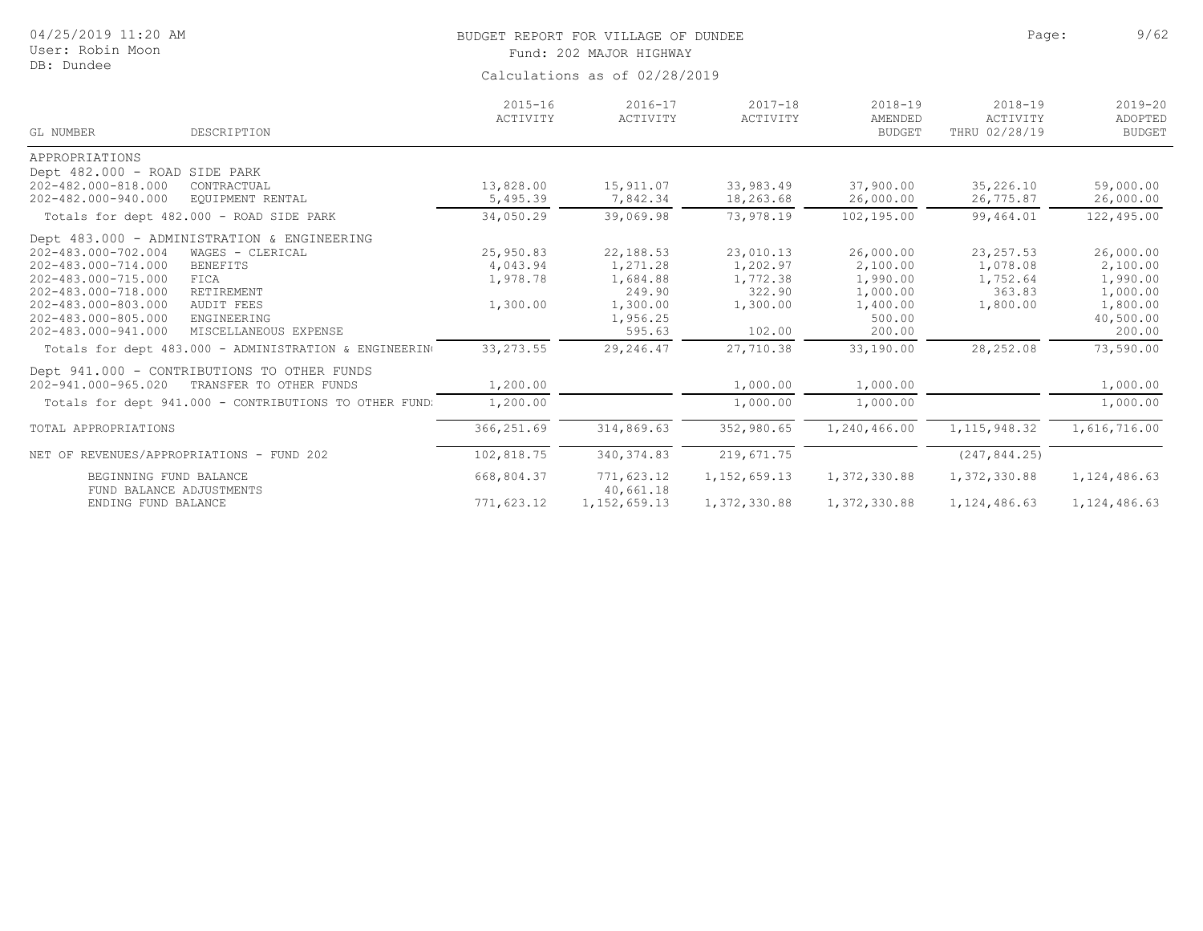| 04/25/2019 11:20 AM<br>User: Robin Moon                                                                                                                                                                                                                                                                                                |                                               | BUDGET REPORT FOR VILLAGE OF DUNDEE<br>Fund: 202 MAJOR HIGHWAY                |                                                                   |                                                                               | Page:                                                    | 9/62                                                                             |  |  |  |
|----------------------------------------------------------------------------------------------------------------------------------------------------------------------------------------------------------------------------------------------------------------------------------------------------------------------------------------|-----------------------------------------------|-------------------------------------------------------------------------------|-------------------------------------------------------------------|-------------------------------------------------------------------------------|----------------------------------------------------------|----------------------------------------------------------------------------------|--|--|--|
| DB: Dundee                                                                                                                                                                                                                                                                                                                             |                                               | Calculations as of 02/28/2019                                                 |                                                                   |                                                                               |                                                          |                                                                                  |  |  |  |
| GL NUMBER<br>DESCRIPTION                                                                                                                                                                                                                                                                                                               | $2015 - 16$<br>ACTIVITY                       | $2016 - 17$<br>ACTIVITY                                                       | $2017 - 18$<br>ACTIVITY                                           | $2018 - 19$<br>AMENDED<br><b>BUDGET</b>                                       | $2018 - 19$<br>ACTIVITY<br>THRU 02/28/19                 | $2019 - 20$<br>ADOPTED<br><b>BUDGET</b>                                          |  |  |  |
| APPROPRIATIONS                                                                                                                                                                                                                                                                                                                         |                                               |                                                                               |                                                                   |                                                                               |                                                          |                                                                                  |  |  |  |
| Dept 482.000 - ROAD SIDE PARK<br>202-482.000-818.000<br>CONTRACTUAL<br>202-482.000-940.000<br>EOUIPMENT RENTAL                                                                                                                                                                                                                         | 13,828.00<br>5,495.39                         | 15,911.07<br>7,842.34                                                         | 33,983.49<br>18,263.68                                            | 37,900.00<br>26,000.00                                                        | 35,226.10<br>26,775.87                                   | 59,000.00<br>26,000.00                                                           |  |  |  |
| Totals for dept 482.000 - ROAD SIDE PARK                                                                                                                                                                                                                                                                                               | 34,050.29                                     | 39,069.98                                                                     | 73,978.19                                                         | 102,195.00                                                                    | 99,464.01                                                | 122,495.00                                                                       |  |  |  |
| Dept 483.000 - ADMINISTRATION & ENGINEERING<br>202-483.000-702.004<br>WAGES - CLERICAL<br>202-483.000-714.000<br><b>BENEFITS</b><br>202-483.000-715.000<br>FICA<br>202-483.000-718.000<br>RETIREMENT<br>202-483.000-803.000<br><b>AUDIT FEES</b><br>202-483.000-805.000<br>ENGINEERING<br>202-483.000-941.000<br>MISCELLANEOUS EXPENSE | 25,950.83<br>4,043.94<br>1,978.78<br>1,300.00 | 22,188.53<br>1,271.28<br>1,684.88<br>249.90<br>1,300.00<br>1,956.25<br>595.63 | 23,010.13<br>1,202.97<br>1,772.38<br>322.90<br>1,300.00<br>102.00 | 26,000.00<br>2,100.00<br>1,990.00<br>1,000.00<br>1,400.00<br>500.00<br>200.00 | 23, 257.53<br>1,078.08<br>1,752.64<br>363.83<br>1,800.00 | 26,000.00<br>2,100.00<br>1,990.00<br>1,000.00<br>1,800.00<br>40,500.00<br>200.00 |  |  |  |
| Totals for dept 483.000 - ADMINISTRATION & ENGINEERING                                                                                                                                                                                                                                                                                 | 33, 273.55                                    | 29,246.47                                                                     | 27,710.38                                                         | 33,190.00                                                                     | 28,252.08                                                | 73,590.00                                                                        |  |  |  |
| Dept 941.000 - CONTRIBUTIONS TO OTHER FUNDS<br>202-941.000-965.020<br>TRANSFER TO OTHER FUNDS<br>Totals for dept 941.000 - CONTRIBUTIONS TO OTHER FUND:                                                                                                                                                                                | 1,200.00<br>1,200.00                          |                                                                               | 1,000.00<br>1,000.00                                              | 1,000.00<br>1,000.00                                                          |                                                          | 1,000.00<br>1,000.00                                                             |  |  |  |
| TOTAL APPROPRIATIONS                                                                                                                                                                                                                                                                                                                   | 366,251.69                                    | 314,869.63                                                                    | 352,980.65                                                        | 1,240,466.00                                                                  | 1, 115, 948.32                                           | 1,616,716.00                                                                     |  |  |  |
| NET OF REVENUES/APPROPRIATIONS - FUND 202                                                                                                                                                                                                                                                                                              | 102,818.75                                    | 340, 374.83                                                                   | 219,671.75                                                        |                                                                               | (247, 844.25)                                            |                                                                                  |  |  |  |
| BEGINNING FUND BALANCE<br>FUND BALANCE ADJUSTMENTS                                                                                                                                                                                                                                                                                     | 668,804.37                                    | 771,623.12<br>40,661.18                                                       | 1, 152, 659.13                                                    | 1,372,330.88                                                                  | 1,372,330.88                                             | 1,124,486.63                                                                     |  |  |  |
| ENDING FUND BALANCE                                                                                                                                                                                                                                                                                                                    | 771,623.12                                    | 1, 152, 659.13                                                                | 1,372,330.88                                                      | 1,372,330.88                                                                  | 1,124,486.63                                             | 1,124,486.63                                                                     |  |  |  |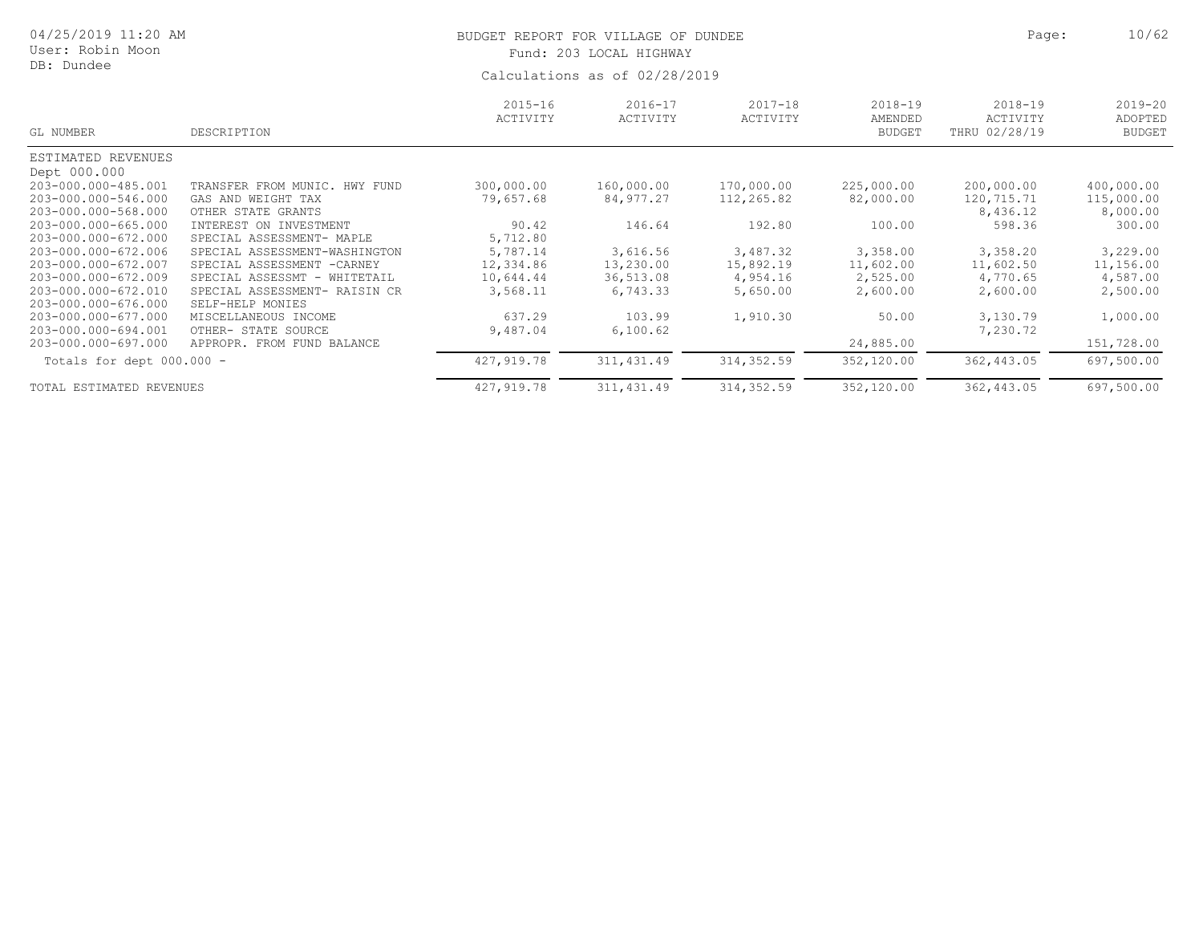| 04/25/2019 11:20 AM<br>User: Robin Moon<br>DB: Dundee             |                                                                                   |                         | BUDGET REPORT FOR VILLAGE OF DUNDEE<br>Fund: 203 LOCAL HIGHWAY<br>Calculations as of 02/28/2019 |                          |                                         | 10/62<br>Page:                                  |                                         |
|-------------------------------------------------------------------|-----------------------------------------------------------------------------------|-------------------------|-------------------------------------------------------------------------------------------------|--------------------------|-----------------------------------------|-------------------------------------------------|-----------------------------------------|
| GL NUMBER                                                         | DESCRIPTION                                                                       | $2015 - 16$<br>ACTIVITY | $2016 - 17$<br>ACTIVITY                                                                         | $2017 - 18$<br>ACTIVITY  | $2018 - 19$<br>AMENDED<br><b>BUDGET</b> | $2018 - 19$<br><b>ACTIVITY</b><br>THRU 02/28/19 | $2019 - 20$<br>ADOPTED<br><b>BUDGET</b> |
| ESTIMATED REVENUES<br>Dept 000.000                                |                                                                                   |                         |                                                                                                 |                          |                                         |                                                 |                                         |
| 203-000.000-485.001<br>203-000.000-546.000<br>203-000.000-568.000 | TRANSFER FROM MUNIC, HWY FUND<br>GAS AND WEIGHT TAX<br>OTHER STATE GRANTS         | 300,000.00<br>79,657.68 | 160,000.00<br>84,977.27                                                                         | 170,000.00<br>112,265.82 | 225,000.00<br>82,000.00                 | 200,000.00<br>120,715.71<br>8,436.12            | 400,000.00<br>115,000.00<br>8,000.00    |
| 203-000.000-665.000<br>203-000.000-672.000                        | INTEREST ON INVESTMENT<br>SPECIAL ASSESSMENT- MAPLE                               | 90.42<br>5,712.80       | 146.64                                                                                          | 192.80                   | 100.00                                  | 598.36                                          | 300.00                                  |
| 203-000.000-672.006<br>203-000.000-672.007                        | SPECIAL ASSESSMENT-WASHINGTON<br>SPECIAL ASSESSMENT<br>$-CARNINGY$                | 5,787.14<br>12,334.86   | 3,616.56<br>13,230.00                                                                           | 3,487.32<br>15,892.19    | 3,358.00<br>11,602.00                   | 3,358.20<br>11,602.50                           | 3,229.00<br>11,156.00                   |
| 203-000.000-672.009<br>203-000.000-672.010<br>203-000.000-676.000 | SPECIAL ASSESSMT - WHITETAIL<br>SPECIAL ASSESSMENT- RAISIN CR<br>SELF-HELP MONIES | 10,644.44<br>3,568.11   | 36,513.08<br>6,743.33                                                                           | 4,954.16<br>5,650.00     | 2,525.00<br>2,600.00                    | 4,770.65<br>2,600.00                            | 4,587.00<br>2,500.00                    |
| 203-000.000-677.000<br>203-000.000-694.001                        | MISCELLANEOUS INCOME<br>OTHER- STATE SOURCE                                       | 637.29<br>9,487.04      | 103.99<br>6,100.62                                                                              | 1,910.30                 | 50.00                                   | 3,130.79<br>7,230.72                            | 1,000.00                                |
| 203-000.000-697.000<br>Totals for dept $000.000 -$                | APPROPR. FROM FUND BALANCE                                                        | 427,919.78              | 311, 431.49                                                                                     | 314, 352.59              | 24,885.00<br>352,120.00                 | 362,443.05                                      | 151,728.00<br>697,500.00                |
| TOTAL ESTIMATED REVENUES                                          |                                                                                   | 427,919.78              | 311, 431.49                                                                                     | 314,352.59               | 352,120.00                              | 362,443.05                                      | 697,500.00                              |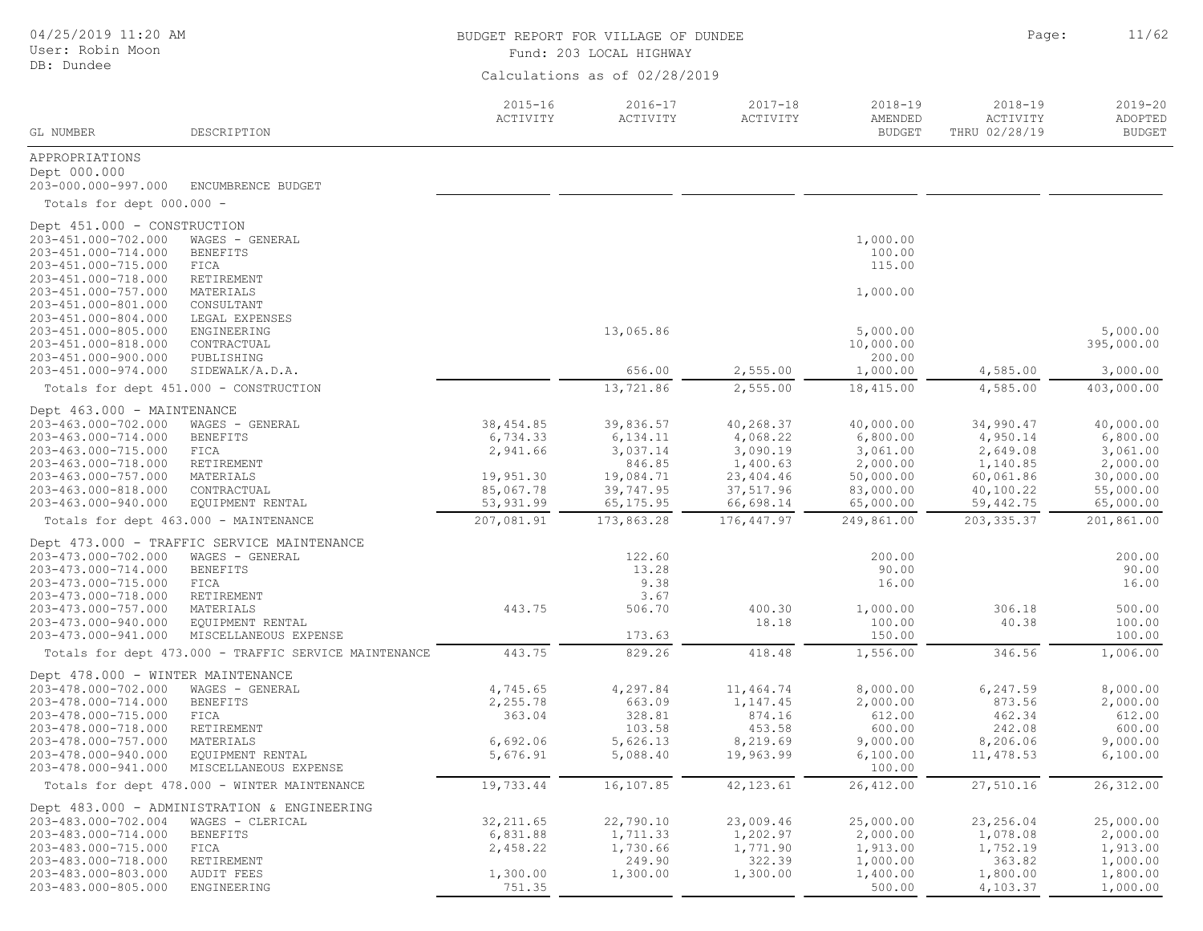| 04/25/2019 11:20 AM<br>User: Robin Moon<br>DB: Dundee |                                                                       | BUDGET REPORT FOR VILLAGE OF DUNDEE<br>Fund: 203 LOCAL HIGHWAY | Page:                         | 11/62                   |                                         |                                          |                                         |
|-------------------------------------------------------|-----------------------------------------------------------------------|----------------------------------------------------------------|-------------------------------|-------------------------|-----------------------------------------|------------------------------------------|-----------------------------------------|
|                                                       |                                                                       |                                                                | Calculations as of 02/28/2019 |                         |                                         |                                          |                                         |
| GL NUMBER                                             | DESCRIPTION                                                           | $2015 - 16$<br>ACTIVITY                                        | 2016-17<br>ACTIVITY           | $2017 - 18$<br>ACTIVITY | $2018 - 19$<br>AMENDED<br><b>BUDGET</b> | $2018 - 19$<br>ACTIVITY<br>THRU 02/28/19 | $2019 - 20$<br>ADOPTED<br><b>BUDGET</b> |
| APPROPRIATIONS                                        |                                                                       |                                                                |                               |                         |                                         |                                          |                                         |
| Dept 000.000<br>203-000.000-997.000                   | ENCUMBRENCE BUDGET                                                    |                                                                |                               |                         |                                         |                                          |                                         |
| Totals for dept 000.000 -                             |                                                                       |                                                                |                               |                         |                                         |                                          |                                         |
| Dept 451.000 - CONSTRUCTION                           |                                                                       |                                                                |                               |                         |                                         |                                          |                                         |
| 203-451.000-702.000                                   | WAGES - GENERAL                                                       |                                                                |                               |                         | 1,000.00                                |                                          |                                         |
| 203-451.000-714.000                                   | <b>BENEFITS</b>                                                       |                                                                |                               |                         | 100.00                                  |                                          |                                         |
| 203-451.000-715.000                                   | FICA                                                                  |                                                                |                               |                         | 115.00                                  |                                          |                                         |
| 203-451.000-718.000                                   | RETIREMENT                                                            |                                                                |                               |                         |                                         |                                          |                                         |
| 203-451.000-757.000                                   | MATERIALS                                                             |                                                                |                               |                         | 1,000.00                                |                                          |                                         |
| 203-451.000-801.000                                   | CONSULTANT                                                            |                                                                |                               |                         |                                         |                                          |                                         |
| 203-451.000-804.000                                   | LEGAL EXPENSES                                                        |                                                                |                               |                         |                                         |                                          | 5,000.00                                |
| 203-451.000-805.000<br>203-451.000-818.000            | ENGINEERING                                                           |                                                                | 13,065.86                     |                         | 5,000.00<br>10,000.00                   |                                          | 395,000.00                              |
| 203-451.000-900.000                                   | CONTRACTUAL<br>PUBLISHING                                             |                                                                |                               |                         | 200.00                                  |                                          |                                         |
| 203-451.000-974.000                                   | SIDEWALK/A.D.A.                                                       |                                                                | 656.00                        | 2,555.00                | 1,000.00                                | 4,585.00                                 | 3,000.00                                |
|                                                       | Totals for dept 451.000 - CONSTRUCTION                                |                                                                | 13,721.86                     | 2,555.00                | 18,415.00                               | 4,585.00                                 | 403,000.00                              |
| Dept 463.000 - MAINTENANCE                            |                                                                       |                                                                |                               |                         |                                         |                                          |                                         |
| 203-463.000-702.000                                   | WAGES - GENERAL                                                       | 38, 454.85                                                     | 39,836.57                     | 40,268.37               | 40,000.00                               | 34,990.47                                | 40,000.00                               |
| 203-463.000-714.000                                   | <b>BENEFITS</b>                                                       | 6,734.33                                                       | 6, 134.11                     | 4,068.22                | 6,800.00                                | 4,950.14                                 | 6,800.00                                |
| 203-463.000-715.000                                   | FICA                                                                  | 2,941.66                                                       | 3,037.14                      | 3,090.19                | 3,061.00                                | 2,649.08                                 | 3,061.00                                |
| 203-463.000-718.000                                   | RETIREMENT                                                            |                                                                | 846.85                        | 1,400.63                | 2,000.00                                | 1,140.85                                 | 2,000.00                                |
| 203-463.000-757.000                                   | MATERIALS                                                             | 19,951.30                                                      | 19,084.71                     | 23,404.46               | 50,000.00                               | 60,061.86                                | 30,000.00                               |
| 203-463.000-818.000                                   | CONTRACTUAL                                                           | 85,067.78                                                      | 39,747.95                     | 37,517.96               | 83,000.00                               | 40,100.22                                | 55,000.00                               |
| 203-463.000-940.000                                   | EQUIPMENT RENTAL                                                      | 53,931.99                                                      | 65, 175.95                    | 66,698.14               | 65,000.00                               | 59,442.75                                | 65,000.00                               |
|                                                       | Totals for dept 463.000 - MAINTENANCE                                 | 207,081.91                                                     | 173,863.28                    | 176, 447.97             | 249,861.00                              | 203, 335.37                              | 201,861.00                              |
|                                                       | Dept 473.000 - TRAFFIC SERVICE MAINTENANCE                            |                                                                |                               |                         |                                         |                                          |                                         |
| 203-473.000-702.000                                   | WAGES - GENERAL                                                       |                                                                | 122.60                        |                         | 200.00                                  |                                          | 200.00                                  |
| 203-473.000-714.000                                   | <b>BENEFITS</b>                                                       |                                                                | 13.28                         |                         | 90.00                                   |                                          | 90.00                                   |
| 203-473.000-715.000                                   | FICA                                                                  |                                                                | 9.38                          |                         | 16.00                                   |                                          | 16.00                                   |
| 203-473.000-718.000                                   | RETIREMENT                                                            |                                                                | 3.67                          |                         |                                         |                                          |                                         |
| 203-473.000-757.000                                   | MATERIALS                                                             | 443.75                                                         | 506.70                        | 400.30                  | 1,000.00                                | 306.18                                   | 500.00                                  |
| 203-473.000-940.000                                   | EQUIPMENT RENTAL                                                      |                                                                |                               | 18.18                   | 100.00                                  | 40.38                                    | 100.00                                  |
| 203-473.000-941.000                                   | MISCELLANEOUS EXPENSE                                                 |                                                                | 173.63                        |                         | 150.00                                  |                                          | 100.00                                  |
|                                                       | Totals for dept 473.000 - TRAFFIC SERVICE MAINTENANCE                 | 443.75                                                         | 829.26                        | 418.48                  | 1,556.00                                | 346.56                                   | 1,006.00                                |
| Dept 478.000 - WINTER MAINTENANCE                     |                                                                       |                                                                |                               |                         |                                         |                                          |                                         |
| 203-478.000-702.000                                   | WAGES - GENERAL                                                       | 4,745.65                                                       | 4,297.84                      | 11,464.74               | 8,000.00                                | 6,247.59                                 | 8,000.00                                |
| 203-478.000-714.000                                   | <b>BENEFITS</b>                                                       | 2,255.78                                                       | 663.09                        | 1,147.45                | 2,000.00                                | 873.56                                   | 2,000.00                                |
| 203-478.000-715.000                                   | FICA                                                                  | 363.04                                                         | 328.81                        | 874.16                  | 612.00                                  | 462.34                                   | 612.00                                  |
| 203-478.000-718.000                                   | RETIREMENT                                                            |                                                                | 103.58                        | 453.58                  | 600.00                                  | 242.08                                   | 600.00                                  |
| 203-478.000-757.000                                   | MATERIALS                                                             | 6,692.06                                                       | 5,626.13                      | 8,219.69                | 9,000.00                                | 8,206.06                                 | 9,000.00                                |
| 203-478.000-940.000                                   | EQUIPMENT RENTAL                                                      | 5,676.91                                                       | 5,088.40                      | 19,963.99               | 6,100.00                                | 11,478.53                                | 6,100.00                                |
| 203-478.000-941.000                                   | MISCELLANEOUS EXPENSE<br>Totals for dept 478.000 - WINTER MAINTENANCE | 19,733.44                                                      | 16,107.85                     | 42, 123.61              | 100.00<br>26, 412.00                    | 27,510.16                                | 26, 312.00                              |
|                                                       |                                                                       |                                                                |                               |                         |                                         |                                          |                                         |
|                                                       | Dept 483.000 - ADMINISTRATION & ENGINEERING                           |                                                                |                               |                         |                                         |                                          |                                         |
| 203-483.000-702.004<br>203-483.000-714.000            | WAGES - CLERICAL                                                      | 32, 211.65<br>6,831.88                                         | 22,790.10                     | 23,009.46               | 25,000.00<br>2,000.00                   | 23,256.04                                | 25,000.00                               |
| 203-483.000-715.000                                   | <b>BENEFITS</b><br>FICA                                               | 2,458.22                                                       | 1,711.33<br>1,730.66          | 1,202.97<br>1,771.90    | 1,913.00                                | 1,078.08<br>1,752.19                     | 2,000.00<br>1,913.00                    |
| 203-483.000-718.000                                   | RETIREMENT                                                            |                                                                | 249.90                        | 322.39                  | 1,000.00                                | 363.82                                   | 1,000.00                                |
| 203-483.000-803.000                                   | <b>AUDIT FEES</b>                                                     | 1,300.00                                                       | 1,300.00                      | 1,300.00                | 1,400.00                                | 1,800.00                                 | 1,800.00                                |
| 203-483.000-805.000                                   | ENGINEERING                                                           | 751.35                                                         |                               |                         | 500.00                                  | 4,103.37                                 | 1,000.00                                |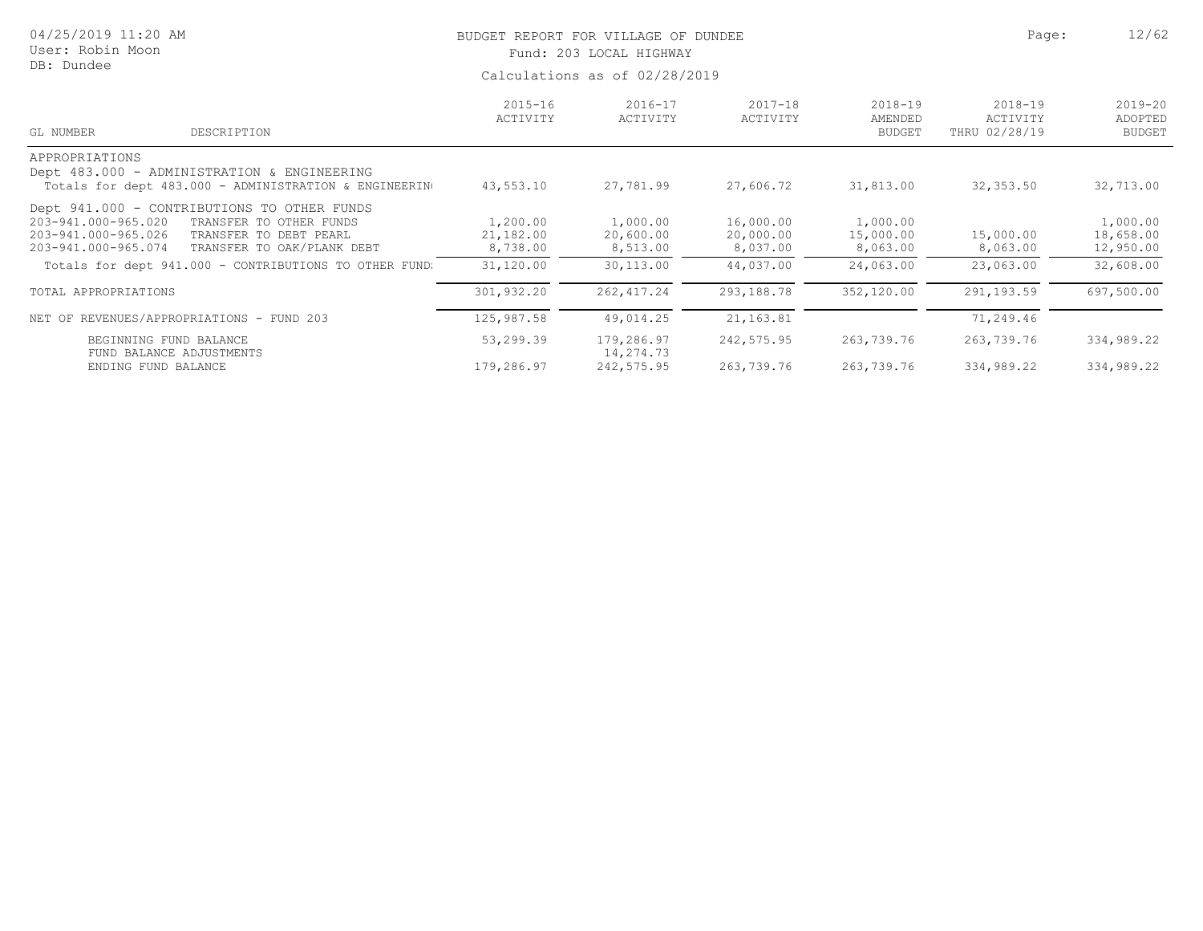| 04/25/2019 11:20 AM<br>User: Robin Moon<br>DB: Dundee                                                                                                                                               | BUDGET REPORT FOR VILLAGE OF DUNDEE<br>Fund: 203 LOCAL HIGHWAY<br>Calculations as of 02/28/2019 | Page:                             | 12/62                              |                                         |                                          |                                         |
|-----------------------------------------------------------------------------------------------------------------------------------------------------------------------------------------------------|-------------------------------------------------------------------------------------------------|-----------------------------------|------------------------------------|-----------------------------------------|------------------------------------------|-----------------------------------------|
| GL NUMBER<br>DESCRIPTION                                                                                                                                                                            | $2015 - 16$<br>ACTIVITY                                                                         | $2016 - 17$<br>ACTIVITY           | $2017 - 18$<br>ACTIVITY            | $2018 - 19$<br>AMENDED<br><b>BUDGET</b> | $2018 - 19$<br>ACTIVITY<br>THRU 02/28/19 | $2019 - 20$<br>ADOPTED<br><b>BUDGET</b> |
| APPROPRIATIONS<br>Dept 483.000 - ADMINISTRATION & ENGINEERING<br>Totals for dept 483.000 - ADMINISTRATION & ENGINEERING                                                                             | 43,553.10                                                                                       | 27,781.99                         | 27,606.72                          | 31,813.00                               | 32,353.50                                | 32,713.00                               |
| Dept 941.000 - CONTRIBUTIONS TO OTHER FUNDS<br>203-941.000-965.020<br>TRANSFER TO OTHER FUNDS<br>203-941.000-965.026<br>TRANSFER TO DEBT PEARL<br>TRANSFER TO OAK/PLANK DEBT<br>203-941.000-965.074 | 1,200.00<br>21,182.00<br>8,738.00                                                               | 1,000.00<br>20,600.00<br>8,513.00 | 16,000.00<br>20,000.00<br>8,037.00 | 1,000.00<br>15,000.00<br>8,063.00       | 15,000.00<br>8,063.00                    | 1,000.00<br>18,658.00<br>12,950.00      |
| Totals for dept 941.000 - CONTRIBUTIONS TO OTHER FUND.                                                                                                                                              | 31,120.00                                                                                       | 30,113.00                         | 44,037.00                          | 24,063.00                               | 23,063.00                                | 32,608.00                               |
| TOTAL APPROPRIATIONS                                                                                                                                                                                | 301,932.20                                                                                      | 262, 417.24                       | 293,188.78                         | 352,120.00                              | 291,193.59                               | 697,500.00                              |
| NET OF REVENUES/APPROPRIATIONS - FUND 203                                                                                                                                                           | 125,987.58                                                                                      | 49,014.25                         | 21, 163.81                         |                                         | 71,249.46                                |                                         |
| BEGINNING FUND BALANCE<br>FUND BALANCE ADJUSTMENTS                                                                                                                                                  | 53,299.39                                                                                       | 179,286.97<br>14,274.73           | 242,575.95                         | 263,739.76                              | 263,739.76                               | 334,989.22                              |
| ENDING FUND BALANCE                                                                                                                                                                                 | 179,286.97                                                                                      | 242,575.95                        | 263,739.76                         | 263,739.76                              | 334,989.22                               | 334,989.22                              |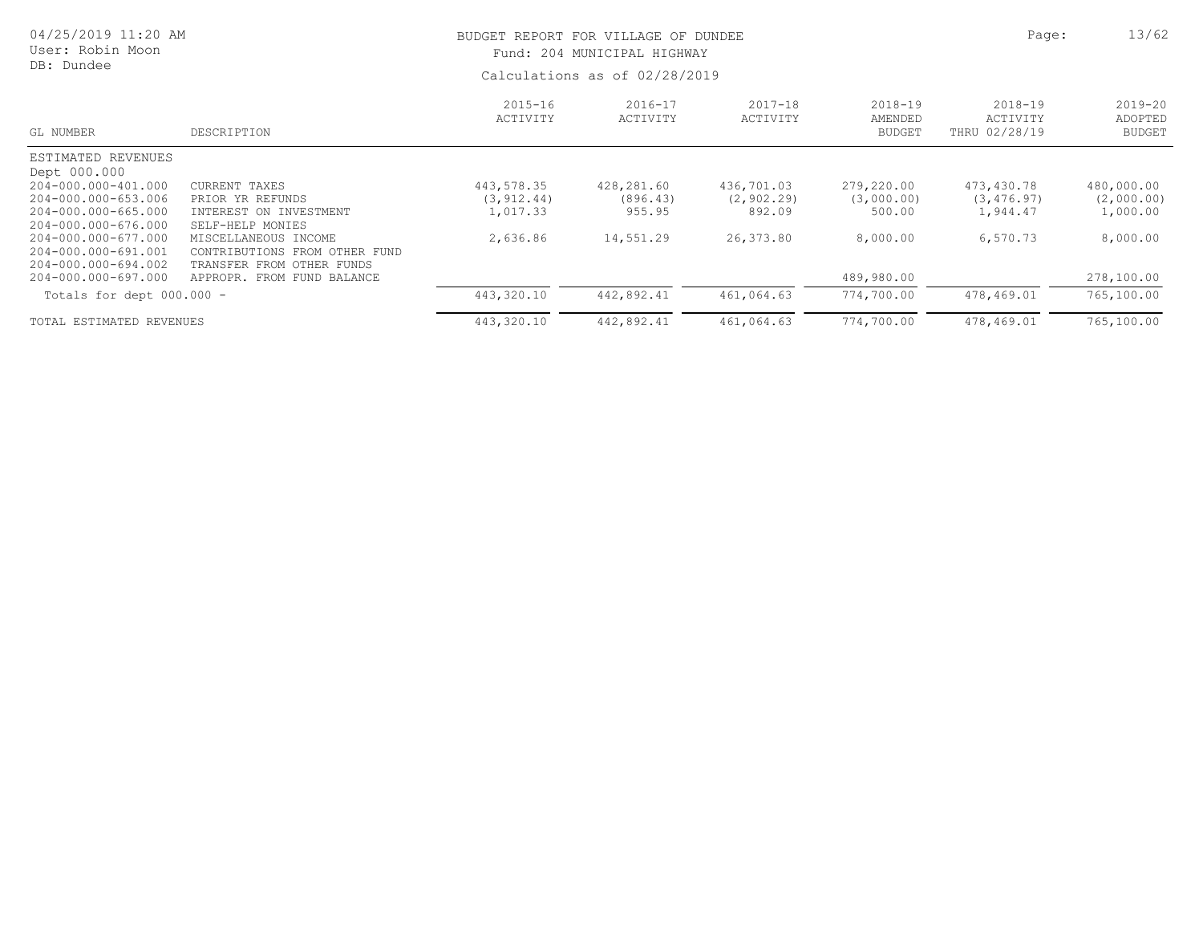| 04/25/2019 11:20 AM<br>User: Robin Moon<br>DB: Dundee             |                                                                                       |                         | BUDGET REPORT FOR VILLAGE OF DUNDEE<br>Fund: 204 MUNICIPAL HIGHWAY<br>Calculations as of 02/28/2019 |                         |                                     |                                      |                                         |  |
|-------------------------------------------------------------------|---------------------------------------------------------------------------------------|-------------------------|-----------------------------------------------------------------------------------------------------|-------------------------|-------------------------------------|--------------------------------------|-----------------------------------------|--|
| GL NUMBER                                                         | DESCRIPTION                                                                           | $2015 - 16$<br>ACTIVITY | $2016 - 17$<br>ACTIVITY                                                                             | $2017 - 18$<br>ACTIVITY | 2018-19<br>AMENDED<br><b>BUDGET</b> | 2018-19<br>ACTIVITY<br>THRU 02/28/19 | $2019 - 20$<br>ADOPTED<br><b>BUDGET</b> |  |
| ESTIMATED REVENUES                                                |                                                                                       |                         |                                                                                                     |                         |                                     |                                      |                                         |  |
| Dept 000.000                                                      |                                                                                       |                         |                                                                                                     |                         |                                     |                                      |                                         |  |
| 204-000.000-401.000                                               | CURRENT TAXES                                                                         | 443,578.35              | 428,281.60                                                                                          | 436,701.03              | 279,220.00                          | 473,430.78                           | 480,000.00                              |  |
| 204-000.000-653.006                                               | PRIOR YR REFUNDS                                                                      | (3, 912.44)             | (896, 43)                                                                                           | (2, 902, 29)            | (3,000.00)                          | (3, 476, 97)                         | (2,000.00)                              |  |
| 204-000.000-665.000<br>204-000.000-676.000                        | INTEREST ON INVESTMENT<br>SELF-HELP MONIES                                            | 1,017.33                | 955.95                                                                                              | 892.09                  | 500.00                              | 1,944.47                             | 1,000.00                                |  |
| 204-000.000-677.000<br>204-000.000-691.001<br>204-000.000-694.002 | MISCELLANEOUS INCOME<br>CONTRIBUTIONS FROM OTHER FUND<br>TRANSFER FROM<br>OTHER FUNDS | 2,636.86                | 14,551.29                                                                                           | 26,373.80               | 8,000.00                            | 6,570.73                             | 8,000.00                                |  |
| 204-000.000-697.000                                               | APPROPR. FROM FUND BALANCE                                                            |                         |                                                                                                     |                         | 489,980.00                          |                                      | 278,100.00                              |  |
| Totals for dept $000.000 -$                                       |                                                                                       | 443,320.10              | 442,892.41                                                                                          | 461,064.63              | 774,700.00                          | 478,469.01                           | 765,100.00                              |  |
| TOTAL ESTIMATED REVENUES                                          |                                                                                       | 443,320.10              | 442,892.41                                                                                          | 461,064.63              | 774,700.00                          | 478,469.01                           | 765,100.00                              |  |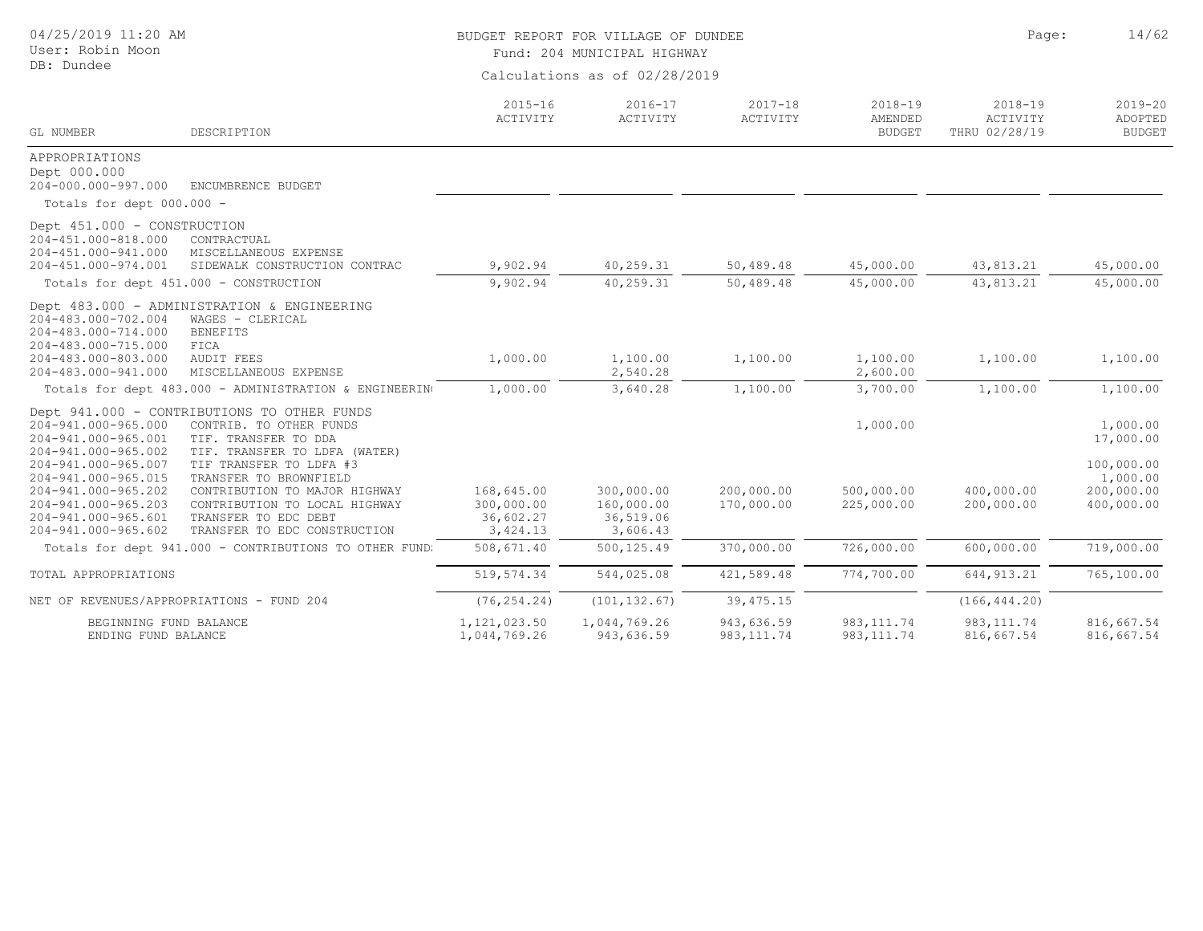| 04/25/2019 11:20 AM<br>User: Robin Moon<br>DB: Dundee                                                                                  |                                                                                                                                                                             | BUDGET REPORT FOR VILLAGE OF DUNDEE<br>Fund: 204 MUNICIPAL HIGHWAY<br>Calculations as of 02/28/2019 | Page:                                             | 14/62                     |                                         |                                          |                                                    |
|----------------------------------------------------------------------------------------------------------------------------------------|-----------------------------------------------------------------------------------------------------------------------------------------------------------------------------|-----------------------------------------------------------------------------------------------------|---------------------------------------------------|---------------------------|-----------------------------------------|------------------------------------------|----------------------------------------------------|
| <b>GL NUMBER</b>                                                                                                                       | DESCRIPTION                                                                                                                                                                 | $2015 - 16$<br>ACTIVITY                                                                             | $2016 - 17$<br>ACTIVITY                           | $2017 - 18$<br>ACTIVITY   | $2018 - 19$<br>AMENDED<br><b>BUDGET</b> | $2018 - 19$<br>ACTIVITY<br>THRU 02/28/19 | $2019 - 20$<br>ADOPTED<br><b>BUDGET</b>            |
| APPROPRIATIONS<br>Dept 000.000<br>204-000.000-997.000                                                                                  | ENCUMBRENCE BUDGET                                                                                                                                                          |                                                                                                     |                                                   |                           |                                         |                                          |                                                    |
| Totals for dept 000.000 -                                                                                                              |                                                                                                                                                                             |                                                                                                     |                                                   |                           |                                         |                                          |                                                    |
| Dept 451.000 - CONSTRUCTION<br>204-451.000-818.000<br>204-451.000-941.000<br>204-451.000-974.001                                       | CONTRACTUAL<br>MISCELLANEOUS EXPENSE<br>SIDEWALK CONSTRUCTION CONTRAC                                                                                                       | 9,902.94                                                                                            | 40,259.31                                         | 50,489.48                 | 45,000.00                               | 43,813.21                                | 45,000.00                                          |
| Totals for dept 451.000 - CONSTRUCTION                                                                                                 |                                                                                                                                                                             | 9,902.94                                                                                            | 40,259.31                                         | 50,489.48                 | 45,000.00                               | 43,813.21                                | 45,000.00                                          |
| 204-483.000-702.004<br>204-483.000-714.000<br>204-483.000-715.000<br>204-483.000-803.000<br>204-483.000-941.000                        | Dept 483.000 - ADMINISTRATION & ENGINEERING<br>WAGES - CLERICAL<br><b>BENEFITS</b><br>FICA<br><b>AUDIT FEES</b><br>MISCELLANEOUS EXPENSE                                    | 1,000.00                                                                                            | 1,100.00<br>2,540.28                              | 1,100.00                  | 1,100.00<br>2,600.00                    | 1,100.00                                 | 1,100.00                                           |
|                                                                                                                                        | Totals for dept 483.000 - ADMINISTRATION & ENGINEERING                                                                                                                      | 1,000.00                                                                                            | 3,640.28                                          | 1,100.00                  | 3,700.00                                | 1,100.00                                 | 1,100.00                                           |
| 204-941.000-965.000<br>204-941.000-965.001<br>204-941.000-965.002                                                                      | Dept 941.000 - CONTRIBUTIONS TO OTHER FUNDS<br>CONTRIB. TO OTHER FUNDS<br>TIF. TRANSFER TO DDA<br>TIF. TRANSFER TO LDFA (WATER)                                             |                                                                                                     |                                                   |                           | 1,000.00                                |                                          | 1,000.00<br>17,000.00                              |
| 204-941.000-965.007<br>204-941.000-965.015<br>204-941.000-965.202<br>204-941.000-965.203<br>204-941.000-965.601<br>204-941.000-965.602 | TIF TRANSFER TO LDFA #3<br>TRANSFER TO BROWNFIELD<br>CONTRIBUTION TO MAJOR HIGHWAY<br>CONTRIBUTION TO LOCAL HIGHWAY<br>TRANSFER TO EDC DEBT<br>TRANSFER TO EDC CONSTRUCTION | 168,645.00<br>300,000.00<br>36,602.27<br>3,424.13                                                   | 300,000.00<br>160,000.00<br>36,519.06<br>3,606.43 | 200,000.00<br>170,000.00  | 500,000.00<br>225,000.00                | 400,000.00<br>200,000.00                 | 100,000.00<br>1,000.00<br>200,000.00<br>400,000.00 |
|                                                                                                                                        | Totals for dept 941.000 - CONTRIBUTIONS TO OTHER FUND:                                                                                                                      | 508,671.40                                                                                          | 500, 125.49                                       | 370,000.00                | 726,000.00                              | 600,000.00                               | 719,000.00                                         |
| TOTAL APPROPRIATIONS                                                                                                                   |                                                                                                                                                                             | 519, 574.34                                                                                         | 544,025.08                                        | 421,589.48                | 774,700.00                              | 644, 913.21                              | 765,100.00                                         |
| NET OF REVENUES/APPROPRIATIONS - FUND 204                                                                                              |                                                                                                                                                                             | (76, 254.24)                                                                                        | (101, 132.67)                                     | 39, 475.15                |                                         | (166, 444.20)                            |                                                    |
| BEGINNING FUND BALANCE<br>ENDING FUND BALANCE                                                                                          |                                                                                                                                                                             | 1,121,023.50<br>1,044,769.26                                                                        | 1,044,769.26<br>943,636.59                        | 943,636.59<br>983, 111.74 | 983, 111.74<br>983, 111.74              | 983, 111.74<br>816,667.54                | 816,667.54<br>816,667.54                           |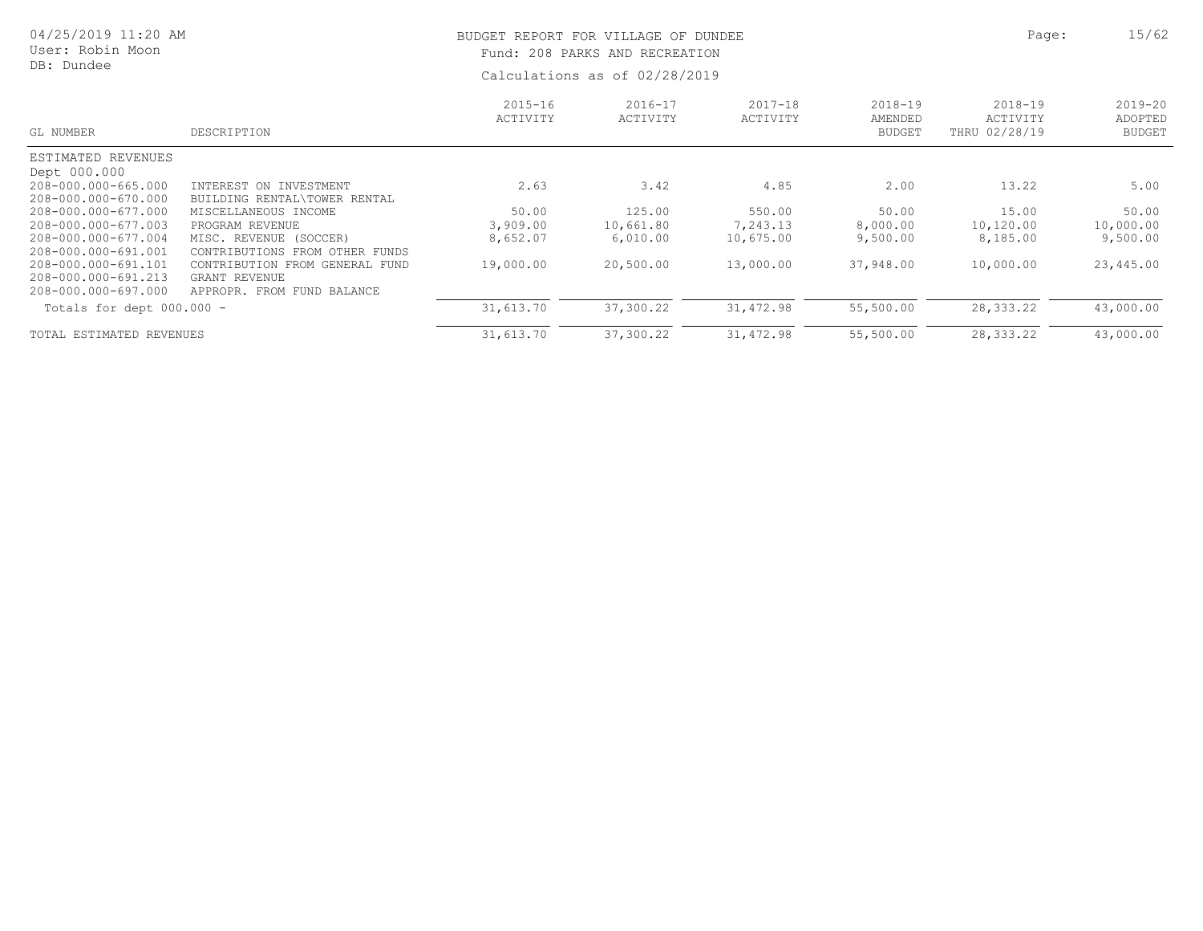| 04/25/2019 11:20 AM<br>User: Robin Moon<br>DB: Dundee |                                          |                         | BUDGET REPORT FOR VILLAGE OF DUNDEE<br>Fund: 208 PARKS AND RECREATION<br>Calculations as of 02/28/2019 | Page:                   | 15/62                                   |                                          |                                         |
|-------------------------------------------------------|------------------------------------------|-------------------------|--------------------------------------------------------------------------------------------------------|-------------------------|-----------------------------------------|------------------------------------------|-----------------------------------------|
| GL NUMBER                                             | DESCRIPTION                              | $2015 - 16$<br>ACTIVITY | 2016-17<br>ACTIVITY                                                                                    | $2017 - 18$<br>ACTIVITY | $2018 - 19$<br>AMENDED<br><b>BUDGET</b> | $2018 - 19$<br>ACTIVITY<br>THRU 02/28/19 | $2019 - 20$<br>ADOPTED<br><b>BUDGET</b> |
| ESTIMATED REVENUES                                    |                                          |                         |                                                                                                        |                         |                                         |                                          |                                         |
| Dept 000.000                                          |                                          |                         |                                                                                                        |                         |                                         |                                          |                                         |
| 208-000.000-665.000                                   | INTEREST ON INVESTMENT                   | 2.63                    | 3.42                                                                                                   | 4.85                    | 2.00                                    | 13.22                                    | 5.00                                    |
| 208-000.000-670.000                                   | BUILDING RENTAL\TOWER RENTAL             |                         |                                                                                                        |                         |                                         |                                          |                                         |
| 208-000.000-677.000                                   | MISCELLANEOUS INCOME                     | 50.00                   | 125.00                                                                                                 | 550.00                  | 50.00                                   | 15.00                                    | 50.00                                   |
| 208-000.000-677.003                                   | PROGRAM REVENUE                          | 3,909.00                | 10,661.80                                                                                              | 7,243.13                | 8,000.00                                | 10,120.00                                | 10,000.00                               |
| 208-000.000-677.004                                   | MISC. REVENUE (SOCCER)                   | 8,652.07                | 6,010.00                                                                                               | 10,675.00               | 9,500.00                                | 8,185.00                                 | 9,500.00                                |
| 208-000.000-691.001                                   | <b>CONTRIBUTIONS</b><br>FROM OTHER FUNDS |                         |                                                                                                        |                         |                                         |                                          |                                         |
| 208-000.000-691.101                                   | CONTRIBUTION FROM GENERAL FUND           | 19,000.00               | 20,500.00                                                                                              | 13,000.00               | 37,948.00                               | 10,000.00                                | 23,445.00                               |
| 208-000.000-691.213                                   | GRANT REVENUE                            |                         |                                                                                                        |                         |                                         |                                          |                                         |
| 208-000.000-697.000                                   | APPROPR. FROM FUND BALANCE               |                         |                                                                                                        |                         |                                         |                                          |                                         |
| Totals for dept 000.000 -                             |                                          | 31,613.70               | 37,300.22                                                                                              | 31,472.98               | 55,500.00                               | 28, 333. 22                              | 43,000.00                               |
| TOTAL ESTIMATED REVENUES                              |                                          | 31,613.70               | 37,300.22                                                                                              | 31, 472.98              | 55,500.00                               | 28,333.22                                | 43,000.00                               |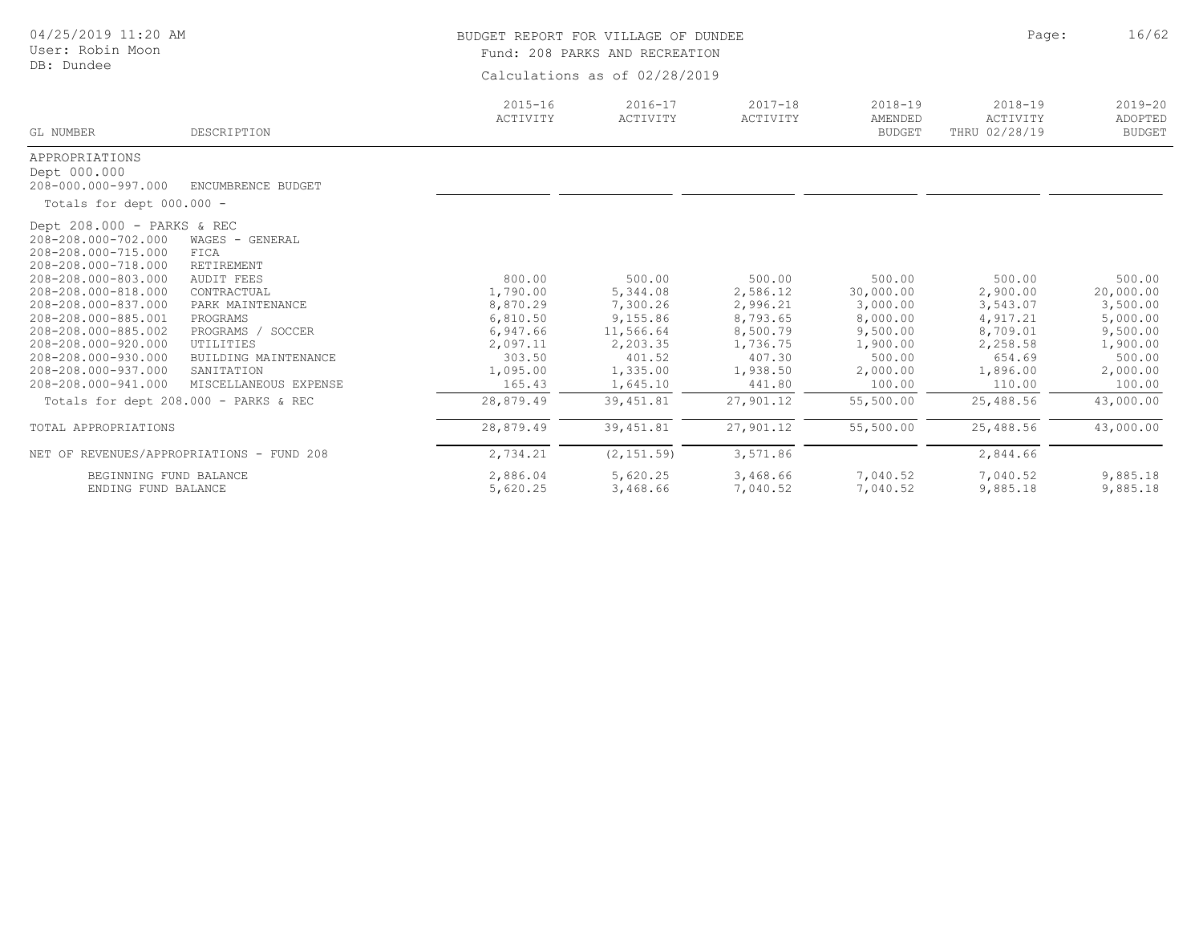| 04/25/2019 11:20 AM<br>User: Robin Moon                                                                                                                                                                                                                                                                        |                                                                                                                                                                                                            | BUDGET REPORT FOR VILLAGE OF DUNDEE                                                                | Fund: 208 PARKS AND RECREATION                                                                        |                                                                                                    |                                                                                                     | Page:                                                                                              | 16/62                                                                                               |
|----------------------------------------------------------------------------------------------------------------------------------------------------------------------------------------------------------------------------------------------------------------------------------------------------------------|------------------------------------------------------------------------------------------------------------------------------------------------------------------------------------------------------------|----------------------------------------------------------------------------------------------------|-------------------------------------------------------------------------------------------------------|----------------------------------------------------------------------------------------------------|-----------------------------------------------------------------------------------------------------|----------------------------------------------------------------------------------------------------|-----------------------------------------------------------------------------------------------------|
| DB: Dundee                                                                                                                                                                                                                                                                                                     |                                                                                                                                                                                                            | Calculations as of 02/28/2019                                                                      |                                                                                                       |                                                                                                    |                                                                                                     |                                                                                                    |                                                                                                     |
| GL NUMBER                                                                                                                                                                                                                                                                                                      | DESCRIPTION                                                                                                                                                                                                | $2015 - 16$<br>ACTIVITY                                                                            | $2016 - 17$<br>ACTIVITY                                                                               | $2017 - 18$<br>ACTIVITY                                                                            | $2018 - 19$<br>AMENDED<br><b>BUDGET</b>                                                             | $2018 - 19$<br>ACTIVITY<br>THRU 02/28/19                                                           | $2019 - 20$<br>ADOPTED<br><b>BUDGET</b>                                                             |
| APPROPRIATIONS<br>Dept 000.000<br>208-000.000-997.000                                                                                                                                                                                                                                                          | ENCUMBRENCE BUDGET                                                                                                                                                                                         |                                                                                                    |                                                                                                       |                                                                                                    |                                                                                                     |                                                                                                    |                                                                                                     |
| Totals for dept 000.000 -                                                                                                                                                                                                                                                                                      |                                                                                                                                                                                                            |                                                                                                    |                                                                                                       |                                                                                                    |                                                                                                     |                                                                                                    |                                                                                                     |
| Dept 208.000 - PARKS & REC<br>208-208.000-702.000<br>208-208.000-715.000<br>208-208.000-718.000<br>208-208.000-803.000<br>208-208.000-818.000<br>208-208.000-837.000<br>208-208.000-885.001<br>208-208.000-885.002<br>208-208.000-920.000<br>208-208.000-930.000<br>208-208.000-937.000<br>208-208.000-941.000 | WAGES - GENERAL<br>FICA<br>RETIREMENT<br><b>AUDIT FEES</b><br>CONTRACTUAL<br>PARK MAINTENANCE<br>PROGRAMS<br>PROGRAMS / SOCCER<br>UTILITIES<br>BUILDING MAINTENANCE<br>SANITATION<br>MISCELLANEOUS EXPENSE | 800.00<br>1,790.00<br>8,870.29<br>6,810.50<br>6,947.66<br>2,097.11<br>303.50<br>1,095.00<br>165.43 | 500.00<br>5,344.08<br>7,300.26<br>9,155.86<br>11,566.64<br>2,203.35<br>401.52<br>1,335.00<br>1,645.10 | 500.00<br>2,586.12<br>2,996.21<br>8,793.65<br>8,500.79<br>1,736.75<br>407.30<br>1,938.50<br>441.80 | 500.00<br>30,000.00<br>3,000.00<br>8,000.00<br>9,500.00<br>1,900.00<br>500.00<br>2,000.00<br>100.00 | 500.00<br>2,900.00<br>3,543.07<br>4,917.21<br>8,709.01<br>2,258.58<br>654.69<br>1,896.00<br>110.00 | 500.00<br>20,000.00<br>3,500.00<br>5,000.00<br>9,500.00<br>1,900.00<br>500.00<br>2,000.00<br>100.00 |
|                                                                                                                                                                                                                                                                                                                | Totals for dept 208.000 - PARKS & REC                                                                                                                                                                      | 28,879.49                                                                                          | 39,451.81                                                                                             | 27,901.12                                                                                          | 55,500.00                                                                                           | 25,488.56                                                                                          | 43,000.00                                                                                           |
| TOTAL APPROPRIATIONS                                                                                                                                                                                                                                                                                           |                                                                                                                                                                                                            | 28,879.49                                                                                          | 39, 451.81                                                                                            | 27,901.12                                                                                          | 55,500.00                                                                                           | 25,488.56                                                                                          | 43,000.00                                                                                           |
|                                                                                                                                                                                                                                                                                                                | NET OF REVENUES/APPROPRIATIONS - FUND 208                                                                                                                                                                  | 2,734.21                                                                                           | (2, 151.59)                                                                                           | 3,571.86                                                                                           |                                                                                                     | 2,844.66                                                                                           |                                                                                                     |
| BEGINNING FUND BALANCE<br>ENDING FUND BALANCE                                                                                                                                                                                                                                                                  |                                                                                                                                                                                                            | 2,886.04<br>5,620.25                                                                               | 5,620.25<br>3,468.66                                                                                  | 3,468.66<br>7,040.52                                                                               | 7,040.52<br>7,040.52                                                                                | 7,040.52<br>9,885.18                                                                               | 9,885.18<br>9,885.18                                                                                |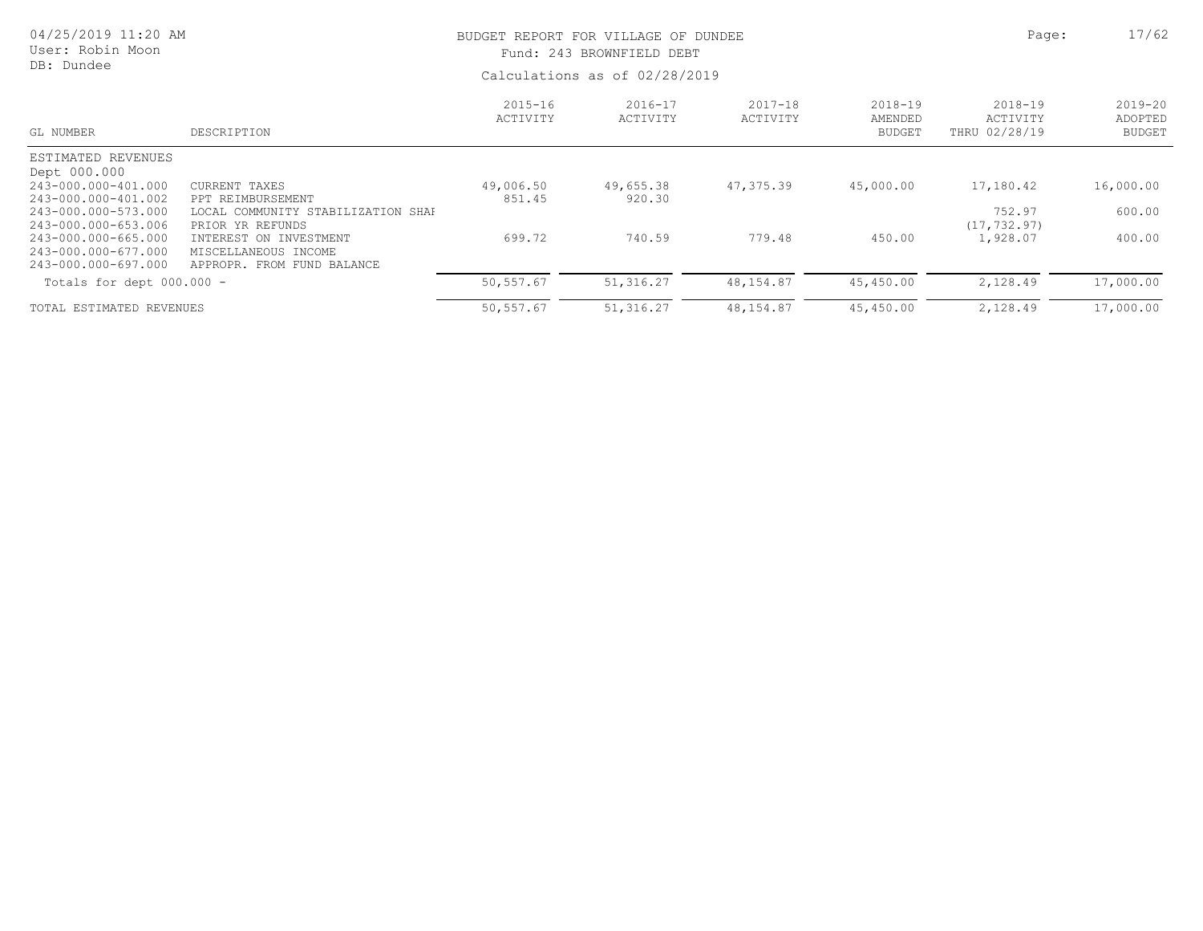| 04/25/2019 11:20 AM<br>User: Robin Moon<br>DB: Dundee                                    |                                                                                                  |                         | BUDGET REPORT FOR VILLAGE OF DUNDEE<br>Fund: 243 BROWNFIELD DEBT<br>Calculations as of 02/28/2019 | Page:                   | 17/62                                   |                                          |                                         |
|------------------------------------------------------------------------------------------|--------------------------------------------------------------------------------------------------|-------------------------|---------------------------------------------------------------------------------------------------|-------------------------|-----------------------------------------|------------------------------------------|-----------------------------------------|
| GL NUMBER                                                                                | DESCRIPTION                                                                                      | $2015 - 16$<br>ACTIVITY | $2016 - 17$<br>ACTIVITY                                                                           | $2017 - 18$<br>ACTIVITY | $2018 - 19$<br>AMENDED<br><b>BUDGET</b> | $2018 - 19$<br>ACTIVITY<br>THRU 02/28/19 | $2019 - 20$<br>ADOPTED<br><b>BUDGET</b> |
| ESTIMATED REVENUES<br>Dept 000.000                                                       |                                                                                                  |                         |                                                                                                   |                         |                                         |                                          |                                         |
| 243-000.000-401.000<br>243-000.000-401.002<br>243-000.000-573.000                        | CURRENT TAXES<br>PPT REIMBURSEMENT<br>LOCAL COMMUNITY STABILIZATION SHAF                         | 49,006.50<br>851.45     | 49,655.38<br>920.30                                                                               | 47,375.39               | 45,000.00                               | 17,180.42<br>752.97                      | 16,000.00<br>600.00                     |
| 243-000.000-653.006<br>243-000.000-665.000<br>243-000.000-677.000<br>243-000.000-697.000 | PRIOR YR REFUNDS<br>INTEREST ON INVESTMENT<br>MISCELLANEOUS INCOME<br>APPROPR. FROM FUND BALANCE | 699.72                  | 740.59                                                                                            | 779.48                  | 450.00                                  | (17, 732.97)<br>1,928.07                 | 400.00                                  |
| Totals for dept $000.000 -$                                                              |                                                                                                  | 50,557.67               | 51,316.27                                                                                         | 48,154.87               | 45,450.00                               | 2,128.49                                 | 17,000.00                               |
| TOTAL ESTIMATED REVENUES                                                                 |                                                                                                  | 50,557.67               | 51, 316.27                                                                                        | 48,154.87               | 45,450.00                               | 2,128.49                                 | 17,000.00                               |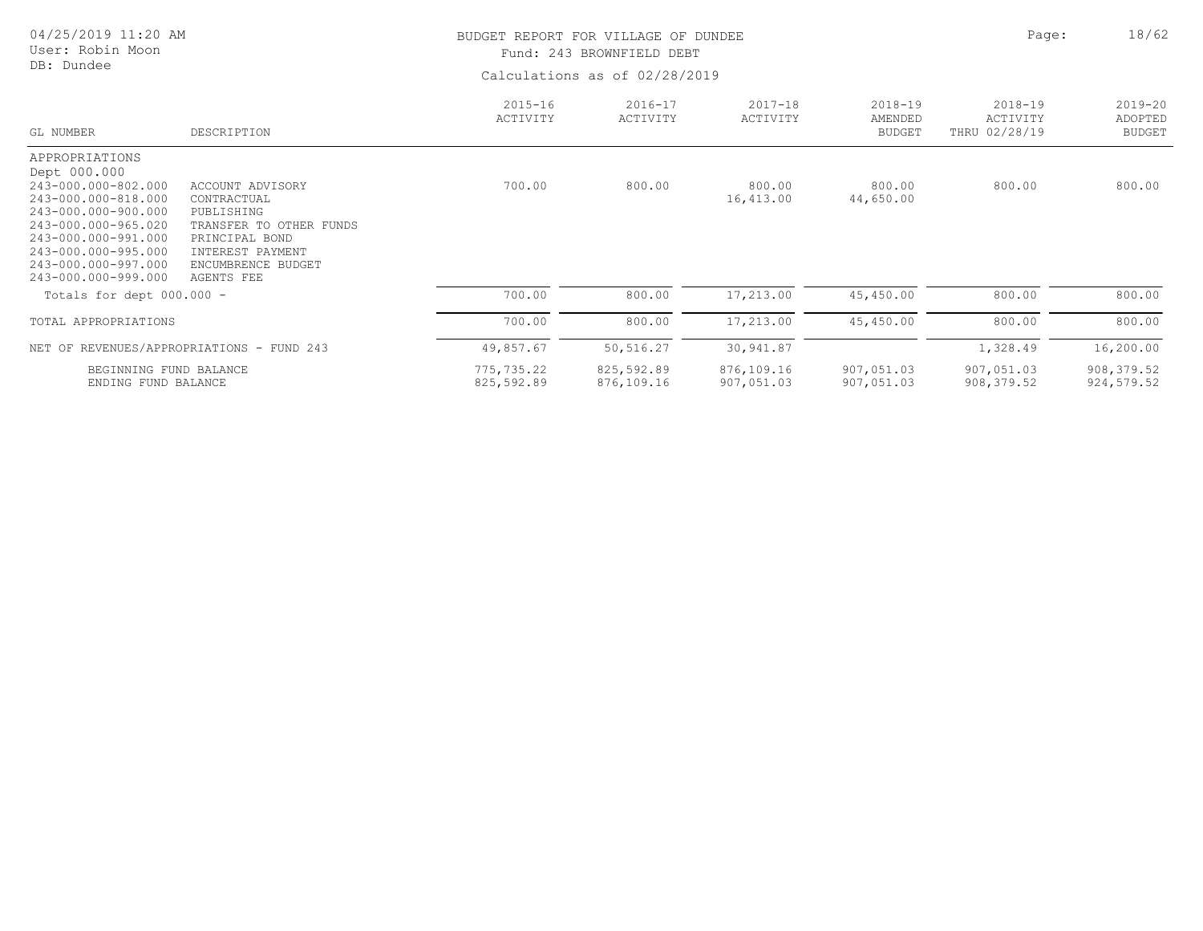| 04/25/2019 11:20 AM<br>User: Robin Moon<br>DB: Dundee                                                                                                                                                                  |                                                                                                                                                       |                          | BUDGET REPORT FOR VILLAGE OF DUNDEE<br>Fund: 243 BROWNFIELD DEBT<br>Calculations as of 02/28/2019 |                          |                                         |                                          |                                         |  |
|------------------------------------------------------------------------------------------------------------------------------------------------------------------------------------------------------------------------|-------------------------------------------------------------------------------------------------------------------------------------------------------|--------------------------|---------------------------------------------------------------------------------------------------|--------------------------|-----------------------------------------|------------------------------------------|-----------------------------------------|--|
| GL NUMBER                                                                                                                                                                                                              | DESCRIPTION                                                                                                                                           | $2015 - 16$<br>ACTIVITY  | $2016 - 17$<br>ACTIVITY                                                                           | $2017 - 18$<br>ACTIVITY  | $2018 - 19$<br>AMENDED<br><b>BUDGET</b> | $2018 - 19$<br>ACTIVITY<br>THRU 02/28/19 | $2019 - 20$<br>ADOPTED<br><b>BUDGET</b> |  |
| APPROPRIATIONS<br>Dept 000.000<br>243-000.000-802.000<br>243-000.000-818.000<br>243-000.000-900.000<br>243-000.000-965.020<br>243-000.000-991.000<br>243-000.000-995.000<br>243-000.000-997.000<br>243-000.000-999.000 | ACCOUNT ADVISORY<br>CONTRACTUAL<br>PUBLISHING<br>TRANSFER<br>TO OTHER FUNDS<br>PRINCIPAL BOND<br>INTEREST PAYMENT<br>ENCUMBRENCE BUDGET<br>AGENTS FEE | 700.00                   | 800.00                                                                                            | 800.00<br>16,413.00      | 800.00<br>44,650.00                     | 800.00                                   | 800.00                                  |  |
| Totals for dept 000.000 -                                                                                                                                                                                              |                                                                                                                                                       | 700.00                   | 800.00                                                                                            | 17,213.00                | 45,450.00                               | 800.00                                   | 800.00                                  |  |
| TOTAL APPROPRIATIONS                                                                                                                                                                                                   |                                                                                                                                                       | 700.00                   | 800.00                                                                                            | 17,213.00                | 45,450.00                               | 800.00                                   | 800.00                                  |  |
| NET OF REVENUES/APPROPRIATIONS - FUND 243                                                                                                                                                                              |                                                                                                                                                       | 49,857.67                | 50,516.27                                                                                         | 30,941.87                |                                         | 1,328.49                                 | 16,200.00                               |  |
| BEGINNING FUND BALANCE<br>ENDING FUND BALANCE                                                                                                                                                                          |                                                                                                                                                       | 775,735.22<br>825,592.89 | 825,592.89<br>876,109.16                                                                          | 876,109.16<br>907,051.03 | 907,051.03<br>907,051.03                | 907,051.03<br>908, 379.52                | 908, 379.52<br>924, 579.52              |  |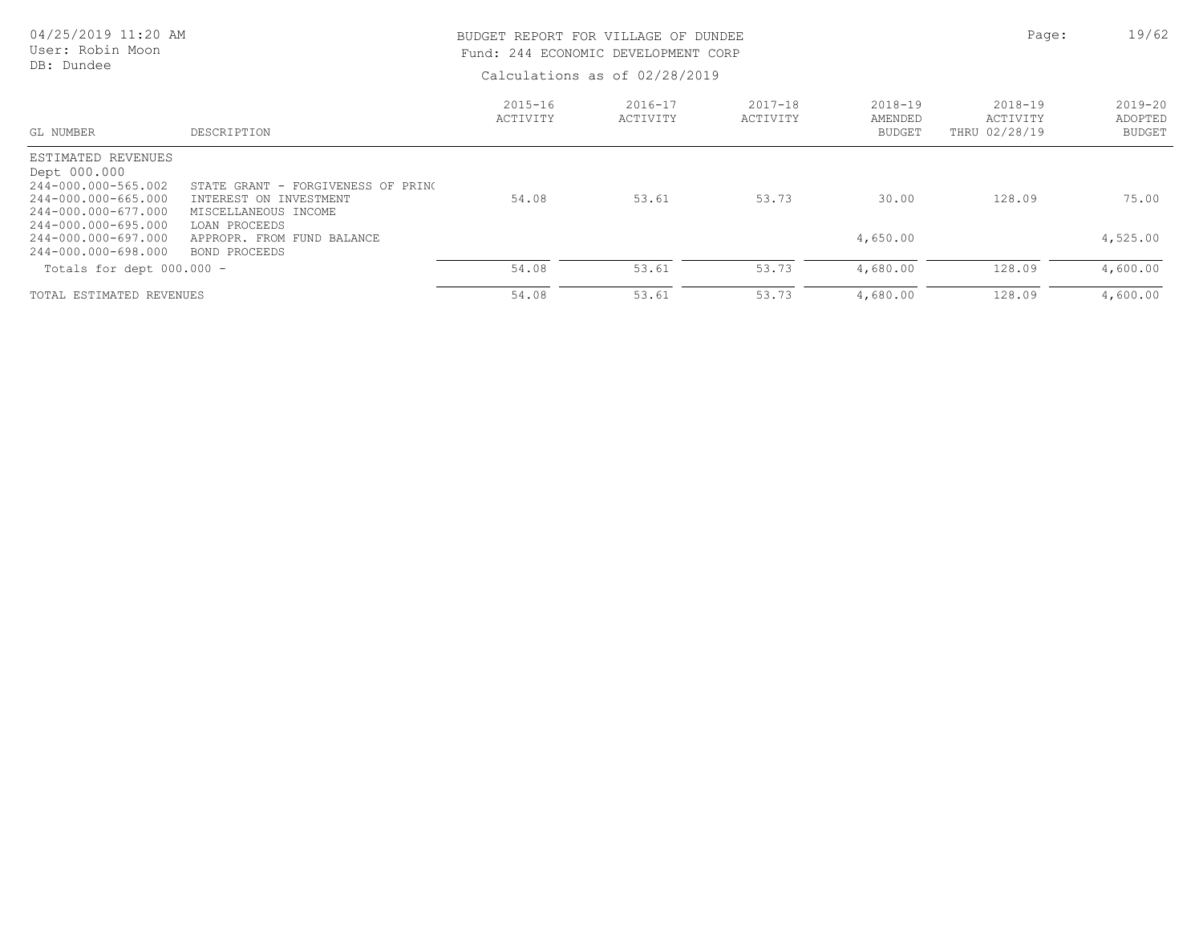| 04/25/2019 11:20 AM<br>User: Robin Moon<br>DB: Dundee                                                                                                                        |                                                                                                                                                      | BUDGET REPORT FOR VILLAGE OF DUNDEE<br>Fund: 244 ECONOMIC DEVELOPMENT CORP | Calculations as of 02/28/2019 | Page:                   | 19/62                                   |                                      |                                         |
|------------------------------------------------------------------------------------------------------------------------------------------------------------------------------|------------------------------------------------------------------------------------------------------------------------------------------------------|----------------------------------------------------------------------------|-------------------------------|-------------------------|-----------------------------------------|--------------------------------------|-----------------------------------------|
| GL NUMBER                                                                                                                                                                    | DESCRIPTION                                                                                                                                          | $2015 - 16$<br>ACTIVITY                                                    | $2016 - 17$<br>ACTIVITY       | $2017 - 18$<br>ACTIVITY | $2018 - 19$<br>AMENDED<br><b>BUDGET</b> | 2018-19<br>ACTIVITY<br>THRU 02/28/19 | $2019 - 20$<br>ADOPTED<br><b>BUDGET</b> |
| ESTIMATED REVENUES<br>Dept 000.000<br>244-000.000-565.002<br>244-000.000-665.000<br>244-000.000-677.000<br>244-000.000-695.000<br>244-000.000-697.000<br>244-000.000-698.000 | STATE GRANT - FORGIVENESS OF PRINC<br>INTEREST ON INVESTMENT<br>MISCELLANEOUS INCOME<br>LOAN PROCEEDS<br>APPROPR. FROM FUND BALANCE<br>BOND PROCEEDS | 54.08                                                                      | 53.61                         | 53.73                   | 30.00<br>4,650.00                       | 128.09                               | 75.00<br>4,525.00                       |
| Totals for dept 000.000 -                                                                                                                                                    |                                                                                                                                                      | 54.08                                                                      | 53.61                         | 53.73                   | 4,680.00                                | 128.09                               | 4,600.00                                |
| TOTAL ESTIMATED REVENUES                                                                                                                                                     |                                                                                                                                                      | 54.08                                                                      | 53.61                         | 53.73                   | 4,680.00                                | 128.09                               | 4,600.00                                |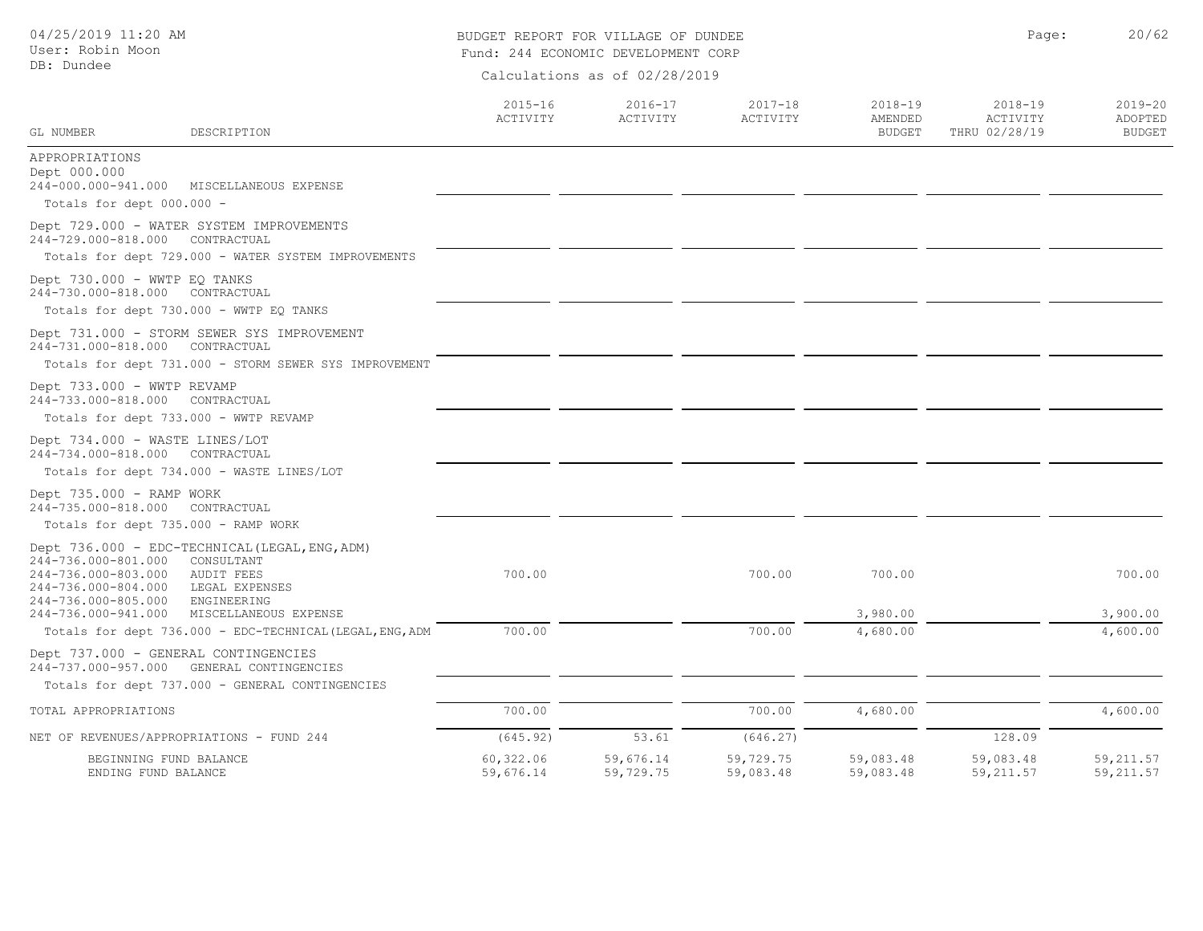| 04/25/2019 11:20 AM<br>User: Robin Moon                                                  |                                                                                                             | BUDGET REPORT FOR VILLAGE OF DUNDEE<br>Fund: 244 ECONOMIC DEVELOPMENT CORP | Page:                   | 20/62                   |                                         |                                          |                                         |  |  |
|------------------------------------------------------------------------------------------|-------------------------------------------------------------------------------------------------------------|----------------------------------------------------------------------------|-------------------------|-------------------------|-----------------------------------------|------------------------------------------|-----------------------------------------|--|--|
| DB: Dundee                                                                               |                                                                                                             | Calculations as of 02/28/2019                                              |                         |                         |                                         |                                          |                                         |  |  |
| GL NUMBER                                                                                | DESCRIPTION                                                                                                 | $2015 - 16$<br>ACTIVITY                                                    | $2016 - 17$<br>ACTIVITY | $2017 - 18$<br>ACTIVITY | $2018 - 19$<br>AMENDED<br><b>BUDGET</b> | $2018 - 19$<br>ACTIVITY<br>THRU 02/28/19 | $2019 - 20$<br>ADOPTED<br><b>BUDGET</b> |  |  |
| APPROPRIATIONS<br>Dept 000.000<br>244-000.000-941.000<br>Totals for dept 000.000 -       | MISCELLANEOUS EXPENSE                                                                                       |                                                                            |                         |                         |                                         |                                          |                                         |  |  |
| 244-729.000-818.000 CONTRACTUAL                                                          | Dept 729.000 - WATER SYSTEM IMPROVEMENTS                                                                    |                                                                            |                         |                         |                                         |                                          |                                         |  |  |
|                                                                                          | Totals for dept 729.000 - WATER SYSTEM IMPROVEMENTS                                                         |                                                                            |                         |                         |                                         |                                          |                                         |  |  |
| Dept 730.000 - WWTP EQ TANKS<br>244-730.000-818.000 CONTRACTUAL                          |                                                                                                             |                                                                            |                         |                         |                                         |                                          |                                         |  |  |
|                                                                                          | Totals for dept 730.000 - WWTP EQ TANKS                                                                     |                                                                            |                         |                         |                                         |                                          |                                         |  |  |
| 244-731.000-818.000                                                                      | Dept 731.000 - STORM SEWER SYS IMPROVEMENT<br>CONTRACTUAL                                                   |                                                                            |                         |                         |                                         |                                          |                                         |  |  |
|                                                                                          | Totals for dept 731.000 - STORM SEWER SYS IMPROVEMENT                                                       |                                                                            |                         |                         |                                         |                                          |                                         |  |  |
| Dept 733.000 - WWTP REVAMP<br>244-733.000-818.000 CONTRACTUAL                            |                                                                                                             |                                                                            |                         |                         |                                         |                                          |                                         |  |  |
| Totals for dept 733.000 - WWTP REVAMP                                                    |                                                                                                             |                                                                            |                         |                         |                                         |                                          |                                         |  |  |
| Dept 734.000 - WASTE LINES/LOT<br>244-734.000-818.000                                    | CONTRACTUAL                                                                                                 |                                                                            |                         |                         |                                         |                                          |                                         |  |  |
|                                                                                          | Totals for dept 734.000 - WASTE LINES/LOT                                                                   |                                                                            |                         |                         |                                         |                                          |                                         |  |  |
| Dept 735.000 - RAMP WORK<br>244-735.000-818.000                                          | CONTRACTUAL                                                                                                 |                                                                            |                         |                         |                                         |                                          |                                         |  |  |
| Totals for dept 735.000 - RAMP WORK                                                      |                                                                                                             |                                                                            |                         |                         |                                         |                                          |                                         |  |  |
| 244-736.000-801.000<br>244-736.000-803.000<br>244-736.000-804.000<br>244-736.000-805.000 | Dept 736.000 - EDC-TECHNICAL (LEGAL, ENG, ADM)<br>CONSULTANT<br>AUDIT FEES<br>LEGAL EXPENSES<br>ENGINEERING | 700.00                                                                     |                         | 700.00                  | 700.00                                  |                                          | 700.00                                  |  |  |
| 244-736.000-941.000                                                                      | MISCELLANEOUS EXPENSE                                                                                       | 700.00                                                                     |                         | 700.00                  | 3,980.00<br>4,680.00                    |                                          | 3,900.00<br>4,600.00                    |  |  |
|                                                                                          | Totals for dept 736.000 - EDC-TECHNICAL (LEGAL, ENG, ADM                                                    |                                                                            |                         |                         |                                         |                                          |                                         |  |  |
| Dept 737.000 - GENERAL CONTINGENCIES                                                     | 244-737.000-957.000 GENERAL CONTINGENCIES                                                                   |                                                                            |                         |                         |                                         |                                          |                                         |  |  |
|                                                                                          | Totals for dept 737.000 - GENERAL CONTINGENCIES                                                             |                                                                            |                         |                         |                                         |                                          |                                         |  |  |
| TOTAL APPROPRIATIONS                                                                     |                                                                                                             | 700.00                                                                     |                         | 700.00                  | 4,680.00                                |                                          | 4,600.00                                |  |  |
| NET OF REVENUES/APPROPRIATIONS - FUND 244                                                |                                                                                                             | (645.92)                                                                   | 53.61                   | (646.27)                |                                         | 128.09                                   |                                         |  |  |
| BEGINNING FUND BALANCE<br>ENDING FUND BALANCE                                            |                                                                                                             | 60,322.06<br>59,676.14                                                     | 59,676.14<br>59,729.75  | 59,729.75<br>59,083.48  | 59,083.48<br>59,083.48                  | 59,083.48<br>59, 211.57                  | 59, 211.57<br>59, 211.57                |  |  |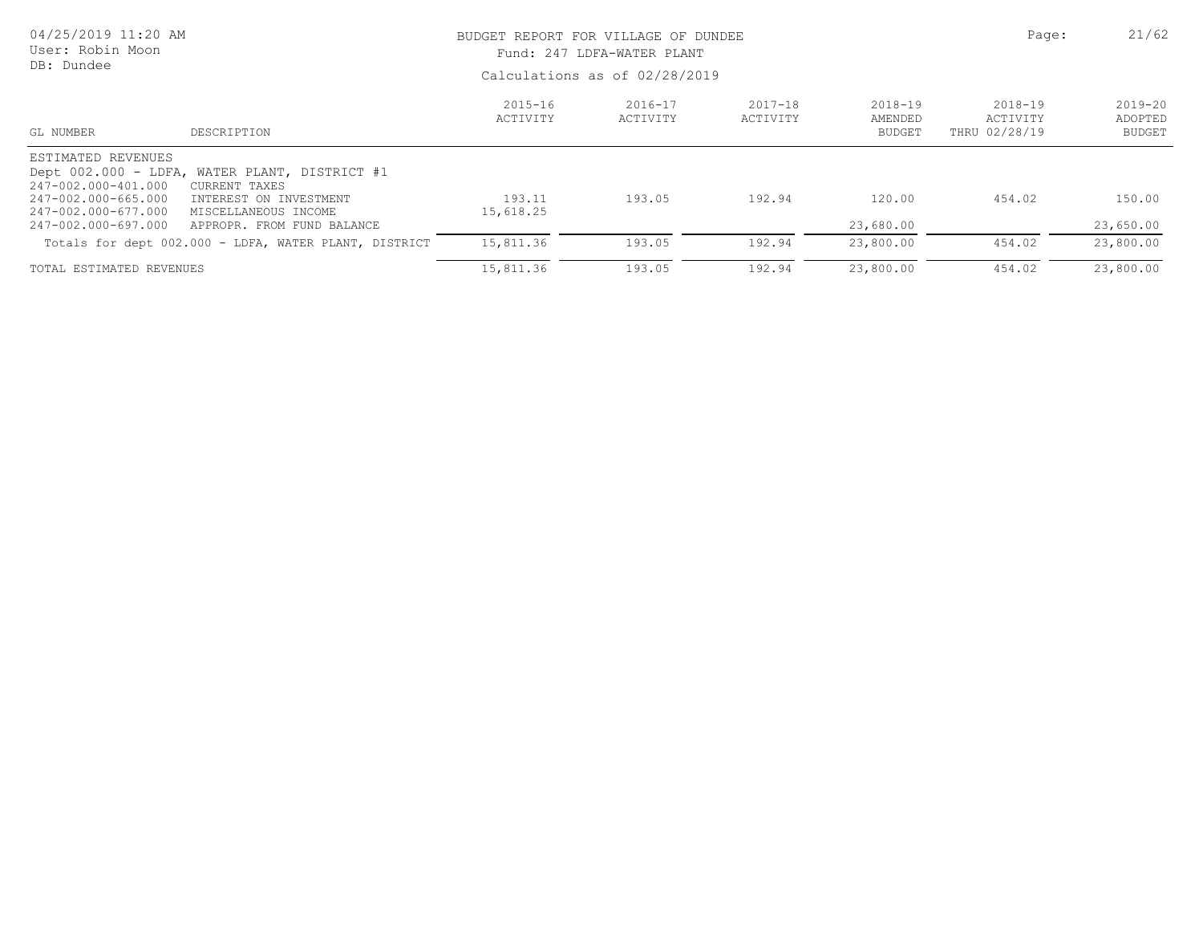| 04/25/2019 11:20 AM<br>User: Robin Moon<br>DB: Dundee                                                          |                                                                                                                                                | BUDGET REPORT FOR VILLAGE OF DUNDEE<br>Fund: 247 LDFA-WATER PLANT<br>Calculations as of 02/28/2019 | Page:                   | 21/62                   |                                     |                                      |                                         |
|----------------------------------------------------------------------------------------------------------------|------------------------------------------------------------------------------------------------------------------------------------------------|----------------------------------------------------------------------------------------------------|-------------------------|-------------------------|-------------------------------------|--------------------------------------|-----------------------------------------|
| GL NUMBER                                                                                                      | DESCRIPTION                                                                                                                                    | $2015 - 16$<br>ACTIVITY                                                                            | $2016 - 17$<br>ACTIVITY | $2017 - 18$<br>ACTIVITY | 2018-19<br>AMENDED<br><b>BUDGET</b> | 2018-19<br>ACTIVITY<br>THRU 02/28/19 | $2019 - 20$<br>ADOPTED<br><b>BUDGET</b> |
| ESTIMATED REVENUES<br>247-002.000-401.000<br>247-002.000-665.000<br>247-002.000-677.000<br>247-002.000-697.000 | Dept 002.000 - LDFA, WATER PLANT, DISTRICT #1<br>CURRENT TAXES<br>INTEREST ON INVESTMENT<br>MISCELLANEOUS INCOME<br>APPROPR. FROM FUND BALANCE | 193.11<br>15,618.25                                                                                | 193.05                  | 192.94                  | 120.00<br>23,680.00                 | 454.02                               | 150.00<br>23,650.00                     |
|                                                                                                                | Totals for dept 002.000 - LDFA, WATER PLANT, DISTRICT                                                                                          | 15,811.36                                                                                          | 193.05                  | 192.94                  | 23,800.00                           | 454.02                               | 23,800.00                               |
| TOTAL ESTIMATED REVENUES                                                                                       |                                                                                                                                                | 15,811.36                                                                                          | 193.05                  | 192.94                  | 23,800.00                           | 454.02                               | 23,800.00                               |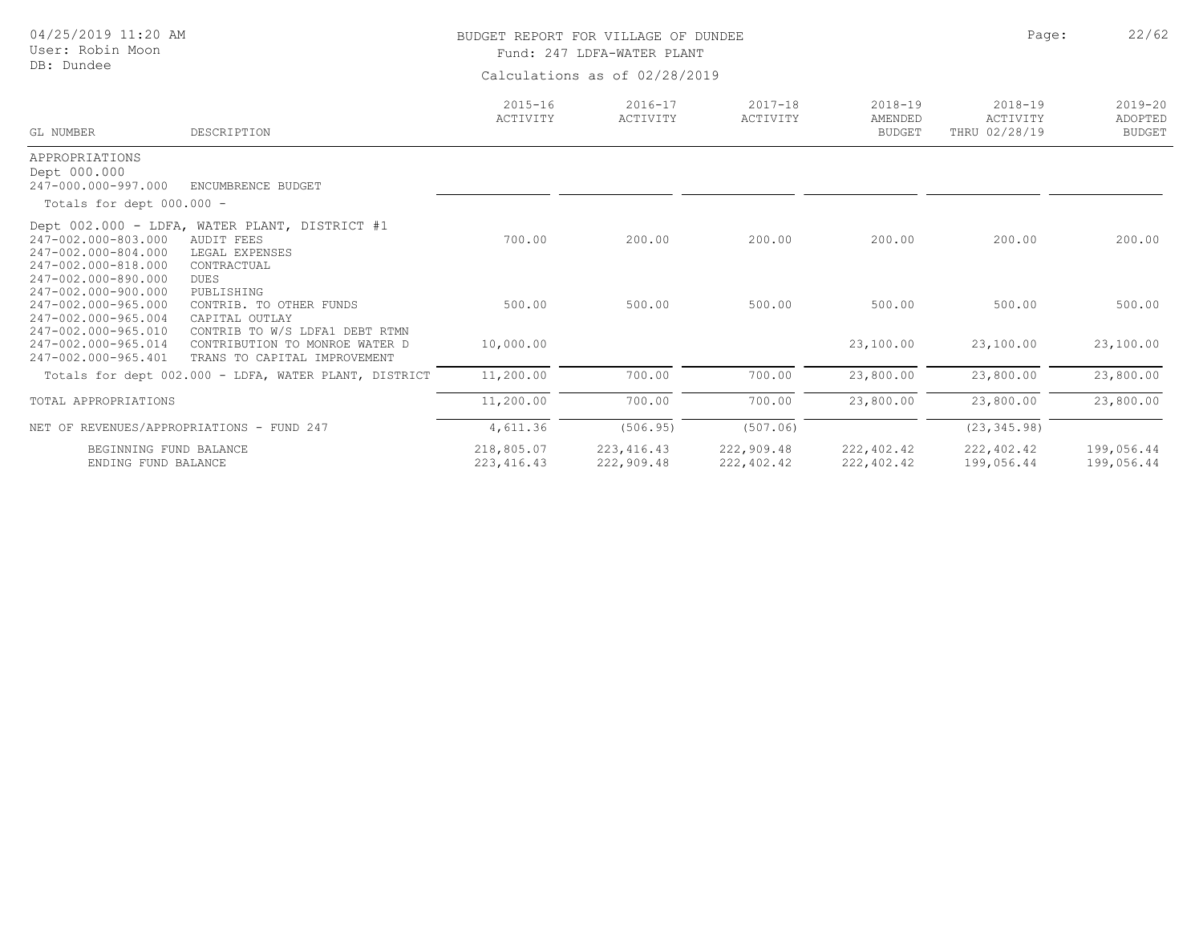| 04/25/2019 11:20 AM<br>User: Robin Moon                                                  |                                                                                                                    |                               | BUDGET REPORT FOR VILLAGE OF DUNDEE<br>Fund: 247 LDFA-WATER PLANT | Page:                    | 22/62                                   |                                          |                                         |  |  |
|------------------------------------------------------------------------------------------|--------------------------------------------------------------------------------------------------------------------|-------------------------------|-------------------------------------------------------------------|--------------------------|-----------------------------------------|------------------------------------------|-----------------------------------------|--|--|
| DB: Dundee                                                                               |                                                                                                                    | Calculations as of 02/28/2019 |                                                                   |                          |                                         |                                          |                                         |  |  |
| GL NUMBER                                                                                | DESCRIPTION                                                                                                        | $2015 - 16$<br>ACTIVITY       | $2016 - 17$<br>ACTIVITY                                           | $2017 - 18$<br>ACTIVITY  | $2018 - 19$<br>AMENDED<br><b>BUDGET</b> | $2018 - 19$<br>ACTIVITY<br>THRU 02/28/19 | $2019 - 20$<br>ADOPTED<br><b>BUDGET</b> |  |  |
| APPROPRIATIONS<br>Dept 000.000<br>247-000.000-997.000                                    | ENCUMBRENCE BUDGET                                                                                                 |                               |                                                                   |                          |                                         |                                          |                                         |  |  |
| Totals for dept $000.000 -$                                                              |                                                                                                                    |                               |                                                                   |                          |                                         |                                          |                                         |  |  |
| 247-002.000-803.000<br>247-002.000-804.000<br>247-002.000-818.000<br>247-002.000-890.000 | Dept 002.000 - LDFA, WATER PLANT, DISTRICT #1<br><b>AUDIT FEES</b><br>LEGAL EXPENSES<br>CONTRACTUAL<br><b>DUES</b> | 700.00                        | 200.00                                                            | 200.00                   | 200.00                                  | 200.00                                   | 200.00                                  |  |  |
| 247-002.000-900.000<br>247-002.000-965.000<br>247-002.000-965.004                        | PUBLISHING<br>CONTRIB. TO OTHER FUNDS<br>CAPITAL OUTLAY                                                            | 500.00                        | 500.00                                                            | 500.00                   | 500.00                                  | 500.00                                   | 500.00                                  |  |  |
| 247-002.000-965.010<br>247-002.000-965.014<br>247-002.000-965.401                        | CONTRIB TO W/S LDFA1 DEBT RTMN<br>CONTRIBUTION TO MONROE WATER D<br>TRANS TO CAPITAL IMPROVEMENT                   | 10,000.00                     |                                                                   |                          | 23,100.00                               | 23,100.00                                | 23,100.00                               |  |  |
|                                                                                          | Totals for dept 002.000 - LDFA, WATER PLANT, DISTRICT                                                              | 11,200.00                     | 700.00                                                            | 700.00                   | 23,800.00                               | 23,800.00                                | 23,800.00                               |  |  |
| TOTAL APPROPRIATIONS                                                                     |                                                                                                                    | 11,200.00                     | 700.00                                                            | 700.00                   | 23,800.00                               | 23,800.00                                | 23,800.00                               |  |  |
| NET OF REVENUES/APPROPRIATIONS - FUND 247                                                |                                                                                                                    | 4,611.36                      | (506.95)                                                          | (507.06)                 |                                         | (23, 345.98)                             |                                         |  |  |
| BEGINNING FUND BALANCE<br>ENDING FUND BALANCE                                            |                                                                                                                    | 218,805.07<br>223, 416.43     | 223, 416.43<br>222,909.48                                         | 222,909.48<br>222,402.42 | 222,402.42<br>222,402.42                | 222,402.42<br>199,056.44                 | 199,056.44<br>199,056.44                |  |  |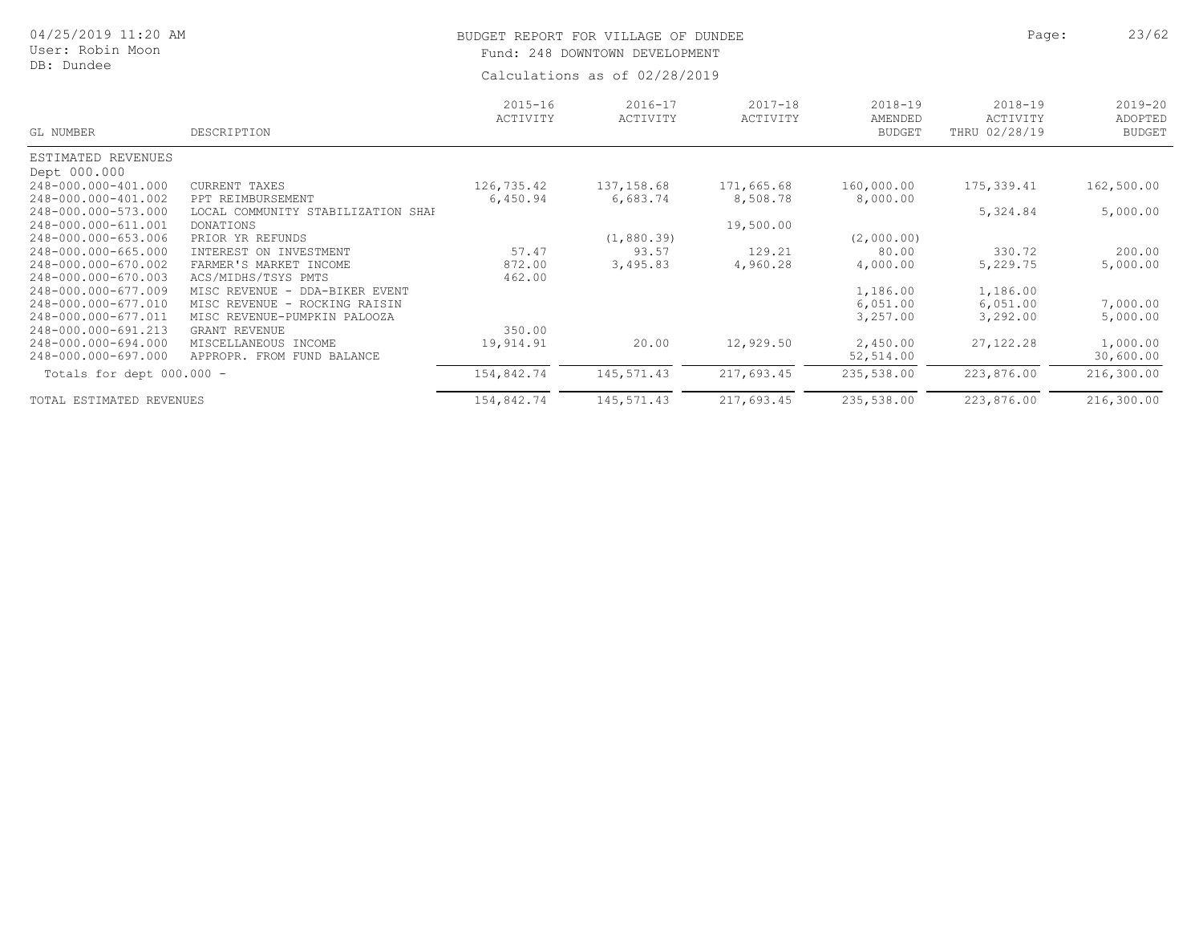| 04/25/2019 11:20 AM<br>User: Robin Moon<br>DB: Dundee |                                                            | BUDGET REPORT FOR VILLAGE OF DUNDEE<br>248 DOWNTOWN DEVELOPMENT<br>Fund:<br>Calculations as of 02/28/2019 | Page:                   | 23/62                   |                                         |                                          |                                         |
|-------------------------------------------------------|------------------------------------------------------------|-----------------------------------------------------------------------------------------------------------|-------------------------|-------------------------|-----------------------------------------|------------------------------------------|-----------------------------------------|
| GL NUMBER                                             | DESCRIPTION                                                | $2015 - 16$<br>ACTIVITY                                                                                   | $2016 - 17$<br>ACTIVITY | $2017 - 18$<br>ACTIVITY | $2018 - 19$<br>AMENDED<br><b>BUDGET</b> | $2018 - 19$<br>ACTIVITY<br>THRU 02/28/19 | $2019 - 20$<br>ADOPTED<br><b>BUDGET</b> |
| ESTIMATED REVENUES                                    |                                                            |                                                                                                           |                         |                         |                                         |                                          |                                         |
| Dept 000.000                                          |                                                            |                                                                                                           |                         |                         |                                         |                                          |                                         |
| 248-000.000-401.000                                   | CURRENT TAXES                                              | 126,735.42                                                                                                | 137, 158.68             | 171,665.68              | 160,000.00                              | 175,339.41                               | 162,500.00                              |
| 248-000.000-401.002                                   | PPT REIMBURSEMENT                                          | 6,450.94                                                                                                  | 6,683.74                | 8,508.78                | 8,000.00                                |                                          |                                         |
| 248-000.000-573.000                                   | LOCAL COMMUNITY STABILIZATION SHAF                         |                                                                                                           |                         |                         |                                         | 5,324.84                                 | 5,000.00                                |
| 248-000.000-611.001                                   | <b>DONATIONS</b>                                           |                                                                                                           |                         | 19,500.00               |                                         |                                          |                                         |
| 248-000.000-653.006                                   | PRIOR YR REFUNDS                                           |                                                                                                           | (1, 880.39)             |                         | (2,000.00)                              |                                          |                                         |
| 248-000.000-665.000                                   | INTEREST ON INVESTMENT                                     | 57.47                                                                                                     | 93.57                   | 129.21                  | 80.00                                   | 330.72                                   | 200.00                                  |
| 248-000.000-670.002                                   | FARMER'S MARKET INCOME                                     | 872.00                                                                                                    | 3,495.83                | 4,960.28                | 4,000.00                                | 5,229.75                                 | 5,000.00                                |
| 248-000.000-670.003                                   | ACS/MIDHS/TSYS PMTS                                        | 462.00                                                                                                    |                         |                         |                                         |                                          |                                         |
| 248-000.000-677.009                                   | MISC REVENUE<br>DDA-BIKER EVENT<br>$\sim$                  |                                                                                                           |                         |                         | 1,186.00                                | 1,186.00                                 |                                         |
| 248-000.000-677.010                                   | MISC REVENUE<br>ROCKING RAISIN<br>$\overline{\phantom{0}}$ |                                                                                                           |                         |                         | 6,051.00                                | 6,051.00                                 | 7,000.00                                |
| 248-000.000-677.011                                   | MISC REVENUE-PUMPKIN PALOOZA                               |                                                                                                           |                         |                         | 3,257.00                                | 3,292.00                                 | 5,000.00                                |
| 248-000.000-691.213                                   | <b>GRANT REVENUE</b>                                       | 350.00                                                                                                    |                         |                         |                                         |                                          |                                         |
| 248-000.000-694.000                                   | MISCELLANEOUS INCOME                                       | 19,914.91                                                                                                 | 20.00                   | 12,929.50               | 2,450.00                                | 27, 122.28                               | 1,000.00                                |
| 248-000.000-697.000                                   | APPROPR. FROM FUND BALANCE                                 |                                                                                                           |                         |                         | 52,514.00                               |                                          | 30,600.00                               |
| Totals for dept 000.000 -                             |                                                            | 154,842.74                                                                                                | 145,571.43              | 217,693.45              | 235,538.00                              | 223,876.00                               | 216,300.00                              |
| TOTAL ESTIMATED REVENUES                              |                                                            | 154,842.74                                                                                                | 145,571.43              | 217,693.45              | 235,538.00                              | 223,876.00                               | 216,300.00                              |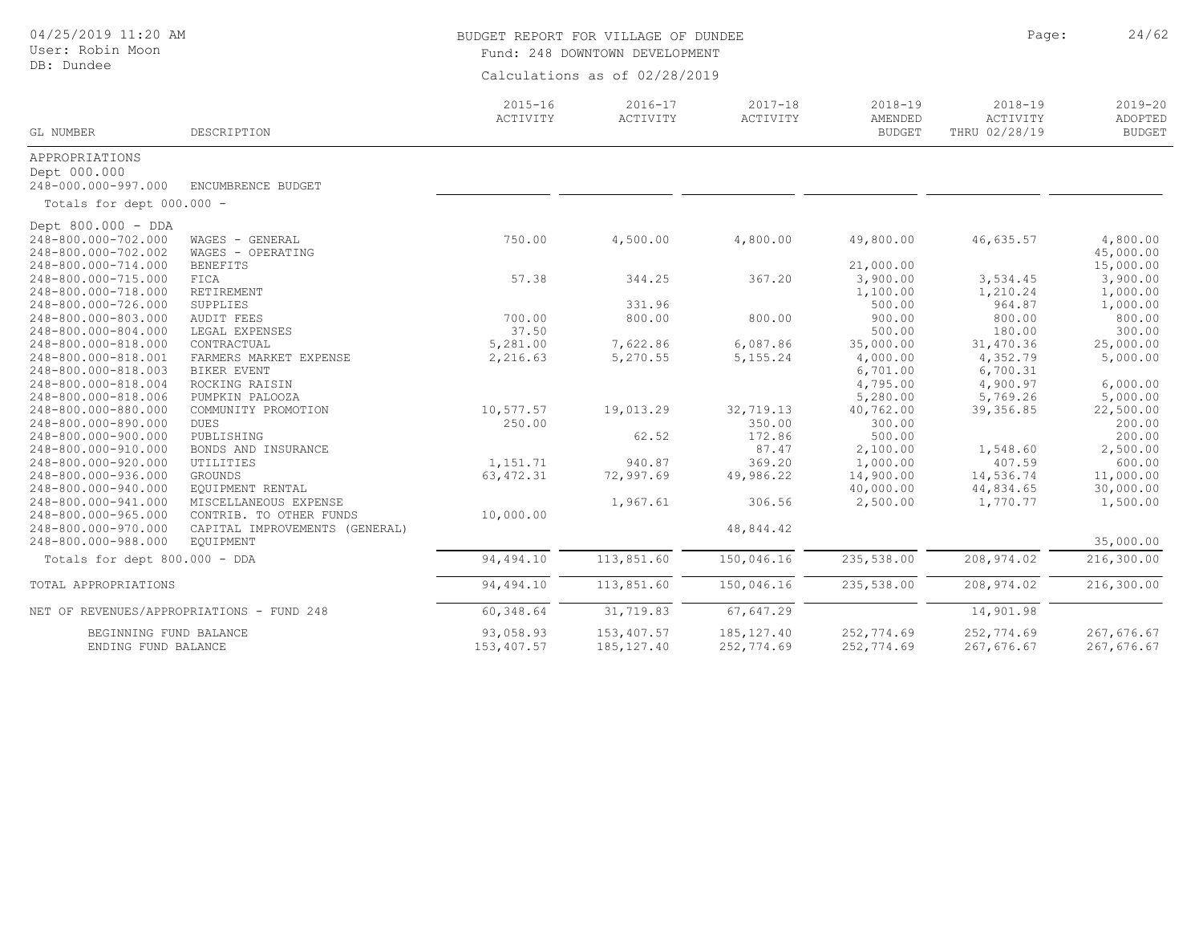| 04/25/2019 11:20 AM<br>User: Robin Moon<br>DB: Dundee |                                           | Page:<br>BUDGET REPORT FOR VILLAGE OF DUNDEE<br>Fund: 248 DOWNTOWN DEVELOPMENT |                         |                         |                                         |                                          |                                         |  |  |  |
|-------------------------------------------------------|-------------------------------------------|--------------------------------------------------------------------------------|-------------------------|-------------------------|-----------------------------------------|------------------------------------------|-----------------------------------------|--|--|--|
|                                                       |                                           | Calculations as of 02/28/2019                                                  |                         |                         |                                         |                                          |                                         |  |  |  |
| GL NUMBER                                             | DESCRIPTION                               | $2015 - 16$<br>ACTIVITY                                                        | $2016 - 17$<br>ACTIVITY | $2017 - 18$<br>ACTIVITY | $2018 - 19$<br>AMENDED<br><b>BUDGET</b> | $2018 - 19$<br>ACTIVITY<br>THRU 02/28/19 | $2019 - 20$<br>ADOPTED<br><b>BUDGET</b> |  |  |  |
| APPROPRIATIONS                                        |                                           |                                                                                |                         |                         |                                         |                                          |                                         |  |  |  |
| Dept 000.000                                          |                                           |                                                                                |                         |                         |                                         |                                          |                                         |  |  |  |
| 248-000.000-997.000                                   | ENCUMBRENCE BUDGET                        |                                                                                |                         |                         |                                         |                                          |                                         |  |  |  |
| Totals for dept 000.000 -                             |                                           |                                                                                |                         |                         |                                         |                                          |                                         |  |  |  |
| Dept 800.000 - DDA                                    |                                           |                                                                                |                         |                         |                                         |                                          |                                         |  |  |  |
| 248-800.000-702.000                                   | WAGES - GENERAL                           | 750.00                                                                         | 4,500.00                | 4,800.00                | 49,800.00                               | 46,635.57                                | 4,800.00                                |  |  |  |
| 248-800.000-702.002                                   | WAGES - OPERATING                         |                                                                                |                         |                         |                                         |                                          | 45,000.00                               |  |  |  |
| 248-800.000-714.000                                   | <b>BENEFITS</b>                           |                                                                                |                         |                         | 21,000.00                               |                                          | 15,000.00                               |  |  |  |
| 248-800.000-715.000                                   | FICA                                      | 57.38                                                                          | 344.25                  | 367.20                  | 3,900.00                                | 3,534.45                                 | 3,900.00                                |  |  |  |
| 248-800.000-718.000                                   | RETIREMENT                                |                                                                                |                         |                         | 1,100.00                                | 1,210.24                                 | 1,000.00                                |  |  |  |
| 248-800.000-726.000                                   | SUPPLIES                                  |                                                                                | 331.96                  |                         | 500.00                                  | 964.87                                   | 1,000.00                                |  |  |  |
| 248-800.000-803.000                                   | AUDIT FEES                                | 700.00                                                                         | 800.00                  | 800.00                  | 900.00                                  | 800.00                                   | 800.00                                  |  |  |  |
| 248-800.000-804.000                                   | LEGAL EXPENSES                            | 37.50                                                                          |                         |                         | 500.00                                  | 180.00                                   | 300.00                                  |  |  |  |
| 248-800.000-818.000                                   | CONTRACTUAL                               | 5,281.00                                                                       | 7,622.86                | 6,087.86                | 35,000.00                               | 31,470.36                                | 25,000.00                               |  |  |  |
| 248-800.000-818.001                                   | FARMERS MARKET EXPENSE                    | 2,216.63                                                                       | 5,270.55                | 5,155.24                | 4,000.00                                | 4,352.79                                 | 5,000.00                                |  |  |  |
| 248-800.000-818.003                                   | <b>BIKER EVENT</b>                        |                                                                                |                         |                         | 6,701.00                                | 6,700.31                                 |                                         |  |  |  |
| 248-800.000-818.004                                   | ROCKING RAISIN                            |                                                                                |                         |                         | 4,795.00                                | 4,900.97                                 | 6,000.00                                |  |  |  |
| 248-800.000-818.006                                   | PUMPKIN PALOOZA                           |                                                                                |                         |                         | 5,280.00                                | 5,769.26                                 | 5,000.00                                |  |  |  |
| 248-800.000-880.000                                   | COMMUNITY PROMOTION                       | 10,577.57                                                                      | 19,013.29               | 32,719.13               | 40,762.00                               | 39, 356.85                               | 22,500.00                               |  |  |  |
| 248-800.000-890.000                                   | <b>DUES</b>                               | 250.00                                                                         |                         | 350.00                  | 300.00                                  |                                          | 200.00                                  |  |  |  |
| 248-800.000-900.000                                   | PUBLISHING                                |                                                                                | 62.52                   | 172.86                  | 500.00                                  |                                          | 200.00                                  |  |  |  |
| 248-800.000-910.000                                   | BONDS AND INSURANCE                       |                                                                                |                         | 87.47                   | 2,100.00                                | 1,548.60                                 | 2,500.00                                |  |  |  |
| 248-800.000-920.000                                   | UTILITIES                                 | 1,151.71                                                                       | 940.87                  | 369.20                  | 1,000.00                                | 407.59                                   | 600.00                                  |  |  |  |
| 248-800.000-936.000                                   | GROUNDS                                   | 63, 472.31                                                                     | 72,997.69               | 49,986.22               | 14,900.00                               | 14,536.74                                | 11,000.00                               |  |  |  |
| 248-800.000-940.000                                   | EQUIPMENT RENTAL                          |                                                                                |                         |                         | 40,000.00                               | 44,834.65                                | 30,000.00                               |  |  |  |
| 248-800.000-941.000                                   | MISCELLANEOUS EXPENSE                     |                                                                                | 1,967.61                | 306.56                  | 2,500.00                                | 1,770.77                                 | 1,500.00                                |  |  |  |
| 248-800.000-965.000                                   | CONTRIB. TO OTHER FUNDS                   | 10,000.00                                                                      |                         |                         |                                         |                                          |                                         |  |  |  |
| 248-800.000-970.000                                   | CAPITAL IMPROVEMENTS (GENERAL)            |                                                                                |                         | 48,844.42               |                                         |                                          |                                         |  |  |  |
| 248-800.000-988.000                                   | EOUIPMENT                                 |                                                                                |                         |                         |                                         |                                          | 35,000.00                               |  |  |  |
| Totals for dept 800.000 - DDA                         |                                           | 94,494.10                                                                      | 113,851.60              | 150,046.16              | 235,538.00                              | 208, 974.02                              | 216,300.00                              |  |  |  |
| TOTAL APPROPRIATIONS                                  |                                           | 94,494.10                                                                      | 113,851.60              | 150,046.16              | 235,538.00                              | 208,974.02                               | 216,300.00                              |  |  |  |
|                                                       | NET OF REVENUES/APPROPRIATIONS - FUND 248 | 60, 348.64                                                                     | 31,719.83               | 67,647.29               |                                         | 14,901.98                                |                                         |  |  |  |
| BEGINNING FUND BALANCE                                |                                           | 93,058.93                                                                      | 153,407.57              | 185, 127.40             | 252,774.69                              | 252,774.69                               | 267,676.67                              |  |  |  |
| ENDING FUND BALANCE                                   |                                           | 153,407.57                                                                     | 185, 127.40             | 252,774.69              | 252,774.69                              | 267,676.67                               | 267,676.67                              |  |  |  |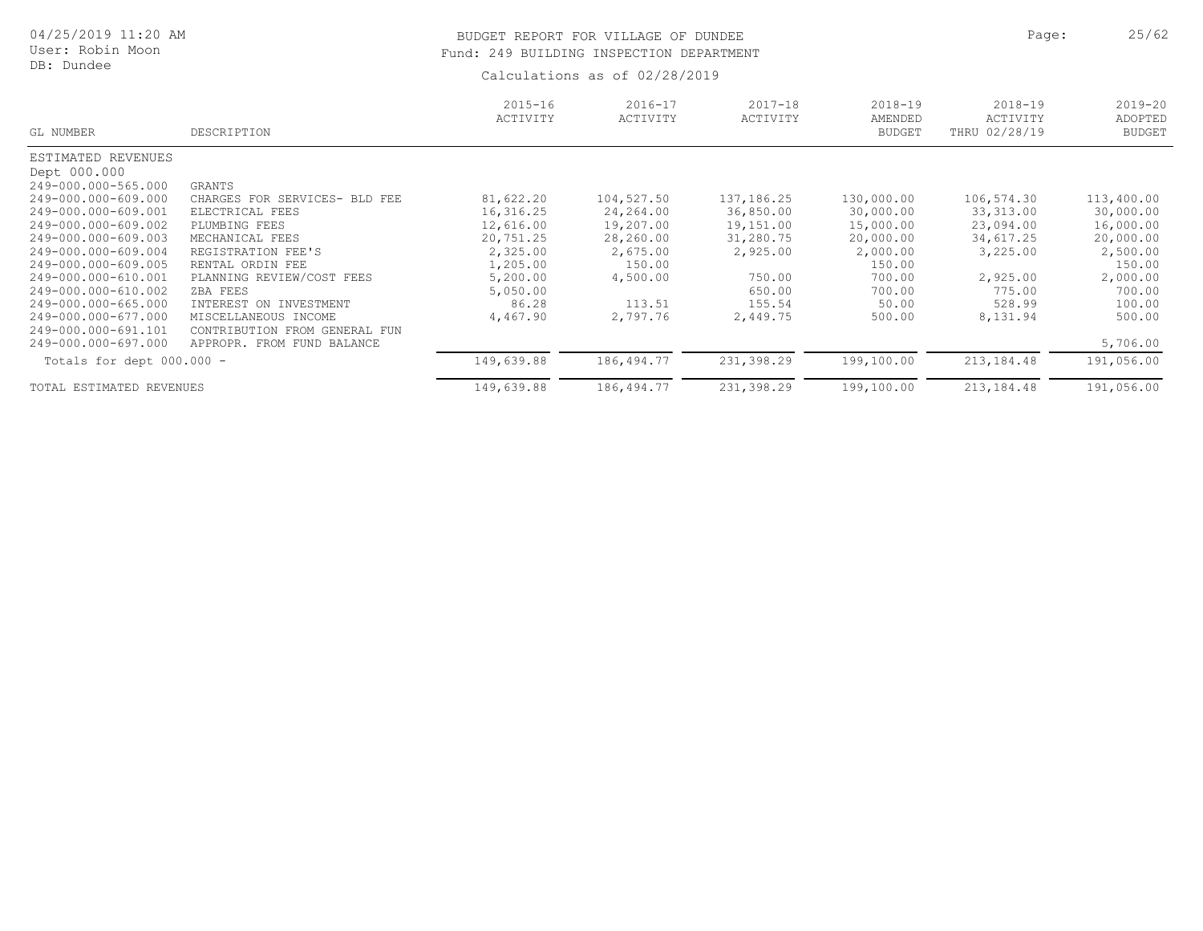# BUDGET REPORT FOR VILLAGE OF DUNDEE **Page:** 25/62 Fund: 249 BUILDING INSPECTION DEPARTMENT

| GL NUMBER                   | DESCRIPTION                         | $2015 - 16$<br>ACTIVITY | $2016 - 17$<br>ACTIVITY | $2017 - 18$<br>ACTIVITY | $2018 - 19$<br>AMENDED<br><b>BUDGET</b> | $2018 - 19$<br>ACTIVITY<br>THRU 02/28/19 | $2019 - 20$<br>ADOPTED<br><b>BUDGET</b> |
|-----------------------------|-------------------------------------|-------------------------|-------------------------|-------------------------|-----------------------------------------|------------------------------------------|-----------------------------------------|
| ESTIMATED REVENUES          |                                     |                         |                         |                         |                                         |                                          |                                         |
| Dept 000.000                |                                     |                         |                         |                         |                                         |                                          |                                         |
| 249-000.000-565.000         | GRANTS                              |                         |                         |                         |                                         |                                          |                                         |
| 249-000.000-609.000         | CHARGES FOR<br>SERVICES-<br>BLD FEE | 81,622.20               | 104,527.50              | 137, 186. 25            | 130,000.00                              | 106,574.30                               | 113,400.00                              |
| 249-000.000-609.001         | ELECTRICAL FEES                     | 16,316.25               | 24,264.00               | 36,850.00               | 30,000.00                               | 33,313.00                                | 30,000.00                               |
| 249-000.000-609.002         | PLUMBING FEES                       | 12,616.00               | 19,207.00               | 19,151.00               | 15,000.00                               | 23,094.00                                | 16,000.00                               |
| 249-000.000-609.003         | MECHANICAL FEES                     | 20,751.25               | 28,260.00               | 31,280.75               | 20,000.00                               | 34,617.25                                | 20,000.00                               |
| 249-000.000-609.004         | REGISTRATION FEE'S                  | 2,325.00                | 2,675.00                | 2,925.00                | 2,000.00                                | 3,225.00                                 | 2,500.00                                |
| 249-000.000-609.005         | RENTAL ORDIN FEE                    | 1,205.00                | 150.00                  |                         | 150.00                                  |                                          | 150.00                                  |
| 249-000.000-610.001         | PLANNING REVIEW/COST FEES           | 5,200.00                | 4,500.00                | 750.00                  | 700.00                                  | 2,925.00                                 | 2,000.00                                |
| 249-000.000-610.002         | ZBA FEES                            | 5,050.00                |                         | 650.00                  | 700.00                                  | 775.00                                   | 700.00                                  |
| 249-000.000-665.000         | ON<br>INVESTMENT<br>INTEREST        | 86.28                   | 113.51                  | 155.54                  | 50.00                                   | 528.99                                   | 100.00                                  |
| 249-000.000-677.000         | MISCELLANEOUS INCOME                | 4,467.90                | 2,797.76                | 2,449.75                | 500.00                                  | 8,131.94                                 | 500.00                                  |
| 249-000.000-691.101         | CONTRIBUTION<br>GENERAL FUN<br>FROM |                         |                         |                         |                                         |                                          |                                         |
| 249-000.000-697.000         | FROM FUND BALANCE<br>APPROPR.       |                         |                         |                         |                                         |                                          | 5,706.00                                |
| Totals for dept $000.000 -$ |                                     | 149,639.88              | 186,494.77              | 231,398.29              | 199,100.00                              | 213,184.48                               | 191,056.00                              |
| TOTAL ESTIMATED REVENUES    |                                     | 149,639.88              | 186, 494.77             | 231,398.29              | 199,100.00                              | 213, 184. 48                             | 191,056.00                              |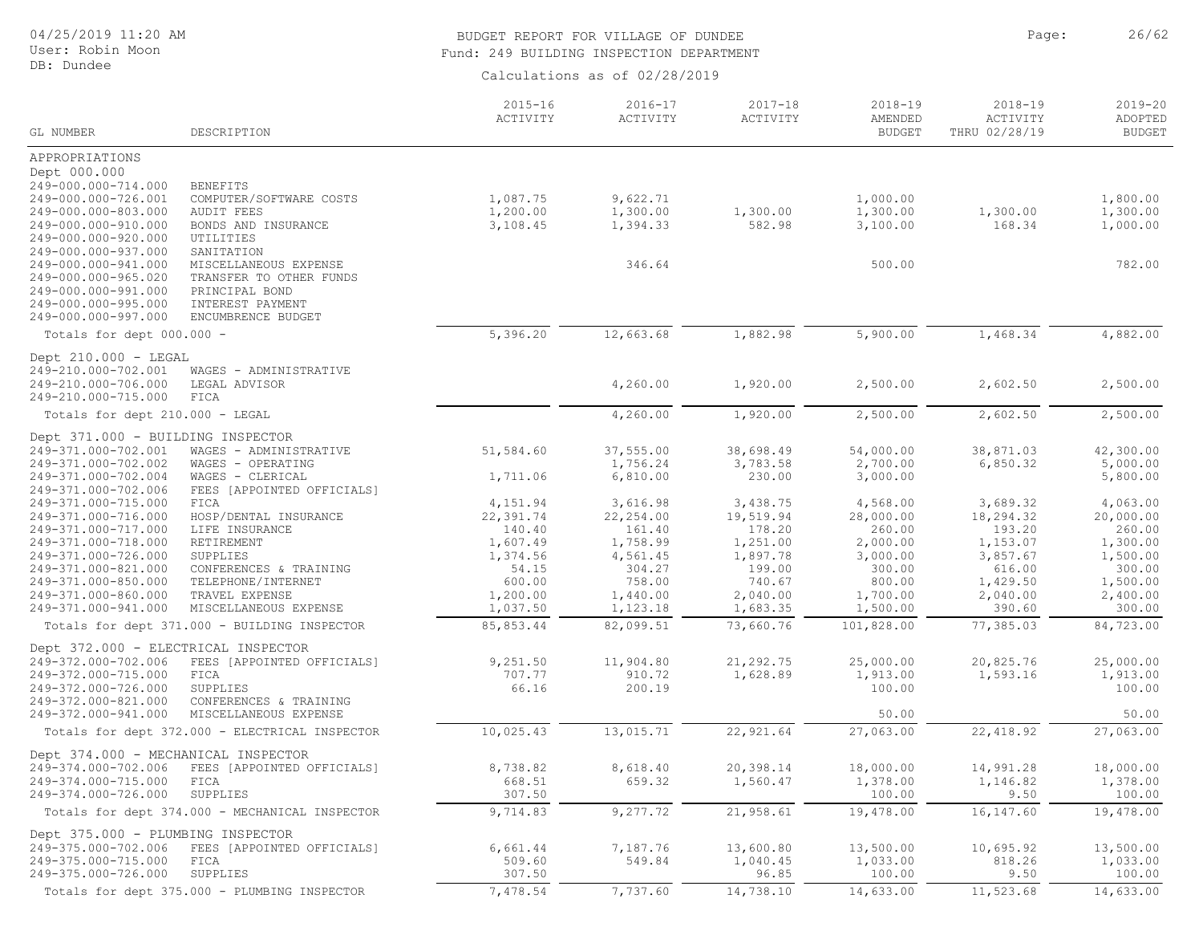# 04/25/2019 11:20 AM

User: Robin Moon DB: Dundee

# BUDGET REPORT FOR VILLAGE OF DUNDEE **Page:** 26/62 Fund: 249 BUILDING INSPECTION DEPARTMENT

|                                                                                                                                                                                                                                                                                             |                                                                                                                                                                                                                                   | $2015 - 16$<br>ACTIVITY                                                                | $2016 - 17$<br>ACTIVITY                                                                  | $2017 - 18$<br>ACTIVITY                                                                 | $2018 - 19$<br>AMENDED                                                                  | $2018 - 19$<br>ACTIVITY                                                                   | $2019 - 20$<br>ADOPTED                                                                    |
|---------------------------------------------------------------------------------------------------------------------------------------------------------------------------------------------------------------------------------------------------------------------------------------------|-----------------------------------------------------------------------------------------------------------------------------------------------------------------------------------------------------------------------------------|----------------------------------------------------------------------------------------|------------------------------------------------------------------------------------------|-----------------------------------------------------------------------------------------|-----------------------------------------------------------------------------------------|-------------------------------------------------------------------------------------------|-------------------------------------------------------------------------------------------|
| GL NUMBER                                                                                                                                                                                                                                                                                   | DESCRIPTION                                                                                                                                                                                                                       |                                                                                        |                                                                                          |                                                                                         | <b>BUDGET</b>                                                                           | THRU 02/28/19                                                                             | <b>BUDGET</b>                                                                             |
| APPROPRIATIONS<br>Dept 000.000<br>249-000.000-714.000<br>249-000.000-726.001<br>249-000.000-803.000<br>249-000.000-910.000<br>249-000.000-920.000<br>249-000.000-937.000<br>249-000.000-941.000<br>249-000.000-965.020<br>249-000.000-991.000<br>249-000.000-995.000<br>249-000.000-997.000 | <b>BENEFITS</b><br>COMPUTER/SOFTWARE COSTS<br><b>AUDIT FEES</b><br>BONDS AND INSURANCE<br>UTILITIES<br>SANITATION<br>MISCELLANEOUS EXPENSE<br>TRANSFER TO OTHER FUNDS<br>PRINCIPAL BOND<br>INTEREST PAYMENT<br>ENCUMBRENCE BUDGET | 1,087.75<br>1,200.00<br>3,108.45                                                       | 9,622.71<br>1,300.00<br>1,394.33<br>346.64                                               | 1,300.00<br>582.98                                                                      | 1,000.00<br>1,300.00<br>3,100.00<br>500.00                                              | 1,300.00<br>168.34                                                                        | 1,800.00<br>1,300.00<br>1,000.00<br>782.00                                                |
| Totals for dept 000.000 -                                                                                                                                                                                                                                                                   |                                                                                                                                                                                                                                   | 5,396.20                                                                               | 12,663.68                                                                                | 1,882.98                                                                                | 5,900.00                                                                                | 1,468.34                                                                                  | 4,882.00                                                                                  |
| Dept 210.000 - LEGAL<br>249-210.000-702.001<br>249-210.000-706.000<br>249-210.000-715.000                                                                                                                                                                                                   | WAGES - ADMINISTRATIVE<br>LEGAL ADVISOR<br>FICA                                                                                                                                                                                   |                                                                                        | 4,260.00                                                                                 | 1,920.00                                                                                | 2,500.00                                                                                | 2,602.50                                                                                  | 2,500.00                                                                                  |
| Totals for dept 210.000 - LEGAL                                                                                                                                                                                                                                                             |                                                                                                                                                                                                                                   |                                                                                        | 4,260.00                                                                                 | 1,920.00                                                                                | 2,500.00                                                                                | 2,602.50                                                                                  | 2,500.00                                                                                  |
| Dept 371.000 - BUILDING INSPECTOR<br>249-371.000-702.001<br>249-371.000-702.002<br>249-371.000-702.004                                                                                                                                                                                      | WAGES - ADMINISTRATIVE<br>WAGES - OPERATING<br>WAGES - CLERICAL                                                                                                                                                                   | 51,584.60<br>1,711.06                                                                  | 37,555.00<br>1,756.24<br>6,810.00                                                        | 38,698.49<br>3,783.58<br>230.00                                                         | 54,000.00<br>2,700.00<br>3,000.00                                                       | 38,871.03<br>6,850.32                                                                     | 42,300.00<br>5,000.00<br>5,800.00                                                         |
| 249-371.000-702.006<br>249-371.000-715.000<br>249-371.000-716.000<br>249-371.000-717.000<br>249-371.000-718.000<br>249-371.000-726.000<br>249-371.000-821.000<br>249-371.000-850.000<br>249-371.000-860.000                                                                                 | FEES [APPOINTED OFFICIALS]<br>FICA<br>HOSP/DENTAL INSURANCE<br>LIFE INSURANCE<br>RETIREMENT<br>SUPPLIES<br>CONFERENCES & TRAINING<br>TELEPHONE/INTERNET<br>TRAVEL EXPENSE                                                         | 4,151.94<br>22,391.74<br>140.40<br>1,607.49<br>1,374.56<br>54.15<br>600.00<br>1,200.00 | 3,616.98<br>22, 254.00<br>161.40<br>1,758.99<br>4,561.45<br>304.27<br>758.00<br>1,440.00 | 3,438.75<br>19,519.94<br>178.20<br>1,251.00<br>1,897.78<br>199.00<br>740.67<br>2,040.00 | 4,568.00<br>28,000.00<br>260.00<br>2,000.00<br>3,000.00<br>300.00<br>800.00<br>1,700.00 | 3,689.32<br>18,294.32<br>193.20<br>1,153.07<br>3,857.67<br>616.00<br>1,429.50<br>2,040.00 | 4,063.00<br>20,000.00<br>260.00<br>1,300.00<br>1,500.00<br>300.00<br>1,500.00<br>2,400.00 |
| 249-371.000-941.000                                                                                                                                                                                                                                                                         | MISCELLANEOUS EXPENSE                                                                                                                                                                                                             | 1,037.50                                                                               | 1,123.18                                                                                 | 1,683.35                                                                                | 1,500.00                                                                                | 390.60                                                                                    | 300.00                                                                                    |
|                                                                                                                                                                                                                                                                                             | Totals for dept 371.000 - BUILDING INSPECTOR                                                                                                                                                                                      | 85,853.44                                                                              | 82,099.51                                                                                | 73,660.76                                                                               | 101,828.00                                                                              | 77,385.03                                                                                 | 84,723.00                                                                                 |
| Dept 372.000 - ELECTRICAL INSPECTOR<br>249-372.000-702.006<br>249-372.000-715.000<br>249-372.000-726.000<br>249-372.000-821.000<br>249-372.000-941.000                                                                                                                                      | FEES [APPOINTED OFFICIALS]<br>FICA<br>SUPPLIES<br>CONFERENCES & TRAINING<br>MISCELLANEOUS EXPENSE                                                                                                                                 | 9,251.50<br>707.77<br>66.16                                                            | 11,904.80<br>910.72<br>200.19                                                            | 21, 292.75<br>1,628.89                                                                  | 25,000.00<br>1,913.00<br>100.00<br>50.00                                                | 20,825.76<br>1,593.16                                                                     | 25,000.00<br>1,913.00<br>100.00<br>50.00                                                  |
|                                                                                                                                                                                                                                                                                             | Totals for dept 372.000 - ELECTRICAL INSPECTOR                                                                                                                                                                                    | 10,025.43                                                                              | 13,015.71                                                                                | 22,921.64                                                                               | 27,063.00                                                                               | 22,418.92                                                                                 | 27,063.00                                                                                 |
| Dept 374.000 - MECHANICAL INSPECTOR<br>249-374.000-702.006<br>249-374.000-715.000<br>249-374.000-726.000                                                                                                                                                                                    | FEES [APPOINTED OFFICIALS]<br>FICA<br>SUPPLIES<br>Totals for dept 374.000 - MECHANICAL INSPECTOR                                                                                                                                  | 8,738.82<br>668.51<br>307.50<br>9,714.83                                               | 8,618.40<br>659.32<br>9,277.72                                                           | 20,398.14<br>1,560.47<br>21,958.61                                                      | 18,000.00<br>1,378.00<br>100.00<br>19,478.00                                            | 14,991.28<br>1,146.82<br>9.50<br>16,147.60                                                | 18,000.00<br>1,378.00<br>100.00<br>19,478.00                                              |
| Dept 375.000 - PLUMBING INSPECTOR<br>249-375.000-702.006<br>249-375.000-715.000<br>249-375.000-726.000                                                                                                                                                                                      | FEES [APPOINTED OFFICIALS]<br>FICA<br>SUPPLIES                                                                                                                                                                                    | 6,661.44<br>509.60<br>307.50                                                           | 7,187.76<br>549.84                                                                       | 13,600.80<br>1,040.45<br>96.85                                                          | 13,500.00<br>1,033.00<br>100.00                                                         | 10,695.92<br>818.26<br>9.50                                                               | 13,500.00<br>1,033.00<br>100.00                                                           |
|                                                                                                                                                                                                                                                                                             | Totals for dept 375.000 - PLUMBING INSPECTOR                                                                                                                                                                                      | 7,478.54                                                                               | 7,737.60                                                                                 | 14,738.10                                                                               | 14,633.00                                                                               | 11,523.68                                                                                 | 14,633.00                                                                                 |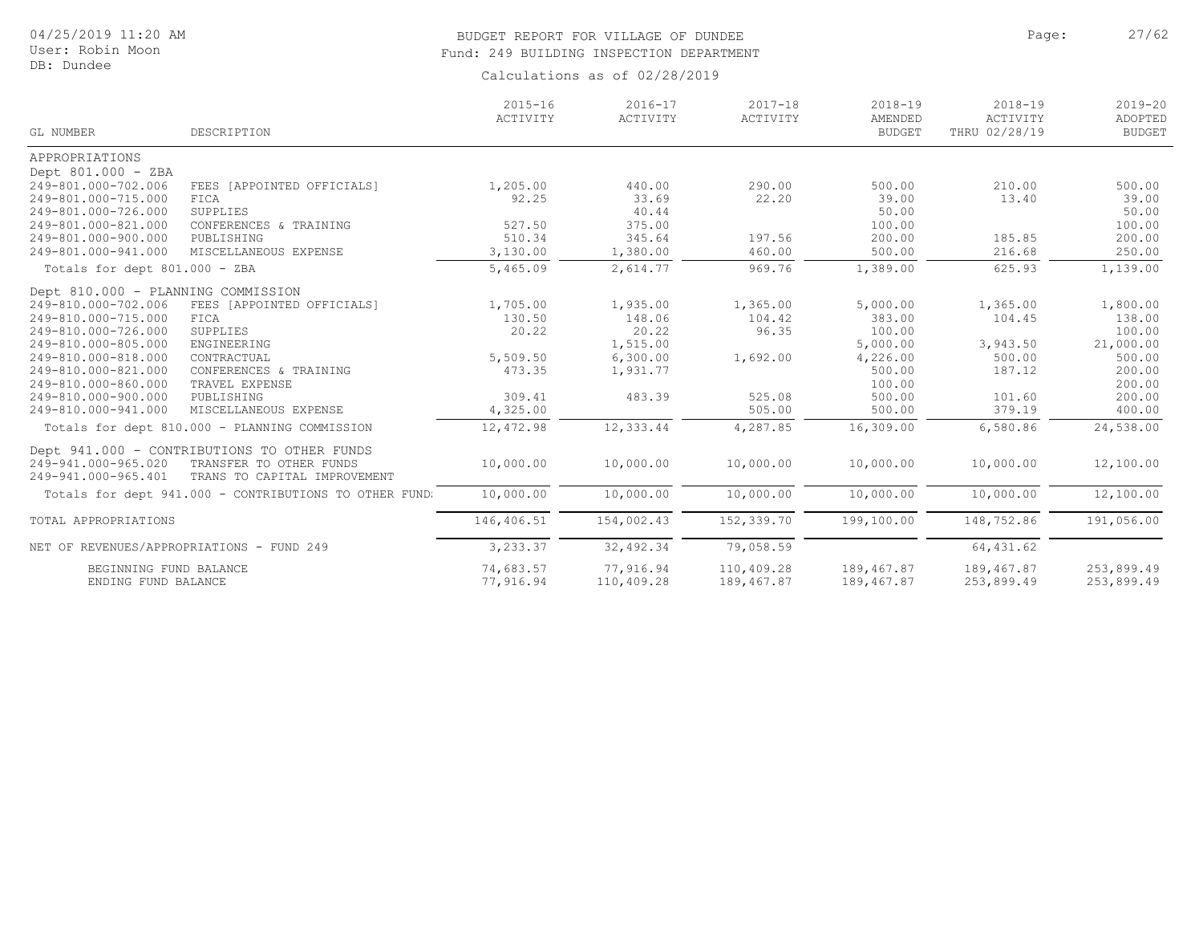# BUDGET REPORT FOR VILLAGE OF DUNDEE **Page:** 27/62 Fund: 249 BUILDING INSPECTION DEPARTMENT

|                                    |                                                        | $2015 - 16$<br>ACTIVITY | $2016 - 17$<br>ACTIVITY | $2017 - 18$<br>ACTIVITY | $2018 - 19$<br>AMENDED | $2018 - 19$<br>ACTIVITY | $2019 - 20$<br>ADOPTED |
|------------------------------------|--------------------------------------------------------|-------------------------|-------------------------|-------------------------|------------------------|-------------------------|------------------------|
| GL NUMBER                          | DESCRIPTION                                            |                         |                         |                         | <b>BUDGET</b>          | THRU 02/28/19           | <b>BUDGET</b>          |
| APPROPRIATIONS                     |                                                        |                         |                         |                         |                        |                         |                        |
| Dept 801.000 - ZBA                 |                                                        |                         |                         |                         |                        |                         |                        |
| 249-801.000-702.006                | FEES [APPOINTED OFFICIALS]                             | 1,205.00                | 440.00                  | 290.00                  | 500.00                 | 210.00                  | 500.00                 |
| 249-801.000-715.000                | FICA                                                   | 92.25                   | 33.69                   | 22.20                   | 39.00                  | 13.40                   | 39.00                  |
| 249-801.000-726.000                | SUPPLIES                                               |                         | 40.44                   |                         | 50.00                  |                         | 50.00                  |
| 249-801.000-821.000                | CONFERENCES & TRAINING                                 | 527.50                  | 375.00                  |                         | 100.00                 |                         | 100.00                 |
| 249-801.000-900.000                | PUBLISHING                                             | 510.34                  | 345.64                  | 197.56                  | 200.00                 | 185.85                  | 200.00                 |
| 249-801.000-941.000                | MISCELLANEOUS EXPENSE                                  | 3,130.00                | 1,380.00                | 460.00                  | 500.00                 | 216.68                  | 250.00                 |
| Totals for dept 801.000 - ZBA      |                                                        | 5,465.09                | 2,614.77                | 969.76                  | 1,389.00               | 625.93                  | 1,139.00               |
| Dept 810.000 - PLANNING COMMISSION |                                                        |                         |                         |                         |                        |                         |                        |
| 249-810.000-702.006                | FEES [APPOINTED OFFICIALS]                             | 1,705.00                | 1,935.00                | 1,365.00                | 5,000.00               | 1,365.00                | 1,800.00               |
| 249-810.000-715.000                | FICA                                                   | 130.50                  | 148.06                  | 104.42                  | 383.00                 | 104.45                  | 138.00                 |
| 249-810.000-726.000                | SUPPLIES                                               | 20.22                   | 20.22                   | 96.35                   | 100.00                 |                         | 100.00                 |
| 249-810.000-805.000                | ENGINEERING                                            |                         | 1,515.00                |                         | 5,000.00               | 3,943.50                | 21,000.00              |
| 249-810.000-818.000                | CONTRACTUAL                                            | 5,509.50                | 6,300.00                | 1,692.00                | 4,226.00               | 500.00                  | 500.00                 |
| 249-810.000-821.000                | CONFERENCES & TRAINING                                 | 473.35                  | 1,931.77                |                         | 500.00                 | 187.12                  | 200.00                 |
| 249-810.000-860.000                | TRAVEL EXPENSE                                         |                         |                         |                         | 100.00                 |                         | 200.00                 |
| 249-810.000-900.000                | PUBLISHING                                             | 309.41                  | 483.39                  | 525.08                  | 500.00                 | 101.60                  | 200.00                 |
| 249-810.000-941.000                | MISCELLANEOUS EXPENSE                                  | 4,325.00                |                         | 505.00                  | 500.00                 | 379.19                  | 400.00                 |
|                                    | Totals for dept 810.000 - PLANNING COMMISSION          | 12,472.98               | 12,333.44               | 4,287.85                | 16,309.00              | 6,580.86                | 24,538.00              |
|                                    | Dept 941.000 - CONTRIBUTIONS TO OTHER FUNDS            |                         |                         |                         |                        |                         |                        |
| 249-941.000-965.020                | TRANSFER TO OTHER FUNDS                                | 10,000.00               | 10,000.00               | 10,000.00               | 10,000.00              | 10,000.00               | 12,100.00              |
| 249-941.000-965.401                | TRANS TO CAPITAL IMPROVEMENT                           |                         |                         |                         |                        |                         |                        |
|                                    | Totals for dept 941.000 - CONTRIBUTIONS TO OTHER FUND. | 10,000.00               | 10,000.00               | 10,000.00               | 10,000.00              | 10,000.00               | 12,100.00              |
| TOTAL APPROPRIATIONS               |                                                        | 146,406.51              | 154,002.43              | 152,339.70              | 199,100.00             | 148,752.86              | 191,056.00             |
|                                    | NET OF REVENUES/APPROPRIATIONS - FUND 249              | 3,233.37                | 32,492.34               | 79,058.59               |                        | 64, 431.62              |                        |
| BEGINNING FUND BALANCE             |                                                        | 74,683.57               | 77,916.94               | 110,409.28              | 189,467.87             | 189,467.87              | 253,899.49             |
| ENDING FUND BALANCE                |                                                        | 77,916.94               | 110,409.28              | 189,467.87              | 189,467.87             | 253,899.49              | 253,899.49             |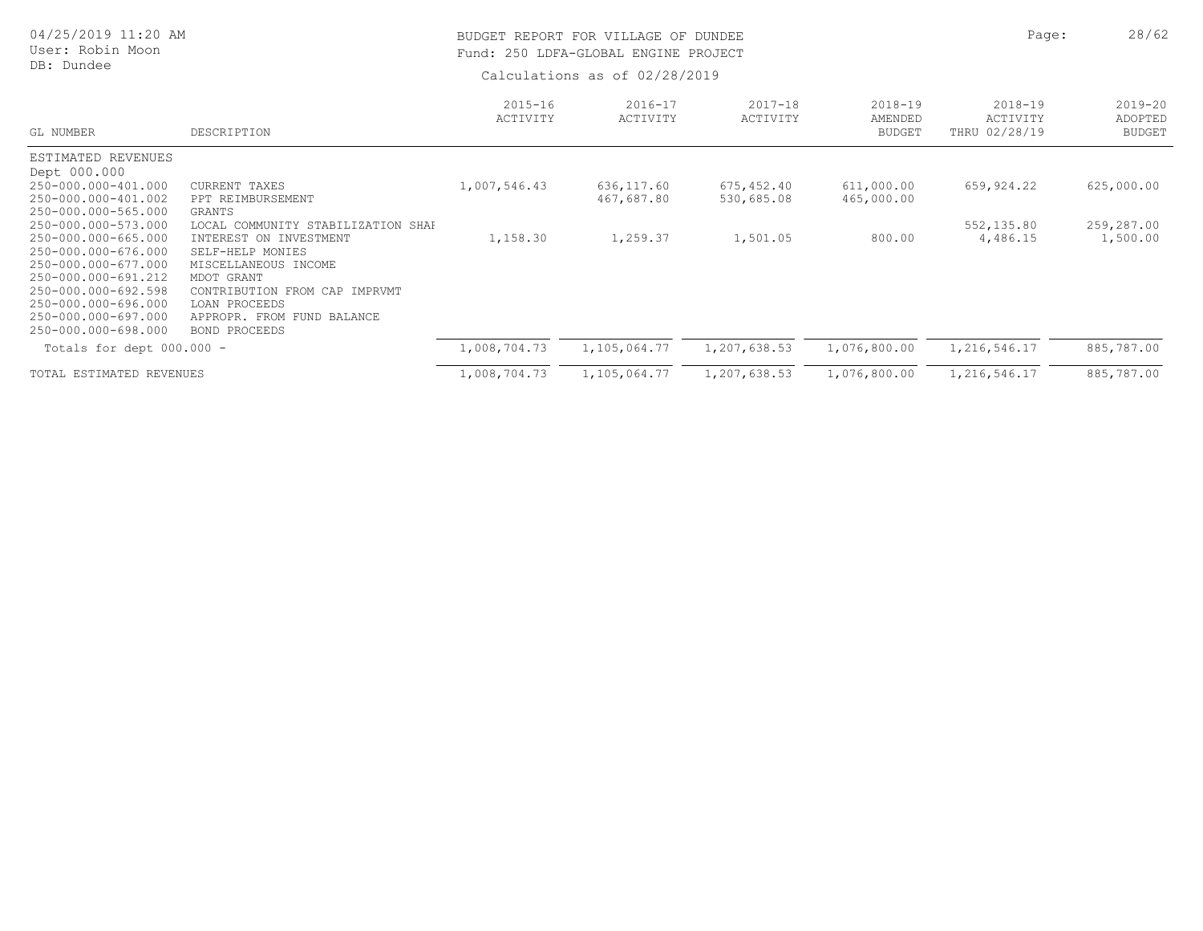| 04/25/2019 11:20 AM<br>User: Robin Moon<br>DB: Dundee                                                           |                                                                                                                        | BUDGET REPORT FOR VILLAGE OF DUNDEE<br>Fund: 250 LDFA-GLOBAL ENGINE PROJECT<br>Calculations as of 02/28/2019 | Page:                    | 28/62                    |                                         |                                          |                                         |
|-----------------------------------------------------------------------------------------------------------------|------------------------------------------------------------------------------------------------------------------------|--------------------------------------------------------------------------------------------------------------|--------------------------|--------------------------|-----------------------------------------|------------------------------------------|-----------------------------------------|
| GL NUMBER                                                                                                       | DESCRIPTION                                                                                                            | $2015 - 16$<br>ACTIVITY                                                                                      | $2016 - 17$<br>ACTIVITY  | $2017 - 18$<br>ACTIVITY  | $2018 - 19$<br>AMENDED<br><b>BUDGET</b> | $2018 - 19$<br>ACTIVITY<br>THRU 02/28/19 | $2019 - 20$<br>ADOPTED<br><b>BUDGET</b> |
| ESTIMATED REVENUES<br>Dept 000.000                                                                              |                                                                                                                        |                                                                                                              |                          |                          |                                         |                                          |                                         |
| 250-000.000-401.000<br>250-000.000-401.002<br>250-000.000-565.000                                               | CURRENT TAXES<br>PPT REIMBURSEMENT<br><b>GRANTS</b>                                                                    | 1,007,546.43                                                                                                 | 636,117.60<br>467,687.80 | 675,452.40<br>530,685.08 | 611,000.00<br>465,000.00                | 659,924.22                               | 625,000.00                              |
| 250-000.000-573.000<br>250-000.000-665.000<br>250-000.000-676.000<br>250-000.000-677.000<br>250-000.000-691.212 | LOCAL COMMUNITY STABILIZATION SHAF<br>INTEREST ON INVESTMENT<br>SELF-HELP MONIES<br>MISCELLANEOUS INCOME<br>MDOT GRANT | 1,158.30                                                                                                     | 1,259.37                 | 1,501.05                 | 800.00                                  | 552,135.80<br>4,486.15                   | 259,287.00<br>1,500.00                  |
| 250-000.000-692.598<br>250-000.000-696.000<br>250-000.000-697.000<br>250-000.000-698.000                        | CONTRIBUTION FROM CAP IMPRVMT<br>LOAN PROCEEDS<br>APPROPR. FROM FUND BALANCE<br>BOND PROCEEDS                          |                                                                                                              |                          |                          |                                         |                                          |                                         |
| Totals for dept 000.000 -                                                                                       |                                                                                                                        | 1,008,704.73                                                                                                 | 1,105,064.77             | 1,207,638.53             | 1,076,800.00                            | 1,216,546.17                             | 885,787.00                              |
| TOTAL ESTIMATED REVENUES                                                                                        |                                                                                                                        | 1,008,704.73                                                                                                 | 1,105,064.77             | 1,207,638.53             | 1,076,800.00                            | 1,216,546.17                             | 885,787.00                              |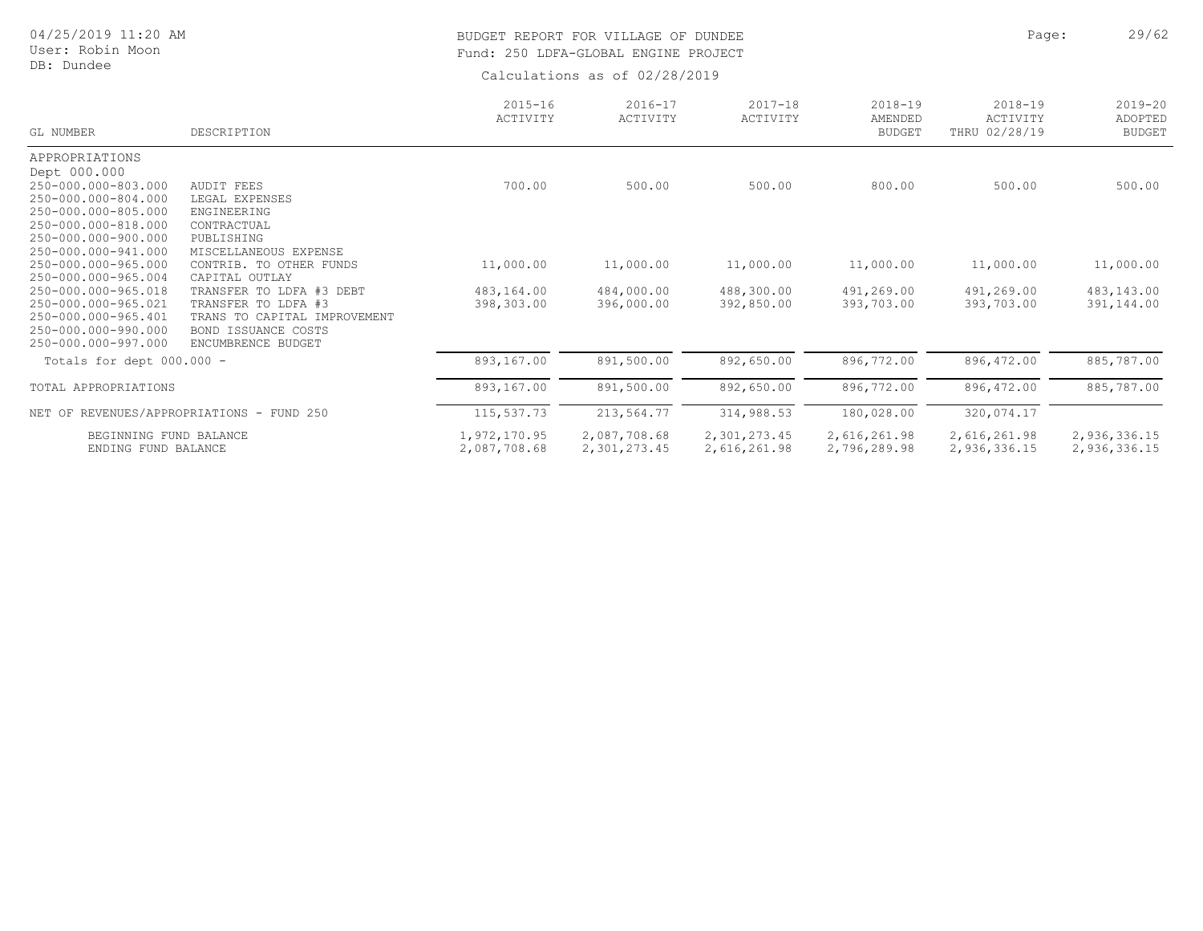# 04/25/2019 11:20 AM

#### User: Robin Moon DB: Dundee

## BUDGET REPORT FOR VILLAGE OF DUNDEE **Page:** 29/62 Fund: 250 LDFA-GLOBAL ENGINE PROJECT

| GL NUMBER                                  | DESCRIPTION                                         | $2015 - 16$<br>ACTIVITY | $2016 - 17$<br>ACTIVITY | $2017 - 18$<br>ACTIVITY | $2018 - 19$<br>AMENDED<br><b>BUDGET</b> | $2018 - 19$<br>ACTIVITY<br>THRU 02/28/19 | $2019 - 20$<br>ADOPTED<br><b>BUDGET</b> |
|--------------------------------------------|-----------------------------------------------------|-------------------------|-------------------------|-------------------------|-----------------------------------------|------------------------------------------|-----------------------------------------|
| APPROPRIATIONS                             |                                                     |                         |                         |                         |                                         |                                          |                                         |
| Dept 000.000                               |                                                     |                         |                         |                         |                                         |                                          |                                         |
| 250-000.000-803.000                        | AUDIT FEES                                          | 700.00                  | 500.00                  | 500.00                  | 800.00                                  | 500.00                                   | 500.00                                  |
| 250-000.000-804.000                        | LEGAL EXPENSES                                      |                         |                         |                         |                                         |                                          |                                         |
| 250-000.000-805.000                        | ENGINEERING                                         |                         |                         |                         |                                         |                                          |                                         |
| 250-000.000-818.000                        | CONTRACTUAL                                         |                         |                         |                         |                                         |                                          |                                         |
| 250-000.000-900.000                        | PUBLISHING                                          |                         |                         |                         |                                         |                                          |                                         |
| 250-000.000-941.000                        | MISCELLANEOUS EXPENSE                               |                         |                         |                         |                                         |                                          |                                         |
| 250-000.000-965.000                        | CONTRIB. TO OTHER FUNDS                             | 11,000.00               | 11,000.00               | 11,000.00               | 11,000.00                               | 11,000.00                                | 11,000.00                               |
| 250-000.000-965.004                        | CAPITAL OUTLAY                                      |                         |                         |                         |                                         |                                          |                                         |
| 250-000.000-965.018                        | TRANSFER TO LDFA #3 DEBT                            | 483,164.00              | 484,000.00              | 488,300.00              | 491,269.00                              | 491,269.00                               | 483,143.00                              |
| 250-000.000-965.021<br>250-000.000-965.401 | TRANSFER TO LDFA #3<br>TRANS TO CAPITAL IMPROVEMENT | 398,303.00              | 396,000.00              | 392,850.00              | 393,703.00                              | 393,703.00                               | 391,144.00                              |
| $250 - 000.000 - 990.000$                  | <b>BOND ISSUANCE COSTS</b>                          |                         |                         |                         |                                         |                                          |                                         |
| 250-000.000-997.000                        | ENCUMBRENCE BUDGET                                  |                         |                         |                         |                                         |                                          |                                         |
| Totals for dept 000.000 -                  |                                                     | 893,167.00              | 891,500.00              | 892,650.00              | 896,772.00                              | 896,472.00                               | 885,787.00                              |
| TOTAL APPROPRIATIONS                       |                                                     | 893,167.00              | 891,500.00              | 892,650.00              | 896,772.00                              | 896,472.00                               | 885,787.00                              |
|                                            | NET OF REVENUES/APPROPRIATIONS - FUND 250           | 115,537.73              | 213,564.77              | 314,988.53              | 180,028.00                              | 320,074.17                               |                                         |
| BEGINNING FUND BALANCE                     |                                                     | 1,972,170.95            | 2,087,708.68            | 2,301,273.45            | 2,616,261.98                            | 2,616,261.98                             | 2,936,336.15                            |
| ENDING FUND BALANCE                        |                                                     | 2,087,708.68            | 2,301,273.45            | 2,616,261.98            | 2,796,289.98                            | 2,936,336.15                             | 2,936,336.15                            |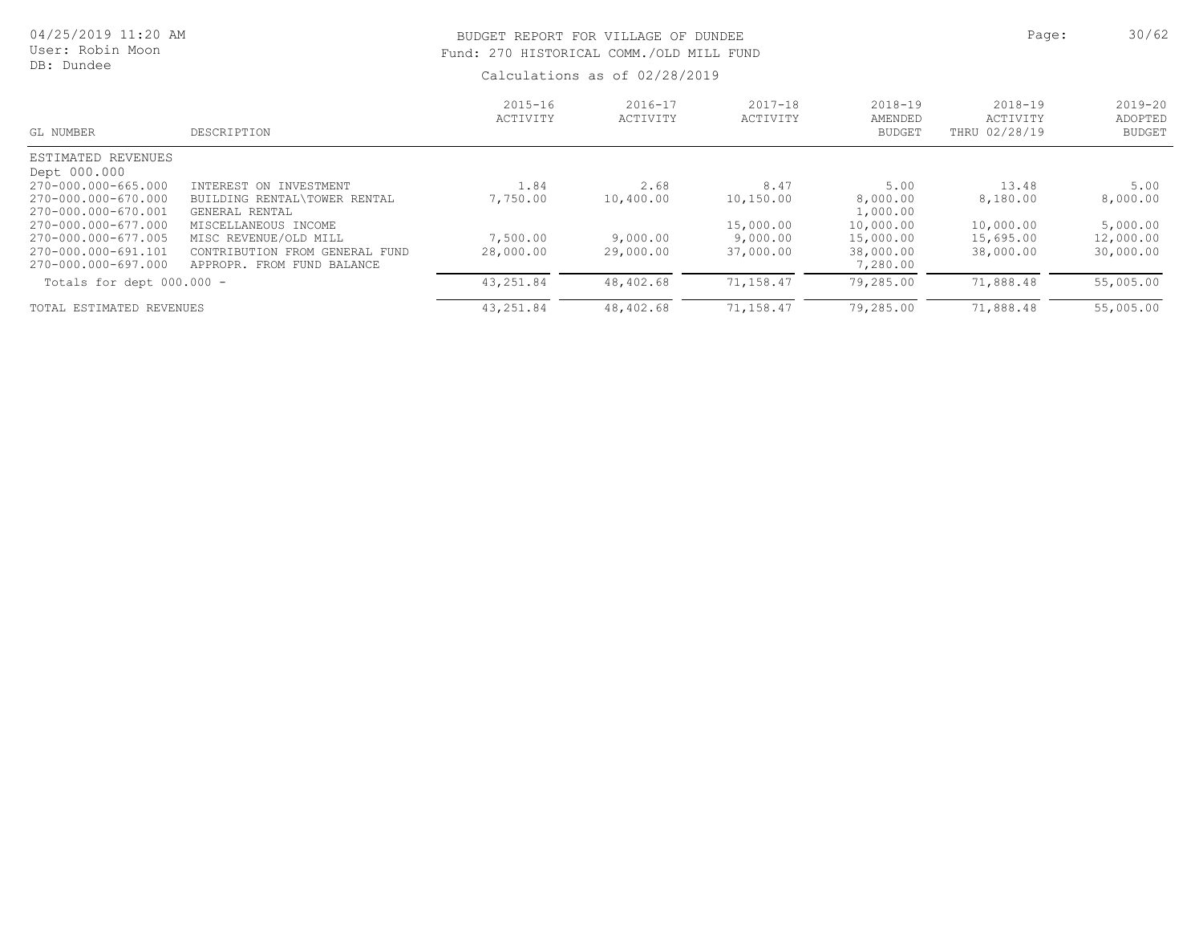| 04/25/2019 11:20 AM<br>User: Robin Moon<br>DB: Dundee |                                                                       |                         | BUDGET REPORT FOR VILLAGE OF DUNDEE<br>Fund: 270 HISTORICAL COMM./OLD MILL FUND<br>Calculations as of 02/28/2019 |                         |                                         |                                          |                                         |  |
|-------------------------------------------------------|-----------------------------------------------------------------------|-------------------------|------------------------------------------------------------------------------------------------------------------|-------------------------|-----------------------------------------|------------------------------------------|-----------------------------------------|--|
| GL NUMBER                                             | DESCRIPTION                                                           | $2015 - 16$<br>ACTIVITY | $2016 - 17$<br>ACTIVITY                                                                                          | $2017 - 18$<br>ACTIVITY | $2018 - 19$<br>AMENDED<br><b>BUDGET</b> | $2018 - 19$<br>ACTIVITY<br>THRU 02/28/19 | $2019 - 20$<br>ADOPTED<br><b>BUDGET</b> |  |
| ESTIMATED REVENUES                                    |                                                                       |                         |                                                                                                                  |                         |                                         |                                          |                                         |  |
| Dept 000.000<br>270-000.000-665.000                   | INTEREST ON INVESTMENT                                                | 1.84                    | 2.68                                                                                                             | 8.47                    | 5.00                                    | 13.48                                    | 5.00                                    |  |
| 270-000.000-670.000<br>270-000.000-670.001            | BUILDING RENTAL\TOWER RENTAL<br>GENERAL RENTAL                        | 7,750.00                | 10,400.00                                                                                                        | 10,150.00               | 8,000.00<br>1,000.00                    | 8,180.00                                 | 8,000.00                                |  |
| 270-000.000-677.000                                   | MISCELLANEOUS INCOME                                                  |                         |                                                                                                                  | 15,000.00               | 10,000.00                               | 10,000.00                                | 5,000.00                                |  |
| 270-000.000-677.005                                   | MISC REVENUE/OLD MILL                                                 | 7,500.00                | 9,000.00                                                                                                         | 9,000.00                | 15,000.00                               | 15,695.00                                | 12,000.00                               |  |
| 270-000.000-691.101<br>270-000.000-697.000            | CONTRIBUTION<br>GENERAL FUND<br>FROM<br>FROM FUND BALANCE<br>APPROPR. | 28,000.00               | 29,000.00                                                                                                        | 37,000.00               | 38,000.00<br>7,280.00                   | 38,000.00                                | 30,000.00                               |  |
| Totals for dept 000.000 -                             |                                                                       | 43, 251.84              | 48,402.68                                                                                                        | 71,158.47               | 79,285.00                               | 71,888.48                                | 55,005.00                               |  |
| TOTAL ESTIMATED REVENUES                              |                                                                       | 43,251.84               | 48,402.68                                                                                                        | 71,158.47               | 79,285.00                               | 71,888.48                                | 55,005.00                               |  |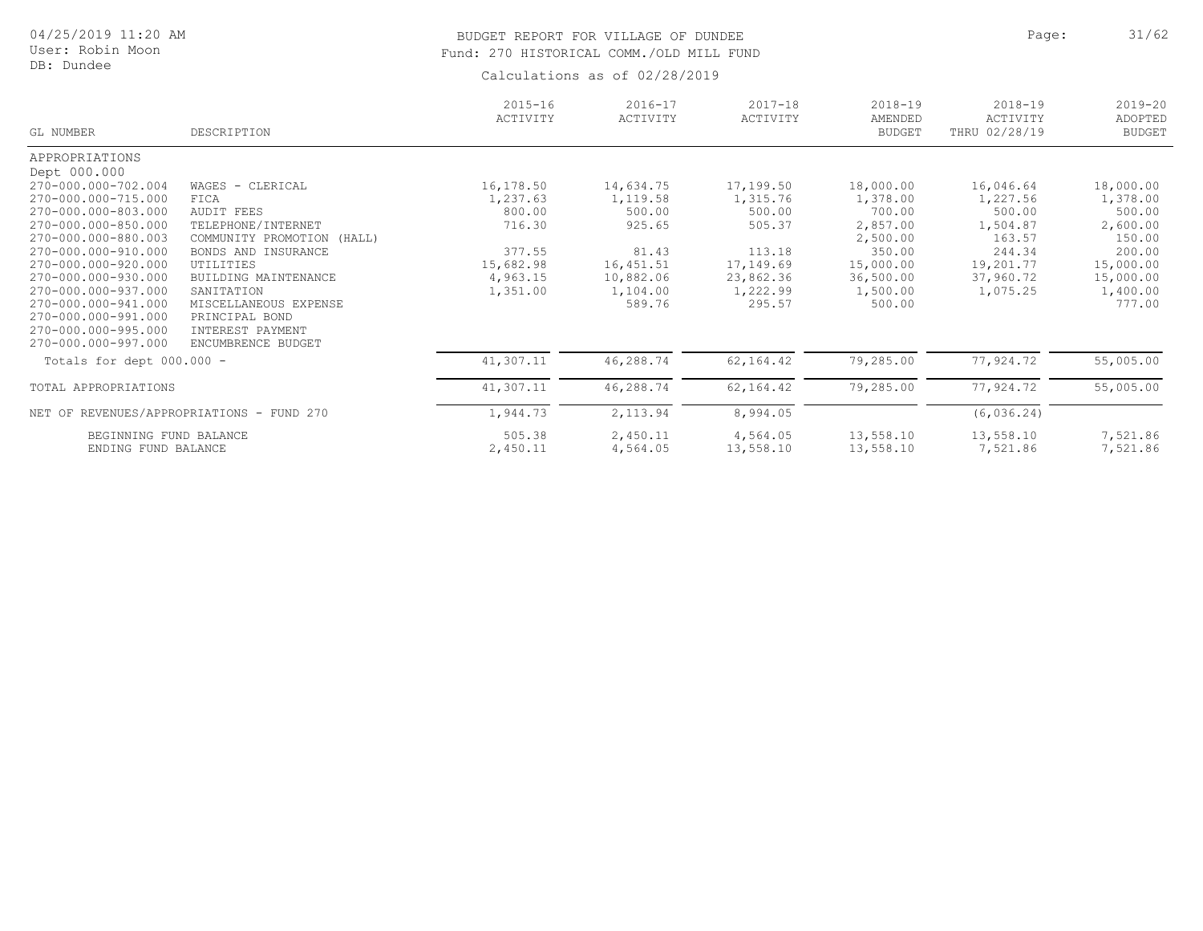### BUDGET REPORT FOR VILLAGE OF DUNDEE **Page:** 21/62 Fund: 270 HISTORICAL COMM./OLD MILL FUND

| GL NUMBER                   | DESCRIPTION                               | $2015 - 16$<br>ACTIVITY | $2016 - 17$<br>ACTIVITY | $2017 - 18$<br>ACTIVITY | $2018 - 19$<br>AMENDED<br><b>BUDGET</b> | $2018 - 19$<br>ACTIVITY<br>THRU 02/28/19 | $2019 - 20$<br>ADOPTED<br><b>BUDGET</b> |
|-----------------------------|-------------------------------------------|-------------------------|-------------------------|-------------------------|-----------------------------------------|------------------------------------------|-----------------------------------------|
| APPROPRIATIONS              |                                           |                         |                         |                         |                                         |                                          |                                         |
| Dept 000.000                |                                           |                         |                         |                         |                                         |                                          |                                         |
| 270-000.000-702.004         | WAGES - CLERICAL                          | 16,178.50               | 14,634.75               | 17,199.50               | 18,000.00                               | 16,046.64                                | 18,000.00                               |
| 270-000.000-715.000         | FICA                                      | 1,237.63                | 1,119.58                | 1,315.76                | 1,378.00                                | 1,227.56                                 | 1,378.00                                |
| 270-000.000-803.000         | <b>AUDIT FEES</b>                         | 800.00                  | 500.00                  | 500.00                  | 700.00                                  | 500.00                                   | 500.00                                  |
| 270-000.000-850.000         | TELEPHONE/INTERNET                        | 716.30                  | 925.65                  | 505.37                  | 2,857.00                                | 1,504.87                                 | 2,600.00                                |
| 270-000.000-880.003         | COMMUNITY PROMOTION<br>(HALL)             |                         |                         |                         | 2,500.00                                | 163.57                                   | 150.00                                  |
| 270-000.000-910.000         | BONDS AND INSURANCE                       | 377.55                  | 81.43                   | 113.18                  | 350.00                                  | 244.34                                   | 200.00                                  |
| 270-000.000-920.000         | UTILITIES                                 | 15,682.98               | 16, 451.51              | 17,149.69               | 15,000.00                               | 19,201.77                                | 15,000.00                               |
| 270-000.000-930.000         | BUILDING MAINTENANCE                      | 4,963.15                | 10,882.06               | 23,862.36               | 36,500.00                               | 37,960.72                                | 15,000.00                               |
| 270-000.000-937.000         | SANITATION                                | 1,351.00                | 1,104.00                | 1,222.99                | 1,500.00                                | 1,075.25                                 | 1,400.00                                |
| 270-000.000-941.000         | MISCELLANEOUS EXPENSE                     |                         | 589.76                  | 295.57                  | 500.00                                  |                                          | 777.00                                  |
| 270-000.000-991.000         | PRINCIPAL BOND                            |                         |                         |                         |                                         |                                          |                                         |
| 270-000.000-995.000         | INTEREST PAYMENT                          |                         |                         |                         |                                         |                                          |                                         |
| 270-000.000-997.000         | ENCUMBRENCE BUDGET                        |                         |                         |                         |                                         |                                          |                                         |
| Totals for dept $000.000 -$ |                                           | 41,307.11               | 46,288.74               | 62, 164.42              | 79,285.00                               | 77,924.72                                | 55,005.00                               |
| TOTAL APPROPRIATIONS        |                                           | 41,307.11               | 46,288.74               | 62,164.42               | 79,285.00                               | 77,924.72                                | 55,005.00                               |
|                             | NET OF REVENUES/APPROPRIATIONS - FUND 270 | 1,944.73                | 2,113.94                | 8,994.05                |                                         | (6, 036.24)                              |                                         |
|                             |                                           |                         |                         |                         |                                         |                                          |                                         |
| BEGINNING FUND BALANCE      |                                           | 505.38                  | 2,450.11                | 4,564.05                | 13,558.10                               | 13,558.10                                | 7,521.86                                |
| ENDING FUND BALANCE         |                                           | 2,450.11                | 4,564.05                | 13,558.10               | 13,558.10                               | 7,521.86                                 | 7,521.86                                |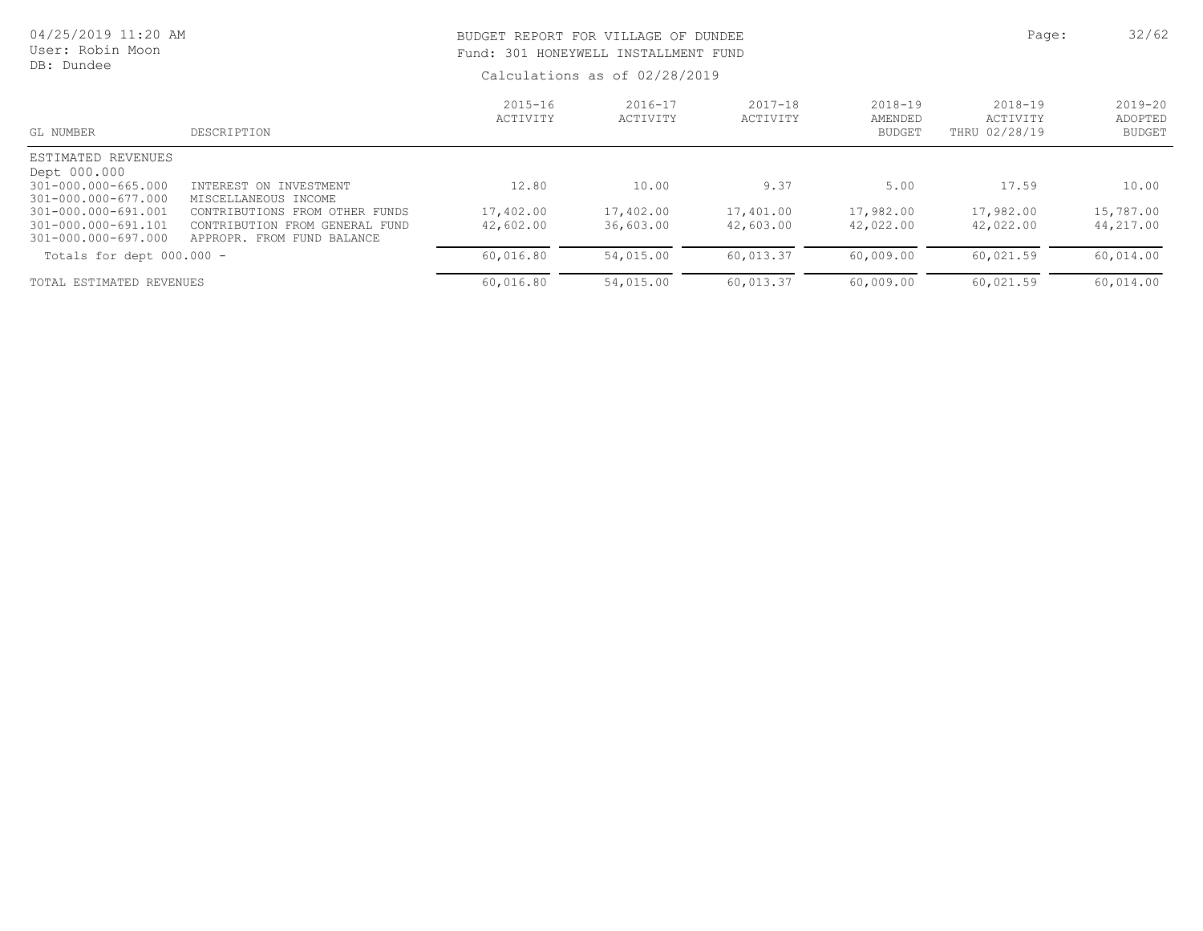| 04/25/2019 11:20 AM<br>User: Robin Moon<br>DB: Dundee             |                                                                                                   |                         | BUDGET REPORT FOR VILLAGE OF DUNDEE<br>Fund: 301 HONEYWELL INSTALLMENT FUND<br>Calculations as of 02/28/2019 |                         |                                         |                                          |                                         |  |
|-------------------------------------------------------------------|---------------------------------------------------------------------------------------------------|-------------------------|--------------------------------------------------------------------------------------------------------------|-------------------------|-----------------------------------------|------------------------------------------|-----------------------------------------|--|
| GL NUMBER                                                         | DESCRIPTION                                                                                       | $2015 - 16$<br>ACTIVITY | $2016 - 17$<br>ACTIVITY                                                                                      | $2017 - 18$<br>ACTIVITY | $2018 - 19$<br>AMENDED<br><b>BUDGET</b> | $2018 - 19$<br>ACTIVITY<br>THRU 02/28/19 | $2019 - 20$<br>ADOPTED<br><b>BUDGET</b> |  |
| ESTIMATED REVENUES<br>Dept 000.000                                |                                                                                                   |                         |                                                                                                              |                         |                                         |                                          |                                         |  |
| 301-000.000-665.000<br>301-000.000-677.000                        | INTEREST ON INVESTMENT<br>MISCELLANEOUS INCOME                                                    | 12.80                   | 10.00                                                                                                        | 9.37                    | 5.00                                    | 17.59                                    | 10.00                                   |  |
| 301-000.000-691.001<br>301-000.000-691.101<br>301-000.000-697.000 | CONTRIBUTIONS FROM OTHER<br>FUNDS<br>CONTRIBUTION FROM GENERAL FUND<br>APPROPR. FROM FUND BALANCE | 17,402.00<br>42,602.00  | 17,402.00<br>36,603.00                                                                                       | 17,401.00<br>42,603.00  | 17,982.00<br>42,022.00                  | 17,982.00<br>42,022.00                   | 15,787.00<br>44,217.00                  |  |
| Totals for dept 000.000 -                                         |                                                                                                   | 60,016.80               | 54,015.00                                                                                                    | 60,013.37               | 60,009.00                               | 60,021.59                                | 60,014.00                               |  |
| TOTAL ESTIMATED REVENUES                                          |                                                                                                   | 60,016.80               | 54,015.00                                                                                                    | 60,013.37               | 60,009.00                               | 60,021.59                                | 60,014.00                               |  |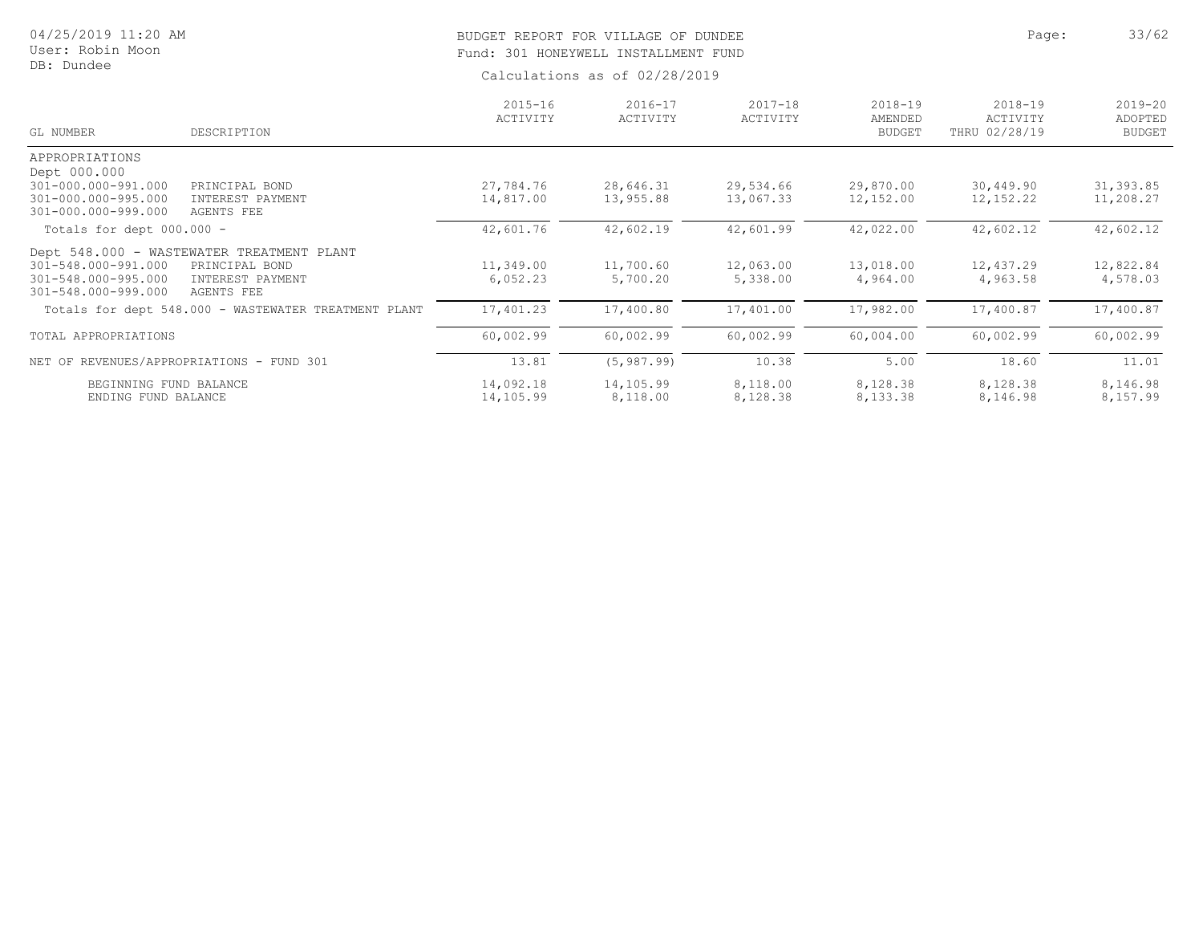# BUDGET REPORT FOR VILLAGE OF DUNDEE **Page:** 33/62 Fund: 301 HONEYWELL INSTALLMENT FUND

| GL NUMBER                   | DESCRIPTION                                          | $2015 - 16$<br>ACTIVITY | $2016 - 17$<br>ACTIVITY | $2017 - 18$<br>ACTIVITY | $2018 - 19$<br>AMENDED<br><b>BUDGET</b> | 2018-19<br>ACTIVITY<br>THRU 02/28/19 | $2019 - 20$<br>ADOPTED<br><b>BUDGET</b> |
|-----------------------------|------------------------------------------------------|-------------------------|-------------------------|-------------------------|-----------------------------------------|--------------------------------------|-----------------------------------------|
| APPROPRIATIONS              |                                                      |                         |                         |                         |                                         |                                      |                                         |
| Dept 000.000                |                                                      |                         |                         |                         |                                         |                                      |                                         |
| 301-000.000-991.000         | PRINCIPAL BOND                                       | 27,784.76               | 28,646.31               | 29,534.66               | 29,870.00                               | 30,449.90                            | 31, 393.85                              |
| 301-000.000-995.000         | INTEREST PAYMENT                                     | 14,817.00               | 13,955.88               | 13,067.33               | 12,152.00                               | 12, 152.22                           | 11,208.27                               |
| 301-000.000-999.000         | AGENTS FEE                                           |                         |                         |                         |                                         |                                      |                                         |
| Totals for dept $000.000 -$ |                                                      | 42,601.76               | 42,602.19               | 42,601.99               | 42,022.00                               | 42,602.12                            | 42,602.12                               |
|                             | Dept 548.000 - WASTEWATER TREATMENT PLANT            |                         |                         |                         |                                         |                                      |                                         |
| 301-548.000-991.000         | PRINCIPAL BOND                                       | 11,349.00               | 11,700.60               | 12,063.00               | 13,018.00                               | 12,437.29                            | 12,822.84                               |
| 301-548.000-995.000         | INTEREST PAYMENT                                     | 6,052.23                | 5,700.20                | 5,338.00                | 4,964.00                                | 4,963.58                             | 4,578.03                                |
| 301-548.000-999.000         | AGENTS FEE                                           |                         |                         |                         |                                         |                                      |                                         |
|                             | Totals for dept 548.000 - WASTEWATER TREATMENT PLANT | 17,401.23               | 17,400.80               | 17,401.00               | 17,982.00                               | 17,400.87                            | 17,400.87                               |
|                             |                                                      |                         |                         |                         |                                         |                                      |                                         |
| TOTAL APPROPRIATIONS        |                                                      | 60,002.99               | 60,002.99               | 60,002.99               | 60,004.00                               | 60,002.99                            | 60,002.99                               |
|                             | NET OF REVENUES/APPROPRIATIONS - FUND 301            | 13.81                   | (5, 987, 99)            | 10.38                   | 5.00                                    | 18.60                                | 11.01                                   |
| BEGINNING FUND BALANCE      |                                                      | 14,092.18               | 14,105.99               | 8,118.00                | 8,128.38                                | 8,128.38                             | 8,146.98                                |
| ENDING FUND BALANCE         |                                                      | 14,105.99               | 8,118.00                | 8,128.38                | 8,133.38                                | 8,146.98                             | 8,157.99                                |
|                             |                                                      |                         |                         |                         |                                         |                                      |                                         |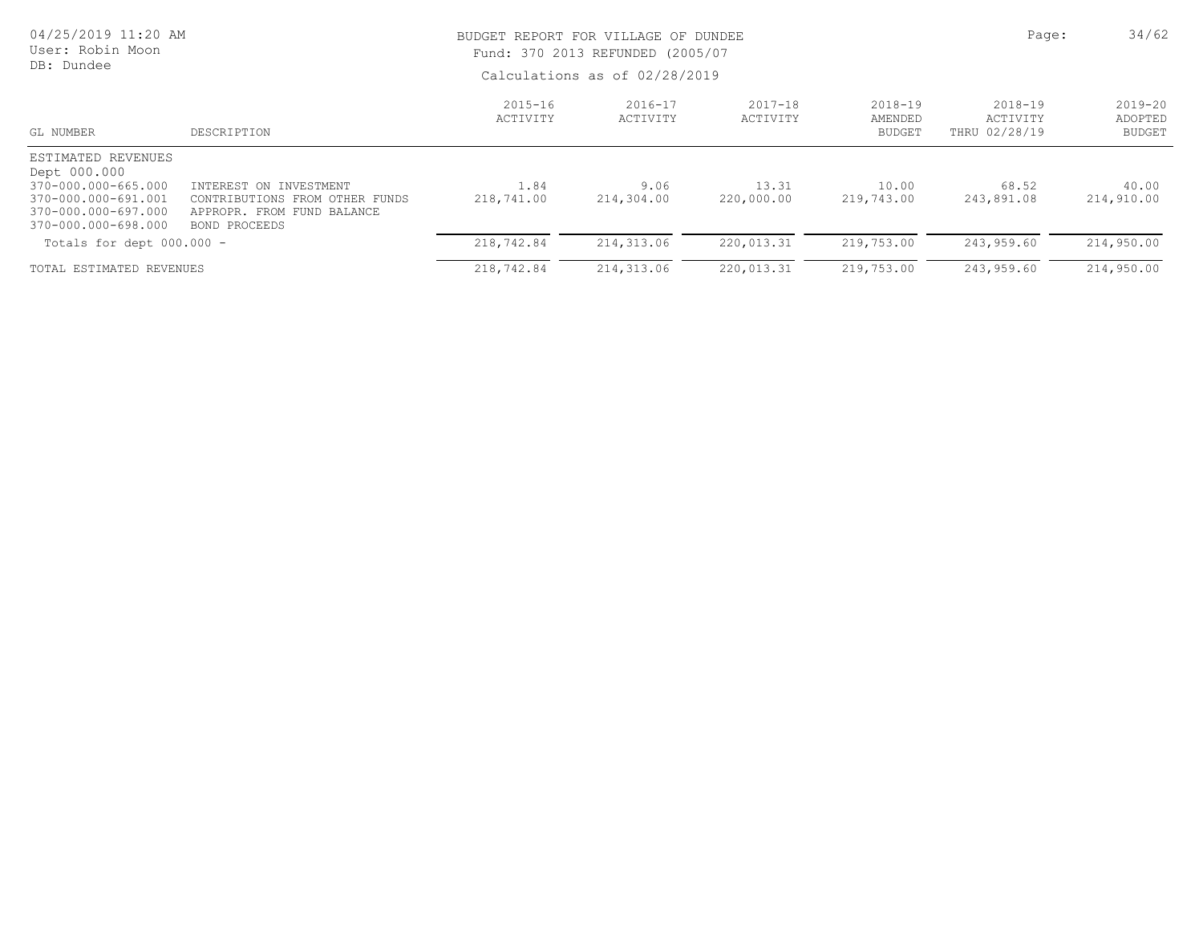| 04/25/2019 11:20 AM<br>User: Robin Moon<br>DB: Dundee                                                                          |                                                                                                         | BUDGET REPORT FOR VILLAGE OF DUNDEE<br>Fund: 370 2013 REFUNDED (2005/07<br>Calculations as of 02/28/2019 |                         |                         |                                         |                                      | 34/62<br>Page:                          |
|--------------------------------------------------------------------------------------------------------------------------------|---------------------------------------------------------------------------------------------------------|----------------------------------------------------------------------------------------------------------|-------------------------|-------------------------|-----------------------------------------|--------------------------------------|-----------------------------------------|
| GL NUMBER                                                                                                                      | DESCRIPTION                                                                                             | $2015 - 16$<br>ACTIVITY                                                                                  | $2016 - 17$<br>ACTIVITY | $2017 - 18$<br>ACTIVITY | $2018 - 19$<br>AMENDED<br><b>BUDGET</b> | 2018-19<br>ACTIVITY<br>THRU 02/28/19 | $2019 - 20$<br>ADOPTED<br><b>BUDGET</b> |
| ESTIMATED REVENUES<br>Dept 000.000<br>370-000.000-665.000<br>370-000.000-691.001<br>370-000.000-697.000<br>370-000.000-698.000 | INTEREST ON INVESTMENT<br>CONTRIBUTIONS FROM OTHER FUNDS<br>APPROPR. FROM FUND BALANCE<br>BOND PROCEEDS | 1.84<br>218,741.00                                                                                       | 9.06<br>214,304.00      | 13.31<br>220,000.00     | 10.00<br>219,743.00                     | 68.52<br>243,891.08                  | 40.00<br>214,910.00                     |
| Totals for dept $000.000 -$                                                                                                    |                                                                                                         | 218,742.84                                                                                               | 214, 313.06             | 220,013.31              | 219,753.00                              | 243,959.60                           | 214,950.00                              |
| TOTAL ESTIMATED REVENUES                                                                                                       |                                                                                                         | 218,742.84                                                                                               | 214,313.06              | 220,013.31              | 219,753.00                              | 243,959.60                           | 214,950.00                              |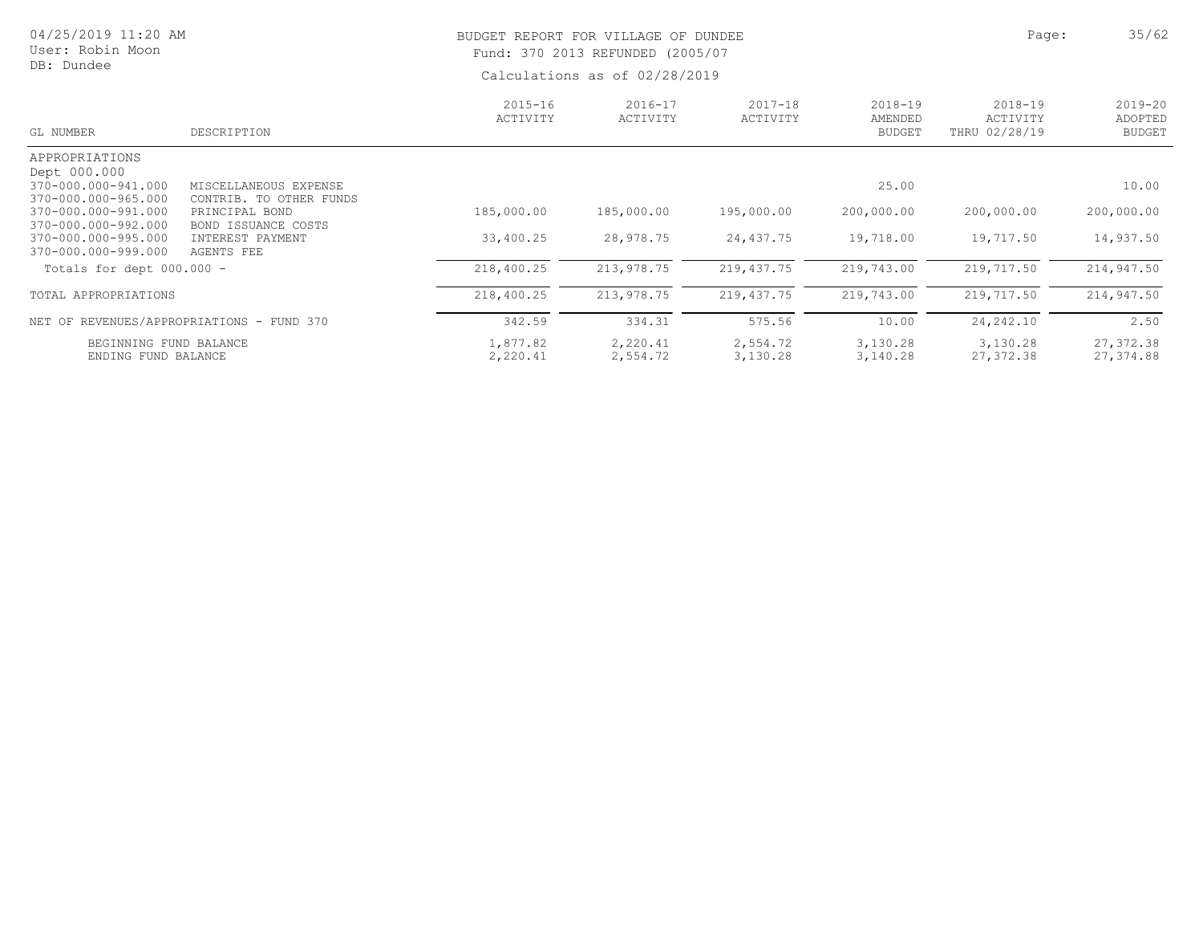| 04/25/2019 11:20 AM<br>User: Robin Moon<br>DB: Dundee             |                                                                  |                         | Page:<br>BUDGET REPORT FOR VILLAGE OF DUNDEE<br>Fund: 370 2013 REFUNDED (2005/07<br>Calculations as of 02/28/2019 |                         |                                         |                                          |                                         |  |  |
|-------------------------------------------------------------------|------------------------------------------------------------------|-------------------------|-------------------------------------------------------------------------------------------------------------------|-------------------------|-----------------------------------------|------------------------------------------|-----------------------------------------|--|--|
| GL NUMBER                                                         | DESCRIPTION                                                      | $2015 - 16$<br>ACTIVITY | $2016 - 17$<br>ACTIVITY                                                                                           | $2017 - 18$<br>ACTIVITY | $2018 - 19$<br>AMENDED<br><b>BUDGET</b> | $2018 - 19$<br>ACTIVITY<br>THRU 02/28/19 | $2019 - 20$<br>ADOPTED<br><b>BUDGET</b> |  |  |
| APPROPRIATIONS<br>Dept 000.000<br>370-000.000-941.000             | MISCELLANEOUS EXPENSE                                            |                         |                                                                                                                   |                         | 25.00                                   |                                          | 10.00                                   |  |  |
| 370-000.000-965.000<br>370-000.000-991.000<br>370-000.000-992.000 | CONTRIB. TO OTHER FUNDS<br>PRINCIPAL BOND<br>BOND ISSUANCE COSTS | 185,000.00              | 185,000.00                                                                                                        | 195,000.00              | 200,000.00                              | 200,000.00                               | 200,000.00                              |  |  |
| 370-000.000-995.000<br>370-000.000-999.000                        | INTEREST PAYMENT<br>AGENTS FEE                                   | 33,400.25               | 28,978.75                                                                                                         | 24,437.75               | 19,718.00                               | 19,717.50                                | 14,937.50                               |  |  |
| Totals for dept $000.000 -$                                       |                                                                  | 218,400.25              | 213,978.75                                                                                                        | 219,437.75              | 219,743.00                              | 219,717.50                               | 214,947.50                              |  |  |
| TOTAL APPROPRIATIONS                                              |                                                                  | 218,400.25              | 213,978.75                                                                                                        | 219,437.75              | 219,743.00                              | 219,717.50                               | 214,947.50                              |  |  |
|                                                                   | NET OF REVENUES/APPROPRIATIONS - FUND 370                        | 342.59                  | 334.31                                                                                                            | 575.56                  | 10.00                                   | 24, 242, 10                              | 2.50                                    |  |  |
| BEGINNING FUND BALANCE                                            |                                                                  | 1,877.82                | 2,220.41                                                                                                          | 2,554.72                | 3,130.28                                | 3,130.28                                 | 27, 372.38                              |  |  |

ENDING FUND BALANCE 2,220.41 2,554.72 3,130.28 3,140.28 27,372.38 27,374.88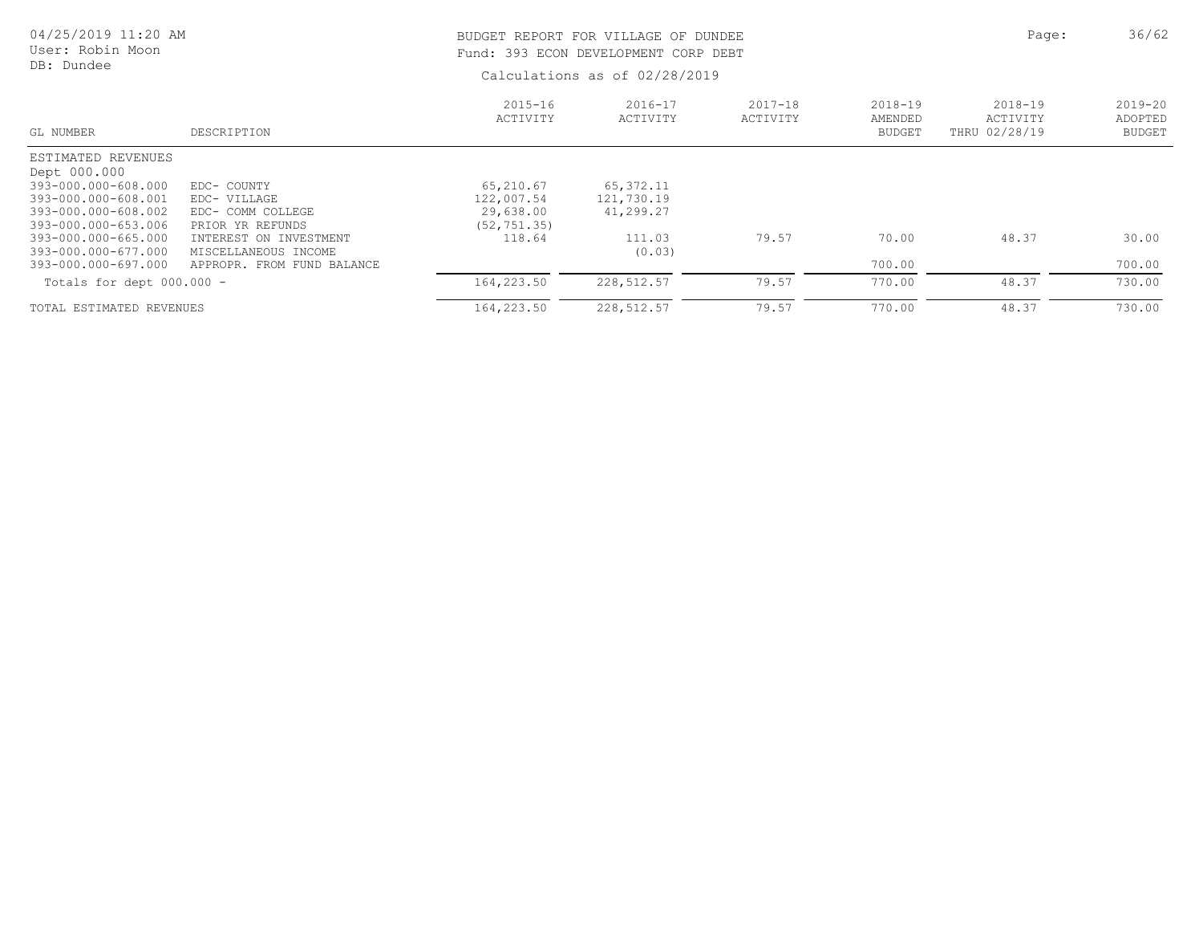| 04/25/2019 11:20 AM<br>User: Robin Moon<br>DB: Dundee |                                                    |                         | BUDGET REPORT FOR VILLAGE OF DUNDEE<br>Fund: 393 ECON DEVELOPMENT CORP DEBT |                         |                                         |                                          |                                         |  |
|-------------------------------------------------------|----------------------------------------------------|-------------------------|-----------------------------------------------------------------------------|-------------------------|-----------------------------------------|------------------------------------------|-----------------------------------------|--|
|                                                       |                                                    |                         | Calculations as of 02/28/2019                                               |                         |                                         |                                          |                                         |  |
| GL NUMBER                                             | DESCRIPTION                                        | $2015 - 16$<br>ACTIVITY | $2016 - 17$<br>ACTIVITY                                                     | $2017 - 18$<br>ACTIVITY | $2018 - 19$<br>AMENDED<br><b>BUDGET</b> | $2018 - 19$<br>ACTIVITY<br>THRU 02/28/19 | $2019 - 20$<br>ADOPTED<br><b>BUDGET</b> |  |
| ESTIMATED REVENUES<br>Dept 000.000                    |                                                    |                         |                                                                             |                         |                                         |                                          |                                         |  |
| 393-000.000-608.000                                   | EDC- COUNTY                                        | 65,210.67               | 65, 372.11                                                                  |                         |                                         |                                          |                                         |  |
| 393-000.000-608.001                                   | EDC- VILLAGE                                       | 122,007.54              | 121,730.19                                                                  |                         |                                         |                                          |                                         |  |
| 393-000.000-608.002                                   | EDC- COMM COLLEGE                                  | 29,638.00               | 41,299.27                                                                   |                         |                                         |                                          |                                         |  |
| 393-000.000-653.006                                   | PRIOR YR REFUNDS                                   | (52, 751, 35)           |                                                                             |                         |                                         |                                          |                                         |  |
| 393-000.000-665.000                                   | INTEREST ON INVESTMENT                             | 118.64                  | 111.03                                                                      | 79.57                   | 70.00                                   | 48.37                                    | 30.00                                   |  |
| 393-000.000-677.000<br>393-000.000-697.000            | MISCELLANEOUS INCOME<br>APPROPR. FROM FUND BALANCE |                         | (0.03)                                                                      |                         | 700.00                                  |                                          | 700.00                                  |  |
|                                                       |                                                    |                         |                                                                             |                         |                                         |                                          |                                         |  |
| Totals for dept $000.000 -$                           |                                                    | 164,223.50              | 228,512.57                                                                  | 79.57                   | 770.00                                  | 48.37                                    | 730.00                                  |  |
| TOTAL ESTIMATED REVENUES                              |                                                    | 164,223.50              | 228, 512.57                                                                 | 79.57                   | 770.00                                  | 48.37                                    | 730.00                                  |  |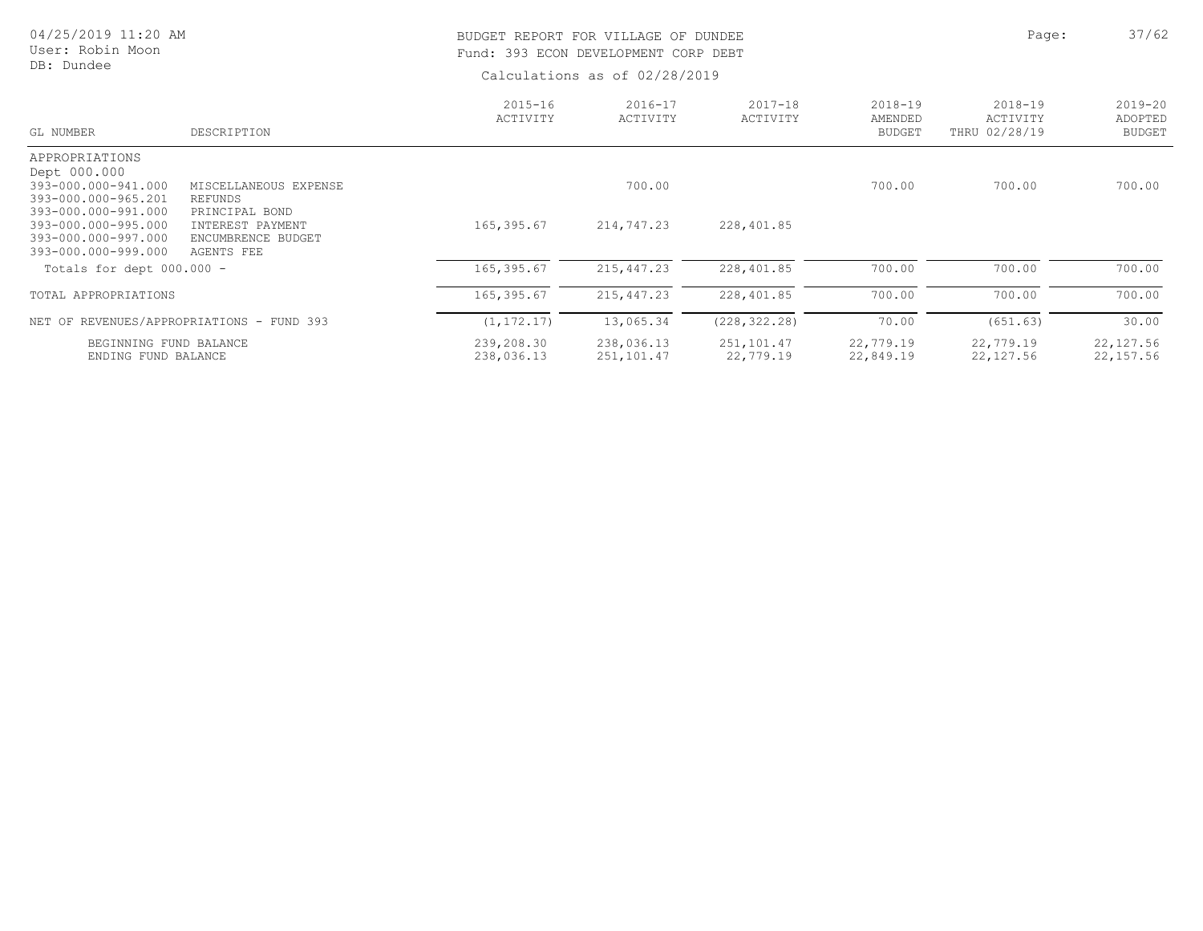| 04/25/2019 11:20 AM<br>User: Robin Moon<br>DB: Dundee                                    |                                                                        | BUDGET REPORT FOR VILLAGE OF DUNDEE<br>Fund: 393 ECON DEVELOPMENT CORP DEBT | Calculations as of 02/28/2019 | Page:                   | 37/62                               |                                          |                                         |
|------------------------------------------------------------------------------------------|------------------------------------------------------------------------|-----------------------------------------------------------------------------|-------------------------------|-------------------------|-------------------------------------|------------------------------------------|-----------------------------------------|
| GL NUMBER                                                                                | DESCRIPTION                                                            | $2015 - 16$<br>ACTIVITY                                                     | $2016 - 17$<br>ACTIVITY       | $2017 - 18$<br>ACTIVITY | 2018-19<br>AMENDED<br><b>BUDGET</b> | $2018 - 19$<br>ACTIVITY<br>THRU 02/28/19 | $2019 - 20$<br>ADOPTED<br><b>BUDGET</b> |
| APPROPRIATIONS<br>Dept 000.000<br>393-000.000-941.000<br>393-000.000-965.201             | MISCELLANEOUS EXPENSE<br>REFUNDS                                       |                                                                             | 700.00                        |                         | 700.00                              | 700.00                                   | 700.00                                  |
| 393-000.000-991.000<br>393-000.000-995.000<br>393-000.000-997.000<br>393-000.000-999.000 | PRINCIPAL BOND<br>INTEREST PAYMENT<br>ENCUMBRENCE BUDGET<br>AGENTS FEE | 165,395.67                                                                  | 214,747.23                    | 228,401.85              |                                     |                                          |                                         |
| Totals for dept 000.000 -                                                                |                                                                        | 165,395.67                                                                  | 215, 447.23                   | 228,401.85              | 700.00                              | 700.00                                   | 700.00                                  |
| TOTAL APPROPRIATIONS                                                                     |                                                                        | 165,395.67                                                                  | 215, 447.23                   | 228,401.85              | 700.00                              | 700.00                                   | 700.00                                  |
|                                                                                          | NET OF REVENUES/APPROPRIATIONS - FUND 393                              | (1, 172.17)                                                                 | 13,065.34                     | (228, 322.28)           | 70.00                               | (651.63)                                 | 30.00                                   |
| BEGINNING FUND BALANCE<br>ENDING FUND BALANCE                                            |                                                                        | 239,208.30<br>238,036.13                                                    | 238,036.13<br>251,101.47      | 251,101.47<br>22,779.19 | 22,779.19<br>22,849.19              | 22,779.19<br>22,127.56                   | 22, 127.56<br>22, 157.56                |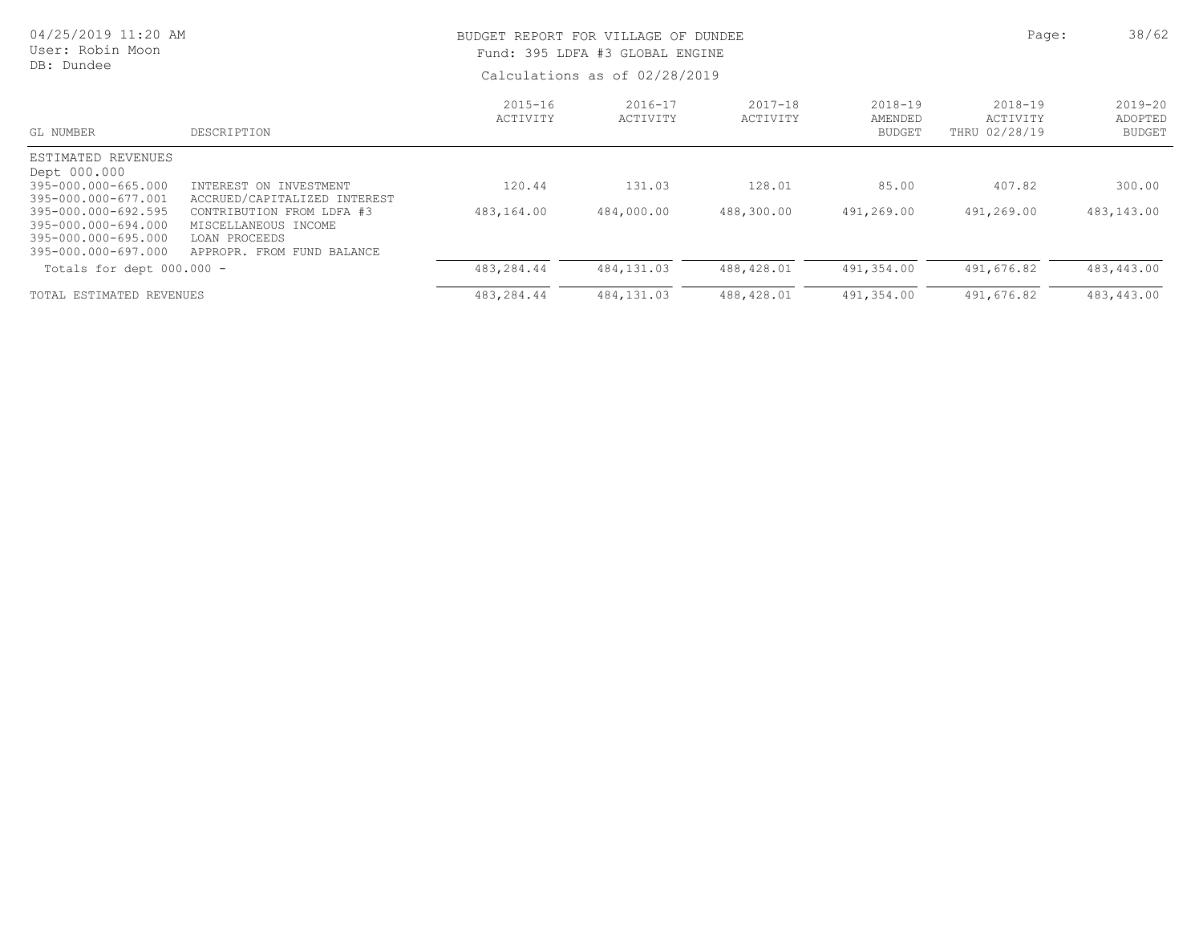| 04/25/2019 11:20 AM<br>User: Robin Moon<br>DB: Dundee                                                                                                                        |                                                                                                                                                            |                         | BUDGET REPORT FOR VILLAGE OF DUNDEE<br>Fund: 395 LDFA #3 GLOBAL ENGINE<br>Calculations as of 02/28/2019 | Page:                   | 38/62                                   |                                          |                                  |
|------------------------------------------------------------------------------------------------------------------------------------------------------------------------------|------------------------------------------------------------------------------------------------------------------------------------------------------------|-------------------------|---------------------------------------------------------------------------------------------------------|-------------------------|-----------------------------------------|------------------------------------------|----------------------------------|
| GL NUMBER                                                                                                                                                                    | DESCRIPTION                                                                                                                                                | $2015 - 16$<br>ACTIVITY | $2016 - 17$<br>ACTIVITY                                                                                 | $2017 - 18$<br>ACTIVITY | $2018 - 19$<br>AMENDED<br><b>BUDGET</b> | $2018 - 19$<br>ACTIVITY<br>THRU 02/28/19 | $2019 - 20$<br>ADOPTED<br>BUDGET |
| ESTIMATED REVENUES<br>Dept 000.000<br>395-000.000-665.000<br>395-000.000-677.001<br>395-000.000-692.595<br>395-000.000-694.000<br>395-000.000-695.000<br>395-000.000-697.000 | INTEREST ON INVESTMENT<br>ACCRUED/CAPITALIZED INTEREST<br>CONTRIBUTION FROM LDFA #3<br>MISCELLANEOUS INCOME<br>LOAN PROCEEDS<br>APPROPR. FROM FUND BALANCE | 120.44<br>483,164.00    | 131.03<br>484,000.00                                                                                    | 128.01<br>488,300.00    | 85.00<br>491,269.00                     | 407.82<br>491,269.00                     | 300.00<br>483,143.00             |
| Totals for dept $000.000 -$                                                                                                                                                  |                                                                                                                                                            | 483,284.44              | 484,131.03                                                                                              | 488,428.01              | 491,354.00                              | 491,676.82                               | 483,443.00                       |
| TOTAL ESTIMATED REVENUES                                                                                                                                                     |                                                                                                                                                            | 483,284.44              | 484, 131.03                                                                                             | 488,428.01              | 491,354.00                              | 491,676.82                               | 483,443.00                       |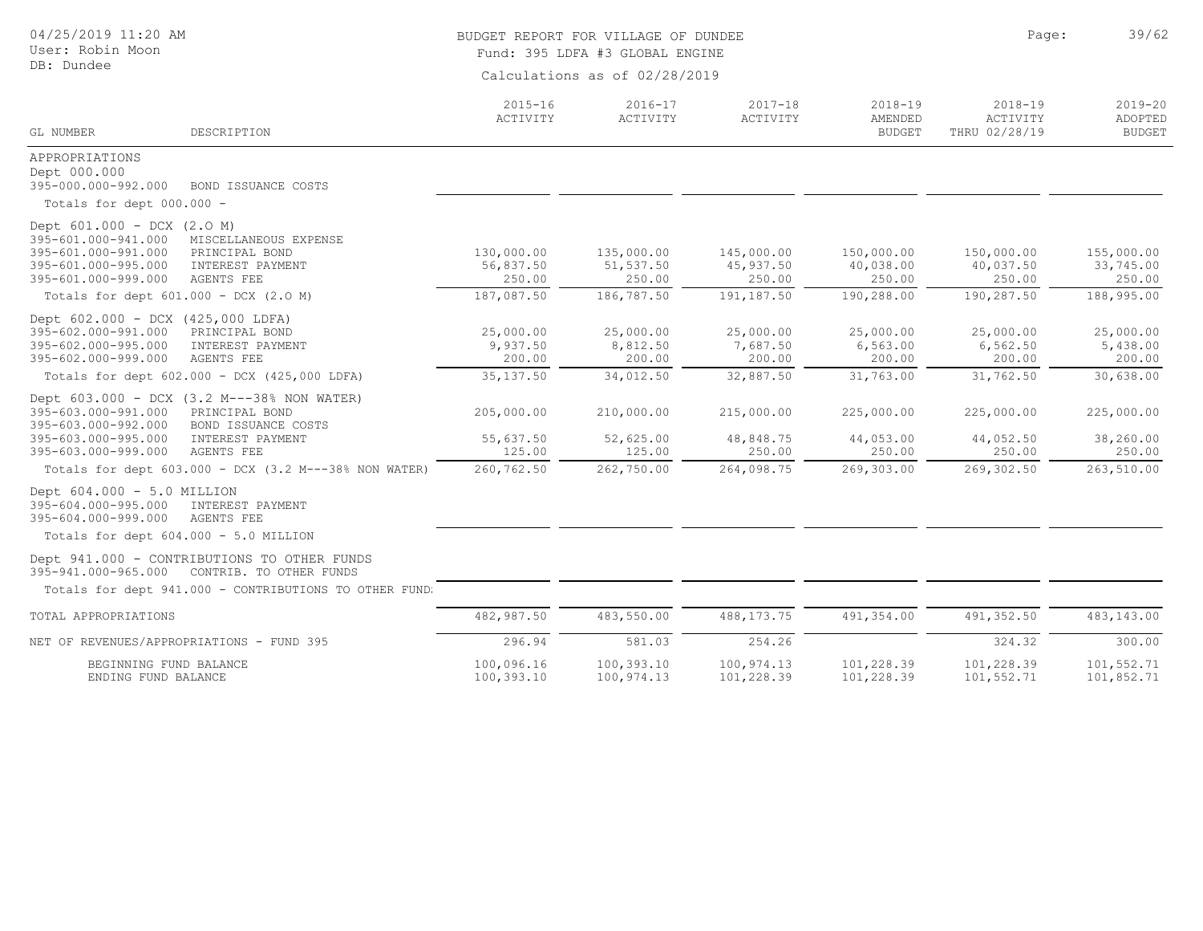| 04/25/2019 11:20 AM<br>User: Robin Moon<br>DB: Dundee                                                                                                                                                             |                                   | BUDGET REPORT FOR VILLAGE OF DUNDEE<br>Fund: 395 LDFA #3 GLOBAL ENGINE<br>Calculations as of 02/28/2019 | Page:                             | 39/62                                   |                                          |                                         |
|-------------------------------------------------------------------------------------------------------------------------------------------------------------------------------------------------------------------|-----------------------------------|---------------------------------------------------------------------------------------------------------|-----------------------------------|-----------------------------------------|------------------------------------------|-----------------------------------------|
| GL NUMBER<br>DESCRIPTION                                                                                                                                                                                          | $2015 - 16$<br>ACTIVITY           | $2016 - 17$<br>ACTIVITY                                                                                 | $2017 - 18$<br>ACTIVITY           | $2018 - 19$<br>AMENDED<br><b>BUDGET</b> | $2018 - 19$<br>ACTIVITY<br>THRU 02/28/19 | $2019 - 20$<br>ADOPTED<br><b>BUDGET</b> |
| APPROPRIATIONS<br>Dept 000.000<br>395-000.000-992.000<br>BOND ISSUANCE COSTS<br>Totals for dept 000.000 -                                                                                                         |                                   |                                                                                                         |                                   |                                         |                                          |                                         |
| Dept 601.000 - DCX (2.0 M)<br>395-601.000-941.000<br>MISCELLANEOUS EXPENSE<br>395-601.000-991.000<br>PRINCIPAL BOND<br>395-601.000-995.000<br>INTEREST PAYMENT<br>395-601.000-999.000<br>AGENTS FEE               | 130,000.00<br>56,837.50<br>250.00 | 135,000.00<br>51,537.50<br>250.00                                                                       | 145,000.00<br>45,937.50<br>250.00 | 150,000.00<br>40,038.00<br>250.00       | 150,000.00<br>40,037.50<br>250.00        | 155,000.00<br>33,745.00<br>250.00       |
| Totals for dept 601.000 - DCX (2.0 M)                                                                                                                                                                             | 187,087.50                        | 186,787.50                                                                                              | 191,187.50                        | 190,288.00                              | 190,287.50                               | 188,995.00                              |
| Dept 602.000 - DCX (425,000 LDFA)<br>395-602.000-991.000<br>PRINCIPAL BOND<br>395-602.000-995.000<br>INTEREST PAYMENT<br>395-602.000-999.000<br><b>AGENTS FEE</b>                                                 | 25,000.00<br>9,937.50<br>200.00   | 25,000.00<br>8,812.50<br>200.00                                                                         | 25,000.00<br>7,687.50<br>200.00   | 25,000.00<br>6,563.00<br>200.00         | 25,000.00<br>6,562.50<br>200.00          | 25,000.00<br>5,438.00<br>200.00         |
| Totals for dept 602.000 - DCX (425,000 LDFA)                                                                                                                                                                      | 35, 137.50                        | 34,012.50                                                                                               | 32,887.50                         | 31,763.00                               | 31,762.50                                | 30,638.00                               |
| Dept 603.000 - DCX (3.2 M---38% NON WATER)<br>395-603.000-991.000<br>PRINCIPAL BOND<br>395-603.000-992.000<br>BOND ISSUANCE COSTS<br>395-603.000-995.000<br>INTEREST PAYMENT<br>395-603.000-999.000<br>AGENTS FEE | 205,000.00<br>55,637.50<br>125.00 | 210,000.00<br>52,625.00<br>125.00                                                                       | 215,000.00<br>48,848.75<br>250.00 | 225,000.00<br>44,053.00<br>250.00       | 225,000.00<br>44,052.50<br>250.00        | 225,000.00<br>38,260.00<br>250.00       |
| Totals for dept 603.000 - DCX (3.2 M---38% NON WATER)                                                                                                                                                             | 260,762.50                        | 262,750.00                                                                                              | 264,098.75                        | 269,303.00                              | 269,302.50                               | 263,510.00                              |
| Dept $604.000 - 5.0$ MILLION<br>395-604.000-995.000<br>INTEREST PAYMENT<br>395-604.000-999.000<br>AGENTS FEE                                                                                                      |                                   |                                                                                                         |                                   |                                         |                                          |                                         |
| Totals for dept 604.000 - 5.0 MILLION                                                                                                                                                                             |                                   |                                                                                                         |                                   |                                         |                                          |                                         |
| Dept 941.000 - CONTRIBUTIONS TO OTHER FUNDS<br>395-941.000-965.000<br>CONTRIB. TO OTHER FUNDS                                                                                                                     |                                   |                                                                                                         |                                   |                                         |                                          |                                         |
| Totals for dept 941.000 - CONTRIBUTIONS TO OTHER FUND:                                                                                                                                                            |                                   |                                                                                                         |                                   |                                         |                                          |                                         |
| TOTAL APPROPRIATIONS                                                                                                                                                                                              | 482,987.50                        | 483,550.00                                                                                              | 488, 173. 75                      | 491, 354.00                             | 491,352.50                               | 483,143.00                              |
| NET OF REVENUES/APPROPRIATIONS - FUND 395                                                                                                                                                                         | 296.94                            | 581.03                                                                                                  | 254.26                            |                                         | 324.32                                   | 300.00                                  |
| BEGINNING FUND BALANCE<br>ENDING FUND BALANCE                                                                                                                                                                     | 100,096.16<br>100,393.10          | 100,393.10<br>100,974.13                                                                                | 100,974.13<br>101,228.39          | 101,228.39<br>101,228.39                | 101,228.39<br>101,552.71                 | 101,552.71<br>101,852.71                |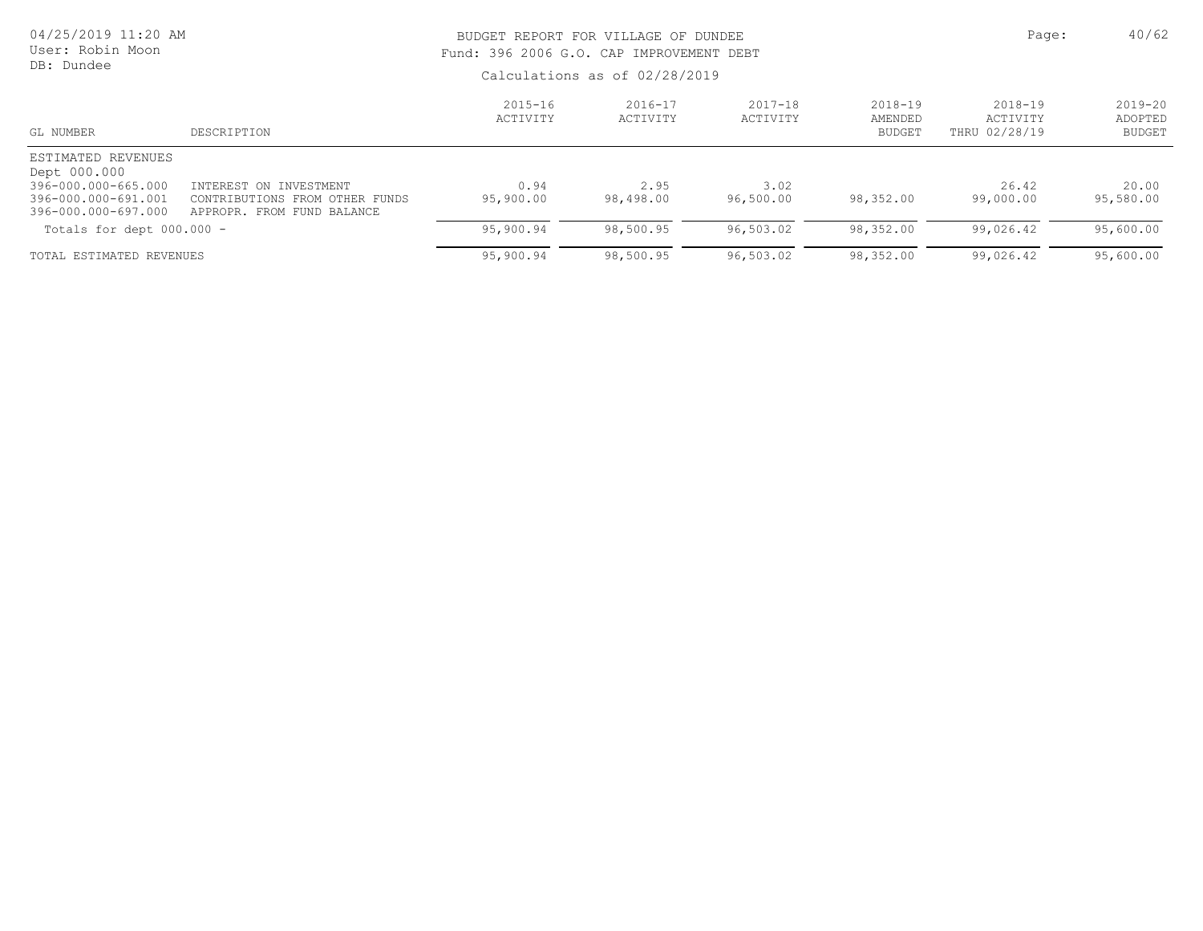| 04/25/2019 11:20 AM<br>User: Robin Moon<br>DB: Dundee                                                   |                                                                                        | BUDGET REPORT FOR VILLAGE OF DUNDEE<br>Fund: 396 2006 G.O. CAP IMPROVEMENT DEBT | Page:                   | 40/62                   |                                         |                                      |                                     |
|---------------------------------------------------------------------------------------------------------|----------------------------------------------------------------------------------------|---------------------------------------------------------------------------------|-------------------------|-------------------------|-----------------------------------------|--------------------------------------|-------------------------------------|
|                                                                                                         |                                                                                        | Calculations as of 02/28/2019                                                   |                         |                         |                                         |                                      |                                     |
| GL NUMBER                                                                                               | DESCRIPTION                                                                            | $2015 - 16$<br>ACTIVITY                                                         | $2016 - 17$<br>ACTIVITY | $2017 - 18$<br>ACTIVITY | $2018 - 19$<br>AMENDED<br><b>BUDGET</b> | 2018-19<br>ACTIVITY<br>THRU 02/28/19 | 2019-20<br>ADOPTED<br><b>BUDGET</b> |
| ESTIMATED REVENUES<br>Dept 000.000<br>396-000.000-665.000<br>396-000.000-691.001<br>396-000.000-697.000 | INTEREST ON INVESTMENT<br>CONTRIBUTIONS FROM OTHER FUNDS<br>APPROPR. FROM FUND BALANCE | 0.94<br>95,900.00                                                               | 2.95<br>98,498.00       | 3.02<br>96,500.00       | 98,352.00                               | 26.42<br>99,000.00                   | 20.00<br>95,580.00                  |
| Totals for dept 000.000 -                                                                               |                                                                                        | 95,900.94                                                                       | 98,500.95               | 96,503.02               | 98,352.00                               | 99,026.42                            | 95,600.00                           |
| TOTAL ESTIMATED REVENUES                                                                                |                                                                                        | 95,900.94                                                                       | 98,500.95               | 96,503.02               | 98,352.00                               | 99,026.42                            | 95,600.00                           |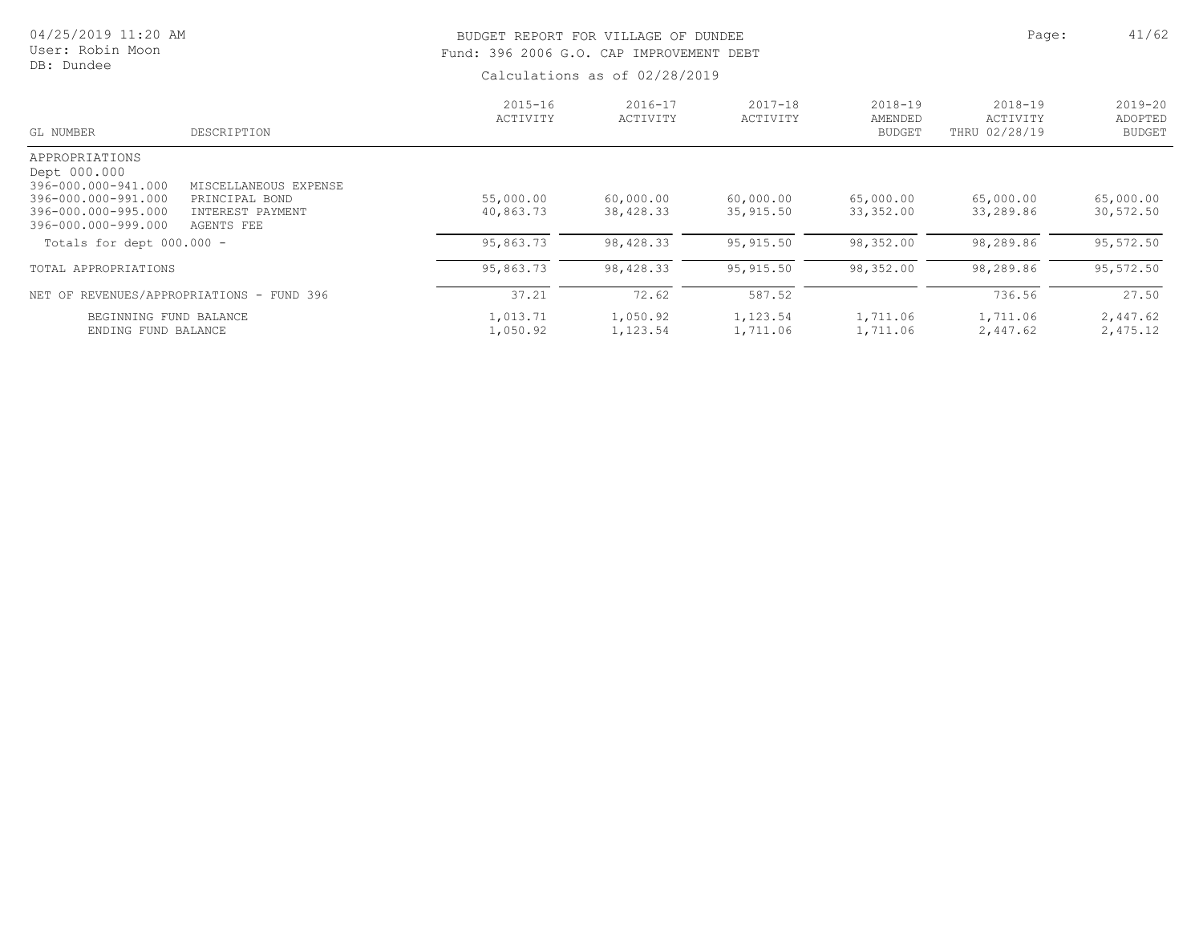| 04/25/2019 11:20 AM<br>User: Robin Moon<br>DB: Dundee                                                                                                     |                                                                           |                                     | BUDGET REPORT FOR VILLAGE OF DUNDEE<br>Fund: 396 2006 G.O. CAP IMPROVEMENT DEBT<br>Calculations as of 02/28/2019 |                                      |                                         |                                          |                                         |  |
|-----------------------------------------------------------------------------------------------------------------------------------------------------------|---------------------------------------------------------------------------|-------------------------------------|------------------------------------------------------------------------------------------------------------------|--------------------------------------|-----------------------------------------|------------------------------------------|-----------------------------------------|--|
| GL NUMBER                                                                                                                                                 | DESCRIPTION                                                               | $2015 - 16$<br>ACTIVITY             | $2016 - 17$<br>ACTIVITY                                                                                          | $2017 - 18$<br>ACTIVITY              | $2018 - 19$<br>AMENDED<br><b>BUDGET</b> | $2018 - 19$<br>ACTIVITY<br>THRU 02/28/19 | $2019 - 20$<br>ADOPTED<br><b>BUDGET</b> |  |
| APPROPRIATIONS<br>Dept 000.000<br>396-000.000-941.000<br>396-000.000-991.000<br>396-000.000-995.000<br>396-000.000-999.000<br>Totals for dept $000.000 -$ | MISCELLANEOUS EXPENSE<br>PRINCIPAL BOND<br>INTEREST PAYMENT<br>AGENTS FEE | 55,000.00<br>40,863.73<br>95,863.73 | 60,000.00<br>38,428.33<br>98,428.33                                                                              | 60,000.00<br>35,915.50<br>95, 915.50 | 65,000.00<br>33,352.00<br>98,352.00     | 65,000.00<br>33,289.86<br>98,289.86      | 65,000.00<br>30,572.50<br>95,572.50     |  |
| TOTAL APPROPRIATIONS                                                                                                                                      | NET OF REVENUES/APPROPRIATIONS - FUND 396                                 | 95,863.73<br>37.21                  | 98,428.33<br>72.62                                                                                               | 95, 915.50<br>587.52                 | 98,352.00                               | 98,289.86<br>736.56                      | 95,572.50<br>27.50                      |  |
| BEGINNING FUND BALANCE<br>ENDING FUND BALANCE                                                                                                             |                                                                           | 1,013.71<br>1,050.92                | 1,050.92<br>1,123.54                                                                                             | 1,123.54<br>1,711.06                 | 1,711.06<br>1,711.06                    | 1,711.06<br>2,447.62                     | 2,447.62<br>2,475.12                    |  |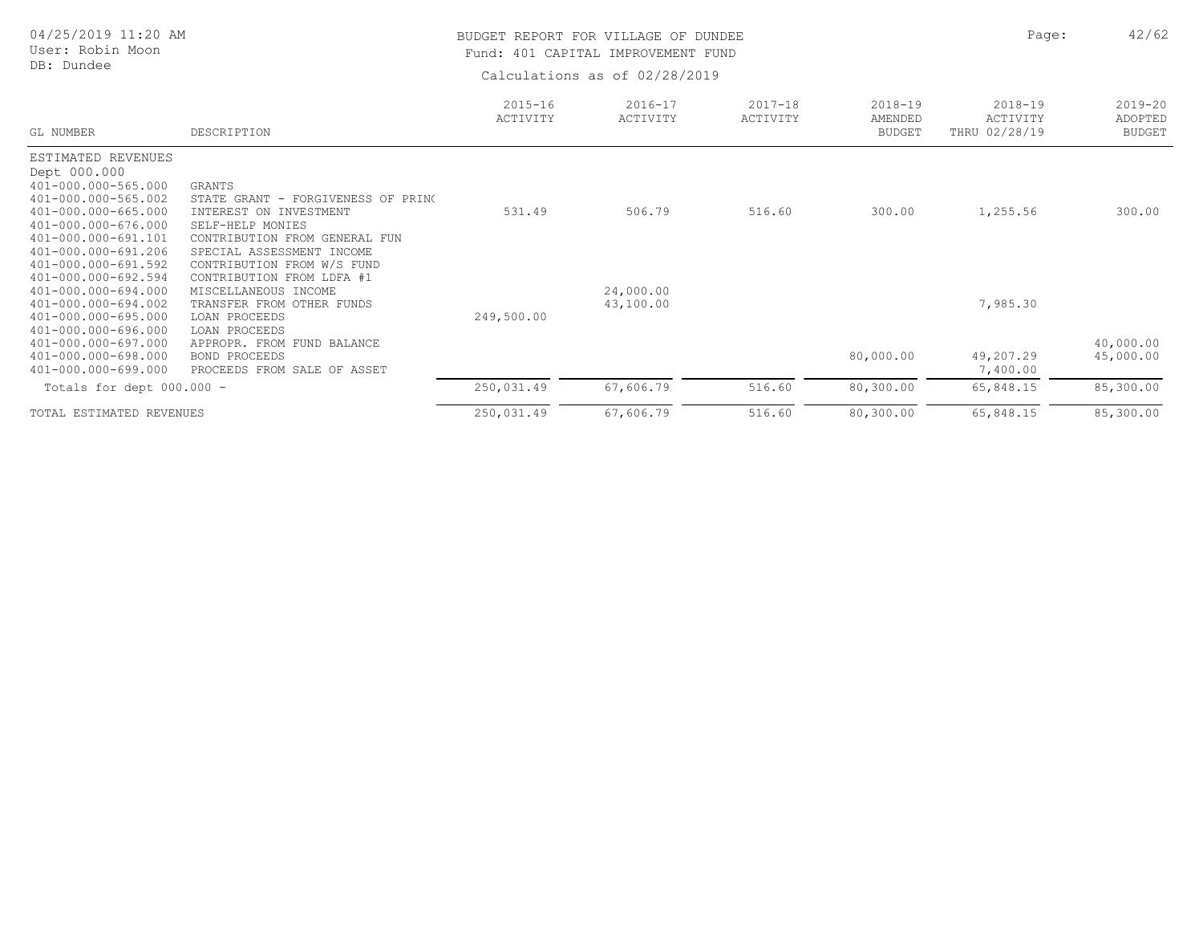| 04/25/2019 11:20 AM<br>User: Robin Moon<br>DB: Dundee                                                                                                                                                                      |                                                                                                                                                                                                                                  |                         | BUDGET REPORT FOR VILLAGE OF DUNDEE<br>Fund: 401 CAPITAL IMPROVEMENT FUND<br>Calculations as of 02/28/2019 | Page:                   | 42/62                                   |                                          |                                         |
|----------------------------------------------------------------------------------------------------------------------------------------------------------------------------------------------------------------------------|----------------------------------------------------------------------------------------------------------------------------------------------------------------------------------------------------------------------------------|-------------------------|------------------------------------------------------------------------------------------------------------|-------------------------|-----------------------------------------|------------------------------------------|-----------------------------------------|
| GL NUMBER                                                                                                                                                                                                                  | DESCRIPTION                                                                                                                                                                                                                      | $2015 - 16$<br>ACTIVITY | $2016 - 17$<br>ACTIVITY                                                                                    | $2017 - 18$<br>ACTIVITY | $2018 - 19$<br>AMENDED<br><b>BUDGET</b> | $2018 - 19$<br>ACTIVITY<br>THRU 02/28/19 | $2019 - 20$<br>ADOPTED<br><b>BUDGET</b> |
| ESTIMATED REVENUES<br>Dept 000.000<br>401-000.000-565.000<br>401-000.000-565.002<br>401-000.000-665.000<br>401-000.000-676.000<br>401-000.000-691.101<br>401-000.000-691.206<br>401-000.000-691.592<br>401-000.000-692.594 | <b>GRANTS</b><br>STATE GRANT<br>- FORGIVENESS OF PRINC<br>INTEREST<br>ON INVESTMENT<br>SELF-HELP MONIES<br>CONTRIBUTION FROM GENERAL FUN<br>SPECIAL ASSESSMENT INCOME<br>CONTRIBUTION FROM W/S FUND<br>CONTRIBUTION FROM LDFA #1 | 531.49                  | 506.79                                                                                                     | 516.60                  | 300.00                                  | 1,255.56                                 | 300.00                                  |
| 401-000.000-694.000<br>401-000.000-694.002<br>401-000.000-695.000<br>401-000.000-696.000<br>401-000.000-697.000<br>401-000.000-698.000<br>401-000.000-699.000                                                              | MISCELLANEOUS INCOME<br>TRANSFER FROM OTHER FUNDS<br>LOAN PROCEEDS<br>LOAN PROCEEDS<br>APPROPR. FROM FUND BALANCE<br><b>BOND PROCEEDS</b><br>PROCEEDS FROM SALE OF ASSET                                                         | 249,500.00              | 24,000.00<br>43,100.00                                                                                     |                         | 80,000.00                               | 7,985.30<br>49,207.29<br>7,400.00        | 40,000.00<br>45,000.00                  |
| Totals for dept 000.000 -                                                                                                                                                                                                  |                                                                                                                                                                                                                                  | 250,031.49              | 67,606.79                                                                                                  | 516.60                  | 80,300.00                               | 65,848.15                                | 85,300.00                               |
| TOTAL ESTIMATED REVENUES                                                                                                                                                                                                   |                                                                                                                                                                                                                                  | 250,031.49              | 67,606.79                                                                                                  | 516.60                  | 80,300.00                               | 65,848.15                                | 85,300.00                               |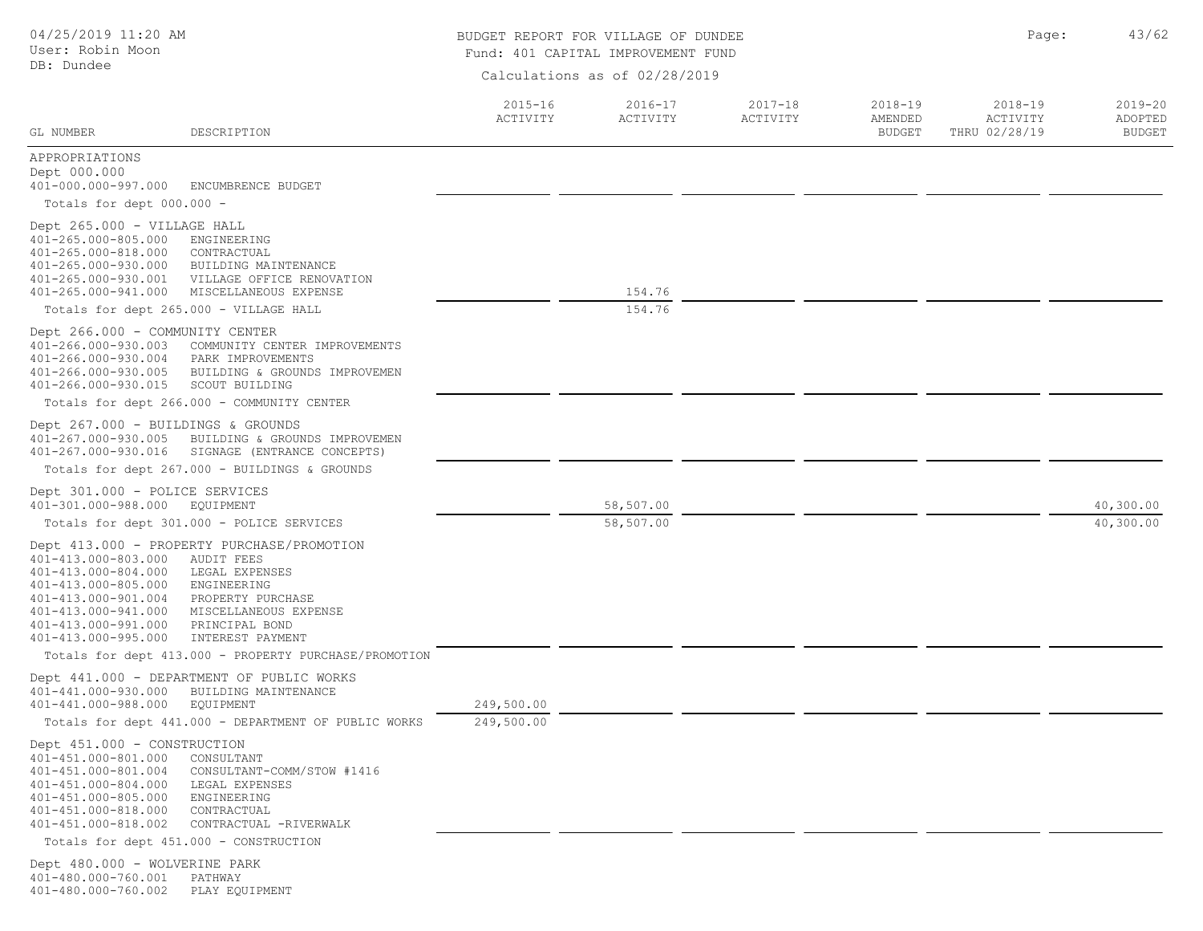| 04/25/2019 11:20 AM<br>User: Robin Moon                                                                                                                               |                                                                                                                                                                               | BUDGET REPORT FOR VILLAGE OF DUNDEE<br>Fund: 401 CAPITAL IMPROVEMENT FUND | Page:                         | 43/62                   |                                         |                                          |                                         |
|-----------------------------------------------------------------------------------------------------------------------------------------------------------------------|-------------------------------------------------------------------------------------------------------------------------------------------------------------------------------|---------------------------------------------------------------------------|-------------------------------|-------------------------|-----------------------------------------|------------------------------------------|-----------------------------------------|
| DB: Dundee                                                                                                                                                            |                                                                                                                                                                               |                                                                           | Calculations as of 02/28/2019 |                         |                                         |                                          |                                         |
| GL NUMBER                                                                                                                                                             | DESCRIPTION                                                                                                                                                                   | $2015 - 16$<br>ACTIVITY                                                   | $2016 - 17$<br>ACTIVITY       | $2017 - 18$<br>ACTIVITY | $2018 - 19$<br>AMENDED<br><b>BUDGET</b> | $2018 - 19$<br>ACTIVITY<br>THRU 02/28/19 | $2019 - 20$<br>ADOPTED<br><b>BUDGET</b> |
| APPROPRIATIONS<br>Dept 000.000<br>401-000.000-997.000                                                                                                                 | ENCUMBRENCE BUDGET                                                                                                                                                            |                                                                           |                               |                         |                                         |                                          |                                         |
| Totals for dept 000.000 -                                                                                                                                             |                                                                                                                                                                               |                                                                           |                               |                         |                                         |                                          |                                         |
| Dept 265.000 - VILLAGE HALL<br>401-265.000-805.000<br>401-265.000-818.000<br>401-265.000-930.000<br>401-265.000-930.001<br>401-265.000-941.000                        | ENGINEERING<br>CONTRACTUAL<br>BUILDING MAINTENANCE<br>VILLAGE OFFICE RENOVATION<br>MISCELLANEOUS EXPENSE                                                                      |                                                                           | 154.76                        |                         |                                         |                                          |                                         |
|                                                                                                                                                                       | Totals for dept 265.000 - VILLAGE HALL                                                                                                                                        |                                                                           | 154.76                        |                         |                                         |                                          |                                         |
| Dept 266.000 - COMMUNITY CENTER<br>401-266.000-930.003<br>401-266.000-930.004<br>401-266.000-930.005<br>401-266.000-930.015                                           | COMMUNITY CENTER IMPROVEMENTS<br>PARK IMPROVEMENTS<br>BUILDING & GROUNDS IMPROVEMEN<br>SCOUT BUILDING                                                                         |                                                                           |                               |                         |                                         |                                          |                                         |
|                                                                                                                                                                       | Totals for dept 266.000 - COMMUNITY CENTER                                                                                                                                    |                                                                           |                               |                         |                                         |                                          |                                         |
| Dept $267.000 - BULDINGS$ & GROUNDS<br>401-267.000-930.005<br>401-267.000-930.016                                                                                     | BUILDING & GROUNDS IMPROVEMEN<br>SIGNAGE (ENTRANCE CONCEPTS)                                                                                                                  |                                                                           |                               |                         |                                         |                                          |                                         |
|                                                                                                                                                                       | Totals for dept 267.000 - BUILDINGS & GROUNDS                                                                                                                                 |                                                                           |                               |                         |                                         |                                          |                                         |
| Dept 301.000 - POLICE SERVICES<br>401-301.000-988.000                                                                                                                 | EQUIPMENT                                                                                                                                                                     |                                                                           | 58,507.00                     |                         |                                         |                                          | 40,300.00                               |
|                                                                                                                                                                       | Totals for dept 301.000 - POLICE SERVICES                                                                                                                                     |                                                                           | 58,507.00                     |                         |                                         |                                          | 40,300.00                               |
| 401-413.000-803.000<br>401-413.000-804.000<br>401-413.000-805.000<br>401-413.000-901.004<br>401-413.000-941.000<br>401-413.000-991.000<br>401-413.000-995.000         | Dept 413.000 - PROPERTY PURCHASE/PROMOTION<br>AUDIT FEES<br>LEGAL EXPENSES<br>ENGINEERING<br>PROPERTY PURCHASE<br>MISCELLANEOUS EXPENSE<br>PRINCIPAL BOND<br>INTEREST PAYMENT |                                                                           |                               |                         |                                         |                                          |                                         |
|                                                                                                                                                                       | Totals for dept 413.000 - PROPERTY PURCHASE/PROMOTION                                                                                                                         |                                                                           |                               |                         |                                         |                                          |                                         |
| 401-441.000-930.000<br>401-441.000-988.000                                                                                                                            | Dept 441.000 - DEPARTMENT OF PUBLIC WORKS<br>BUILDING MAINTENANCE<br>EQUIPMENT                                                                                                | 249,500.00                                                                |                               |                         |                                         |                                          |                                         |
|                                                                                                                                                                       | Totals for dept 441.000 - DEPARTMENT OF PUBLIC WORKS                                                                                                                          | 249,500.00                                                                |                               |                         |                                         |                                          |                                         |
| Dept 451.000 - CONSTRUCTION<br>401-451.000-801.000<br>401-451.000-801.004<br>401-451.000-804.000<br>401-451.000-805.000<br>401-451.000-818.000<br>401-451.000-818.002 | CONSULTANT<br>CONSULTANT-COMM/STOW #1416<br>LEGAL EXPENSES<br>ENGINEERING<br>CONTRACTUAL<br>CONTRACTUAL -RIVERWALK                                                            |                                                                           |                               |                         |                                         |                                          |                                         |
|                                                                                                                                                                       | Totals for dept 451.000 - CONSTRUCTION                                                                                                                                        |                                                                           |                               |                         |                                         |                                          |                                         |
| Dept 480.000 - WOLVERINE PARK<br>401-480.000-760.001<br>401-480.000-760.002                                                                                           | PATHWAY<br>PLAY EQUIPMENT                                                                                                                                                     |                                                                           |                               |                         |                                         |                                          |                                         |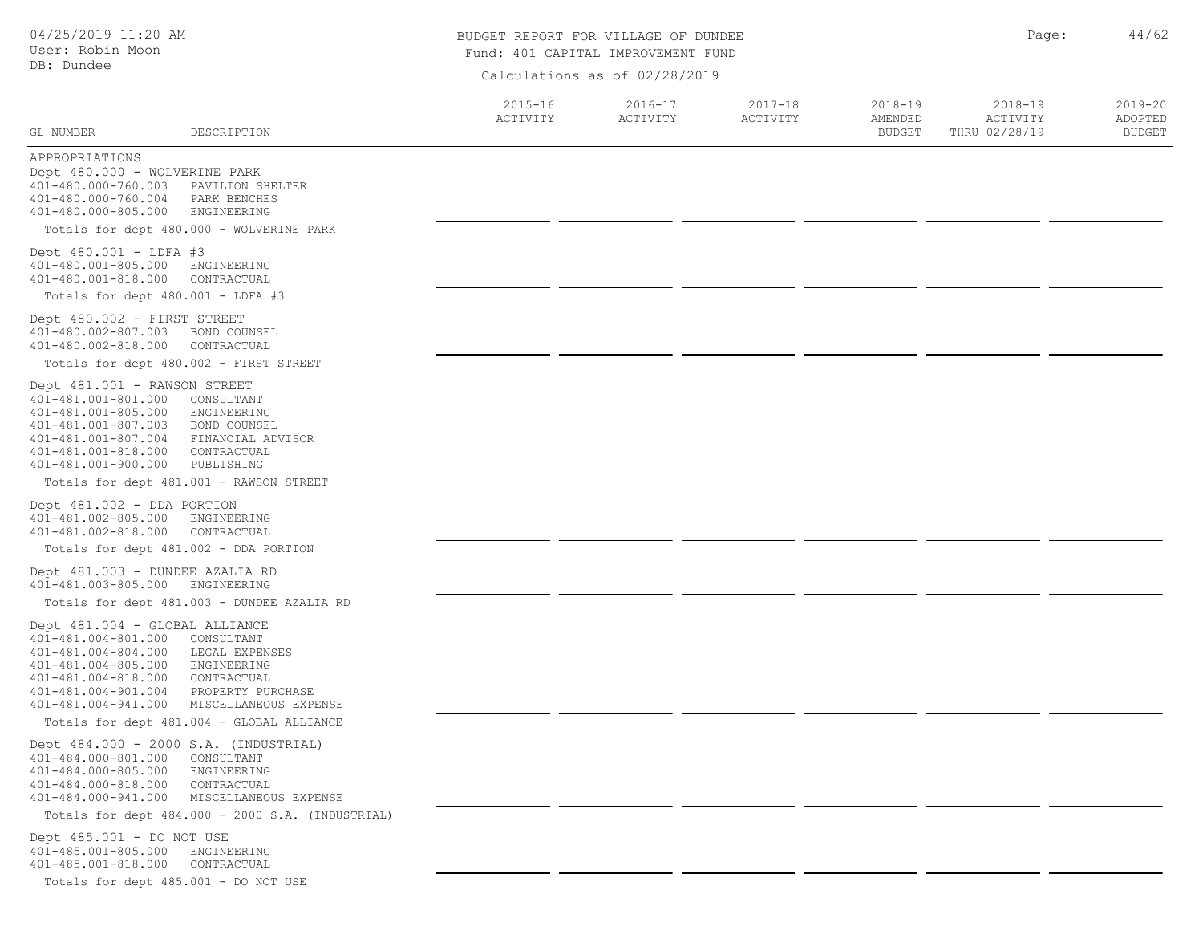| 04/25/2019 11:20 AM<br>User: Robin Moon                                                                                                                                  |                                                                                                                                                        | BUDGET REPORT FOR VILLAGE OF DUNDEE<br>Fund: 401 CAPITAL IMPROVEMENT FUND | Page:                         | 44/62                   |                                         |                                          |                                         |
|--------------------------------------------------------------------------------------------------------------------------------------------------------------------------|--------------------------------------------------------------------------------------------------------------------------------------------------------|---------------------------------------------------------------------------|-------------------------------|-------------------------|-----------------------------------------|------------------------------------------|-----------------------------------------|
| DB: Dundee                                                                                                                                                               |                                                                                                                                                        |                                                                           | Calculations as of 02/28/2019 |                         |                                         |                                          |                                         |
| GL NUMBER                                                                                                                                                                | DESCRIPTION                                                                                                                                            | $2015 - 16$<br>ACTIVITY                                                   | $2016 - 17$<br>ACTIVITY       | $2017 - 18$<br>ACTIVITY | $2018 - 19$<br>AMENDED<br><b>BUDGET</b> | $2018 - 19$<br>ACTIVITY<br>THRU 02/28/19 | $2019 - 20$<br>ADOPTED<br><b>BUDGET</b> |
| APPROPRIATIONS<br>Dept 480.000 - WOLVERINE PARK<br>401-480.000-760.003<br>401-480.000-760.004<br>401-480.000-805.000                                                     | PAVILION SHELTER<br>PARK BENCHES<br>ENGINEERING                                                                                                        |                                                                           |                               |                         |                                         |                                          |                                         |
| Dept $480.001 - LDFA #3$<br>401-480.001-805.000<br>401-480.001-818.000                                                                                                   | Totals for dept 480.000 - WOLVERINE PARK<br>ENGINEERING<br>CONTRACTUAL                                                                                 |                                                                           |                               |                         |                                         |                                          |                                         |
| Totals for dept 480.001 - LDFA #3                                                                                                                                        |                                                                                                                                                        |                                                                           |                               |                         |                                         |                                          |                                         |
| Dept 480.002 - FIRST STREET<br>401-480.002-807.003<br>401-480.002-818.000                                                                                                | BOND COUNSEL<br>CONTRACTUAL<br>Totals for dept 480.002 - FIRST STREET                                                                                  |                                                                           |                               |                         |                                         |                                          |                                         |
| Dept 481.001 - RAWSON STREET<br>401-481.001-801.000<br>401-481.001-805.000<br>401-481.001-807.003<br>401-481.001-807.004<br>401-481.001-818.000<br>401-481.001-900.000   | CONSULTANT<br>ENGINEERING<br>BOND COUNSEL<br>FINANCIAL ADVISOR<br>CONTRACTUAL<br>PUBLISHING                                                            |                                                                           |                               |                         |                                         |                                          |                                         |
|                                                                                                                                                                          | Totals for dept 481.001 - RAWSON STREET                                                                                                                |                                                                           |                               |                         |                                         |                                          |                                         |
| Dept 481.002 - DDA PORTION<br>401-481.002-805.000<br>401-481.002-818.000                                                                                                 | ENGINEERING<br>CONTRACTUAL                                                                                                                             |                                                                           |                               |                         |                                         |                                          |                                         |
|                                                                                                                                                                          | Totals for dept 481.002 - DDA PORTION                                                                                                                  |                                                                           |                               |                         |                                         |                                          |                                         |
| Dept 481.003 - DUNDEE AZALIA RD<br>401-481.003-805.000                                                                                                                   | ENGINEERING                                                                                                                                            |                                                                           |                               |                         |                                         |                                          |                                         |
| Dept 481.004 - GLOBAL ALLIANCE<br>401-481.004-801.000<br>401-481.004-804.000<br>401-481.004-805.000<br>401-481.004-818.000<br>401-481.004-901.004<br>401-481.004-941.000 | Totals for dept 481.003 - DUNDEE AZALIA RD<br>CONSULTANT<br>LEGAL EXPENSES<br>ENGINEERING<br>CONTRACTUAL<br>PROPERTY PURCHASE<br>MISCELLANEOUS EXPENSE |                                                                           |                               |                         |                                         |                                          |                                         |
|                                                                                                                                                                          | Totals for dept 481.004 - GLOBAL ALLIANCE                                                                                                              |                                                                           |                               |                         |                                         |                                          |                                         |
| 401-484.000-801.000<br>401-484.000-805.000<br>401-484.000-818.000<br>401-484.000-941.000                                                                                 | Dept 484.000 - 2000 S.A. (INDUSTRIAL)<br>CONSULTANT<br>ENGINEERING<br>CONTRACTUAL<br>MISCELLANEOUS EXPENSE                                             |                                                                           |                               |                         |                                         |                                          |                                         |
|                                                                                                                                                                          | Totals for dept 484.000 - 2000 S.A. (INDUSTRIAL)                                                                                                       |                                                                           |                               |                         |                                         |                                          |                                         |
| Dept 485.001 - DO NOT USE<br>401-485.001-805.000<br>401-485.001-818.000                                                                                                  | ENGINEERING<br>CONTRACTUAL<br>Totals for dept 485.001 - DO NOT USE                                                                                     |                                                                           |                               |                         |                                         |                                          |                                         |
|                                                                                                                                                                          |                                                                                                                                                        |                                                                           |                               |                         |                                         |                                          |                                         |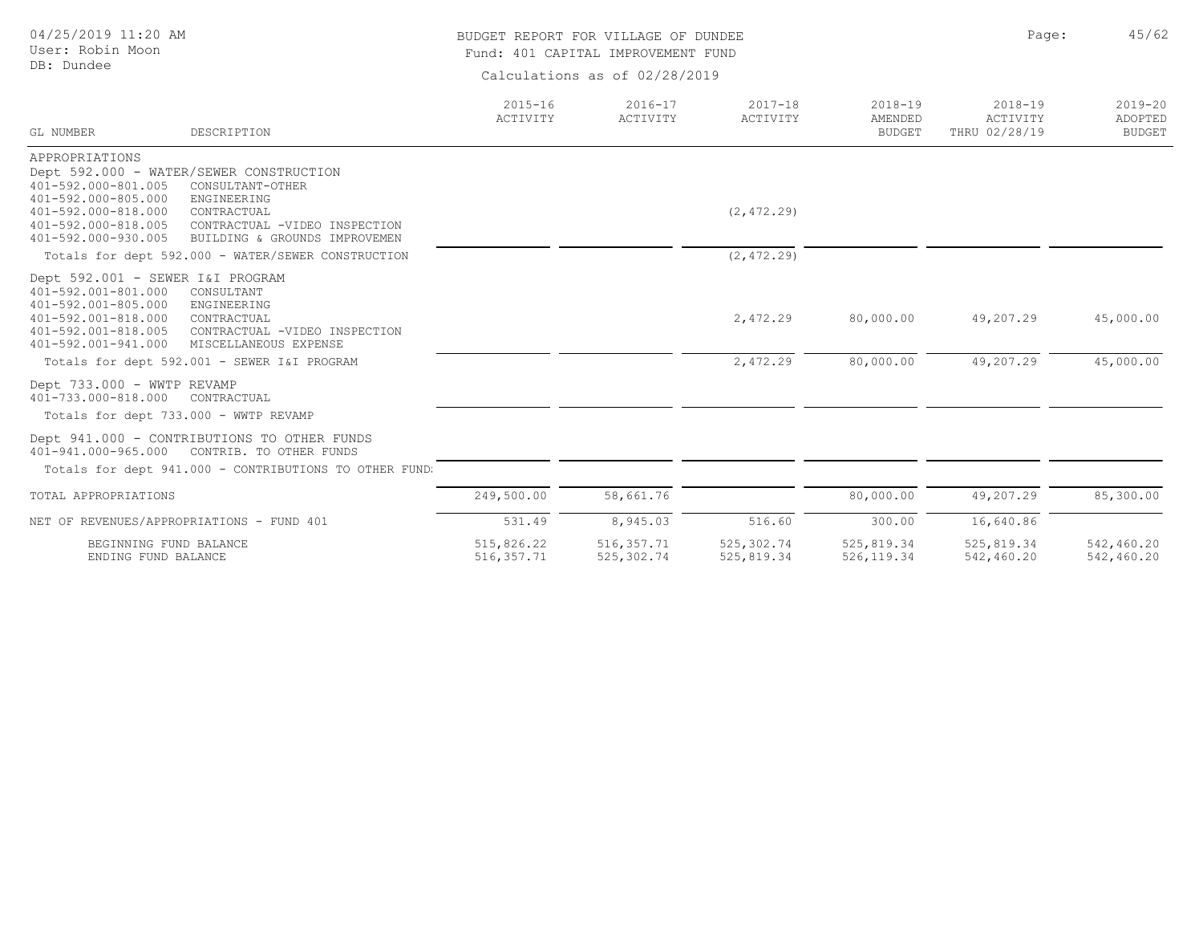| 04/25/2019 11:20 AM<br>User: Robin Moon                                                                                                                                                                                                                                                          |                               | BUDGET REPORT FOR VILLAGE OF DUNDEE<br>Fund: 401 CAPITAL IMPROVEMENT FUND |                          |                                         |                                          |                                         |  |  |
|--------------------------------------------------------------------------------------------------------------------------------------------------------------------------------------------------------------------------------------------------------------------------------------------------|-------------------------------|---------------------------------------------------------------------------|--------------------------|-----------------------------------------|------------------------------------------|-----------------------------------------|--|--|
| DB: Dundee                                                                                                                                                                                                                                                                                       | Calculations as of 02/28/2019 |                                                                           |                          |                                         |                                          |                                         |  |  |
| GL NUMBER<br>DESCRIPTION                                                                                                                                                                                                                                                                         | $2015 - 16$<br>ACTIVITY       | $2016 - 17$<br>ACTIVITY                                                   | $2017 - 18$<br>ACTIVITY  | $2018 - 19$<br>AMENDED<br><b>BUDGET</b> | $2018 - 19$<br>ACTIVITY<br>THRU 02/28/19 | $2019 - 20$<br>ADOPTED<br><b>BUDGET</b> |  |  |
| APPROPRIATIONS<br>Dept 592.000 - WATER/SEWER CONSTRUCTION<br>401-592.000-801.005<br>CONSULTANT-OTHER<br>401-592.000-805.000<br>ENGINEERING<br>401-592.000-818.000<br>CONTRACTUAL<br>401-592.000-818.005<br>CONTRACTUAL -VIDEO INSPECTION<br>401-592.000-930.005<br>BUILDING & GROUNDS IMPROVEMEN |                               |                                                                           | (2, 472.29)              |                                         |                                          |                                         |  |  |
| Totals for dept 592.000 - WATER/SEWER CONSTRUCTION                                                                                                                                                                                                                                               |                               |                                                                           | (2, 472.29)              |                                         |                                          |                                         |  |  |
| Dept 592.001 - SEWER I&I PROGRAM<br>401-592.001-801.000<br>CONSULTANT<br>401-592.001-805.000<br>ENGINEERING<br>401-592.001-818.000<br>CONTRACTUAL<br>401-592.001-818.005<br>CONTRACTUAL -VIDEO INSPECTION<br>401-592.001-941.000<br>MISCELLANEOUS EXPENSE                                        |                               |                                                                           | 2,472.29                 | 80,000.00                               | 49,207.29                                | 45,000.00                               |  |  |
| Totals for dept 592.001 - SEWER I&I PROGRAM                                                                                                                                                                                                                                                      |                               |                                                                           | 2,472.29                 | 80,000.00                               | 49,207.29                                | 45,000.00                               |  |  |
| Dept 733.000 - WWTP REVAMP<br>401-733.000-818.000<br>CONTRACTUAL<br>Totals for dept 733.000 - WWTP REVAMP                                                                                                                                                                                        |                               |                                                                           |                          |                                         |                                          |                                         |  |  |
| Dept 941.000 - CONTRIBUTIONS TO OTHER FUNDS<br>401-941.000-965.000<br>CONTRIB. TO OTHER FUNDS<br>Totals for dept 941.000 - CONTRIBUTIONS TO OTHER FUND.                                                                                                                                          |                               |                                                                           |                          |                                         |                                          |                                         |  |  |
| TOTAL APPROPRIATIONS                                                                                                                                                                                                                                                                             | 249,500.00                    | 58,661.76                                                                 |                          | 80,000.00                               | 49,207.29                                | 85,300.00                               |  |  |
| NET OF REVENUES/APPROPRIATIONS - FUND 401                                                                                                                                                                                                                                                        | 531.49                        | 8,945.03                                                                  | 516.60                   | 300.00                                  | 16,640.86                                |                                         |  |  |
| BEGINNING FUND BALANCE<br>ENDING FUND BALANCE                                                                                                                                                                                                                                                    | 515,826.22<br>516, 357.71     | 516, 357.71<br>525,302.74                                                 | 525,302.74<br>525,819.34 | 525,819.34<br>526,119.34                | 525,819.34<br>542,460.20                 | 542,460.20<br>542,460.20                |  |  |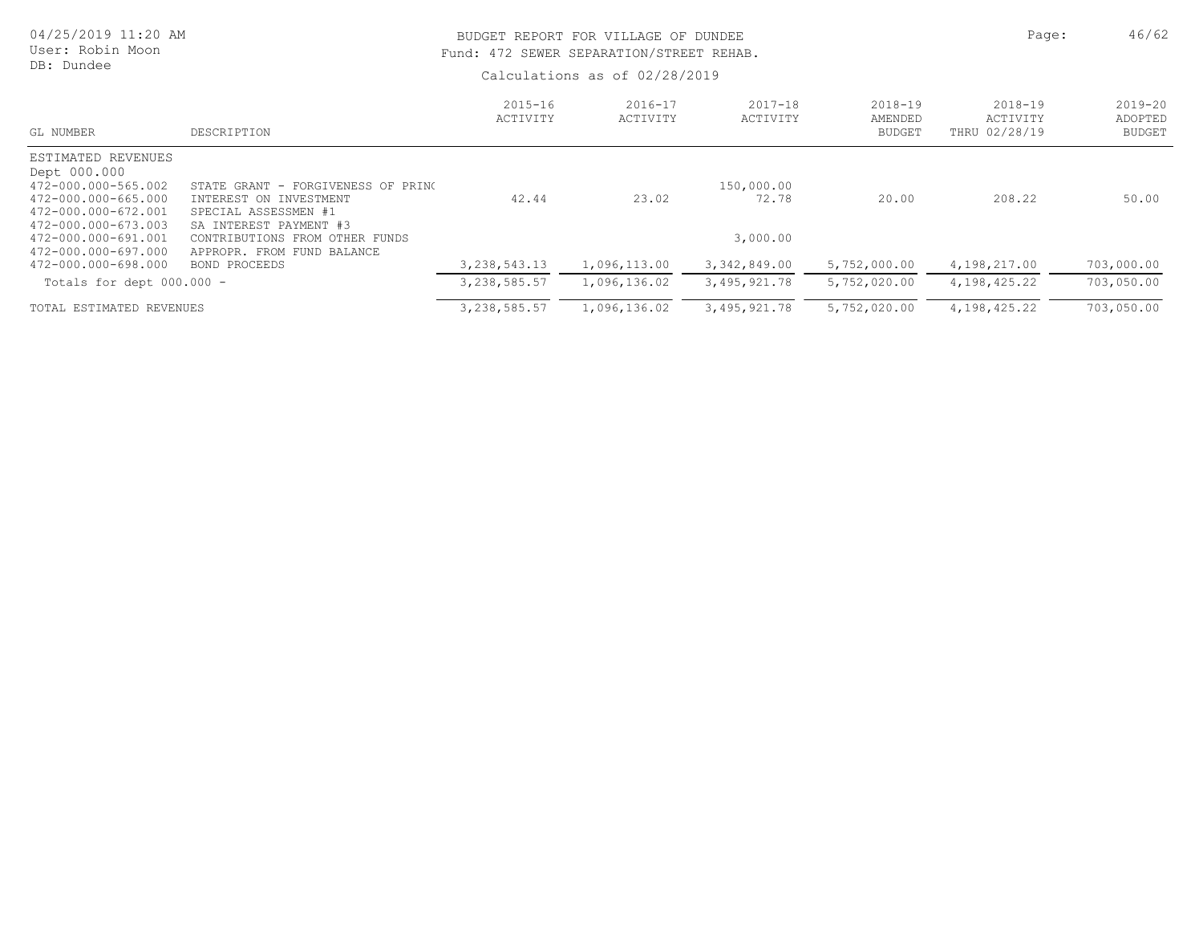| 04/25/2019 11:20 AM<br>User: Robin Moon<br>DB: Dundee                                                                                                                        |                                                                                                                                                                                | BUDGET REPORT FOR VILLAGE OF DUNDEE<br>Fund: 472 SEWER SEPARATION/STREET REHAB.<br>Calculations as of 02/28/2019 | Page:                   | 46/62                           |                                     |                                          |                                         |
|------------------------------------------------------------------------------------------------------------------------------------------------------------------------------|--------------------------------------------------------------------------------------------------------------------------------------------------------------------------------|------------------------------------------------------------------------------------------------------------------|-------------------------|---------------------------------|-------------------------------------|------------------------------------------|-----------------------------------------|
| GL NUMBER                                                                                                                                                                    | DESCRIPTION                                                                                                                                                                    | $2015 - 16$<br>ACTIVITY                                                                                          | $2016 - 17$<br>ACTIVITY | $2017 - 18$<br>ACTIVITY         | 2018-19<br>AMENDED<br><b>BUDGET</b> | $2018 - 19$<br>ACTIVITY<br>THRU 02/28/19 | $2019 - 20$<br>ADOPTED<br><b>BUDGET</b> |
| ESTIMATED REVENUES<br>Dept 000.000<br>472-000.000-565.002<br>472-000.000-665.000<br>472-000.000-672.001<br>472-000.000-673.003<br>472-000.000-691.001<br>472-000.000-697.000 | STATE GRANT - FORGIVENESS OF PRINC<br>INTEREST ON INVESTMENT<br>SPECIAL ASSESSMEN #1<br>SA INTEREST PAYMENT #3<br>CONTRIBUTIONS FROM OTHER FUNDS<br>APPROPR. FROM FUND BALANCE | 42.44                                                                                                            | 23.02                   | 150,000.00<br>72.78<br>3,000.00 | 20.00                               | 208.22                                   | 50.00                                   |
| 472-000.000-698.000                                                                                                                                                          | BOND PROCEEDS                                                                                                                                                                  | 3, 238, 543. 13                                                                                                  | 1,096,113.00            | 3, 342, 849.00                  | 5,752,000.00                        | 4,198,217.00                             | 703,000.00                              |
| Totals for dept $000.000 -$                                                                                                                                                  |                                                                                                                                                                                | 3,238,585.57                                                                                                     | 1,096,136.02            | 3,495,921.78                    | 5,752,020.00                        | 4,198,425.22                             | 703,050.00                              |
| TOTAL ESTIMATED REVENUES                                                                                                                                                     |                                                                                                                                                                                | 3, 238, 585.57                                                                                                   | 1,096,136.02            | 3,495,921.78                    | 5,752,020.00                        | 4, 198, 425.22                           | 703,050.00                              |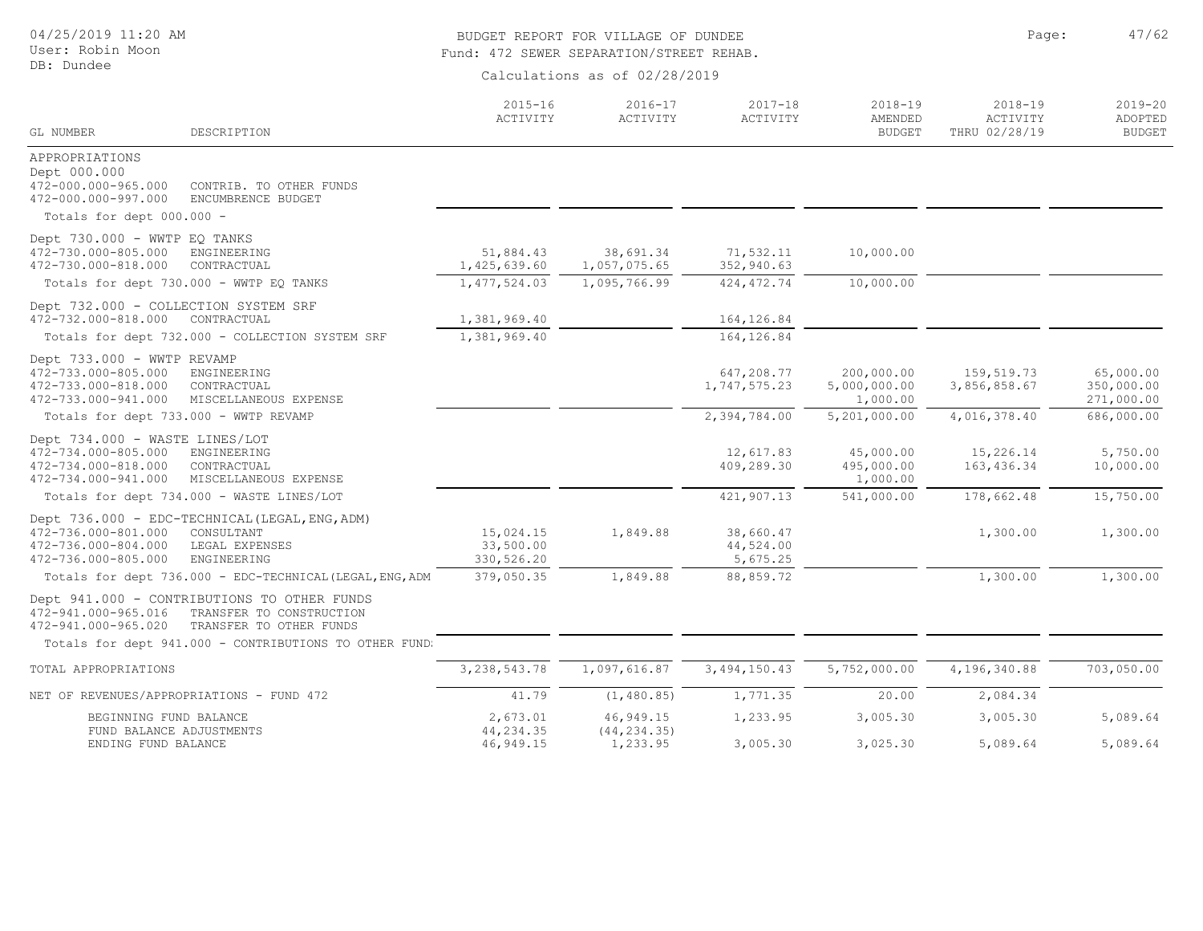04/25/2019 11:20 AM

User: Robin Moon DB: Dundee

# BUDGET REPORT FOR VILLAGE OF DUNDEE **Page:** 47/62 Fund: 472 SEWER SEPARATION/STREET REHAB.

| GL NUMBER                                                                                           | DESCRIPTION                                                                                        | $2015 - 16$<br>ACTIVITY              | $2016 - 17$<br>ACTIVITY   | $2017 - 18$<br>ACTIVITY            | 2018-19<br>AMENDED<br><b>BUDGET</b>    | $2018 - 19$<br>ACTIVITY<br>THRU 02/28/19 | $2019 - 20$<br>ADOPTED<br><b>BUDGET</b> |
|-----------------------------------------------------------------------------------------------------|----------------------------------------------------------------------------------------------------|--------------------------------------|---------------------------|------------------------------------|----------------------------------------|------------------------------------------|-----------------------------------------|
| APPROPRIATIONS<br>Dept 000.000<br>472-000.000-965.000<br>472-000.000-997.000                        | CONTRIB. TO OTHER FUNDS<br>ENCUMBRENCE BUDGET                                                      |                                      |                           |                                    |                                        |                                          |                                         |
| Totals for dept 000.000 -                                                                           |                                                                                                    |                                      |                           |                                    |                                        |                                          |                                         |
| Dept 730.000 - WWTP EQ TANKS<br>472-730.000-805.000<br>472-730.000-818.000                          | ENGINEERING<br>CONTRACTUAL                                                                         | 51,884.43<br>1,425,639.60            | 38,691.34<br>1,057,075.65 | 71,532.11<br>352,940.63            | 10,000.00                              |                                          |                                         |
| Totals for dept 730.000 - WWTP EQ TANKS                                                             |                                                                                                    | 1, 477, 524.03                       | 1,095,766.99              | 424, 472.74                        | 10,000.00                              |                                          |                                         |
| Dept 732.000 - COLLECTION SYSTEM SRF<br>472-732.000-818.000                                         | CONTRACTUAL                                                                                        | 1,381,969.40                         |                           | 164, 126.84                        |                                        |                                          |                                         |
|                                                                                                     | Totals for dept 732.000 - COLLECTION SYSTEM SRF                                                    | 1,381,969.40                         |                           | 164, 126.84                        |                                        |                                          |                                         |
| Dept 733.000 - WWTP REVAMP<br>472-733.000-805.000<br>472-733.000-818.000<br>472-733.000-941.000     | ENGINEERING<br>CONTRACTUAL<br>MISCELLANEOUS EXPENSE                                                |                                      |                           | 647,208.77<br>1,747,575.23         | 200,000.00<br>5,000,000.00<br>1,000.00 | 159,519.73<br>3,856,858.67               | 65,000.00<br>350,000.00<br>271,000.00   |
| Totals for dept 733.000 - WWTP REVAMP                                                               |                                                                                                    |                                      |                           | 2,394,784.00                       | 5,201,000.00                           | 4,016,378.40                             | 686,000.00                              |
| Dept 734.000 - WASTE LINES/LOT<br>472-734.000-805.000<br>472-734.000-818.000<br>472-734.000-941.000 | ENGINEERING<br>CONTRACTUAL<br>MISCELLANEOUS EXPENSE                                                |                                      |                           | 12,617.83<br>409,289.30            | 45,000.00<br>495,000.00<br>1,000.00    | 15,226.14<br>163, 436.34                 | 5,750.00<br>10,000.00                   |
| Totals for dept 734.000 - WASTE LINES/LOT                                                           |                                                                                                    |                                      |                           | 421,907.13                         | 541,000.00                             | 178,662.48                               | 15,750.00                               |
| 472-736.000-801.000<br>472-736.000-804.000<br>472-736.000-805.000                                   | Dept 736.000 - EDC-TECHNICAL (LEGAL, ENG, ADM)<br>CONSULTANT<br>LEGAL EXPENSES<br>ENGINEERING      | 15,024.15<br>33,500.00<br>330,526.20 | 1,849.88                  | 38,660.47<br>44,524.00<br>5,675.25 |                                        | 1,300.00                                 | 1,300.00                                |
|                                                                                                     | Totals for dept 736.000 - EDC-TECHNICAL (LEGAL, ENG, ADM                                           | 379,050.35                           | 1,849.88                  | 88,859.72                          |                                        | 1,300.00                                 | 1,300.00                                |
| 472-941.000-965.016<br>472-941.000-965.020                                                          | Dept 941.000 - CONTRIBUTIONS TO OTHER FUNDS<br>TRANSFER TO CONSTRUCTION<br>TRANSFER TO OTHER FUNDS |                                      |                           |                                    |                                        |                                          |                                         |
|                                                                                                     | Totals for dept 941.000 - CONTRIBUTIONS TO OTHER FUND:                                             |                                      |                           |                                    |                                        |                                          |                                         |
| TOTAL APPROPRIATIONS                                                                                |                                                                                                    | 3, 238, 543. 78                      | 1,097,616.87              | 3, 494, 150.43                     | 5,752,000.00                           | 4,196,340.88                             | 703,050.00                              |
| NET OF REVENUES/APPROPRIATIONS - FUND 472                                                           |                                                                                                    | 41.79                                | (1, 480.85)               | 1,771.35                           | 20.00                                  | 2,084.34                                 |                                         |
| BEGINNING FUND BALANCE<br>FUND BALANCE ADJUSTMENTS                                                  |                                                                                                    | 2,673.01<br>44,234.35                | 46,949.15<br>(44, 234.35) | 1,233.95                           | 3,005.30                               | 3,005.30                                 | 5,089.64                                |
| ENDING FUND BALANCE                                                                                 |                                                                                                    | 46,949.15                            | 1,233.95                  | 3,005.30                           | 3,025.30                               | 5,089.64                                 | 5,089.64                                |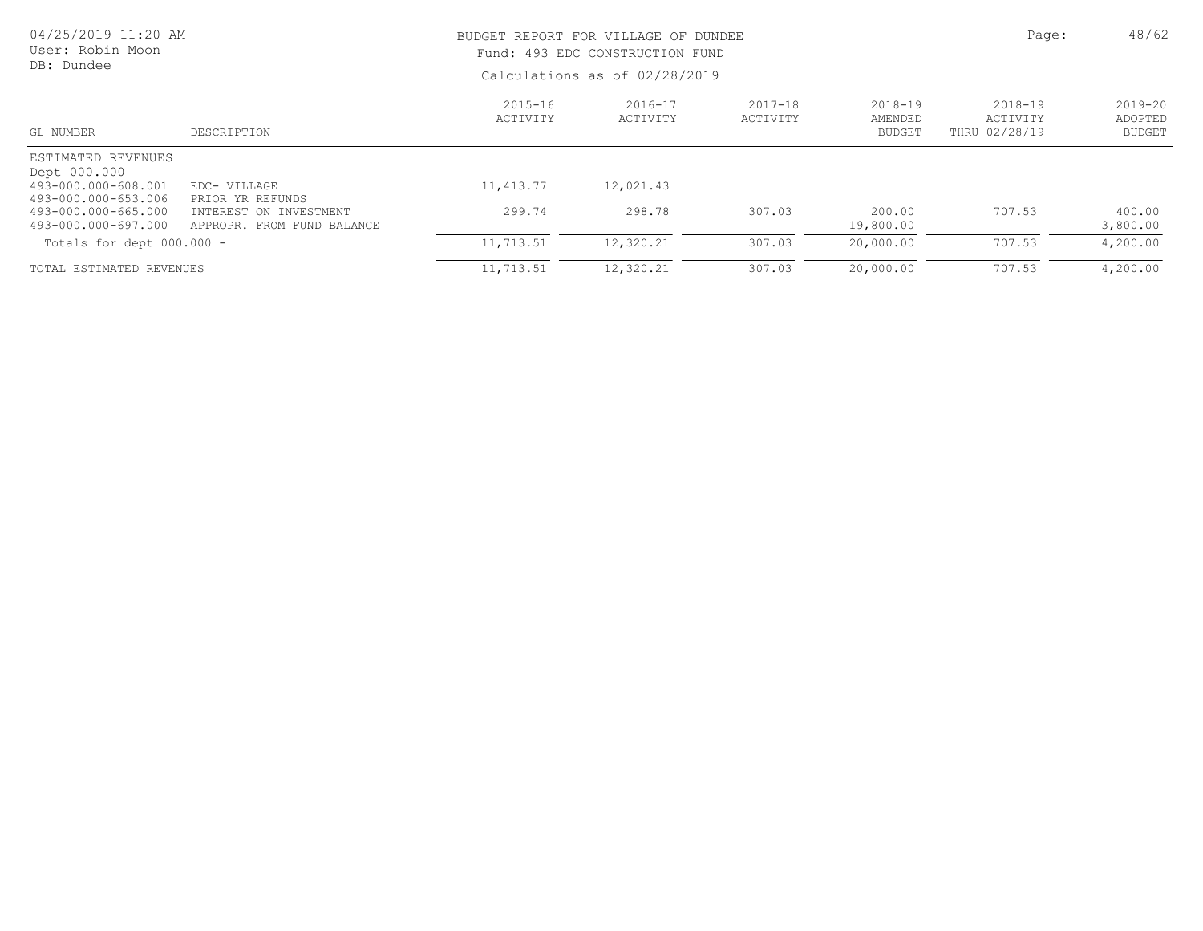| 04/25/2019 11:20 AM<br>User: Robin Moon    |                                                      |                         | BUDGET REPORT FOR VILLAGE OF DUNDEE<br>Fund: 493 EDC CONSTRUCTION FUND |                         |                                         |                                      |                                         |  |
|--------------------------------------------|------------------------------------------------------|-------------------------|------------------------------------------------------------------------|-------------------------|-----------------------------------------|--------------------------------------|-----------------------------------------|--|
| DB: Dundee                                 |                                                      |                         | Calculations as of 02/28/2019                                          |                         |                                         |                                      |                                         |  |
| GL NUMBER                                  | DESCRIPTION                                          | $2015 - 16$<br>ACTIVITY | $2016 - 17$<br>ACTIVITY                                                | $2017 - 18$<br>ACTIVITY | $2018 - 19$<br>AMENDED<br><b>BUDGET</b> | 2018-19<br>ACTIVITY<br>THRU 02/28/19 | $2019 - 20$<br>ADOPTED<br><b>BUDGET</b> |  |
| ESTIMATED REVENUES<br>Dept 000.000         |                                                      |                         |                                                                        |                         |                                         |                                      |                                         |  |
| 493-000.000-608.001<br>493-000.000-653.006 | EDC- VILLAGE<br>PRIOR YR REFUNDS                     | 11, 413.77              | 12,021.43                                                              |                         |                                         |                                      |                                         |  |
| 493-000.000-665.000<br>493-000.000-697.000 | INTEREST ON INVESTMENT<br>APPROPR. FROM FUND BALANCE | 299.74                  | 298.78                                                                 | 307.03                  | 200.00<br>19,800.00                     | 707.53                               | 400.00<br>3,800.00                      |  |
| Totals for dept $000.000 -$                |                                                      | 11,713.51               | 12,320.21                                                              | 307.03                  | 20,000.00                               | 707.53                               | 4,200.00                                |  |
| TOTAL ESTIMATED REVENUES                   |                                                      | 11,713.51               | 12,320.21                                                              | 307.03                  | 20,000.00                               | 707.53                               | 4,200.00                                |  |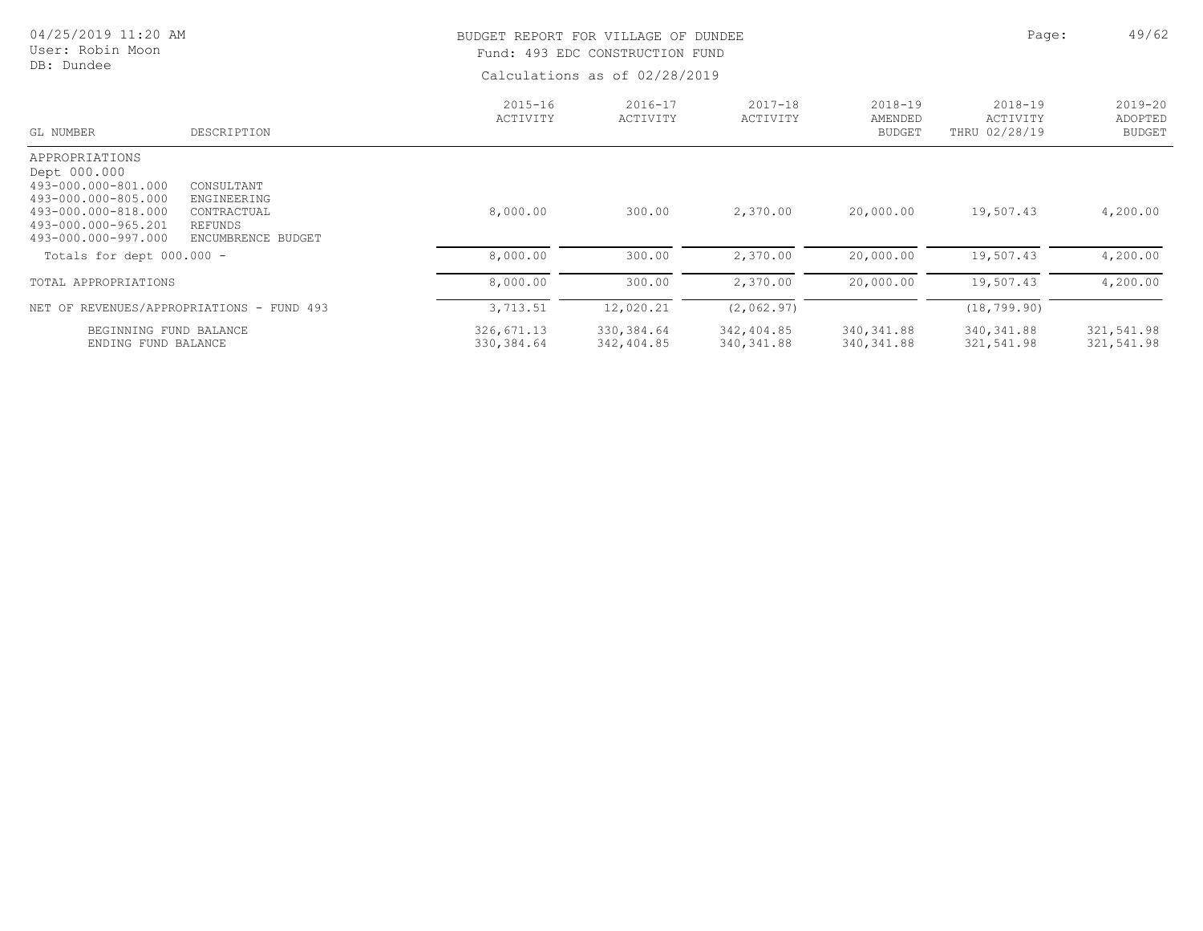| 04/25/2019 11:20 AM<br>User: Robin Moon<br>DB: Dundee                                                                                             |                                                                           |                           | BUDGET REPORT FOR VILLAGE OF DUNDEE<br>Fund: 493 EDC CONSTRUCTION FUND<br>Calculations as of 02/28/2019 |                           |                                     |                                      |                                         |  |
|---------------------------------------------------------------------------------------------------------------------------------------------------|---------------------------------------------------------------------------|---------------------------|---------------------------------------------------------------------------------------------------------|---------------------------|-------------------------------------|--------------------------------------|-----------------------------------------|--|
| GL NUMBER                                                                                                                                         | DESCRIPTION                                                               | $2015 - 16$<br>ACTIVITY   | $2016 - 17$<br>ACTIVITY                                                                                 | $2017 - 18$<br>ACTIVITY   | 2018-19<br>AMENDED<br><b>BUDGET</b> | 2018-19<br>ACTIVITY<br>THRU 02/28/19 | $2019 - 20$<br>ADOPTED<br><b>BUDGET</b> |  |
| APPROPRIATIONS<br>Dept 000.000<br>493-000.000-801.000<br>493-000.000-805.000<br>493-000.000-818.000<br>493-000.000-965.201<br>493-000.000-997.000 | CONSULTANT<br>ENGINEERING<br>CONTRACTUAL<br>REFUNDS<br>ENCUMBRENCE BUDGET | 8,000.00                  | 300.00                                                                                                  | 2,370.00                  | 20,000.00                           | 19,507.43                            | 4,200.00                                |  |
| Totals for dept $000.000 -$                                                                                                                       |                                                                           | 8,000.00                  | 300.00                                                                                                  | 2,370.00                  | 20,000.00                           | 19,507.43                            | 4,200.00                                |  |
| TOTAL APPROPRIATIONS                                                                                                                              |                                                                           | 8,000.00                  | 300.00                                                                                                  | 2,370.00                  | 20,000.00                           | 19,507.43                            | 4,200.00                                |  |
|                                                                                                                                                   | NET OF REVENUES/APPROPRIATIONS - FUND 493                                 | 3,713.51                  | 12,020.21                                                                                               | (2, 062.97)               |                                     | (18, 799.90)                         |                                         |  |
| BEGINNING FUND BALANCE<br>ENDING FUND BALANCE                                                                                                     |                                                                           | 326,671.13<br>330, 384.64 | 330,384.64<br>342,404.85                                                                                | 342,404.85<br>340, 341.88 | 340, 341.88<br>340, 341.88          | 340, 341.88<br>321,541.98            | 321,541.98<br>321,541.98                |  |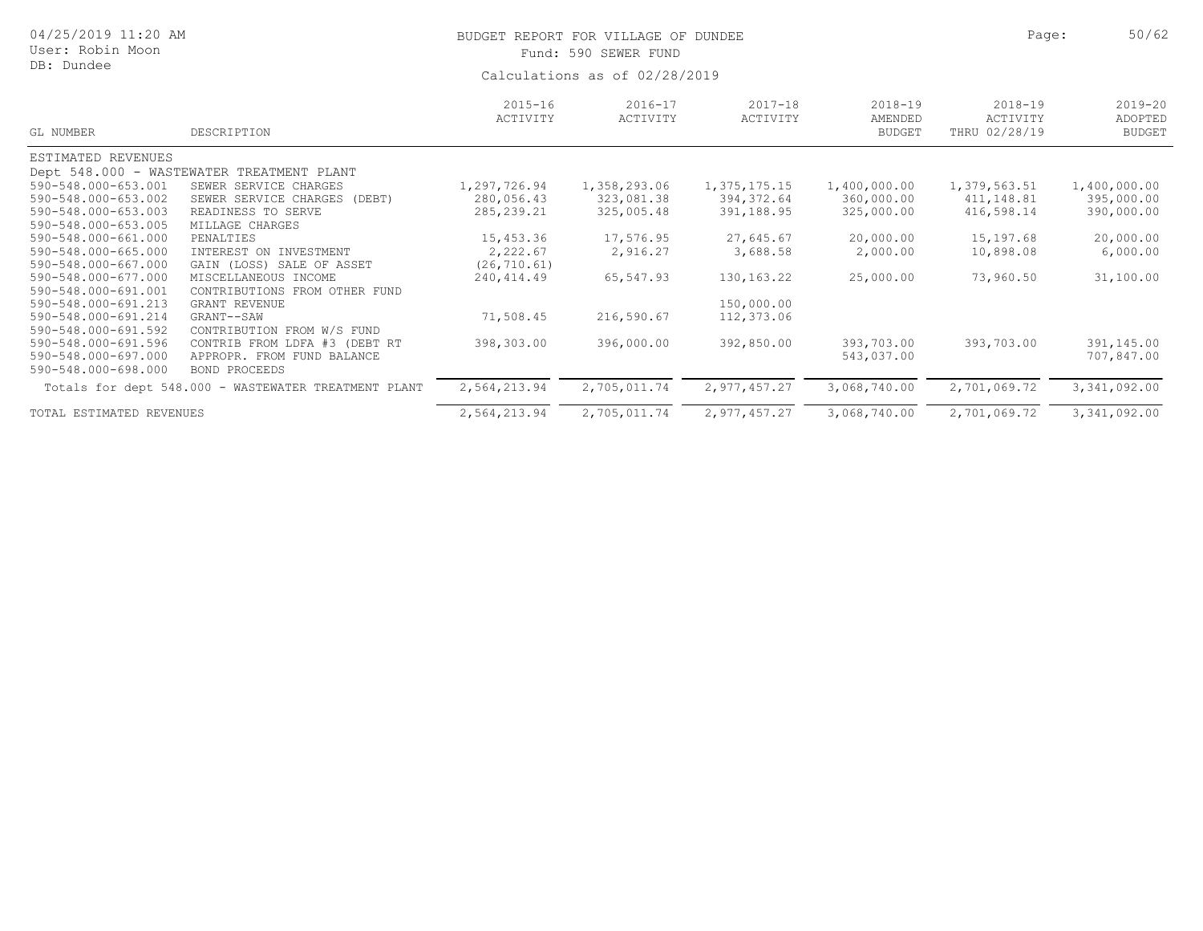| 04/25/2019 11:20 AM<br>User: Robin Moon<br>DB: Dundee |                                                      |                               | BUDGET REPORT FOR VILLAGE OF DUNDEE<br>Fund: 590 SEWER FUND | Page:                   | 50/62                                   |                                          |                                         |  |  |  |
|-------------------------------------------------------|------------------------------------------------------|-------------------------------|-------------------------------------------------------------|-------------------------|-----------------------------------------|------------------------------------------|-----------------------------------------|--|--|--|
|                                                       |                                                      | Calculations as of 02/28/2019 |                                                             |                         |                                         |                                          |                                         |  |  |  |
| GL NUMBER                                             | DESCRIPTION                                          | $2015 - 16$<br>ACTIVITY       | $2016 - 17$<br>ACTIVITY                                     | $2017 - 18$<br>ACTIVITY | $2018 - 19$<br>AMENDED<br><b>BUDGET</b> | $2018 - 19$<br>ACTIVITY<br>THRU 02/28/19 | $2019 - 20$<br>ADOPTED<br><b>BUDGET</b> |  |  |  |
| ESTIMATED REVENUES                                    |                                                      |                               |                                                             |                         |                                         |                                          |                                         |  |  |  |
|                                                       | Dept 548.000 - WASTEWATER TREATMENT PLANT            |                               |                                                             |                         |                                         |                                          |                                         |  |  |  |
| 590-548.000-653.001                                   | SEWER SERVICE CHARGES                                | 1,297,726.94                  | 1,358,293.06                                                | 1,375,175.15            | 1,400,000.00                            | 1,379,563.51                             | 1,400,000.00                            |  |  |  |
| 590-548.000-653.002                                   | SEWER SERVICE CHARGES (DEBT)                         | 280,056.43                    | 323,081.38                                                  | 394,372.64              | 360,000.00                              | 411,148.81                               | 395,000.00                              |  |  |  |
| 590-548.000-653.003                                   | READINESS TO SERVE                                   | 285, 239. 21                  | 325,005.48                                                  | 391,188.95              | 325,000.00                              | 416,598.14                               | 390,000.00                              |  |  |  |
| 590-548.000-653.005                                   | MILLAGE CHARGES                                      |                               |                                                             |                         |                                         |                                          |                                         |  |  |  |
| 590-548.000-661.000                                   | PENALTIES                                            | 15,453.36                     | 17,576.95                                                   | 27,645.67               | 20,000.00                               | 15,197.68                                | 20,000.00                               |  |  |  |
| 590-548.000-665.000                                   | INTEREST ON INVESTMENT                               | 2,222.67                      | 2,916.27                                                    | 3,688.58                | 2,000.00                                | 10,898.08                                | 6,000.00                                |  |  |  |
| 590-548.000-667.000                                   | GAIN (LOSS) SALE OF ASSET                            | (26, 710.61)                  |                                                             |                         |                                         |                                          |                                         |  |  |  |
| 590-548.000-677.000                                   | MISCELLANEOUS INCOME                                 | 240, 414.49                   | 65,547.93                                                   | 130, 163. 22            | 25,000.00                               | 73,960.50                                | 31,100.00                               |  |  |  |
| 590-548.000-691.001                                   | CONTRIBUTIONS FROM OTHER FUND                        |                               |                                                             |                         |                                         |                                          |                                         |  |  |  |
| 590-548.000-691.213                                   | <b>GRANT REVENUE</b>                                 |                               |                                                             | 150,000.00              |                                         |                                          |                                         |  |  |  |
| 590-548.000-691.214                                   | GRANT--SAW                                           | 71,508.45                     | 216,590.67                                                  | 112,373.06              |                                         |                                          |                                         |  |  |  |
| 590-548.000-691.592                                   | CONTRIBUTION FROM W/S FUND                           |                               |                                                             |                         |                                         |                                          |                                         |  |  |  |
| 590-548.000-691.596                                   | CONTRIB FROM LDFA #3 (DEBT RT                        | 398,303.00                    | 396,000.00                                                  | 392,850.00              | 393,703.00                              | 393,703.00                               | 391,145.00                              |  |  |  |
| 590-548.000-697.000                                   | APPROPR. FROM FUND BALANCE                           |                               |                                                             |                         | 543,037.00                              |                                          | 707,847.00                              |  |  |  |
| 590-548.000-698.000                                   | BOND PROCEEDS                                        |                               |                                                             |                         |                                         |                                          |                                         |  |  |  |
|                                                       | Totals for dept 548.000 - WASTEWATER TREATMENT PLANT | 2,564,213.94                  | 2,705,011.74                                                | 2,977,457.27            | 3,068,740.00                            | 2,701,069.72                             | 3, 341, 092.00                          |  |  |  |
| TOTAL ESTIMATED REVENUES                              |                                                      | 2,564,213.94                  | 2,705,011.74                                                | 2,977,457.27            | 3,068,740.00                            | 2,701,069.72                             | 3,341,092.00                            |  |  |  |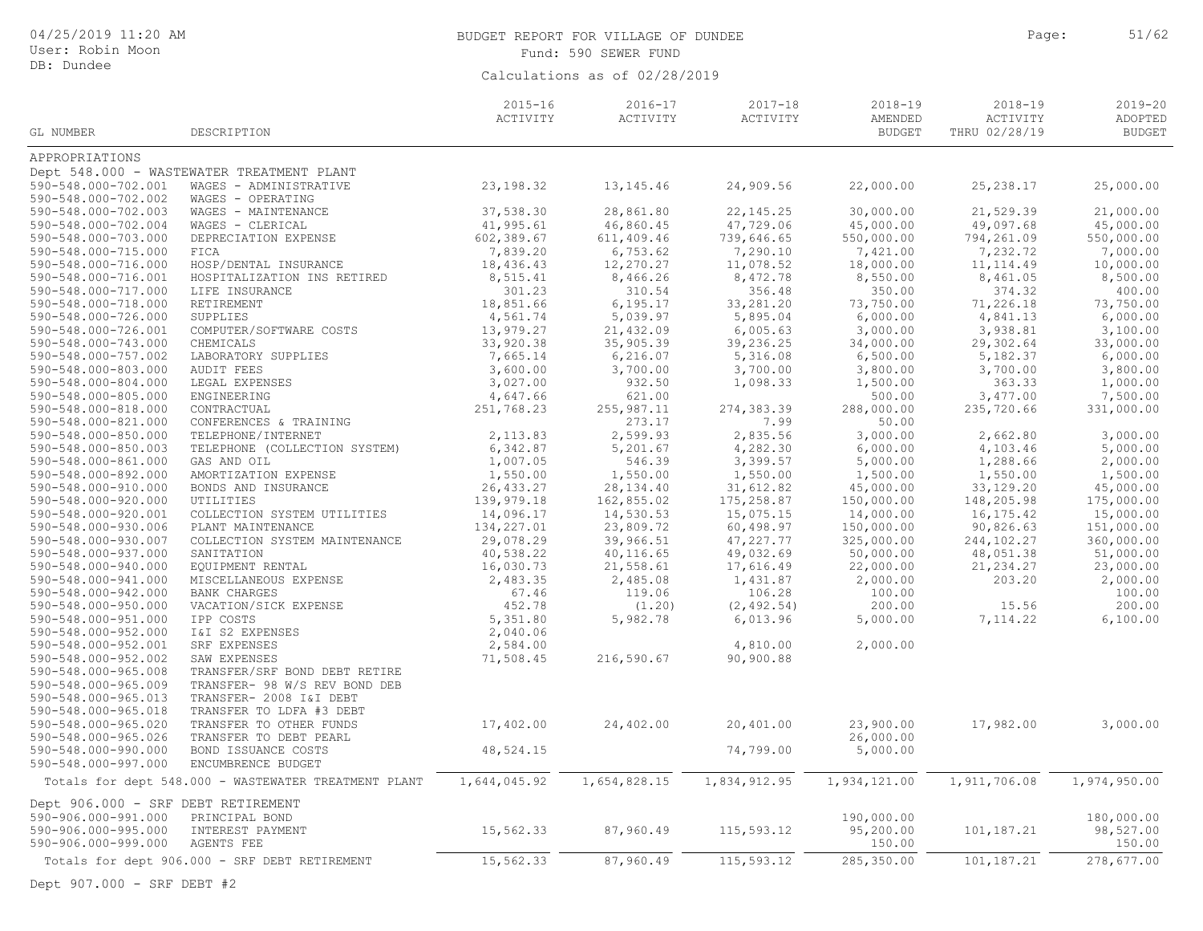| 04/25/2019 11:20 AM<br>User: Robin Moon |                                           |                         | BUDGET REPORT FOR VILLAGE OF DUNDEE<br>Fund: 590 SEWER FUND |                         |                                         | Page:                                    | 51/62                                   |
|-----------------------------------------|-------------------------------------------|-------------------------|-------------------------------------------------------------|-------------------------|-----------------------------------------|------------------------------------------|-----------------------------------------|
| DB: Dundee                              |                                           |                         |                                                             |                         |                                         |                                          |                                         |
|                                         |                                           |                         | Calculations as of 02/28/2019                               |                         |                                         |                                          |                                         |
| GL NUMBER                               | DESCRIPTION                               | $2015 - 16$<br>ACTIVITY | 2016-17<br>ACTIVITY                                         | $2017 - 18$<br>ACTIVITY | $2018 - 19$<br>AMENDED<br><b>BUDGET</b> | $2018 - 19$<br>ACTIVITY<br>THRU 02/28/19 | $2019 - 20$<br>ADOPTED<br><b>BUDGET</b> |
| APPROPRIATIONS                          |                                           |                         |                                                             |                         |                                         |                                          |                                         |
|                                         | Dept 548.000 - WASTEWATER TREATMENT PLANT |                         |                                                             |                         |                                         |                                          |                                         |
| 590-548.000-702.001                     | WAGES - ADMINISTRATIVE                    | 23, 198.32              | 13, 145. 46                                                 | 24,909.56               | 22,000.00                               | 25, 238.17                               | 25,000.00                               |
| 590-548.000-702.002                     | WAGES - OPERATING                         |                         |                                                             |                         |                                         |                                          |                                         |
| 590-548.000-702.003                     | WAGES - MAINTENANCE                       | 37,538.30               | 28,861.80                                                   | 22, 145.25              | 30,000.00                               | 21,529.39                                | 21,000.00                               |
| 590-548.000-702.004                     | WAGES - CLERICAL                          | 41,995.61               | 46,860.45                                                   | 47,729.06               | 45,000.00                               | 49,097.68                                | 45,000.00                               |
| 590-548.000-703.000                     | DEPRECIATION EXPENSE                      | 602,389.67              | 611,409.46                                                  | 739,646.65              | 550,000.00                              | 794,261.09                               | 550,000.00                              |
| 590-548.000-715.000                     | FICA                                      | 7,839.20                | 6,753.62                                                    | 7,290.10                | 7,421.00                                | 7,232.72                                 | 7,000.00                                |
| 590-548.000-716.000                     | HOSP/DENTAL INSURANCE                     | 18,436.43               | 12,270.27                                                   | 11,078.52               | 18,000.00                               | 11, 114.49                               | 10,000.00                               |
| 590-548.000-716.001                     | HOSPITALIZATION INS RETIRED               | 8,515.41                | 8,466.26                                                    | 8,472.78                | 8,550.00                                | 8,461.05                                 | 8,500.00                                |
| 590-548.000-717.000                     | LIFE INSURANCE                            | 301.23                  | 310.54                                                      | 356.48                  | 350.00                                  | 374.32                                   | 400.00                                  |
| 590-548.000-718.000                     | RETIREMENT                                | 18,851.66               | 6, 195.17                                                   | 33,281.20               | 73,750.00                               | 71,226.18                                | 73,750.00                               |
| 590-548.000-726.000                     | SUPPLIES                                  | 4,561.74                | 5,039.97                                                    | 5,895.04                | 6,000.00                                | 4,841.13                                 | 6,000.00                                |
| 590-548.000-726.001                     | COMPUTER/SOFTWARE COSTS                   | 13,979.27               | 21,432.09                                                   | 6,005.63                | 3,000.00                                | 3,938.81                                 | 3,100.00                                |
| 590-548.000-743.000                     | CHEMICALS                                 | 33,920.38               | 35,905.39                                                   | 39,236.25               | 34,000.00                               | 29,302.64                                | 33,000.00                               |
| 590-548.000-757.002                     | LABORATORY SUPPLIES                       | 7,665.14                | 6, 216.07                                                   | 5,316.08                | 6,500.00                                | 5,182.37                                 | 6,000.00                                |
| 590-548.000-803.000                     | <b>AUDIT FEES</b>                         | 3,600.00                | 3,700.00                                                    | 3,700.00                | 3,800.00                                | 3,700.00                                 | 3,800.00                                |
| 590-548.000-804.000                     | LEGAL EXPENSES                            | 3,027.00                | 932.50                                                      | 1,098.33                | 1,500.00                                | 363.33                                   | 1,000.00                                |
| 590-548.000-805.000                     | ENGINEERING                               | 4,647.66                | 621.00                                                      |                         | 500.00                                  | 3,477.00                                 | 7,500.00                                |
| 590-548.000-818.000                     | CONTRACTUAL                               | 251,768.23              | 255, 987.11                                                 | 274,383.39              | 288,000.00                              | 235,720.66                               | 331,000.00                              |
| 590-548.000-821.000                     | CONFERENCES & TRAINING                    |                         | 273.17                                                      | 7.99                    | 50.00                                   |                                          |                                         |
| 590-548.000-850.000                     | TELEPHONE/INTERNET                        | 2,113.83                | 2,599.93                                                    | 2,835.56                | 3,000.00                                | 2,662.80                                 | 3,000.00                                |
| 590-548.000-850.003                     | TELEPHONE (COLLECTION SYSTEM)             | 6,342.87                | 5,201.67                                                    | 4,282.30                | 6,000.00                                | 4,103.46                                 | 5,000.00                                |
| 590-548.000-861.000                     | GAS AND OIL                               | 1,007.05                | 546.39                                                      | 3,399.57                | 5,000.00                                | 1,288.66                                 | 2,000.00                                |
| 590-548.000-892.000                     | AMORTIZATION EXPENSE                      | 1,550.00                | 1,550.00                                                    | 1,550.00                | 1,500.00                                | 1,550.00                                 | 1,500.00                                |
| 590-548.000-910.000                     | BONDS AND INSURANCE                       | 26, 433.27              | 28, 134.40                                                  | 31,612.82               | 45,000.00                               | 33,129.20                                | 45,000.00                               |
| 590-548.000-920.000                     | UTILITIES                                 | 139,979.18              | 162,855.02                                                  | 175,258.87              | 150,000.00                              | 148,205.98                               | 175,000.00                              |
| 590-548.000-920.001                     | COLLECTION SYSTEM UTILITIES               | 14,096.17               | 14,530.53                                                   | 15,075.15               | 14,000.00                               | 16,175.42                                | 15,000.00                               |
| 590-548.000-930.006                     | PLANT MAINTENANCE                         | 134,227.01              | 23,809.72                                                   | 60,498.97               | 150,000.00                              | 90,826.63                                | 151,000.00                              |
| 590-548.000-930.007                     | COLLECTION SYSTEM MAINTENANCE             | 29,078.29               | 39,966.51                                                   | 47,227.77               | 325,000.00                              | 244,102.27                               | 360,000.00                              |
| 590-548.000-937.000                     | SANITATION                                | 40,538.22               | 40,116.65                                                   | 49,032.69               | 50,000.00                               | 48,051.38                                | 51,000.00                               |
| 590-548.000-940.000                     | EQUIPMENT RENTAL                          | 16,030.73               | 21,558.61                                                   | 17,616.49               | 22,000.00                               | 21, 234.27                               | 23,000.00                               |
| 590-548.000-941.000                     | MISCELLANEOUS EXPENSE                     | 2,483.35                | 2,485.08                                                    | 1,431.87                | 2,000.00                                | 203.20                                   | 2,000.00                                |
| 590-548.000-942.000                     | <b>BANK CHARGES</b>                       | 67.46                   | 119.06                                                      | 106.28                  | 100.00                                  |                                          | 100.00                                  |
| 590-548.000-950.000                     | VACATION/SICK EXPENSE                     | 452.78                  | (1.20)                                                      | (2, 492.54)             | 200.00                                  | 15.56                                    | 200.00                                  |
| 590-548.000-951.000                     | IPP COSTS                                 | 5,351.80                | 5,982.78                                                    | 6,013.96                | 5,000.00                                | 7,114.22                                 | 6,100.00                                |
| 590-548.000-952.000                     | I&I S2 EXPENSES                           | 2,040.06                |                                                             |                         |                                         |                                          |                                         |
| 590-548.000-952.001                     | SRF EXPENSES                              | 2,584.00                |                                                             | 4,810.00                | 2,000.00                                |                                          |                                         |
| 590-548.000-952.002                     | SAW EXPENSES                              | 71,508.45               | 216,590.67                                                  | 90,900.88               |                                         |                                          |                                         |
| 590-548.000-965.008                     | TRANSFER/SRF BOND DEBT RETIRE             |                         |                                                             |                         |                                         |                                          |                                         |
| 590-548.000-965.009                     | TRANSFER- 98 W/S REV BOND DEB             |                         |                                                             |                         |                                         |                                          |                                         |
| 590-548.000-965.013                     | TRANSFER- 2008 I&I DEBT                   |                         |                                                             |                         |                                         |                                          |                                         |

| <u>JYUTJ40.UUUTY0J.UUY</u>         | IRANSPERT YO W/S REV DUNU UED                        |              |              |              |              |              |              |
|------------------------------------|------------------------------------------------------|--------------|--------------|--------------|--------------|--------------|--------------|
| 590-548.000-965.013                | TRANSFER- 2008 I&I DEBT                              |              |              |              |              |              |              |
| 590-548.000-965.018                | TRANSFER TO LDFA #3 DEBT                             |              |              |              |              |              |              |
| 590-548.000-965.020                | TRANSFER TO OTHER FUNDS                              | 17,402.00    | 24,402.00    | 20,401.00    | 23,900.00    | 17,982.00    | 3,000.00     |
| 590-548.000-965.026                | TRANSFER TO DEBT PEARL                               |              |              |              | 26,000.00    |              |              |
| 590-548.000-990.000                | BOND ISSUANCE COSTS                                  | 48,524.15    |              | 74,799.00    | 5,000.00     |              |              |
| 590-548.000-997.000                | ENCUMBRENCE BUDGET                                   |              |              |              |              |              |              |
|                                    | Totals for dept 548.000 - WASTEWATER TREATMENT PLANT | 1,644,045.92 | 1,654,828.15 | 1,834,912.95 | 1,934,121.00 | 1,911,706.08 | 1,974,950.00 |
| Dept 906.000 - SRF DEBT RETIREMENT |                                                      |              |              |              |              |              |              |
| 590-906.000-991.000                | PRINCIPAL BOND                                       |              |              |              | 190,000.00   |              | 180,000.00   |
| 590-906.000-995.000                | INTEREST PAYMENT                                     | 15,562.33    | 87,960.49    | 115,593.12   | 95,200.00    | 101,187.21   | 98,527.00    |
| 590-906.000-999.000                | AGENTS FEE                                           |              |              |              | 150.00       |              | 150.00       |
|                                    | Totals for dept 906.000 - SRF DEBT RETIREMENT        | 15,562.33    | 87,960.49    | 115,593.12   | 285,350.00   | 101,187.21   | 278,677.00   |
|                                    |                                                      |              |              |              |              |              |              |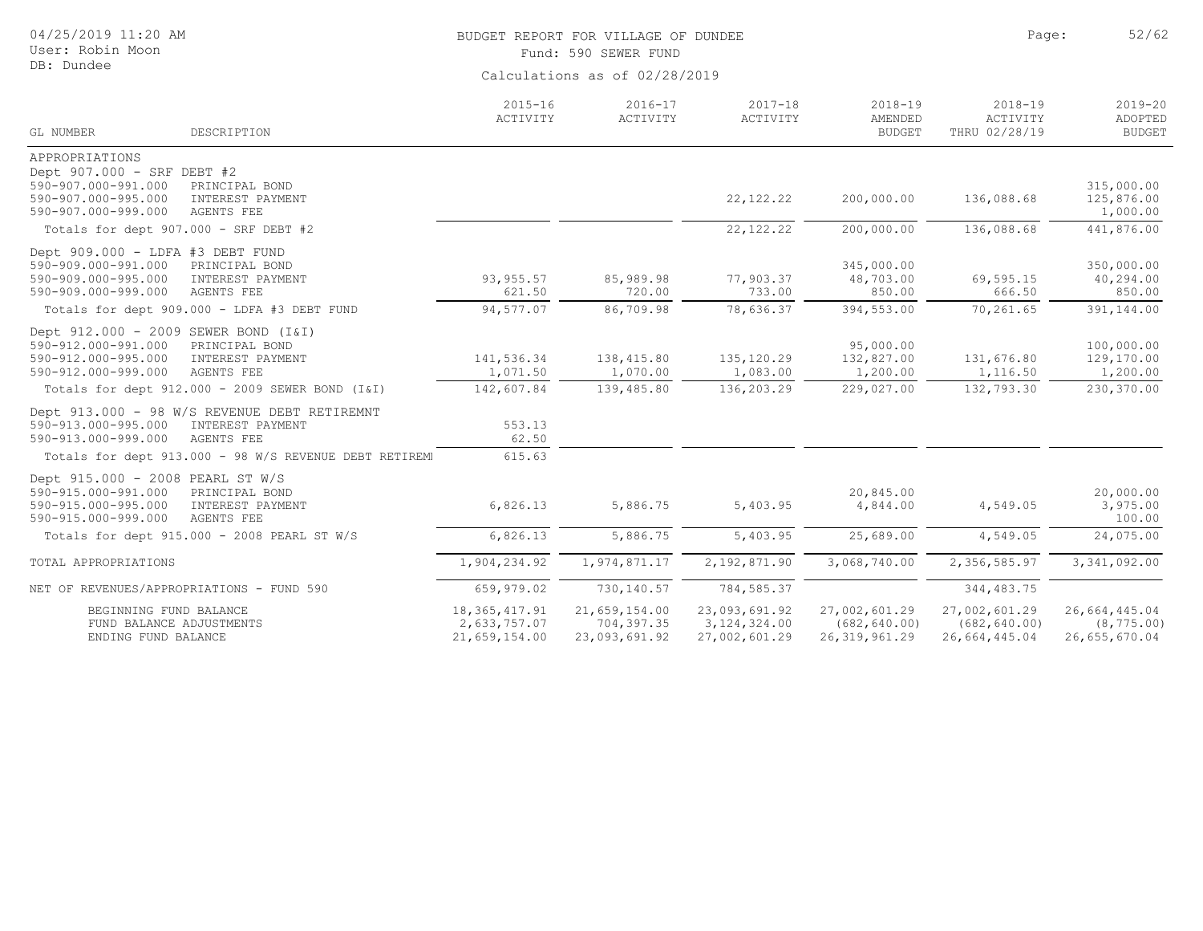| 04/25/2019 11:20 AM<br>User: Robin Moon<br>DB: Dundee                                                                                                                                                            |                                      | BUDGET REPORT FOR VILLAGE OF DUNDEE<br>Fund: 590 SEWER FUND | Page:                                 | 52/62                                             |                                          |                                                    |  |  |  |
|------------------------------------------------------------------------------------------------------------------------------------------------------------------------------------------------------------------|--------------------------------------|-------------------------------------------------------------|---------------------------------------|---------------------------------------------------|------------------------------------------|----------------------------------------------------|--|--|--|
|                                                                                                                                                                                                                  | Calculations as of 02/28/2019        |                                                             |                                       |                                                   |                                          |                                                    |  |  |  |
| GL NUMBER<br>DESCRIPTION                                                                                                                                                                                         | $2015 - 16$<br>ACTIVITY              | $2016 - 17$<br>ACTIVITY                                     | $2017 - 18$<br>ACTIVITY               | $2018 - 19$<br>AMENDED<br><b>BUDGET</b>           | $2018 - 19$<br>ACTIVITY<br>THRU 02/28/19 | $2019 - 20$<br>ADOPTED<br><b>BUDGET</b>            |  |  |  |
| APPROPRIATIONS<br>Dept 907.000 - SRF DEBT #2<br>590-907.000-991.000<br>PRINCIPAL BOND<br>590-907.000-995.000<br>INTEREST PAYMENT                                                                                 |                                      |                                                             | 22, 122. 22                           | 200,000.00                                        | 136,088.68                               | 315,000.00<br>125,876.00                           |  |  |  |
| 590-907.000-999.000<br>AGENTS FEE<br>Totals for dept 907.000 - SRF DEBT #2                                                                                                                                       |                                      |                                                             | 22, 122. 22                           | 200,000.00                                        | 136,088.68                               | 1,000.00<br>441,876.00                             |  |  |  |
| Dept 909.000 - LDFA #3 DEBT FUND<br>590-909.000-991.000<br>PRINCIPAL BOND<br>590-909.000-995.000<br>INTEREST PAYMENT<br>590-909.000-999.000<br>AGENTS FEE                                                        | 93, 955.57<br>621.50                 | 85,989.98<br>720.00                                         | 77,903.37<br>733.00                   | 345,000.00<br>48,703.00<br>850.00                 | 69,595.15<br>666.50                      | 350,000.00<br>40,294.00<br>850.00                  |  |  |  |
| Totals for dept 909.000 - LDFA #3 DEBT FUND                                                                                                                                                                      | 94,577.07                            | 86,709.98                                                   | 78,636.37                             | 394,553.00                                        | 70,261.65                                | 391,144.00                                         |  |  |  |
| Dept 912.000 - 2009 SEWER BOND (I&I)<br>590-912.000-991.000<br>PRINCIPAL BOND<br>590-912.000-995.000<br>INTEREST PAYMENT<br>590-912.000-999.000<br>AGENTS FEE<br>Totals for dept 912.000 - 2009 SEWER BOND (I&I) | 141,536.34<br>1,071.50<br>142,607.84 | 138,415.80<br>1,070.00<br>139,485.80                        | 135, 120.29<br>1,083.00<br>136,203.29 | 95,000.00<br>132,827.00<br>1,200.00<br>229,027.00 | 131,676.80<br>1,116.50<br>132,793.30     | 100,000.00<br>129,170.00<br>1,200.00<br>230,370.00 |  |  |  |
| Dept 913.000 - 98 W/S REVENUE DEBT RETIREMNT<br>590-913.000-995.000<br>INTEREST PAYMENT<br>590-913.000-999.000<br>AGENTS FEE                                                                                     | 553.13<br>62.50                      |                                                             |                                       |                                                   |                                          |                                                    |  |  |  |
| Totals for dept 913.000 - 98 W/S REVENUE DEBT RETIREMI                                                                                                                                                           | 615.63                               |                                                             |                                       |                                                   |                                          |                                                    |  |  |  |
| Dept 915.000 - 2008 PEARL ST W/S<br>590-915.000-991.000<br>PRINCIPAL BOND<br>590-915.000-995.000<br>INTEREST PAYMENT<br>590-915.000-999.000<br><b>AGENTS FEE</b>                                                 | 6,826.13                             | 5,886.75                                                    | 5,403.95                              | 20,845.00<br>4,844.00                             | 4,549.05                                 | 20,000.00<br>3,975.00<br>100.00                    |  |  |  |
| Totals for dept 915.000 - 2008 PEARL ST W/S                                                                                                                                                                      | 6,826.13                             | 5,886.75                                                    | 5,403.95                              | 25,689.00                                         | 4,549.05                                 | 24,075.00                                          |  |  |  |
| TOTAL APPROPRIATIONS                                                                                                                                                                                             | 1,904,234.92                         | 1,974,871.17                                                | 2,192,871.90                          | 3,068,740.00                                      | 2,356,585.97                             | 3,341,092.00                                       |  |  |  |
| NET OF REVENUES/APPROPRIATIONS - FUND 590                                                                                                                                                                        | 659,979.02                           | 730,140.57                                                  | 784,585.37                            |                                                   | 344, 483.75                              |                                                    |  |  |  |
| BEGINNING FUND BALANCE<br>FUND BALANCE ADJUSTMENTS                                                                                                                                                               | 18, 365, 417.91<br>2,633,757.07      | 21,659,154.00<br>704,397.35                                 | 23,093,691.92<br>3, 124, 324.00       | 27,002,601.29<br>(682, 640.00)                    | 27,002,601.29<br>(682, 640.00)           | 26,664,445.04<br>(8, 775, 00)                      |  |  |  |

ENDING FUND BALANCE 21,659,154.00 23,093,691.92 27,002,601.29 26,319,961.29 26,664,445.04 26,655,670.04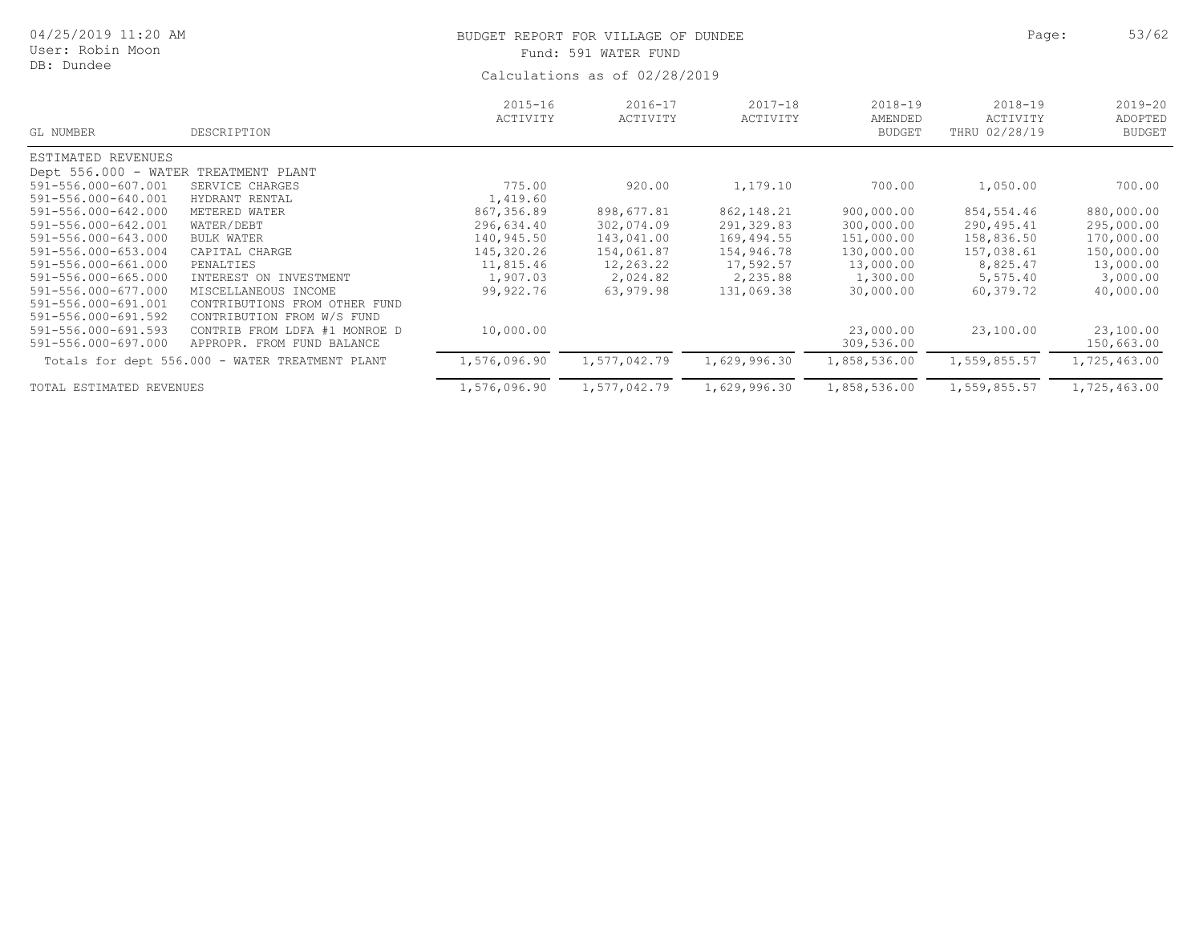| 04/25/2019 11:20 AM<br>User: Robin Moon<br>DB: Dundee |                                                 |                         | BUDGET REPORT FOR VILLAGE OF DUNDEE<br>Fund: 591 WATER FUND<br>Calculations as of 02/28/2019 | Page:                   | 53/62                                   |                                          |                                         |
|-------------------------------------------------------|-------------------------------------------------|-------------------------|----------------------------------------------------------------------------------------------|-------------------------|-----------------------------------------|------------------------------------------|-----------------------------------------|
| GL NUMBER                                             | DESCRIPTION                                     | $2015 - 16$<br>ACTIVITY | $2016 - 17$<br>ACTIVITY                                                                      | $2017 - 18$<br>ACTIVITY | $2018 - 19$<br>AMENDED<br><b>BUDGET</b> | $2018 - 19$<br>ACTIVITY<br>THRU 02/28/19 | $2019 - 20$<br>ADOPTED<br><b>BUDGET</b> |
| ESTIMATED REVENUES                                    |                                                 |                         |                                                                                              |                         |                                         |                                          |                                         |
| Dept 556.000 - WATER TREATMENT PLANT                  |                                                 |                         |                                                                                              |                         |                                         |                                          |                                         |
| 591-556.000-607.001                                   | SERVICE CHARGES                                 | 775.00                  | 920.00                                                                                       | 1,179.10                | 700.00                                  | 1,050.00                                 | 700.00                                  |
| 591-556.000-640.001                                   | HYDRANT RENTAL                                  | 1,419.60                |                                                                                              |                         |                                         |                                          |                                         |
| 591-556.000-642.000                                   | METERED WATER                                   | 867,356.89              | 898,677.81                                                                                   | 862, 148.21             | 900,000.00                              | 854,554.46                               | 880,000.00                              |
| 591-556.000-642.001                                   | WATER/DEBT                                      | 296,634.40              | 302,074.09                                                                                   | 291,329.83              | 300,000.00                              | 290,495.41                               | 295,000.00                              |
| 591-556.000-643.000                                   | <b>BULK WATER</b>                               | 140,945.50              | 143,041.00                                                                                   | 169,494.55              | 151,000.00                              | 158,836.50                               | 170,000.00                              |
| 591-556.000-653.004                                   | CAPITAL CHARGE                                  | 145,320.26              | 154,061.87                                                                                   | 154,946.78              | 130,000.00                              | 157,038.61                               | 150,000.00                              |
| 591-556.000-661.000                                   | PENALTIES                                       | 11,815.46               | 12,263.22                                                                                    | 17,592.57               | 13,000.00                               | 8,825.47                                 | 13,000.00                               |
| 591-556.000-665.000                                   | INTEREST ON INVESTMENT                          | 1,907.03                | 2,024.82                                                                                     | 2,235.88                | 1,300.00                                | 5,575.40                                 | 3,000.00                                |
| 591-556.000-677.000                                   | MISCELLANEOUS INCOME                            | 99,922.76               | 63,979.98                                                                                    | 131,069.38              | 30,000.00                               | 60,379.72                                | 40,000.00                               |
| 591-556.000-691.001                                   | CONTRIBUTIONS FROM OTHER FUND                   |                         |                                                                                              |                         |                                         |                                          |                                         |
| 591-556.000-691.592                                   | CONTRIBUTION FROM W/S FUND                      |                         |                                                                                              |                         |                                         |                                          |                                         |
| 591-556.000-691.593                                   | CONTRIB FROM LDFA #1 MONROE D                   | 10,000.00               |                                                                                              |                         | 23,000.00                               | 23,100.00                                | 23,100.00                               |
| 591-556.000-697.000                                   | APPROPR. FROM FUND BALANCE                      |                         |                                                                                              |                         | 309,536.00                              |                                          | 150,663.00                              |
|                                                       | Totals for dept 556.000 - WATER TREATMENT PLANT | 1,576,096.90            | 1,577,042.79                                                                                 | 1,629,996.30            | 1,858,536.00                            | 1,559,855.57                             | 1,725,463.00                            |
| TOTAL ESTIMATED REVENUES                              |                                                 | 1,576,096.90            | 1,577,042.79                                                                                 | 1,629,996.30            | 1,858,536.00                            | 1,559,855.57                             | 1,725,463.00                            |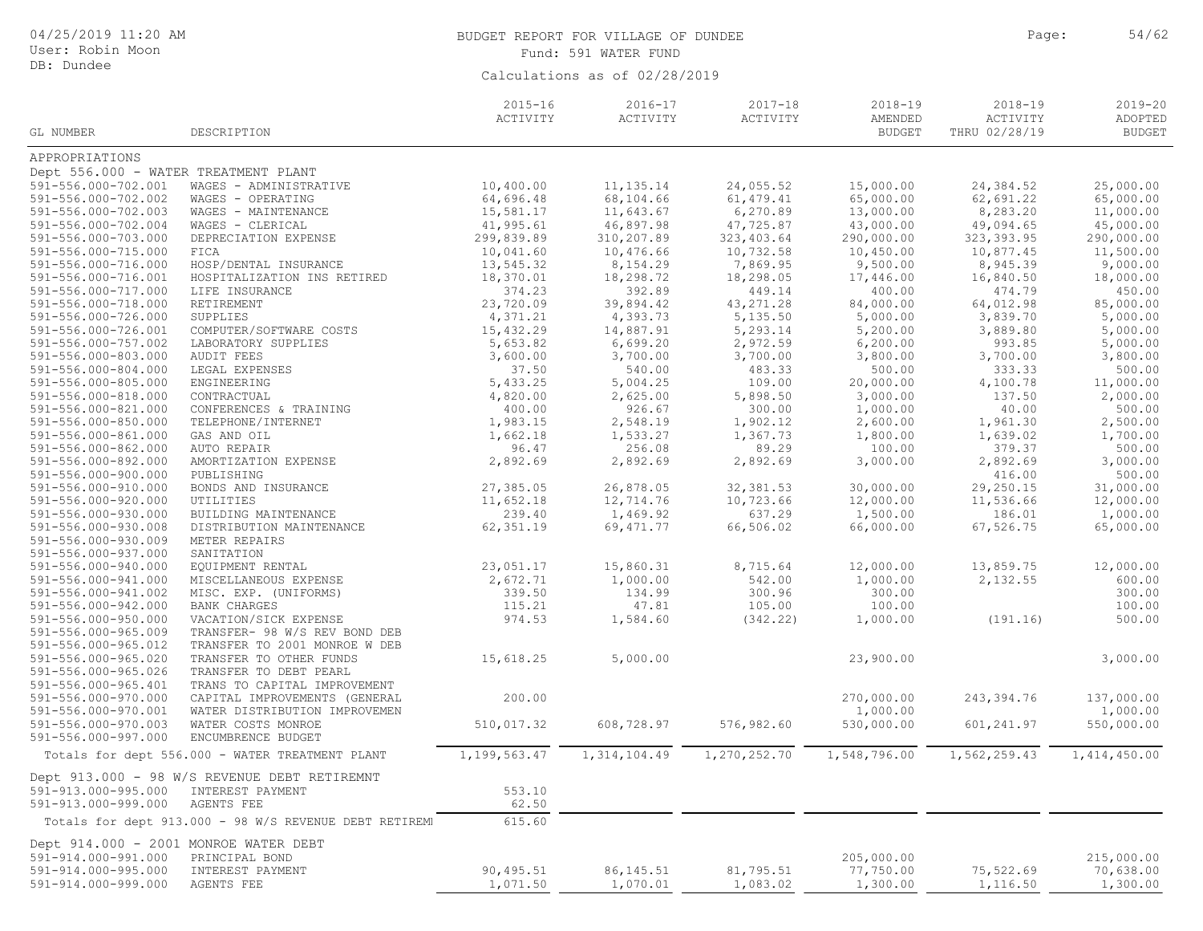| 04/25/2019 11:20 AM<br>User: Robin Moon    |                                                        |                         | BUDGET REPORT FOR VILLAGE OF DUNDEE<br>Fund: 591 WATER FUND | Page:                   | 54/62                                   |                                          |                                         |
|--------------------------------------------|--------------------------------------------------------|-------------------------|-------------------------------------------------------------|-------------------------|-----------------------------------------|------------------------------------------|-----------------------------------------|
| DB: Dundee                                 |                                                        |                         | Calculations as of 02/28/2019                               |                         |                                         |                                          |                                         |
| GL NUMBER                                  | DESCRIPTION                                            | $2015 - 16$<br>ACTIVITY | $2016 - 17$<br>ACTIVITY                                     | $2017 - 18$<br>ACTIVITY | $2018 - 19$<br>AMENDED<br><b>BUDGET</b> | $2018 - 19$<br>ACTIVITY<br>THRU 02/28/19 | $2019 - 20$<br>ADOPTED<br><b>BUDGET</b> |
| APPROPRIATIONS                             |                                                        |                         |                                                             |                         |                                         |                                          |                                         |
| Dept 556.000 - WATER TREATMENT PLANT       |                                                        |                         |                                                             |                         |                                         |                                          |                                         |
| 591-556.000-702.001                        | WAGES - ADMINISTRATIVE                                 | 10,400.00               | 11, 135. 14                                                 | 24,055.52               | 15,000.00                               | 24,384.52                                | 25,000.00                               |
| 591-556.000-702.002                        | WAGES - OPERATING                                      | 64,696.48               | 68,104.66                                                   | 61, 479.41              | 65,000.00                               | 62,691.22                                | 65,000.00                               |
| 591-556.000-702.003                        | WAGES - MAINTENANCE                                    | 15,581.17               | 11,643.67                                                   | 6,270.89                | 13,000.00                               | 8,283.20                                 | 11,000.00                               |
| 591-556.000-702.004                        | WAGES - CLERICAL                                       | 41,995.61               | 46,897.98                                                   | 47,725.87               | 43,000.00                               | 49,094.65                                | 45,000.00                               |
| 591-556.000-703.000                        | DEPRECIATION EXPENSE                                   | 299,839.89              | 310,207.89                                                  | 323, 403.64             | 290,000.00                              | 323, 393.95                              | 290,000.00                              |
| 591-556.000-715.000                        | FICA                                                   | 10,041.60               | 10,476.66                                                   | 10,732.58               | 10,450.00                               | 10,877.45                                | 11,500.00                               |
| 591-556.000-716.000                        | HOSP/DENTAL INSURANCE                                  | 13,545.32               | 8,154.29                                                    | 7,869.95                | 9,500.00                                | 8,945.39                                 | 9,000.00                                |
| 591-556.000-716.001                        | HOSPITALIZATION INS RETIRED                            | 18,370.01               | 18,298.72                                                   | 18,298.05               | 17,446.00                               | 16,840.50                                | 18,000.00                               |
| 591-556.000-717.000                        | LIFE INSURANCE                                         | 374.23                  | 392.89                                                      | 449.14                  | 400.00                                  | 474.79                                   | 450.00                                  |
| 591-556.000-718.000                        | RETIREMENT                                             | 23,720.09               | 39,894.42                                                   | 43, 271.28              | 84,000.00                               | 64,012.98                                | 85,000.00                               |
| 591-556.000-726.000                        | SUPPLIES                                               | 4,371.21                | 4,393.73                                                    | 5,135.50                | 5,000.00                                | 3,839.70                                 | 5,000.00                                |
| 591-556.000-726.001                        | COMPUTER/SOFTWARE COSTS                                | 15,432.29               | 14,887.91                                                   | 5,293.14                | 5,200.00                                | 3,889.80                                 | 5,000.00                                |
| 591-556.000-757.002                        | LABORATORY SUPPLIES                                    | 5,653.82                | 6,699.20                                                    | 2,972.59                | 6, 200.00                               | 993.85                                   | 5,000.00                                |
| 591-556.000-803.000                        | AUDIT FEES                                             | 3,600.00                | 3,700.00                                                    | 3,700.00                | 3,800.00                                | 3,700.00                                 | 3,800.00                                |
| 591-556.000-804.000                        | LEGAL EXPENSES                                         | 37.50                   | 540.00                                                      | 483.33                  | 500.00                                  | 333.33                                   | 500.00                                  |
| 591-556.000-805.000                        | ENGINEERING                                            | 5,433.25                | 5,004.25                                                    | 109.00                  | 20,000.00                               | 4,100.78                                 | 11,000.00                               |
| 591-556.000-818.000                        | CONTRACTUAL                                            | 4,820.00                | 2,625.00                                                    | 5,898.50                | 3,000.00                                | 137.50                                   | 2,000.00                                |
| 591-556.000-821.000                        | CONFERENCES & TRAINING                                 | 400.00                  | 926.67                                                      | 300.00                  | 1,000.00                                | 40.00                                    | 500.00                                  |
| 591-556.000-850.000                        | TELEPHONE/INTERNET                                     | 1,983.15                | 2,548.19                                                    | 1,902.12                | 2,600.00                                | 1,961.30                                 | 2,500.00                                |
| 591-556.000-861.000                        | GAS AND OIL                                            | 1,662.18                | 1,533.27                                                    | 1,367.73                | 1,800.00                                | 1,639.02                                 | 1,700.00                                |
| 591-556.000-862.000                        | AUTO REPAIR                                            | 96.47                   | 256.08                                                      | 89.29                   | 100.00                                  | 379.37                                   | 500.00                                  |
| 591-556.000-892.000                        | AMORTIZATION EXPENSE                                   | 2,892.69                | 2,892.69                                                    | 2,892.69                | 3,000.00                                | 2,892.69                                 | 3,000.00                                |
| 591-556.000-900.000                        | PUBLISHING                                             |                         |                                                             |                         |                                         | 416.00                                   | 500.00                                  |
| 591-556.000-910.000                        | BONDS AND INSURANCE                                    | 27,385.05               | 26,878.05                                                   | 32, 381.53              | 30,000.00                               | 29,250.15                                | 31,000.00                               |
| 591-556.000-920.000                        | UTILITIES                                              | 11,652.18               | 12,714.76                                                   | 10,723.66               | 12,000.00                               | 11,536.66                                | 12,000.00                               |
| 591-556.000-930.000                        | BUILDING MAINTENANCE                                   | 239.40                  | 1,469.92                                                    | 637.29                  | 1,500.00                                | 186.01                                   | 1,000.00                                |
| 591-556.000-930.008                        | DISTRIBUTION MAINTENANCE                               | 62, 351.19              | 69, 471.77                                                  | 66,506.02               | 66,000.00                               | 67,526.75                                | 65,000.00                               |
| 591-556.000-930.009                        | METER REPAIRS<br>SANITATION                            |                         |                                                             |                         |                                         |                                          |                                         |
| 591-556.000-937.000<br>591-556.000-940.000 | EQUIPMENT RENTAL                                       | 23,051.17               | 15,860.31                                                   | 8,715.64                | 12,000.00                               | 13,859.75                                | 12,000.00                               |
| 591-556.000-941.000                        | MISCELLANEOUS EXPENSE                                  | 2,672.71                | 1,000.00                                                    | 542.00                  | 1,000.00                                | 2,132.55                                 | 600.00                                  |
| 591-556.000-941.002                        | MISC. EXP. (UNIFORMS)                                  | 339.50                  | 134.99                                                      | 300.96                  | 300.00                                  |                                          | 300.00                                  |
| 591-556.000-942.000                        | <b>BANK CHARGES</b>                                    | 115.21                  | 47.81                                                       | 105.00                  | 100.00                                  |                                          | 100.00                                  |
| 591-556.000-950.000                        | VACATION/SICK EXPENSE                                  | 974.53                  | 1,584.60                                                    | (342.22)                | 1,000.00                                | (191.16)                                 | 500.00                                  |
| 591-556.000-965.009                        | TRANSFER- 98 W/S REV BOND DEB                          |                         |                                                             |                         |                                         |                                          |                                         |
| 591-556.000-965.012                        | TRANSFER TO 2001 MONROE W DEB                          |                         |                                                             |                         |                                         |                                          |                                         |
| 591-556.000-965.020                        | TRANSFER TO OTHER FUNDS                                | 15,618.25               | 5,000.00                                                    |                         | 23,900.00                               |                                          | 3,000.00                                |
| 591-556.000-965.026                        | TRANSFER TO DEBT PEARL                                 |                         |                                                             |                         |                                         |                                          |                                         |
| 591-556.000-965.401                        | TRANS TO CAPITAL IMPROVEMENT                           |                         |                                                             |                         |                                         |                                          |                                         |
| 591-556.000-970.000                        | CAPITAL IMPROVEMENTS (GENERAL                          | 200.00                  |                                                             |                         | 270,000.00                              | 243,394.76                               | 137,000.00                              |
| 591-556.000-970.001                        | WATER DISTRIBUTION IMPROVEMEN                          |                         |                                                             |                         | 1,000.00                                |                                          | 1,000.00                                |
| 591-556.000-970.003                        | WATER COSTS MONROE                                     | 510,017.32              | 608,728.97                                                  | 576,982.60              | 530,000.00                              | 601, 241.97                              | 550,000.00                              |
| 591-556.000-997.000                        | ENCUMBRENCE BUDGET                                     |                         |                                                             |                         |                                         |                                          |                                         |
|                                            | Totals for dept 556.000 - WATER TREATMENT PLANT        | 1,199,563.47            | 1,314,104.49                                                | 1,270,252.70            | 1,548,796.00                            | 1,562,259.43                             | 1,414,450.00                            |
|                                            | Dept 913.000 - 98 W/S REVENUE DEBT RETIREMNT           |                         |                                                             |                         |                                         |                                          |                                         |
| 591-913.000-995.000                        | INTEREST PAYMENT                                       | 553.10                  |                                                             |                         |                                         |                                          |                                         |
| 591-913.000-999.000                        | AGENTS FEE                                             | 62.50                   |                                                             |                         |                                         |                                          |                                         |
|                                            | Totals for dept 913.000 - 98 W/S REVENUE DEBT RETIREMI | 615.60                  |                                                             |                         |                                         |                                          |                                         |
| Dept 914.000 - 2001 MONROE WATER DEBT      |                                                        |                         |                                                             |                         |                                         |                                          |                                         |
| 591-914.000-991.000                        | PRINCIPAL BOND                                         |                         |                                                             |                         | 205,000.00                              |                                          | 215,000.00                              |
| 591-914.000-995.000                        | INTEREST PAYMENT                                       | 90,495.51               | 86, 145.51                                                  | 81,795.51               | 77,750.00                               | 75,522.69                                | 70,638.00                               |
| 591-914.000-999.000                        | AGENTS FEE                                             | 1,071.50                | 1,070.01                                                    | 1,083.02                | 1,300.00                                | 1,116.50                                 | 1,300.00                                |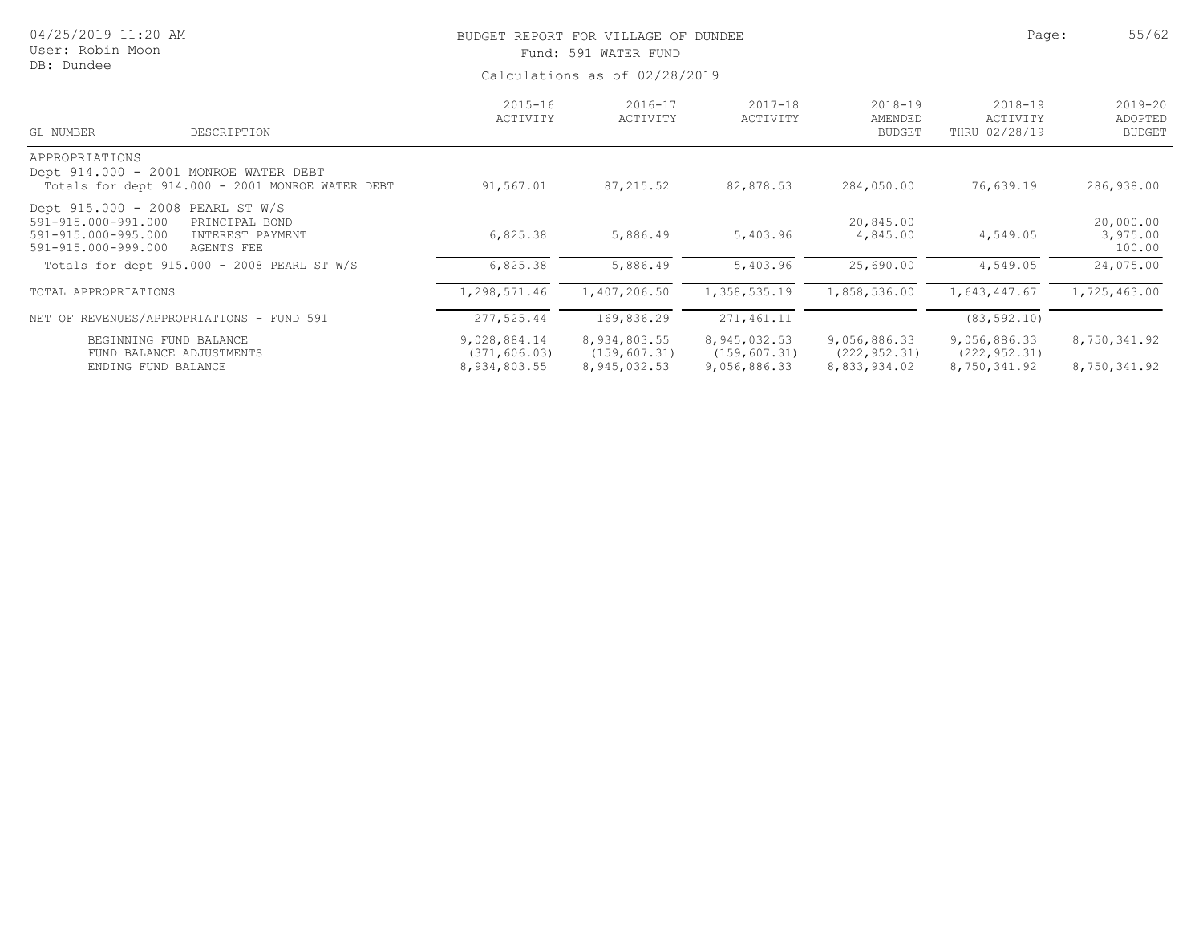| 04/25/2019 11:20 AM<br>User: Robin Moon<br>DB: Dundee                                                 |                                                  |                                               | BUDGET REPORT FOR VILLAGE OF DUNDEE<br>Fund: 591 WATER FUND |                                               |                                               |                                               |                                         |  |  |  |
|-------------------------------------------------------------------------------------------------------|--------------------------------------------------|-----------------------------------------------|-------------------------------------------------------------|-----------------------------------------------|-----------------------------------------------|-----------------------------------------------|-----------------------------------------|--|--|--|
|                                                                                                       |                                                  | Calculations as of 02/28/2019                 |                                                             |                                               |                                               |                                               |                                         |  |  |  |
| GL NUMBER                                                                                             | DESCRIPTION                                      | $2015 - 16$<br>ACTIVITY                       | $2016 - 17$<br>ACTIVITY                                     | $2017 - 18$<br>ACTIVITY                       | $2018 - 19$<br>AMENDED<br><b>BUDGET</b>       | $2018 - 19$<br>ACTIVITY<br>THRU 02/28/19      | $2019 - 20$<br>ADOPTED<br><b>BUDGET</b> |  |  |  |
| APPROPRIATIONS<br>Dept 914.000 - 2001 MONROE WATER DEBT                                               | Totals for dept 914.000 - 2001 MONROE WATER DEBT | 91,567.01                                     | 87, 215.52                                                  | 82,878.53                                     | 284,050.00                                    | 76,639.19                                     | 286,938.00                              |  |  |  |
| Dept 915.000 - 2008 PEARL ST W/S<br>591-915.000-991.000<br>591-915.000-995.000<br>591-915.000-999.000 | PRINCIPAL BOND<br>INTEREST PAYMENT<br>AGENTS FEE | 6,825.38                                      | 5,886.49                                                    | 5,403.96                                      | 20,845.00<br>4,845.00                         | 4,549.05                                      | 20,000.00<br>3,975.00<br>100.00         |  |  |  |
|                                                                                                       | Totals for dept 915.000 - 2008 PEARL ST W/S      | 6,825.38                                      | 5,886.49                                                    | 5,403.96                                      | 25,690.00                                     | 4,549.05                                      | 24,075.00                               |  |  |  |
| TOTAL APPROPRIATIONS                                                                                  |                                                  | 1,298,571.46                                  | 1,407,206.50                                                | 1,358,535.19                                  | 1,858,536.00                                  | 1,643,447.67                                  | 1,725,463.00                            |  |  |  |
|                                                                                                       | NET OF REVENUES/APPROPRIATIONS - FUND 591        | 277,525.44                                    | 169,836.29                                                  | 271,461.11                                    |                                               | (83, 592.10)                                  |                                         |  |  |  |
| BEGINNING FUND BALANCE<br>FUND BALANCE ADJUSTMENTS<br>ENDING FUND BALANCE                             |                                                  | 9,028,884.14<br>(371, 606.03)<br>8,934,803.55 | 8,934,803.55<br>(159, 607.31)<br>8,945,032.53               | 8,945,032.53<br>(159, 607.31)<br>9,056,886.33 | 9,056,886.33<br>(222, 952.31)<br>8,833,934.02 | 9,056,886.33<br>(222, 952.31)<br>8,750,341.92 | 8,750,341.92<br>8,750,341.92            |  |  |  |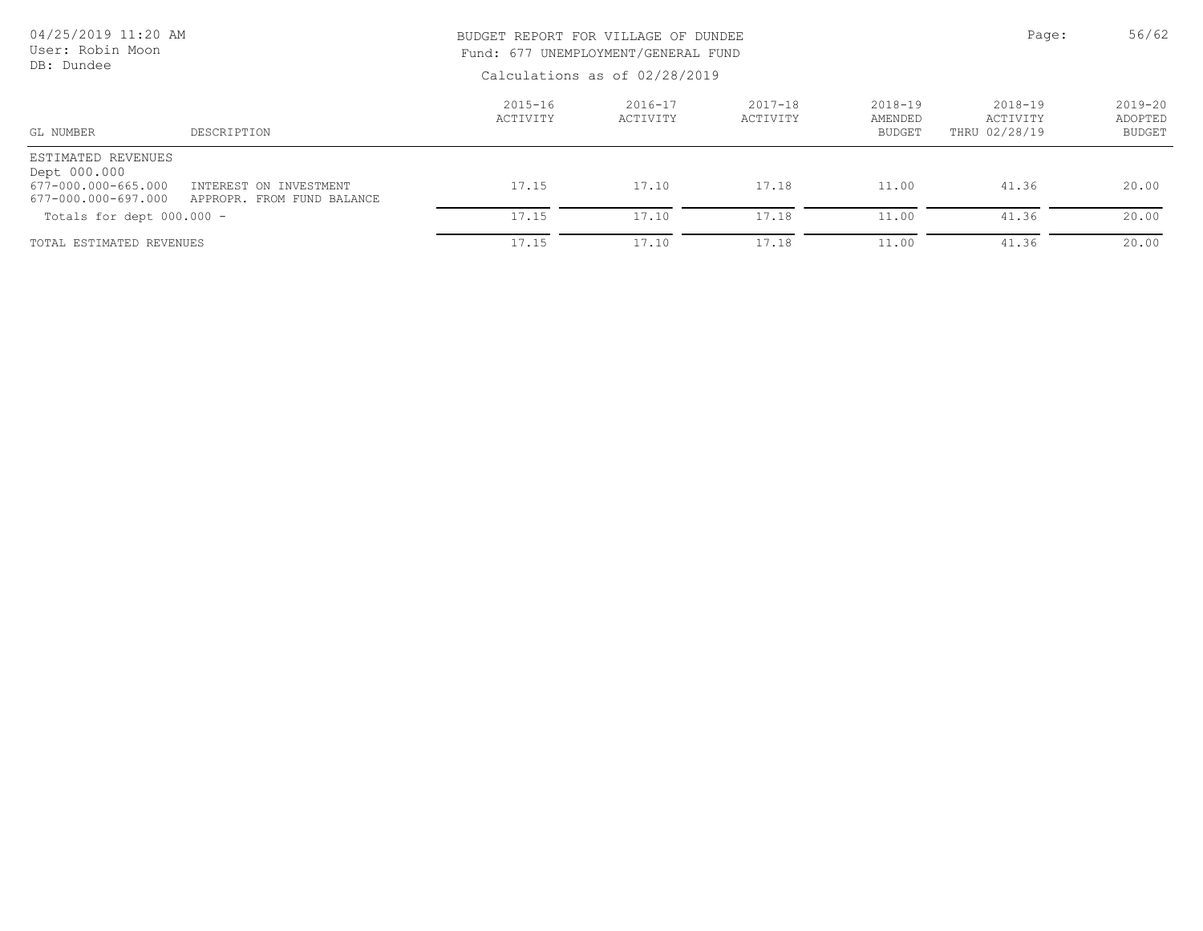| 04/25/2019 11:20 AM<br>User: Robin Moon<br>DB: Dundee                            |                                                      | BUDGET REPORT FOR VILLAGE OF DUNDEE<br>Fund: 677 UNEMPLOYMENT/GENERAL FUND<br>Calculations as of 02/28/2019 | Page:                   | 56/62                   |                                         |                                          |                                         |
|----------------------------------------------------------------------------------|------------------------------------------------------|-------------------------------------------------------------------------------------------------------------|-------------------------|-------------------------|-----------------------------------------|------------------------------------------|-----------------------------------------|
| GL NUMBER                                                                        | DESCRIPTION                                          | $2015 - 16$<br>ACTIVITY                                                                                     | $2016 - 17$<br>ACTIVITY | $2017 - 18$<br>ACTIVITY | $2018 - 19$<br>AMENDED<br><b>BUDGET</b> | $2018 - 19$<br>ACTIVITY<br>THRU 02/28/19 | $2019 - 20$<br>ADOPTED<br><b>BUDGET</b> |
| ESTIMATED REVENUES<br>Dept 000.000<br>677-000.000-665.000<br>677-000.000-697.000 | INTEREST ON INVESTMENT<br>APPROPR. FROM FUND BALANCE | 17.15                                                                                                       | 17.10                   | 17.18                   | 11.00                                   | 41.36                                    | 20.00                                   |
| Totals for dept $000.000 -$                                                      |                                                      | 17.15                                                                                                       | 17.10                   | 17.18                   | 11.00                                   | 41.36                                    | 20.00                                   |
| TOTAL ESTIMATED REVENUES                                                         |                                                      | 17.15                                                                                                       | 17.10                   | 17.18                   | 11.00                                   | 41.36                                    | 20.00                                   |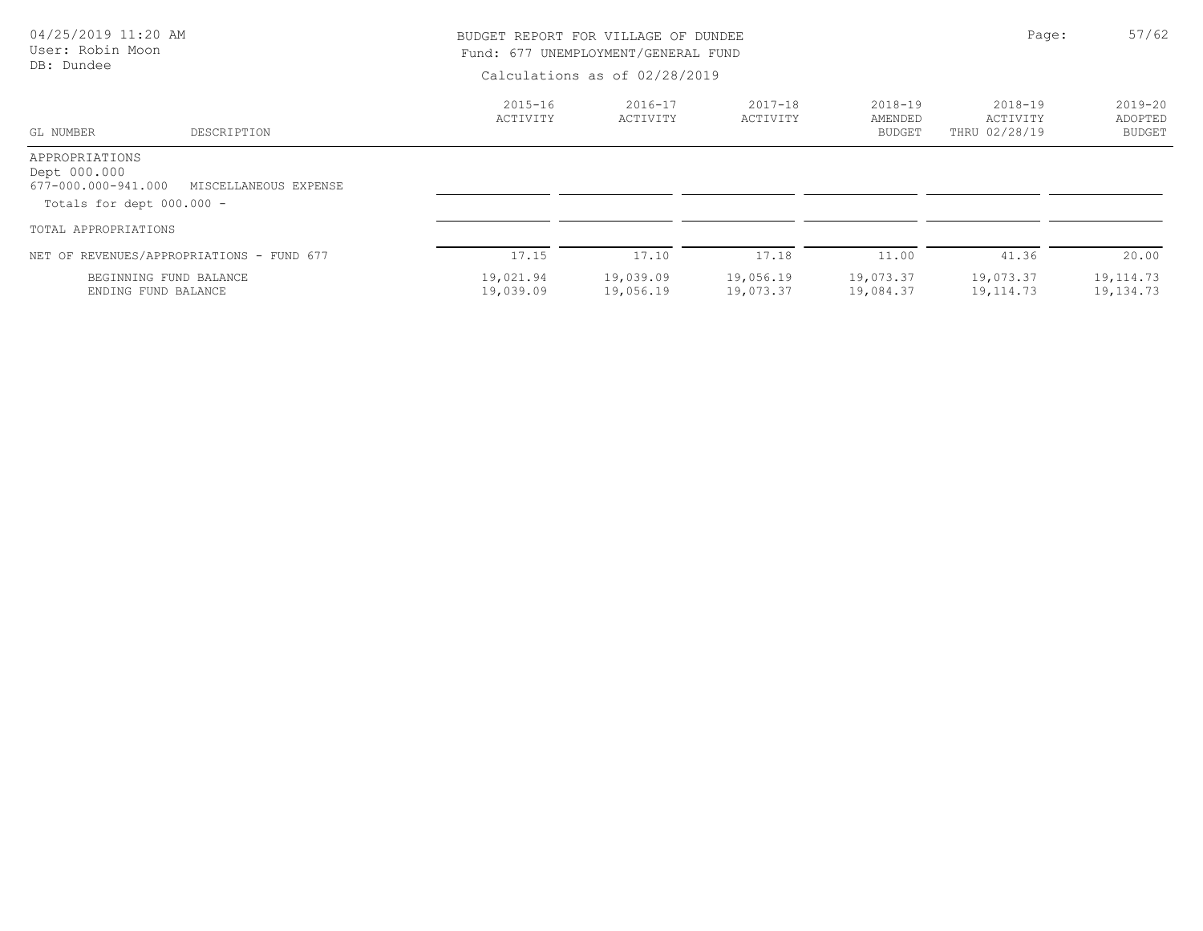| 04/25/2019 11:20 AM<br>User: Robin Moon                                            |                                               |                               | BUDGET REPORT FOR VILLAGE OF DUNDEE<br>Fund: 677 UNEMPLOYMENT/GENERAL FUND |                         |                                         |                                      |                                  |  |
|------------------------------------------------------------------------------------|-----------------------------------------------|-------------------------------|----------------------------------------------------------------------------|-------------------------|-----------------------------------------|--------------------------------------|----------------------------------|--|
| DB: Dundee                                                                         |                                               | Calculations as of 02/28/2019 |                                                                            |                         |                                         |                                      |                                  |  |
| GL NUMBER                                                                          | DESCRIPTION                                   | $2015 - 16$<br>ACTIVITY       | $2016 - 17$<br>ACTIVITY                                                    | $2017 - 18$<br>ACTIVITY | $2018 - 19$<br>AMENDED<br><b>BUDGET</b> | 2018-19<br>ACTIVITY<br>THRU 02/28/19 | $2019 - 20$<br>ADOPTED<br>BUDGET |  |
| APPROPRIATIONS<br>Dept 000.000<br>677-000.000-941.000<br>Totals for dept 000.000 - | MISCELLANEOUS EXPENSE                         |                               |                                                                            |                         |                                         |                                      |                                  |  |
| TOTAL APPROPRIATIONS                                                               |                                               |                               |                                                                            |                         |                                         |                                      |                                  |  |
|                                                                                    | NET OF REVENUES/APPROPRIATIONS - FUND 677     | 17.15                         | 17.10                                                                      | 17.18                   | 11.00                                   | 41.36                                | 20.00                            |  |
|                                                                                    | BEGINNING FUND BALANCE<br>ENDING FUND BALANCE | 19,021.94<br>19,039.09        | 19,039.09<br>19,056.19                                                     | 19,056.19<br>19,073.37  | 19,073.37<br>19,084.37                  | 19,073.37<br>19,114.73               | 19, 114.73<br>19,134.73          |  |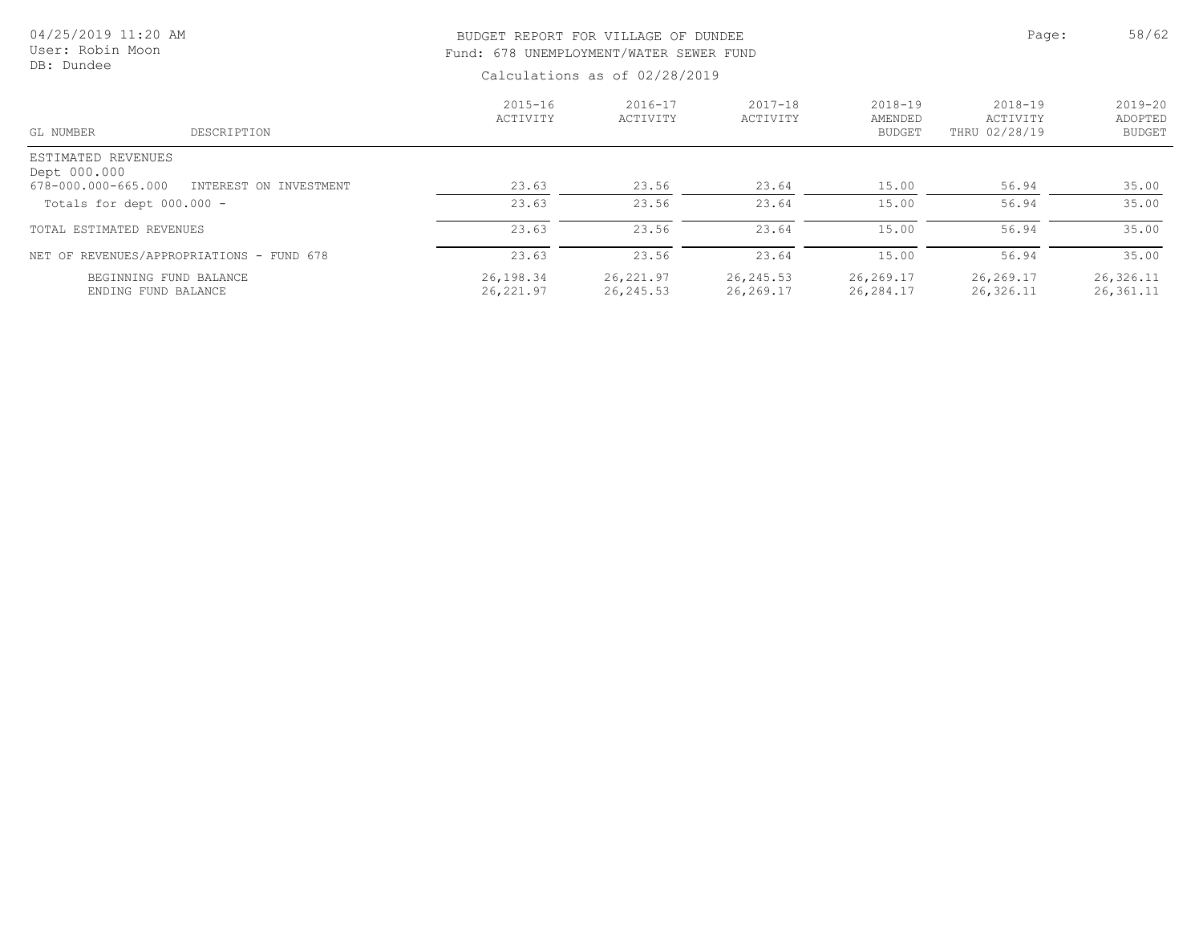| 04/25/2019 11:20 AM<br>User: Robin Moon<br>DB: Dundee |                        |                         | BUDGET REPORT FOR VILLAGE OF DUNDEE<br>Fund: 678 UNEMPLOYMENT/WATER SEWER FUND<br>Calculations as of 02/28/2019 |                         |                                         |                                      |                                         |  |
|-------------------------------------------------------|------------------------|-------------------------|-----------------------------------------------------------------------------------------------------------------|-------------------------|-----------------------------------------|--------------------------------------|-----------------------------------------|--|
| GL NUMBER                                             | DESCRIPTION            | $2015 - 16$<br>ACTIVITY | $2016 - 17$<br>ACTIVITY                                                                                         | $2017 - 18$<br>ACTIVITY | $2018 - 19$<br>AMENDED<br><b>BUDGET</b> | 2018-19<br>ACTIVITY<br>THRU 02/28/19 | $2019 - 20$<br>ADOPTED<br><b>BUDGET</b> |  |
| ESTIMATED REVENUES<br>Dept 000.000                    |                        |                         |                                                                                                                 |                         |                                         |                                      |                                         |  |
| 678-000.000-665.000                                   | INTEREST ON INVESTMENT | 23.63                   | 23.56                                                                                                           | 23.64                   | 15.00                                   | 56.94                                | 35.00                                   |  |
| Totals for dept $000.000 -$                           |                        | 23.63                   | 23.56                                                                                                           | 23.64                   | 15.00                                   | 56.94                                | 35.00                                   |  |
| TOTAL ESTIMATED REVENUES                              |                        | 23.63                   | 23.56                                                                                                           | 23.64                   | 15.00                                   | 56.94                                | 35.00                                   |  |
| NET OF REVENUES/APPROPRIATIONS - FUND 678             |                        | 23.63                   | 23.56                                                                                                           | 23.64                   | 15.00                                   | 56.94                                | 35.00                                   |  |
| BEGINNING FUND BALANCE<br>ENDING FUND BALANCE         |                        | 26,198.34<br>26,221.97  | 26,221.97<br>26,245.53                                                                                          | 26, 245.53<br>26,269.17 | 26,269.17<br>26,284.17                  | 26,269.17<br>26,326.11               | 26,326.11<br>26,361.11                  |  |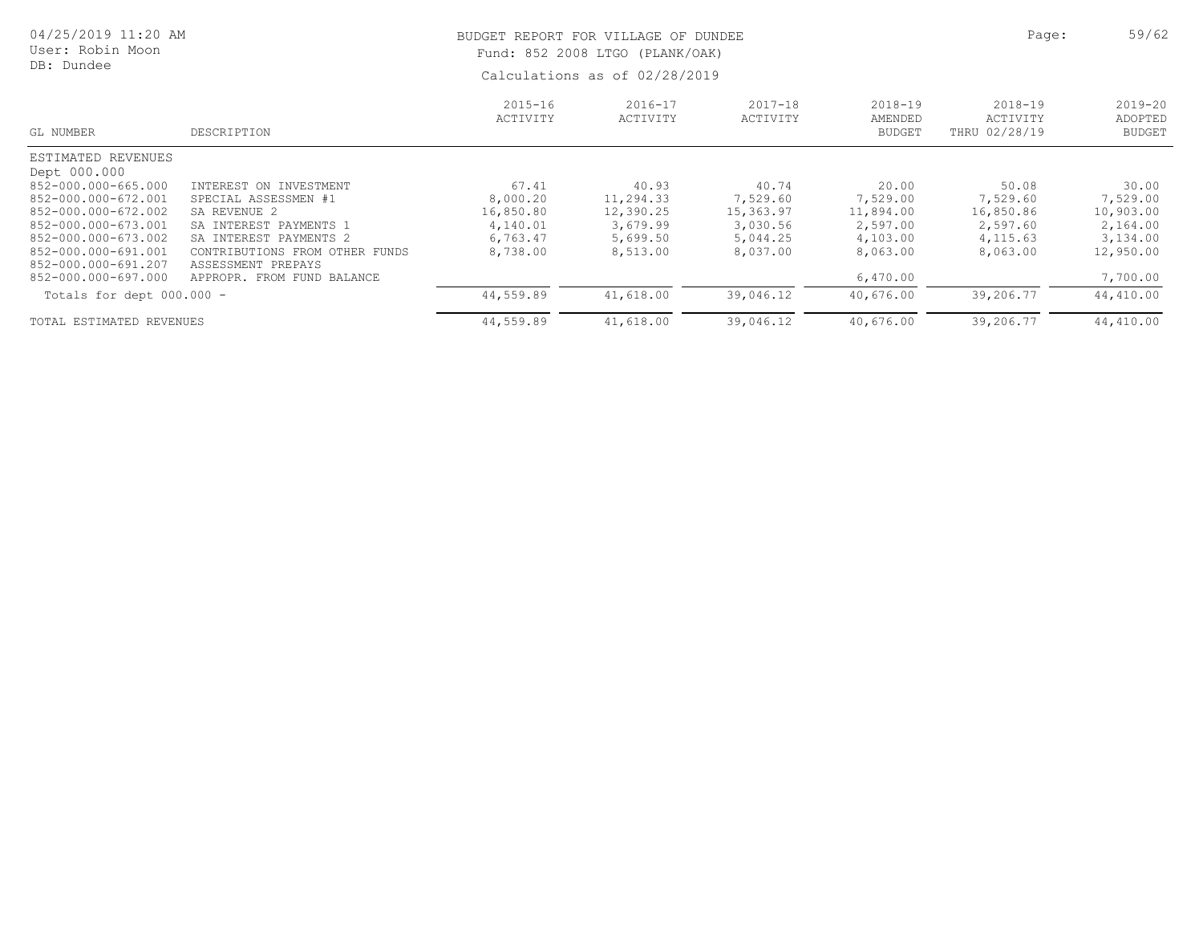| 04/25/2019 11:20 AM<br>User: Robin Moon<br>DB: Dundee |                                                      |                         | BUDGET REPORT FOR VILLAGE OF DUNDEE<br>Fund: 852 2008 LTGO (PLANK/OAK)<br>Calculations as of 02/28/2019 |                         |                                         |                                          |                                         |  |  |
|-------------------------------------------------------|------------------------------------------------------|-------------------------|---------------------------------------------------------------------------------------------------------|-------------------------|-----------------------------------------|------------------------------------------|-----------------------------------------|--|--|
| GL NUMBER                                             | DESCRIPTION                                          | $2015 - 16$<br>ACTIVITY | $2016 - 17$<br>ACTIVITY                                                                                 | $2017 - 18$<br>ACTIVITY | $2018 - 19$<br>AMENDED<br><b>BUDGET</b> | $2018 - 19$<br>ACTIVITY<br>THRU 02/28/19 | $2019 - 20$<br>ADOPTED<br><b>BUDGET</b> |  |  |
| ESTIMATED REVENUES                                    |                                                      |                         |                                                                                                         |                         |                                         |                                          |                                         |  |  |
| Dept 000.000                                          |                                                      |                         |                                                                                                         |                         |                                         |                                          |                                         |  |  |
| 852-000.000-665.000                                   | INTEREST ON INVESTMENT                               | 67.41                   | 40.93                                                                                                   | 40.74                   | 20.00                                   | 50.08                                    | 30.00                                   |  |  |
| 852-000.000-672.001                                   | SPECIAL ASSESSMEN #1                                 | 8,000.20                | 11,294.33                                                                                               | 7,529.60                | 7,529.00                                | 7,529.60                                 | 7,529.00                                |  |  |
| 852-000.000-672.002                                   | SA REVENUE 2                                         | 16,850.80               | 12,390.25                                                                                               | 15,363.97               | 11,894.00                               | 16,850.86                                | 10,903.00                               |  |  |
| 852-000.000-673.001                                   | SA INTEREST PAYMENTS 1                               | 4,140.01                | 3,679.99                                                                                                | 3,030.56                | 2,597.00                                | 2,597.60                                 | 2,164.00                                |  |  |
| 852-000.000-673.002<br>852-000.000-691.001            | SA INTEREST PAYMENTS 2                               | 6,763.47                | 5,699.50                                                                                                | 5,044.25                | 4,103.00                                | 4,115.63                                 | 3,134.00                                |  |  |
| 852-000.000-691.207                                   | CONTRIBUTIONS FROM OTHER FUNDS<br>ASSESSMENT PREPAYS | 8,738.00                | 8,513.00                                                                                                | 8,037.00                | 8,063.00                                | 8,063.00                                 | 12,950.00                               |  |  |
| 852-000.000-697.000                                   | APPROPR. FROM FUND BALANCE                           |                         |                                                                                                         |                         | 6,470.00                                |                                          | 7,700.00                                |  |  |
| Totals for dept 000.000 -                             |                                                      | 44,559.89               | 41,618.00                                                                                               | 39,046.12               | 40,676.00                               | 39,206.77                                | 44,410.00                               |  |  |
| TOTAL ESTIMATED REVENUES                              |                                                      | 44,559.89               | 41,618.00                                                                                               | 39,046.12               | 40,676.00                               | 39,206.77                                | 44,410.00                               |  |  |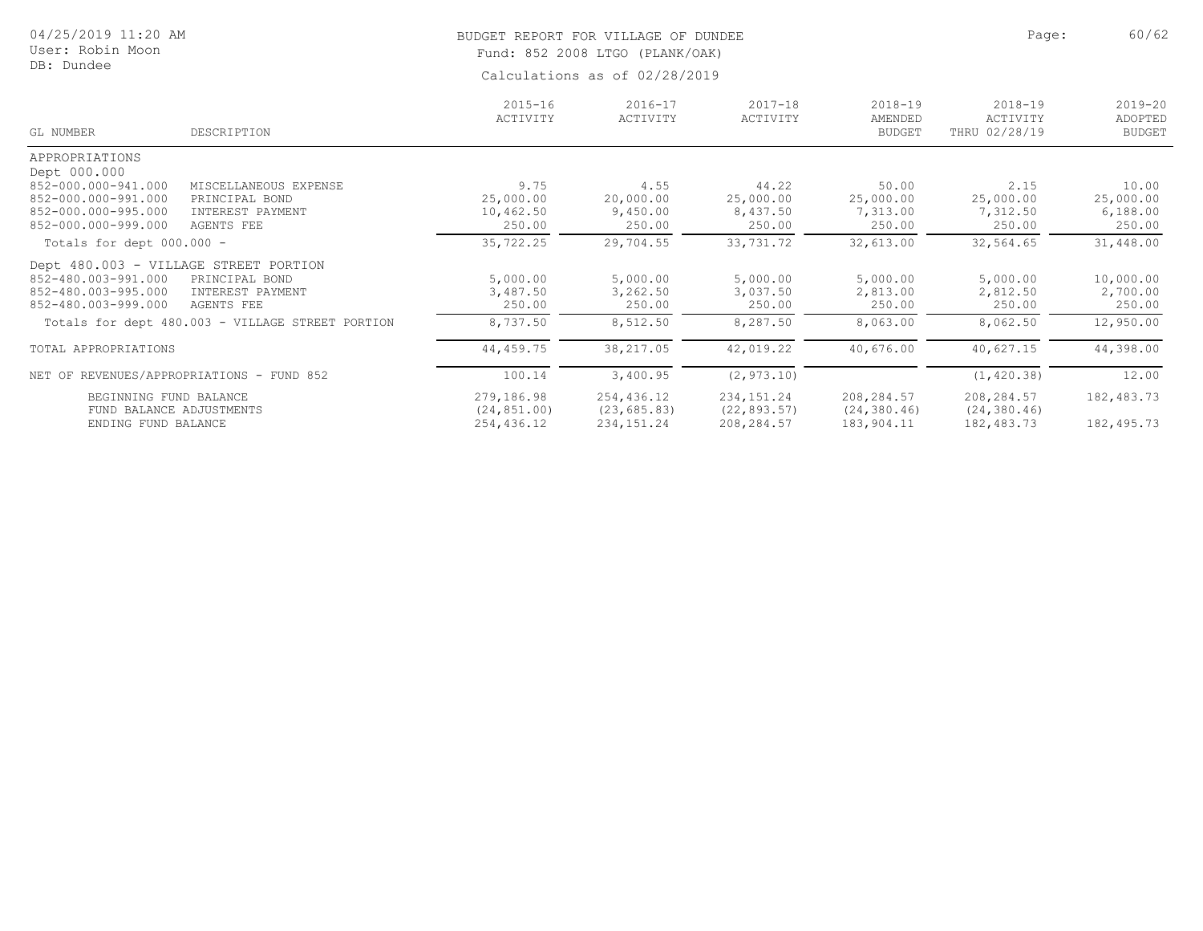| 04/25/2019 11:20 AM<br>User: Robin Moon<br>DB: Dundee | BUDGET REPORT FOR VILLAGE OF DUNDEE<br>Fund: 852 2008 LTGO (PLANK/OAK) | Page: | 60/62 |
|-------------------------------------------------------|------------------------------------------------------------------------|-------|-------|
|                                                       | Calculations as of 02/28/2019                                          |       |       |

|           | $2016 - 17$<br>ACTIVITY                                                                                                                                                                                                                                                                          | $2017 - 18$<br>ACTIVITY                                                                                       | $2018 - 19$<br>AMENDED                                                      | $2018 - 19$<br>ACTIVITY                                                           | $2019 - 20$<br>ADOPTED<br><b>BUDGET</b>                                           |
|-----------|--------------------------------------------------------------------------------------------------------------------------------------------------------------------------------------------------------------------------------------------------------------------------------------------------|---------------------------------------------------------------------------------------------------------------|-----------------------------------------------------------------------------|-----------------------------------------------------------------------------------|-----------------------------------------------------------------------------------|
|           |                                                                                                                                                                                                                                                                                                  |                                                                                                               |                                                                             |                                                                                   |                                                                                   |
|           |                                                                                                                                                                                                                                                                                                  |                                                                                                               |                                                                             |                                                                                   |                                                                                   |
|           |                                                                                                                                                                                                                                                                                                  |                                                                                                               |                                                                             |                                                                                   |                                                                                   |
|           | 4.55                                                                                                                                                                                                                                                                                             |                                                                                                               | 50.00                                                                       | 2.15                                                                              | 10.00                                                                             |
| 25,000.00 | 20,000.00                                                                                                                                                                                                                                                                                        | 25,000.00                                                                                                     | 25,000.00                                                                   | 25,000.00                                                                         | 25,000.00                                                                         |
| 10,462.50 | 9,450.00                                                                                                                                                                                                                                                                                         | 8,437.50                                                                                                      | 7,313.00                                                                    | 7,312.50                                                                          | 6,188.00                                                                          |
| 250.00    | 250.00                                                                                                                                                                                                                                                                                           | 250.00                                                                                                        | 250.00                                                                      | 250.00                                                                            | 250.00                                                                            |
| 35,722.25 | 29,704.55                                                                                                                                                                                                                                                                                        | 33,731.72                                                                                                     | 32,613.00                                                                   | 32,564.65                                                                         | 31,448.00                                                                         |
|           |                                                                                                                                                                                                                                                                                                  |                                                                                                               |                                                                             |                                                                                   |                                                                                   |
|           |                                                                                                                                                                                                                                                                                                  |                                                                                                               |                                                                             |                                                                                   | 10,000.00                                                                         |
|           |                                                                                                                                                                                                                                                                                                  |                                                                                                               |                                                                             |                                                                                   | 2,700.00                                                                          |
| 250.00    | 250.00                                                                                                                                                                                                                                                                                           | 250.00                                                                                                        | 250.00                                                                      | 250.00                                                                            | 250.00                                                                            |
| 8,737.50  | 8,512.50                                                                                                                                                                                                                                                                                         | 8,287.50                                                                                                      | 8,063.00                                                                    | 8,062.50                                                                          | 12,950.00                                                                         |
| 44,459.75 | 38,217.05                                                                                                                                                                                                                                                                                        | 42,019.22                                                                                                     | 40,676.00                                                                   | 40,627.15                                                                         | 44,398.00                                                                         |
| 100.14    | 3,400.95                                                                                                                                                                                                                                                                                         | (2, 973.10)                                                                                                   |                                                                             | (1, 420.38)                                                                       | 12.00                                                                             |
|           |                                                                                                                                                                                                                                                                                                  |                                                                                                               |                                                                             |                                                                                   | 182,483.73                                                                        |
|           |                                                                                                                                                                                                                                                                                                  |                                                                                                               |                                                                             |                                                                                   |                                                                                   |
|           |                                                                                                                                                                                                                                                                                                  |                                                                                                               |                                                                             |                                                                                   | 182,495.73                                                                        |
|           | 9.75<br>MISCELLANEOUS EXPENSE<br>PRINCIPAL BOND<br>INTEREST PAYMENT<br>Dept 480.003 - VILLAGE STREET PORTION<br>5,000.00<br>PRINCIPAL BOND<br>INTEREST PAYMENT<br>3,487.50<br>Totals for dept 480.003 - VILLAGE STREET PORTION<br>REVENUES/APPROPRIATIONS - FUND 852<br>279,186.98<br>254,436.12 | $2015 - 16$<br>ACTIVITY<br>5,000.00<br>3,262.50<br>254,436.12<br>(24, 851.00)<br>(23, 685.83)<br>234, 151. 24 | 44.22<br>5,000.00<br>3,037.50<br>234, 151. 24<br>(22, 893.57)<br>208,284.57 | <b>BUDGET</b><br>5,000.00<br>2,813.00<br>208,284.57<br>(24, 380.46)<br>183,904.11 | THRU 02/28/19<br>5,000.00<br>2,812.50<br>208,284.57<br>(24, 380.46)<br>182,483.73 |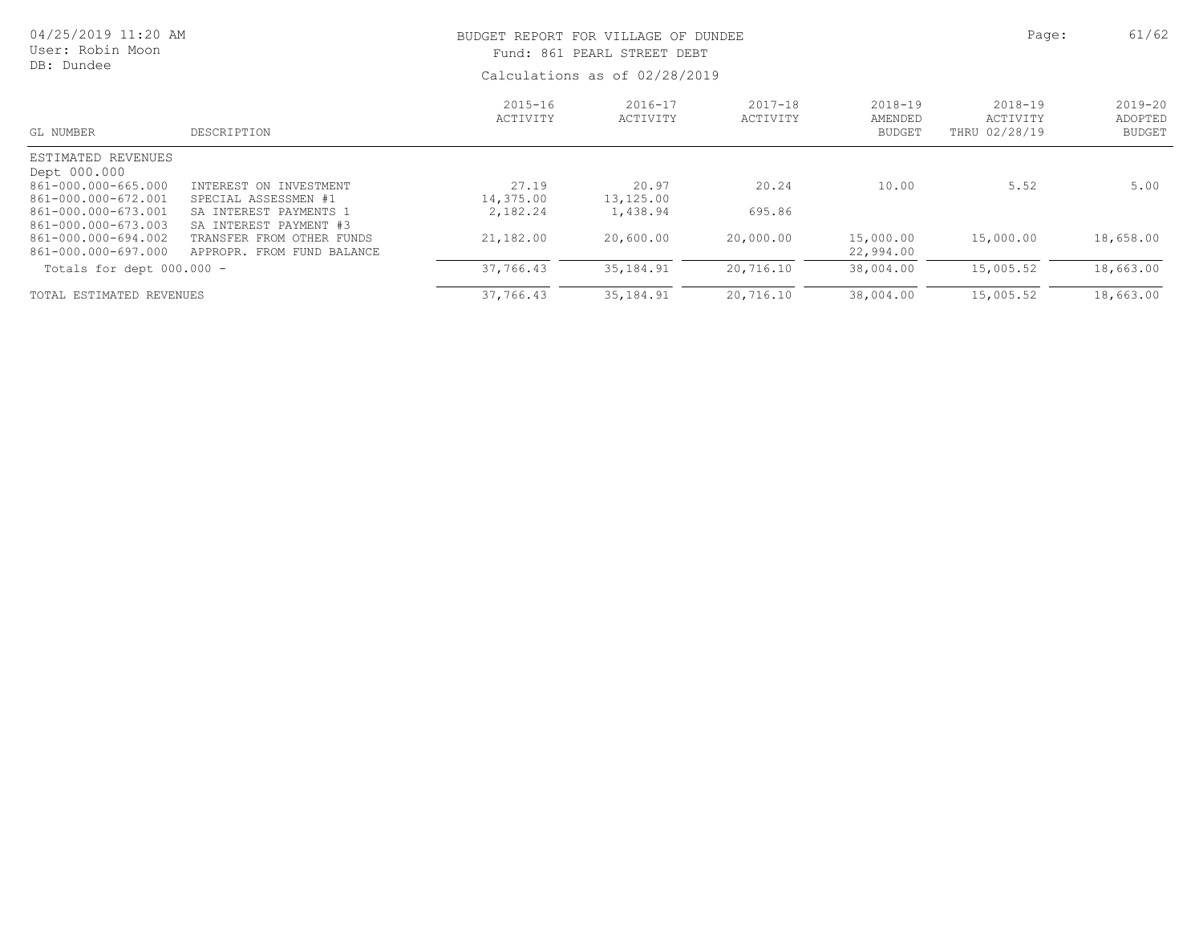| 04/25/2019 11:20 AM<br>User: Robin Moon<br>DB: Dundee      |                                                               | BUDGET REPORT FOR VILLAGE OF DUNDEE<br>Fund: 861 PEARL STREET DEBT<br>Calculations as of 02/28/2019 |                         |                         |                                         | Page:                                    | 61/62                                   |
|------------------------------------------------------------|---------------------------------------------------------------|-----------------------------------------------------------------------------------------------------|-------------------------|-------------------------|-----------------------------------------|------------------------------------------|-----------------------------------------|
| GL NUMBER                                                  | DESCRIPTION                                                   | $2015 - 16$<br>ACTIVITY                                                                             | $2016 - 17$<br>ACTIVITY | $2017 - 18$<br>ACTIVITY | $2018 - 19$<br>AMENDED<br><b>BUDGET</b> | $2018 - 19$<br>ACTIVITY<br>THRU 02/28/19 | $2019 - 20$<br>ADOPTED<br><b>BUDGET</b> |
| ESTIMATED REVENUES                                         |                                                               |                                                                                                     |                         |                         |                                         |                                          |                                         |
| Dept 000.000<br>861-000.000-665.000<br>861-000.000-672.001 | INTEREST ON INVESTMENT<br>SPECIAL ASSESSMEN #1                | 27.19<br>14,375.00                                                                                  | 20.97<br>13,125.00      | 20.24                   | 10.00                                   | 5.52                                     | 5.00                                    |
| 861-000.000-673.001<br>861-000.000-673.003                 | SA INTEREST PAYMENTS 1<br>SA INTEREST PAYMENT #3              | 2,182.24                                                                                            | 1,438.94                | 695.86                  |                                         |                                          |                                         |
| 861-000.000-694.002<br>861-000.000-697.000                 | TRANSFER<br>OTHER FUNDS<br>FROM<br>APPROPR. FROM FUND BALANCE | 21,182.00                                                                                           | 20,600.00               | 20,000.00               | 15,000.00<br>22,994.00                  | 15,000.00                                | 18,658.00                               |
| Totals for dept $000.000 -$                                |                                                               | 37,766.43                                                                                           | 35, 184.91              | 20,716.10               | 38,004.00                               | 15,005.52                                | 18,663.00                               |
| TOTAL ESTIMATED REVENUES                                   |                                                               | 37,766.43                                                                                           | 35, 184. 91             | 20,716.10               | 38,004.00                               | 15,005.52                                | 18,663.00                               |